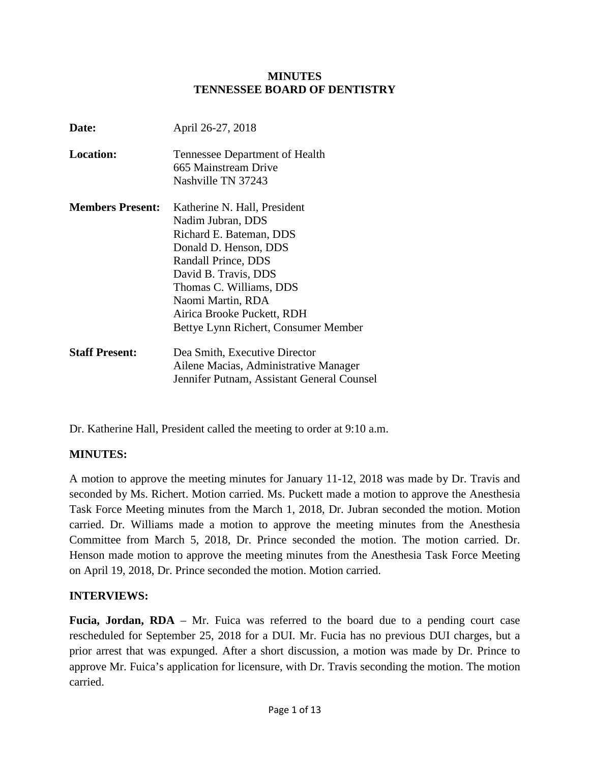#### **MINUTES TENNESSEE BOARD OF DENTISTRY**

| Date:                   | April 26-27, 2018                                                                                                                                                                                                                                                          |
|-------------------------|----------------------------------------------------------------------------------------------------------------------------------------------------------------------------------------------------------------------------------------------------------------------------|
| <b>Location:</b>        | Tennessee Department of Health<br>665 Mainstream Drive<br>Nashville TN 37243                                                                                                                                                                                               |
| <b>Members Present:</b> | Katherine N. Hall, President<br>Nadim Jubran, DDS<br>Richard E. Bateman, DDS<br>Donald D. Henson, DDS<br>Randall Prince, DDS<br>David B. Travis, DDS<br>Thomas C. Williams, DDS<br>Naomi Martin, RDA<br>Airica Brooke Puckett, RDH<br>Bettye Lynn Richert, Consumer Member |
| <b>Staff Present:</b>   | Dea Smith, Executive Director<br>Ailene Macias, Administrative Manager<br>Jennifer Putnam, Assistant General Counsel                                                                                                                                                       |

Dr. Katherine Hall, President called the meeting to order at 9:10 a.m.

## **MINUTES:**

A motion to approve the meeting minutes for January 11-12, 2018 was made by Dr. Travis and seconded by Ms. Richert. Motion carried. Ms. Puckett made a motion to approve the Anesthesia Task Force Meeting minutes from the March 1, 2018, Dr. Jubran seconded the motion. Motion carried. Dr. Williams made a motion to approve the meeting minutes from the Anesthesia Committee from March 5, 2018, Dr. Prince seconded the motion. The motion carried. Dr. Henson made motion to approve the meeting minutes from the Anesthesia Task Force Meeting on April 19, 2018, Dr. Prince seconded the motion. Motion carried.

#### **INTERVIEWS:**

Fucia, Jordan, RDA – Mr. Fuica was referred to the board due to a pending court case rescheduled for September 25, 2018 for a DUI. Mr. Fucia has no previous DUI charges, but a prior arrest that was expunged. After a short discussion, a motion was made by Dr. Prince to approve Mr. Fuica's application for licensure, with Dr. Travis seconding the motion. The motion carried.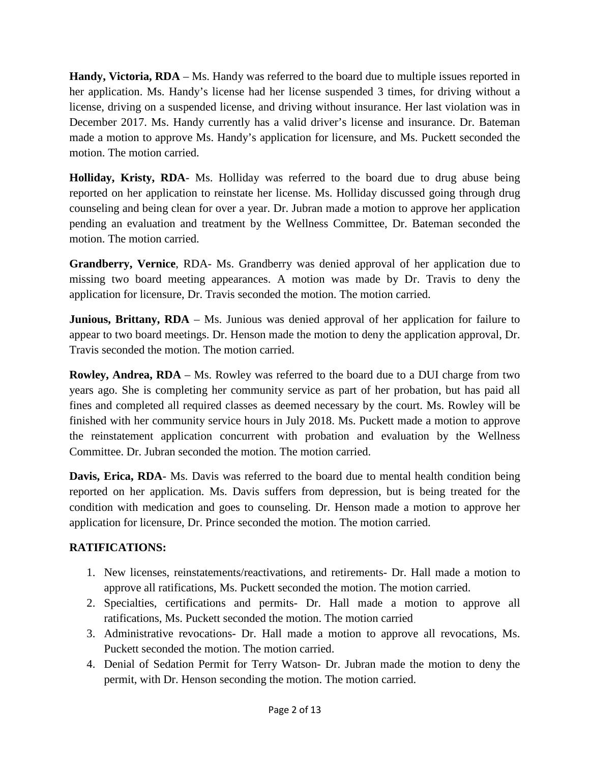**Handy, Victoria, RDA** – Ms. Handy was referred to the board due to multiple issues reported in her application. Ms. Handy's license had her license suspended 3 times, for driving without a license, driving on a suspended license, and driving without insurance. Her last violation was in December 2017. Ms. Handy currently has a valid driver's license and insurance. Dr. Bateman made a motion to approve Ms. Handy's application for licensure, and Ms. Puckett seconded the motion. The motion carried.

**Holliday, Kristy, RDA**- Ms. Holliday was referred to the board due to drug abuse being reported on her application to reinstate her license. Ms. Holliday discussed going through drug counseling and being clean for over a year. Dr. Jubran made a motion to approve her application pending an evaluation and treatment by the Wellness Committee, Dr. Bateman seconded the motion. The motion carried.

**Grandberry, Vernice**, RDA- Ms. Grandberry was denied approval of her application due to missing two board meeting appearances. A motion was made by Dr. Travis to deny the application for licensure, Dr. Travis seconded the motion. The motion carried.

**Junious, Brittany, RDA** – Ms. Junious was denied approval of her application for failure to appear to two board meetings. Dr. Henson made the motion to deny the application approval, Dr. Travis seconded the motion. The motion carried.

**Rowley, Andrea, RDA** – Ms. Rowley was referred to the board due to a DUI charge from two years ago. She is completing her community service as part of her probation, but has paid all fines and completed all required classes as deemed necessary by the court. Ms. Rowley will be finished with her community service hours in July 2018. Ms. Puckett made a motion to approve the reinstatement application concurrent with probation and evaluation by the Wellness Committee. Dr. Jubran seconded the motion. The motion carried.

Davis, Erica, RDA- Ms. Davis was referred to the board due to mental health condition being reported on her application. Ms. Davis suffers from depression, but is being treated for the condition with medication and goes to counseling. Dr. Henson made a motion to approve her application for licensure, Dr. Prince seconded the motion. The motion carried.

## **RATIFICATIONS:**

- 1. New licenses, reinstatements/reactivations, and retirements- Dr. Hall made a motion to approve all ratifications, Ms. Puckett seconded the motion. The motion carried.
- 2. Specialties, certifications and permits- Dr. Hall made a motion to approve all ratifications, Ms. Puckett seconded the motion. The motion carried
- 3. Administrative revocations- Dr. Hall made a motion to approve all revocations, Ms. Puckett seconded the motion. The motion carried.
- 4. Denial of Sedation Permit for Terry Watson- Dr. Jubran made the motion to deny the permit, with Dr. Henson seconding the motion. The motion carried.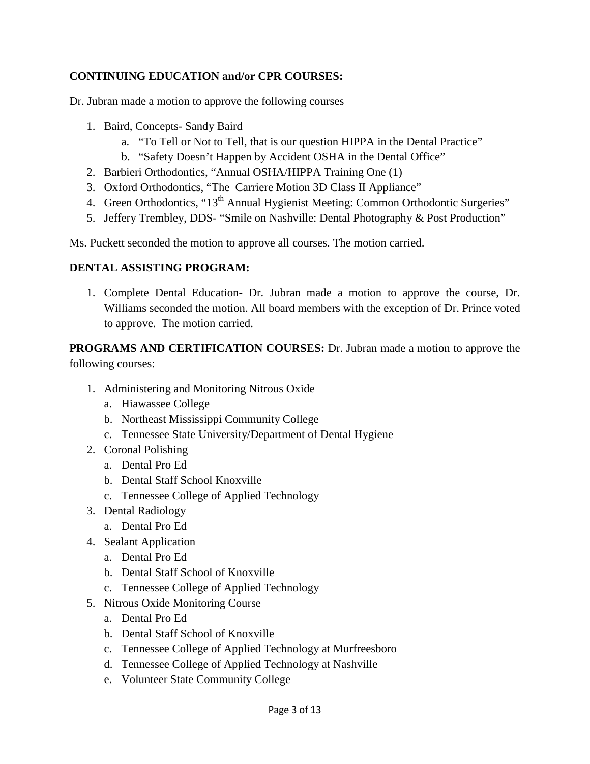## **CONTINUING EDUCATION and/or CPR COURSES:**

Dr. Jubran made a motion to approve the following courses

- 1. Baird, Concepts- Sandy Baird
	- a. "To Tell or Not to Tell, that is our question HIPPA in the Dental Practice"
	- b. "Safety Doesn't Happen by Accident OSHA in the Dental Office"
- 2. Barbieri Orthodontics, "Annual OSHA/HIPPA Training One (1)
- 3. Oxford Orthodontics, "The Carriere Motion 3D Class II Appliance"
- 4. Green Orthodontics, "13<sup>th</sup> Annual Hygienist Meeting: Common Orthodontic Surgeries"
- 5. Jeffery Trembley, DDS- "Smile on Nashville: Dental Photography & Post Production"

Ms. Puckett seconded the motion to approve all courses. The motion carried.

## **DENTAL ASSISTING PROGRAM:**

1. Complete Dental Education- Dr. Jubran made a motion to approve the course, Dr. Williams seconded the motion. All board members with the exception of Dr. Prince voted to approve. The motion carried.

**PROGRAMS AND CERTIFICATION COURSES:** Dr. Jubran made a motion to approve the following courses:

- 1. Administering and Monitoring Nitrous Oxide
	- a. Hiawassee College
	- b. Northeast Mississippi Community College
	- c. Tennessee State University/Department of Dental Hygiene
- 2. Coronal Polishing
	- a. Dental Pro Ed
	- b. Dental Staff School Knoxville
	- c. Tennessee College of Applied Technology
- 3. Dental Radiology
	- a. Dental Pro Ed
- 4. Sealant Application
	- a. Dental Pro Ed
	- b. Dental Staff School of Knoxville
	- c. Tennessee College of Applied Technology
- 5. Nitrous Oxide Monitoring Course
	- a. Dental Pro Ed
	- b. Dental Staff School of Knoxville
	- c. Tennessee College of Applied Technology at Murfreesboro
	- d. Tennessee College of Applied Technology at Nashville
	- e. Volunteer State Community College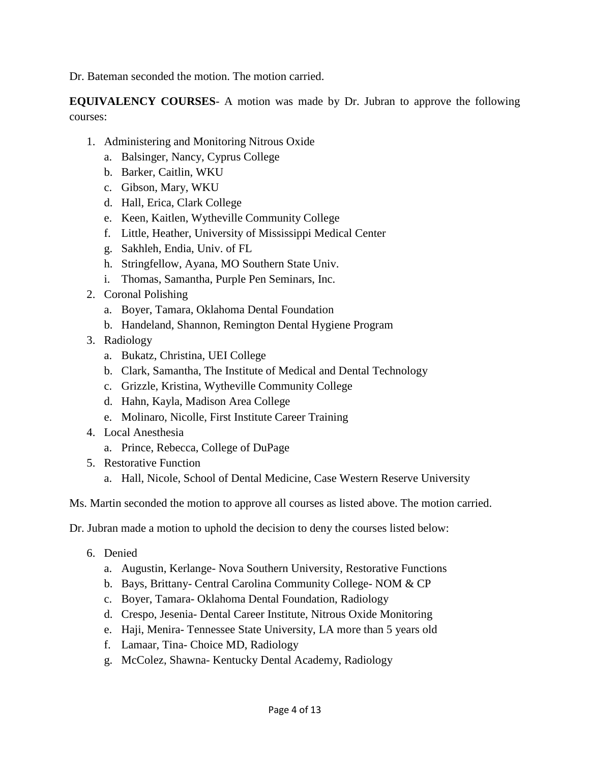Dr. Bateman seconded the motion. The motion carried.

**EQUIVALENCY COURSES**- A motion was made by Dr. Jubran to approve the following courses:

- 1. Administering and Monitoring Nitrous Oxide
	- a. Balsinger, Nancy, Cyprus College
	- b. Barker, Caitlin, WKU
	- c. Gibson, Mary, WKU
	- d. Hall, Erica, Clark College
	- e. Keen, Kaitlen, Wytheville Community College
	- f. Little, Heather, University of Mississippi Medical Center
	- g. Sakhleh, Endia, Univ. of FL
	- h. Stringfellow, Ayana, MO Southern State Univ.
	- i. Thomas, Samantha, Purple Pen Seminars, Inc.
- 2. Coronal Polishing
	- a. Boyer, Tamara, Oklahoma Dental Foundation
	- b. Handeland, Shannon, Remington Dental Hygiene Program
- 3. Radiology
	- a. Bukatz, Christina, UEI College
	- b. Clark, Samantha, The Institute of Medical and Dental Technology
	- c. Grizzle, Kristina, Wytheville Community College
	- d. Hahn, Kayla, Madison Area College
	- e. Molinaro, Nicolle, First Institute Career Training
- 4. Local Anesthesia
	- a. Prince, Rebecca, College of DuPage
- 5. Restorative Function
	- a. Hall, Nicole, School of Dental Medicine, Case Western Reserve University

Ms. Martin seconded the motion to approve all courses as listed above. The motion carried.

Dr. Jubran made a motion to uphold the decision to deny the courses listed below:

- 6. Denied
	- a. Augustin, Kerlange- Nova Southern University, Restorative Functions
	- b. Bays, Brittany- Central Carolina Community College- NOM & CP
	- c. Boyer, Tamara- Oklahoma Dental Foundation, Radiology
	- d. Crespo, Jesenia- Dental Career Institute, Nitrous Oxide Monitoring
	- e. Haji, Menira- Tennessee State University, LA more than 5 years old
	- f. Lamaar, Tina- Choice MD, Radiology
	- g. McColez, Shawna- Kentucky Dental Academy, Radiology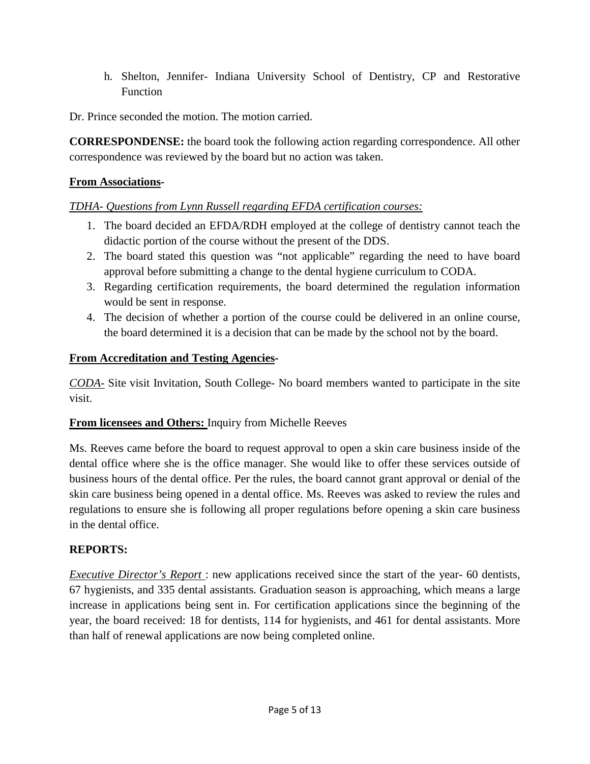h. Shelton, Jennifer- Indiana University School of Dentistry, CP and Restorative Function

Dr. Prince seconded the motion. The motion carried.

**CORRESPONDENSE:** the board took the following action regarding correspondence. All other correspondence was reviewed by the board but no action was taken.

## **From Associations***-*

## *TDHA- Questions from Lynn Russell regarding EFDA certification courses:*

- 1. The board decided an EFDA/RDH employed at the college of dentistry cannot teach the didactic portion of the course without the present of the DDS.
- 2. The board stated this question was "not applicable" regarding the need to have board approval before submitting a change to the dental hygiene curriculum to CODA.
- 3. Regarding certification requirements, the board determined the regulation information would be sent in response.
- 4. The decision of whether a portion of the course could be delivered in an online course, the board determined it is a decision that can be made by the school not by the board.

### **From Accreditation and Testing Agencies-**

*CODA-* Site visit Invitation, South College- No board members wanted to participate in the site visit.

## **From licensees and Others:** Inquiry from Michelle Reeves

Ms. Reeves came before the board to request approval to open a skin care business inside of the dental office where she is the office manager. She would like to offer these services outside of business hours of the dental office. Per the rules, the board cannot grant approval or denial of the skin care business being opened in a dental office. Ms. Reeves was asked to review the rules and regulations to ensure she is following all proper regulations before opening a skin care business in the dental office.

## **REPORTS:**

*Executive Director's Report* : new applications received since the start of the year- 60 dentists, 67 hygienists, and 335 dental assistants. Graduation season is approaching, which means a large increase in applications being sent in. For certification applications since the beginning of the year, the board received: 18 for dentists, 114 for hygienists, and 461 for dental assistants. More than half of renewal applications are now being completed online.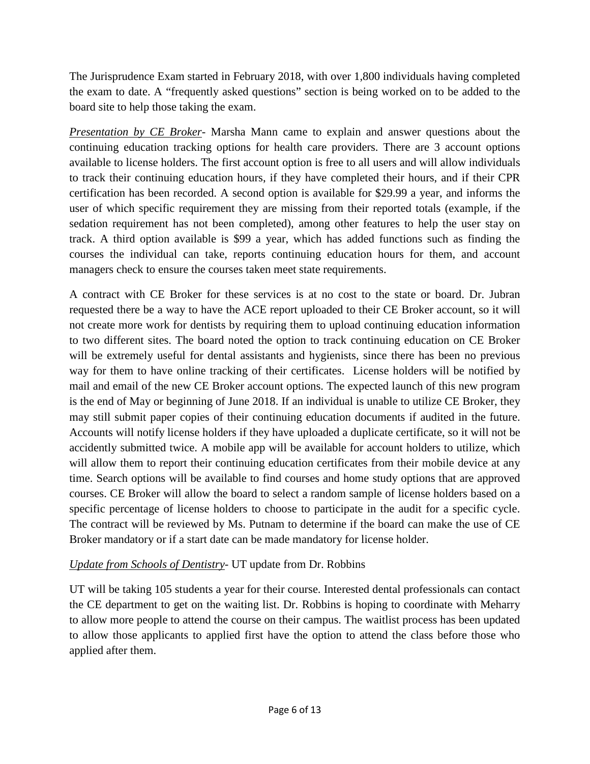The Jurisprudence Exam started in February 2018, with over 1,800 individuals having completed the exam to date. A "frequently asked questions" section is being worked on to be added to the board site to help those taking the exam.

*Presentation by CE Broker*- Marsha Mann came to explain and answer questions about the continuing education tracking options for health care providers. There are 3 account options available to license holders. The first account option is free to all users and will allow individuals to track their continuing education hours, if they have completed their hours, and if their CPR certification has been recorded. A second option is available for \$29.99 a year, and informs the user of which specific requirement they are missing from their reported totals (example, if the sedation requirement has not been completed), among other features to help the user stay on track. A third option available is \$99 a year, which has added functions such as finding the courses the individual can take, reports continuing education hours for them, and account managers check to ensure the courses taken meet state requirements.

A contract with CE Broker for these services is at no cost to the state or board. Dr. Jubran requested there be a way to have the ACE report uploaded to their CE Broker account, so it will not create more work for dentists by requiring them to upload continuing education information to two different sites. The board noted the option to track continuing education on CE Broker will be extremely useful for dental assistants and hygienists, since there has been no previous way for them to have online tracking of their certificates. License holders will be notified by mail and email of the new CE Broker account options. The expected launch of this new program is the end of May or beginning of June 2018. If an individual is unable to utilize CE Broker, they may still submit paper copies of their continuing education documents if audited in the future. Accounts will notify license holders if they have uploaded a duplicate certificate, so it will not be accidently submitted twice. A mobile app will be available for account holders to utilize, which will allow them to report their continuing education certificates from their mobile device at any time. Search options will be available to find courses and home study options that are approved courses. CE Broker will allow the board to select a random sample of license holders based on a specific percentage of license holders to choose to participate in the audit for a specific cycle. The contract will be reviewed by Ms. Putnam to determine if the board can make the use of CE Broker mandatory or if a start date can be made mandatory for license holder.

## *Update from Schools of Dentistry*- UT update from Dr. Robbins

UT will be taking 105 students a year for their course. Interested dental professionals can contact the CE department to get on the waiting list. Dr. Robbins is hoping to coordinate with Meharry to allow more people to attend the course on their campus. The waitlist process has been updated to allow those applicants to applied first have the option to attend the class before those who applied after them.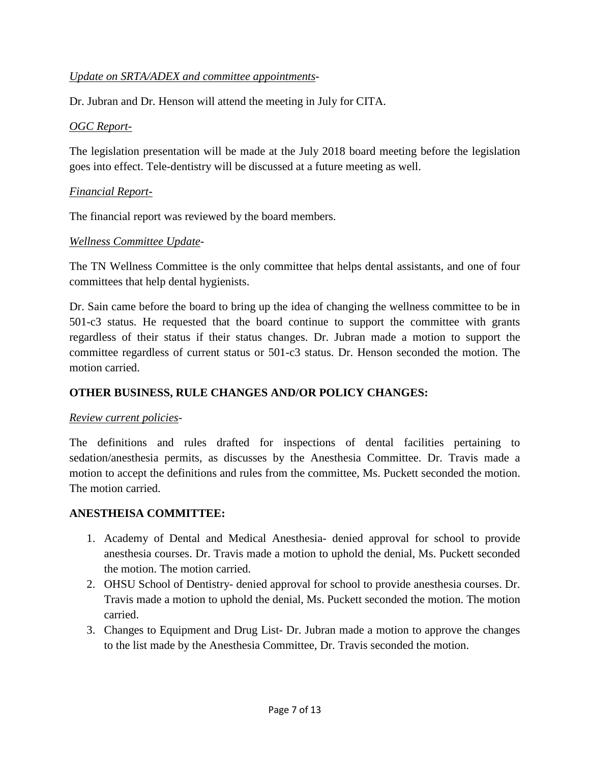### *Update on SRTA/ADEX and committee appointments*-

Dr. Jubran and Dr. Henson will attend the meeting in July for CITA.

#### *OGC Report-*

The legislation presentation will be made at the July 2018 board meeting before the legislation goes into effect. Tele-dentistry will be discussed at a future meeting as well.

#### *Financial Report-*

The financial report was reviewed by the board members.

#### *Wellness Committee Update*-

The TN Wellness Committee is the only committee that helps dental assistants, and one of four committees that help dental hygienists.

Dr. Sain came before the board to bring up the idea of changing the wellness committee to be in 501-c3 status. He requested that the board continue to support the committee with grants regardless of their status if their status changes. Dr. Jubran made a motion to support the committee regardless of current status or 501-c3 status. Dr. Henson seconded the motion. The motion carried.

## **OTHER BUSINESS, RULE CHANGES AND/OR POLICY CHANGES:**

#### *Review current policies*-

The definitions and rules drafted for inspections of dental facilities pertaining to sedation/anesthesia permits, as discusses by the Anesthesia Committee. Dr. Travis made a motion to accept the definitions and rules from the committee, Ms. Puckett seconded the motion. The motion carried.

#### **ANESTHEISA COMMITTEE:**

- 1. Academy of Dental and Medical Anesthesia- denied approval for school to provide anesthesia courses. Dr. Travis made a motion to uphold the denial, Ms. Puckett seconded the motion. The motion carried.
- 2. OHSU School of Dentistry- denied approval for school to provide anesthesia courses. Dr. Travis made a motion to uphold the denial, Ms. Puckett seconded the motion. The motion carried.
- 3. Changes to Equipment and Drug List- Dr. Jubran made a motion to approve the changes to the list made by the Anesthesia Committee, Dr. Travis seconded the motion.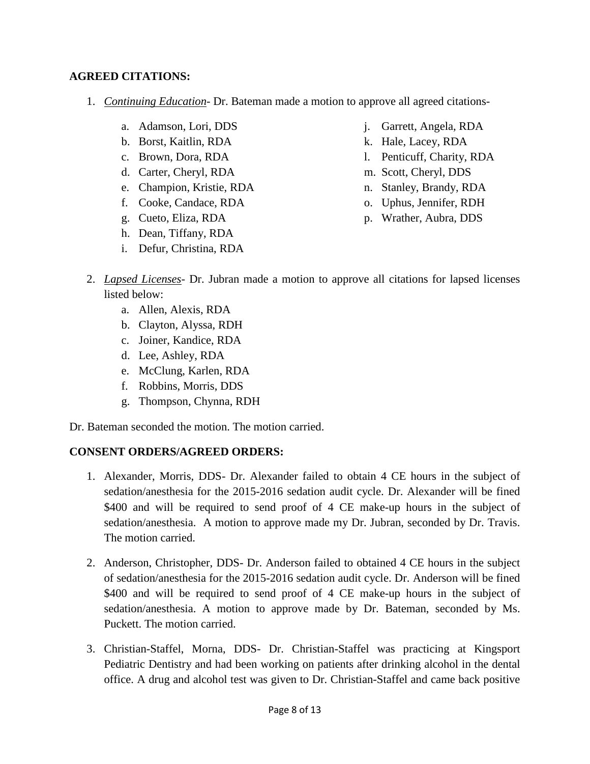### **AGREED CITATIONS:**

- 1. *Continuing Education* Dr. Bateman made a motion to approve all agreed citations
	- a. Adamson, Lori, DDS
	- b. Borst, Kaitlin, RDA
	- c. Brown, Dora, RDA
	- d. Carter, Cheryl, RDA
	- e. Champion, Kristie, RDA
	- f. Cooke, Candace, RDA
	- g. Cueto, Eliza, RDA
	- h. Dean, Tiffany, RDA
	- i. Defur, Christina, RDA
- j. Garrett, Angela, RDA
- k. Hale, Lacey, RDA
- l. Penticuff, Charity, RDA
- m. Scott, Cheryl, DDS
- n. Stanley, Brandy, RDA
- o. Uphus, Jennifer, RDH
- p. Wrather, Aubra, DDS
- 2. *Lapsed Licenses* Dr. Jubran made a motion to approve all citations for lapsed licenses listed below:
	- a. Allen, Alexis, RDA
	- b. Clayton, Alyssa, RDH
	- c. Joiner, Kandice, RDA
	- d. Lee, Ashley, RDA
	- e. McClung, Karlen, RDA
	- f. Robbins, Morris, DDS
	- g. Thompson, Chynna, RDH

Dr. Bateman seconded the motion. The motion carried.

## **CONSENT ORDERS/AGREED ORDERS:**

- 1. Alexander, Morris, DDS- Dr. Alexander failed to obtain 4 CE hours in the subject of sedation/anesthesia for the 2015-2016 sedation audit cycle. Dr. Alexander will be fined \$400 and will be required to send proof of 4 CE make-up hours in the subject of sedation/anesthesia. A motion to approve made my Dr. Jubran, seconded by Dr. Travis. The motion carried.
- 2. Anderson, Christopher, DDS- Dr. Anderson failed to obtained 4 CE hours in the subject of sedation/anesthesia for the 2015-2016 sedation audit cycle. Dr. Anderson will be fined \$400 and will be required to send proof of 4 CE make-up hours in the subject of sedation/anesthesia. A motion to approve made by Dr. Bateman, seconded by Ms. Puckett. The motion carried.
- 3. Christian-Staffel, Morna, DDS- Dr. Christian-Staffel was practicing at Kingsport Pediatric Dentistry and had been working on patients after drinking alcohol in the dental office. A drug and alcohol test was given to Dr. Christian-Staffel and came back positive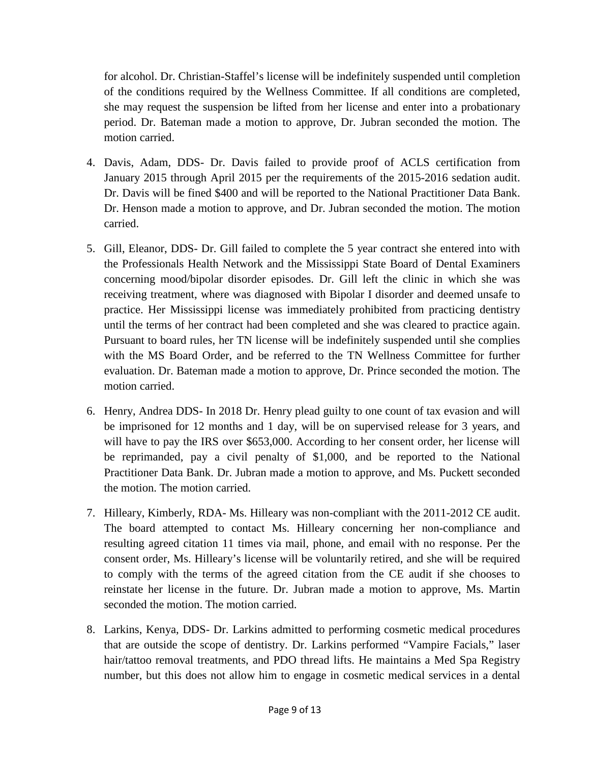for alcohol. Dr. Christian-Staffel's license will be indefinitely suspended until completion of the conditions required by the Wellness Committee. If all conditions are completed, she may request the suspension be lifted from her license and enter into a probationary period. Dr. Bateman made a motion to approve, Dr. Jubran seconded the motion. The motion carried.

- 4. Davis, Adam, DDS- Dr. Davis failed to provide proof of ACLS certification from January 2015 through April 2015 per the requirements of the 2015-2016 sedation audit. Dr. Davis will be fined \$400 and will be reported to the National Practitioner Data Bank. Dr. Henson made a motion to approve, and Dr. Jubran seconded the motion. The motion carried.
- 5. Gill, Eleanor, DDS- Dr. Gill failed to complete the 5 year contract she entered into with the Professionals Health Network and the Mississippi State Board of Dental Examiners concerning mood/bipolar disorder episodes. Dr. Gill left the clinic in which she was receiving treatment, where was diagnosed with Bipolar I disorder and deemed unsafe to practice. Her Mississippi license was immediately prohibited from practicing dentistry until the terms of her contract had been completed and she was cleared to practice again. Pursuant to board rules, her TN license will be indefinitely suspended until she complies with the MS Board Order, and be referred to the TN Wellness Committee for further evaluation. Dr. Bateman made a motion to approve, Dr. Prince seconded the motion. The motion carried.
- 6. Henry, Andrea DDS- In 2018 Dr. Henry plead guilty to one count of tax evasion and will be imprisoned for 12 months and 1 day, will be on supervised release for 3 years, and will have to pay the IRS over \$653,000. According to her consent order, her license will be reprimanded, pay a civil penalty of \$1,000, and be reported to the National Practitioner Data Bank. Dr. Jubran made a motion to approve, and Ms. Puckett seconded the motion. The motion carried.
- 7. Hilleary, Kimberly, RDA- Ms. Hilleary was non-compliant with the 2011-2012 CE audit. The board attempted to contact Ms. Hilleary concerning her non-compliance and resulting agreed citation 11 times via mail, phone, and email with no response. Per the consent order, Ms. Hilleary's license will be voluntarily retired, and she will be required to comply with the terms of the agreed citation from the CE audit if she chooses to reinstate her license in the future. Dr. Jubran made a motion to approve, Ms. Martin seconded the motion. The motion carried.
- 8. Larkins, Kenya, DDS- Dr. Larkins admitted to performing cosmetic medical procedures that are outside the scope of dentistry. Dr. Larkins performed "Vampire Facials," laser hair/tattoo removal treatments, and PDO thread lifts. He maintains a Med Spa Registry number, but this does not allow him to engage in cosmetic medical services in a dental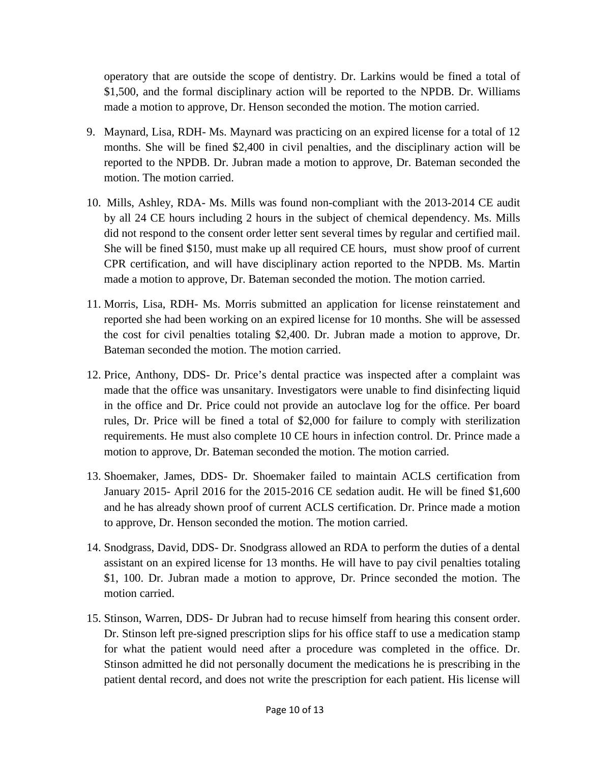operatory that are outside the scope of dentistry. Dr. Larkins would be fined a total of \$1,500, and the formal disciplinary action will be reported to the NPDB. Dr. Williams made a motion to approve, Dr. Henson seconded the motion. The motion carried.

- 9. Maynard, Lisa, RDH- Ms. Maynard was practicing on an expired license for a total of 12 months. She will be fined \$2,400 in civil penalties, and the disciplinary action will be reported to the NPDB. Dr. Jubran made a motion to approve, Dr. Bateman seconded the motion. The motion carried.
- 10. Mills, Ashley, RDA- Ms. Mills was found non-compliant with the 2013-2014 CE audit by all 24 CE hours including 2 hours in the subject of chemical dependency. Ms. Mills did not respond to the consent order letter sent several times by regular and certified mail. She will be fined \$150, must make up all required CE hours, must show proof of current CPR certification, and will have disciplinary action reported to the NPDB. Ms. Martin made a motion to approve, Dr. Bateman seconded the motion. The motion carried.
- 11. Morris, Lisa, RDH- Ms. Morris submitted an application for license reinstatement and reported she had been working on an expired license for 10 months. She will be assessed the cost for civil penalties totaling \$2,400. Dr. Jubran made a motion to approve, Dr. Bateman seconded the motion. The motion carried.
- 12. Price, Anthony, DDS- Dr. Price's dental practice was inspected after a complaint was made that the office was unsanitary. Investigators were unable to find disinfecting liquid in the office and Dr. Price could not provide an autoclave log for the office. Per board rules, Dr. Price will be fined a total of \$2,000 for failure to comply with sterilization requirements. He must also complete 10 CE hours in infection control. Dr. Prince made a motion to approve, Dr. Bateman seconded the motion. The motion carried.
- 13. Shoemaker, James, DDS- Dr. Shoemaker failed to maintain ACLS certification from January 2015- April 2016 for the 2015-2016 CE sedation audit. He will be fined \$1,600 and he has already shown proof of current ACLS certification. Dr. Prince made a motion to approve, Dr. Henson seconded the motion. The motion carried.
- 14. Snodgrass, David, DDS- Dr. Snodgrass allowed an RDA to perform the duties of a dental assistant on an expired license for 13 months. He will have to pay civil penalties totaling \$1, 100. Dr. Jubran made a motion to approve, Dr. Prince seconded the motion. The motion carried.
- 15. Stinson, Warren, DDS- Dr Jubran had to recuse himself from hearing this consent order. Dr. Stinson left pre-signed prescription slips for his office staff to use a medication stamp for what the patient would need after a procedure was completed in the office. Dr. Stinson admitted he did not personally document the medications he is prescribing in the patient dental record, and does not write the prescription for each patient. His license will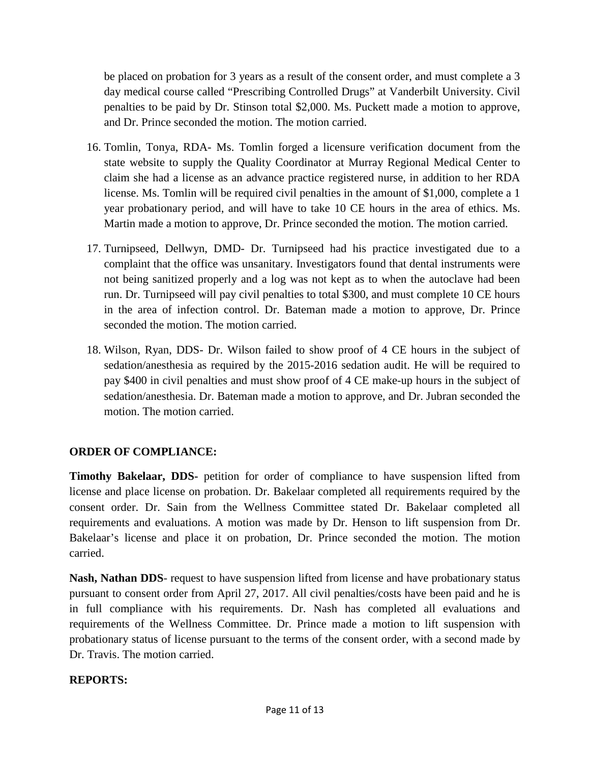be placed on probation for 3 years as a result of the consent order, and must complete a 3 day medical course called "Prescribing Controlled Drugs" at Vanderbilt University. Civil penalties to be paid by Dr. Stinson total \$2,000. Ms. Puckett made a motion to approve, and Dr. Prince seconded the motion. The motion carried.

- 16. Tomlin, Tonya, RDA- Ms. Tomlin forged a licensure verification document from the state website to supply the Quality Coordinator at Murray Regional Medical Center to claim she had a license as an advance practice registered nurse, in addition to her RDA license. Ms. Tomlin will be required civil penalties in the amount of \$1,000, complete a 1 year probationary period, and will have to take 10 CE hours in the area of ethics. Ms. Martin made a motion to approve, Dr. Prince seconded the motion. The motion carried.
- 17. Turnipseed, Dellwyn, DMD- Dr. Turnipseed had his practice investigated due to a complaint that the office was unsanitary. Investigators found that dental instruments were not being sanitized properly and a log was not kept as to when the autoclave had been run. Dr. Turnipseed will pay civil penalties to total \$300, and must complete 10 CE hours in the area of infection control. Dr. Bateman made a motion to approve, Dr. Prince seconded the motion. The motion carried.
- 18. Wilson, Ryan, DDS- Dr. Wilson failed to show proof of 4 CE hours in the subject of sedation/anesthesia as required by the 2015-2016 sedation audit. He will be required to pay \$400 in civil penalties and must show proof of 4 CE make-up hours in the subject of sedation/anesthesia. Dr. Bateman made a motion to approve, and Dr. Jubran seconded the motion. The motion carried.

# **ORDER OF COMPLIANCE:**

**Timothy Bakelaar, DDS-** petition for order of compliance to have suspension lifted from license and place license on probation. Dr. Bakelaar completed all requirements required by the consent order. Dr. Sain from the Wellness Committee stated Dr. Bakelaar completed all requirements and evaluations. A motion was made by Dr. Henson to lift suspension from Dr. Bakelaar's license and place it on probation, Dr. Prince seconded the motion. The motion carried.

**Nash, Nathan DDS**- request to have suspension lifted from license and have probationary status pursuant to consent order from April 27, 2017. All civil penalties/costs have been paid and he is in full compliance with his requirements. Dr. Nash has completed all evaluations and requirements of the Wellness Committee. Dr. Prince made a motion to lift suspension with probationary status of license pursuant to the terms of the consent order, with a second made by Dr. Travis. The motion carried.

## **REPORTS:**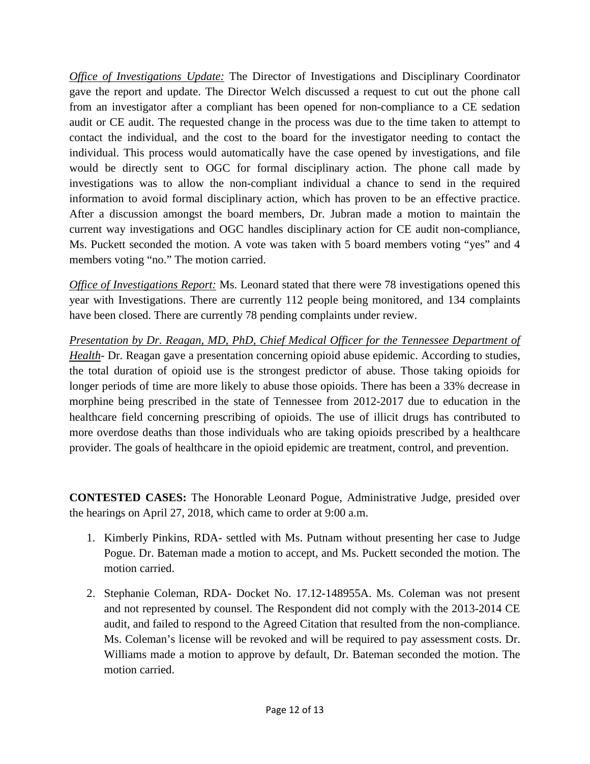*Office of Investigations Update:* The Director of Investigations and Disciplinary Coordinator gave the report and update. The Director Welch discussed a request to cut out the phone call from an investigator after a compliant has been opened for non-compliance to a CE sedation audit or CE audit. The requested change in the process was due to the time taken to attempt to contact the individual, and the cost to the board for the investigator needing to contact the individual. This process would automatically have the case opened by investigations, and file would be directly sent to OGC for formal disciplinary action. The phone call made by investigations was to allow the non-compliant individual a chance to send in the required information to avoid formal disciplinary action, which has proven to be an effective practice. After a discussion amongst the board members, Dr. Jubran made a motion to maintain the current way investigations and OGC handles disciplinary action for CE audit non-compliance, Ms. Puckett seconded the motion. A vote was taken with 5 board members voting "yes" and 4 members voting "no." The motion carried.

*Office of Investigations Report:* Ms. Leonard stated that there were 78 investigations opened this year with Investigations. There are currently 112 people being monitored, and 134 complaints have been closed. There are currently 78 pending complaints under review.

*Presentation by Dr. Reagan, MD, PhD, Chief Medical Officer for the Tennessee Department of Health*- Dr. Reagan gave a presentation concerning opioid abuse epidemic. According to studies, the total duration of opioid use is the strongest predictor of abuse. Those taking opioids for longer periods of time are more likely to abuse those opioids. There has been a 33% decrease in morphine being prescribed in the state of Tennessee from 2012-2017 due to education in the healthcare field concerning prescribing of opioids. The use of illicit drugs has contributed to more overdose deaths than those individuals who are taking opioids prescribed by a healthcare provider. The goals of healthcare in the opioid epidemic are treatment, control, and prevention.

**CONTESTED CASES:** The Honorable Leonard Pogue, Administrative Judge, presided over the hearings on April 27, 2018, which came to order at 9:00 a.m.

- 1. Kimberly Pinkins, RDA- settled with Ms. Putnam without presenting her case to Judge Pogue. Dr. Bateman made a motion to accept, and Ms. Puckett seconded the motion. The motion carried.
- 2. Stephanie Coleman, RDA- Docket No. 17.12-148955A. Ms. Coleman was not present and not represented by counsel. The Respondent did not comply with the 2013-2014 CE audit, and failed to respond to the Agreed Citation that resulted from the non-compliance. Ms. Coleman's license will be revoked and will be required to pay assessment costs. Dr. Williams made a motion to approve by default, Dr. Bateman seconded the motion. The motion carried.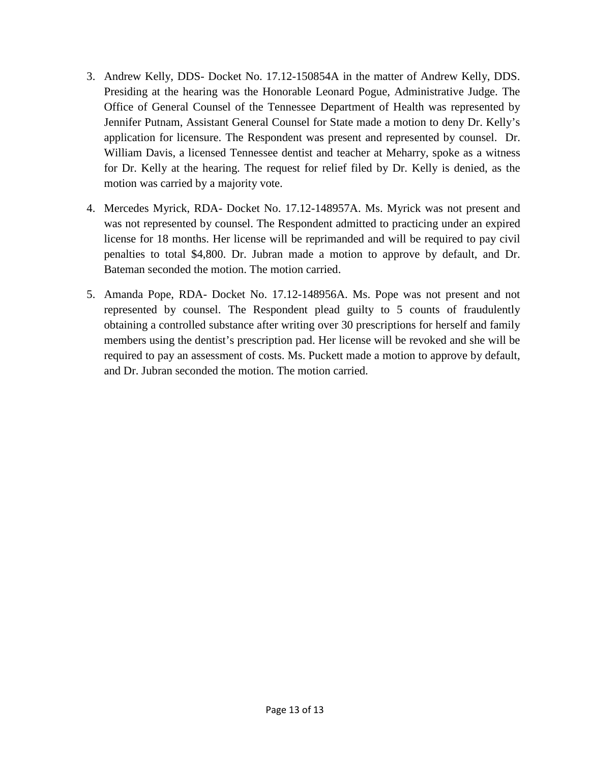- 3. Andrew Kelly, DDS- Docket No. 17.12-150854A in the matter of Andrew Kelly, DDS. Presiding at the hearing was the Honorable Leonard Pogue, Administrative Judge. The Office of General Counsel of the Tennessee Department of Health was represented by Jennifer Putnam, Assistant General Counsel for State made a motion to deny Dr. Kelly's application for licensure. The Respondent was present and represented by counsel. Dr. William Davis, a licensed Tennessee dentist and teacher at Meharry, spoke as a witness for Dr. Kelly at the hearing. The request for relief filed by Dr. Kelly is denied, as the motion was carried by a majority vote.
- 4. Mercedes Myrick, RDA- Docket No. 17.12-148957A. Ms. Myrick was not present and was not represented by counsel. The Respondent admitted to practicing under an expired license for 18 months. Her license will be reprimanded and will be required to pay civil penalties to total \$4,800. Dr. Jubran made a motion to approve by default, and Dr. Bateman seconded the motion. The motion carried.
- 5. Amanda Pope, RDA- Docket No. 17.12-148956A. Ms. Pope was not present and not represented by counsel. The Respondent plead guilty to 5 counts of fraudulently obtaining a controlled substance after writing over 30 prescriptions for herself and family members using the dentist's prescription pad. Her license will be revoked and she will be required to pay an assessment of costs. Ms. Puckett made a motion to approve by default, and Dr. Jubran seconded the motion. The motion carried.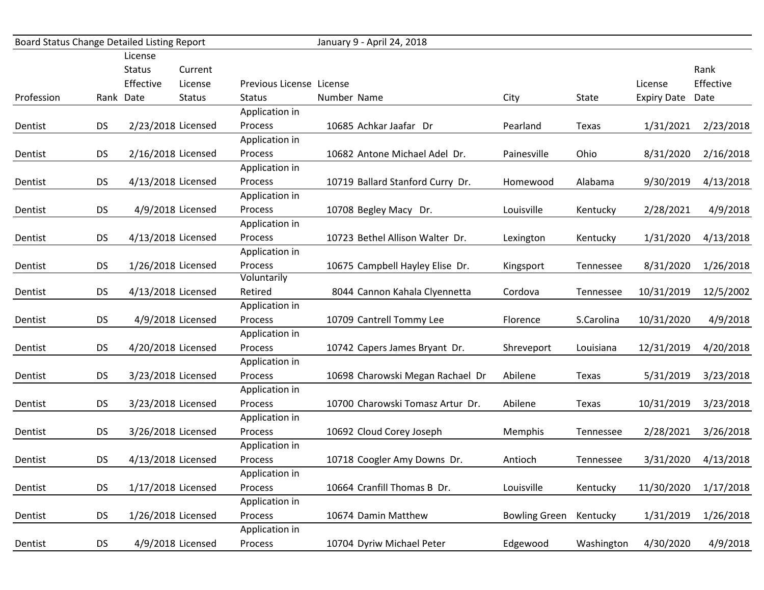|            | Board Status Change Detailed Listing Report |           |                    | January 9 - April 24, 2018 |                                  |                      |            |                    |           |
|------------|---------------------------------------------|-----------|--------------------|----------------------------|----------------------------------|----------------------|------------|--------------------|-----------|
|            |                                             | License   |                    |                            |                                  |                      |            |                    |           |
|            |                                             | Status    | Current            |                            |                                  |                      |            |                    | Rank      |
|            |                                             | Effective | License            | Previous License License   |                                  |                      |            | License            | Effective |
| Profession |                                             | Rank Date | <b>Status</b>      | <b>Status</b>              | Number Name                      | City                 | State      | <b>Expiry Date</b> | Date      |
|            |                                             |           |                    | Application in             |                                  |                      |            |                    |           |
| Dentist    | <b>DS</b>                                   |           | 2/23/2018 Licensed | Process                    | 10685 Achkar Jaafar Dr           | Pearland             | Texas      | 1/31/2021          | 2/23/2018 |
|            |                                             |           |                    | Application in             |                                  |                      |            |                    |           |
| Dentist    | <b>DS</b>                                   |           | 2/16/2018 Licensed | Process                    | 10682 Antone Michael Adel Dr.    | Painesville          | Ohio       | 8/31/2020          | 2/16/2018 |
|            |                                             |           |                    | Application in             |                                  |                      |            |                    |           |
| Dentist    | <b>DS</b>                                   |           | 4/13/2018 Licensed | Process                    | 10719 Ballard Stanford Curry Dr. | Homewood             | Alabama    | 9/30/2019          | 4/13/2018 |
|            |                                             |           |                    | Application in             |                                  |                      |            |                    |           |
| Dentist    | <b>DS</b>                                   |           | 4/9/2018 Licensed  | Process                    | 10708 Begley Macy Dr.            | Louisville           | Kentucky   | 2/28/2021          | 4/9/2018  |
|            |                                             |           |                    | Application in             |                                  |                      |            |                    |           |
| Dentist    | <b>DS</b>                                   |           | 4/13/2018 Licensed | Process                    | 10723 Bethel Allison Walter Dr.  | Lexington            | Kentucky   | 1/31/2020          | 4/13/2018 |
|            |                                             |           |                    | Application in             |                                  |                      |            |                    |           |
| Dentist    | <b>DS</b>                                   |           | 1/26/2018 Licensed | Process                    | 10675 Campbell Hayley Elise Dr.  | Kingsport            | Tennessee  | 8/31/2020          | 1/26/2018 |
|            |                                             |           |                    | Voluntarily                |                                  |                      |            |                    |           |
| Dentist    | <b>DS</b>                                   |           | 4/13/2018 Licensed | Retired                    | 8044 Cannon Kahala Clyennetta    | Cordova              | Tennessee  | 10/31/2019         | 12/5/2002 |
|            |                                             |           |                    | Application in             |                                  |                      |            |                    |           |
| Dentist    | <b>DS</b>                                   |           | 4/9/2018 Licensed  | Process                    | 10709 Cantrell Tommy Lee         | Florence             | S.Carolina | 10/31/2020         | 4/9/2018  |
|            |                                             |           |                    | Application in             |                                  |                      |            |                    |           |
| Dentist    | <b>DS</b>                                   |           | 4/20/2018 Licensed | Process                    | 10742 Capers James Bryant Dr.    | Shreveport           | Louisiana  | 12/31/2019         | 4/20/2018 |
|            |                                             |           |                    | Application in             |                                  |                      |            |                    |           |
| Dentist    | <b>DS</b>                                   |           | 3/23/2018 Licensed | Process                    | 10698 Charowski Megan Rachael Dr | Abilene              | Texas      | 5/31/2019          | 3/23/2018 |
|            |                                             |           |                    | Application in             |                                  |                      |            |                    |           |
| Dentist    | <b>DS</b>                                   |           | 3/23/2018 Licensed | Process                    | 10700 Charowski Tomasz Artur Dr. | Abilene              | Texas      | 10/31/2019         | 3/23/2018 |
|            |                                             |           |                    | Application in             |                                  |                      |            |                    |           |
| Dentist    | <b>DS</b>                                   |           | 3/26/2018 Licensed | Process                    | 10692 Cloud Corey Joseph         | Memphis              | Tennessee  | 2/28/2021          | 3/26/2018 |
|            |                                             |           |                    | Application in             |                                  |                      |            |                    |           |
| Dentist    | <b>DS</b>                                   |           | 4/13/2018 Licensed | Process                    | 10718 Coogler Amy Downs Dr.      | Antioch              | Tennessee  | 3/31/2020          | 4/13/2018 |
|            |                                             |           |                    | Application in             |                                  |                      |            |                    |           |
| Dentist    | <b>DS</b>                                   |           | 1/17/2018 Licensed | Process                    | 10664 Cranfill Thomas B Dr.      | Louisville           | Kentucky   | 11/30/2020         | 1/17/2018 |
|            |                                             |           |                    | Application in             |                                  |                      |            |                    |           |
| Dentist    | <b>DS</b>                                   |           | 1/26/2018 Licensed | Process                    | 10674 Damin Matthew              | <b>Bowling Green</b> | Kentucky   | 1/31/2019          | 1/26/2018 |
|            |                                             |           |                    | Application in             |                                  |                      |            |                    |           |
| Dentist    | <b>DS</b>                                   |           | 4/9/2018 Licensed  | Process                    | 10704 Dyriw Michael Peter        | Edgewood             | Washington | 4/30/2020          | 4/9/2018  |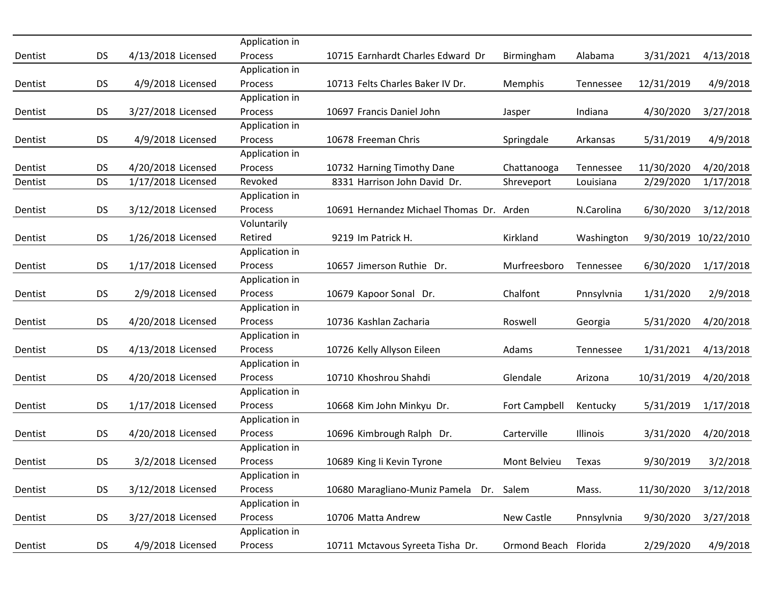|         |           |                    | Application in |                                          |                      |                 |            |                      |
|---------|-----------|--------------------|----------------|------------------------------------------|----------------------|-----------------|------------|----------------------|
| Dentist | <b>DS</b> | 4/13/2018 Licensed | Process        | 10715 Earnhardt Charles Edward Dr        | Birmingham           | Alabama         | 3/31/2021  | 4/13/2018            |
|         |           |                    | Application in |                                          |                      |                 |            |                      |
| Dentist | <b>DS</b> | 4/9/2018 Licensed  | Process        | 10713 Felts Charles Baker IV Dr.         | Memphis              | Tennessee       | 12/31/2019 | 4/9/2018             |
|         |           |                    | Application in |                                          |                      |                 |            |                      |
| Dentist | <b>DS</b> | 3/27/2018 Licensed | Process        | 10697 Francis Daniel John                | Jasper               | Indiana         | 4/30/2020  | 3/27/2018            |
|         |           |                    | Application in |                                          |                      |                 |            |                      |
| Dentist | <b>DS</b> | 4/9/2018 Licensed  | Process        | 10678 Freeman Chris                      | Springdale           | Arkansas        | 5/31/2019  | 4/9/2018             |
|         |           |                    | Application in |                                          |                      |                 |            |                      |
| Dentist | <b>DS</b> | 4/20/2018 Licensed | Process        | 10732 Harning Timothy Dane               | Chattanooga          | Tennessee       | 11/30/2020 | 4/20/2018            |
| Dentist | <b>DS</b> | 1/17/2018 Licensed | Revoked        | 8331 Harrison John David Dr.             | Shreveport           | Louisiana       | 2/29/2020  | 1/17/2018            |
|         |           |                    | Application in |                                          |                      |                 |            |                      |
| Dentist | <b>DS</b> | 3/12/2018 Licensed | Process        | 10691 Hernandez Michael Thomas Dr. Arden |                      | N.Carolina      | 6/30/2020  | 3/12/2018            |
|         |           |                    | Voluntarily    |                                          |                      |                 |            |                      |
| Dentist | <b>DS</b> | 1/26/2018 Licensed | Retired        | 9219 Im Patrick H.                       | Kirkland             | Washington      |            | 9/30/2019 10/22/2010 |
|         |           |                    | Application in |                                          |                      |                 |            |                      |
| Dentist | <b>DS</b> | 1/17/2018 Licensed | Process        | 10657 Jimerson Ruthie Dr.                | Murfreesboro         | Tennessee       | 6/30/2020  | 1/17/2018            |
|         |           |                    | Application in |                                          |                      |                 |            |                      |
| Dentist | <b>DS</b> | 2/9/2018 Licensed  | Process        | 10679 Kapoor Sonal Dr.                   | Chalfont             | Pnnsylvnia      | 1/31/2020  | 2/9/2018             |
|         |           |                    | Application in |                                          |                      |                 |            |                      |
| Dentist | <b>DS</b> | 4/20/2018 Licensed | Process        | 10736 Kashlan Zacharia                   | Roswell              | Georgia         | 5/31/2020  | 4/20/2018            |
|         |           |                    | Application in |                                          |                      |                 |            |                      |
| Dentist | <b>DS</b> | 4/13/2018 Licensed | Process        | 10726 Kelly Allyson Eileen               | Adams                | Tennessee       | 1/31/2021  | 4/13/2018            |
|         |           |                    | Application in |                                          |                      |                 |            |                      |
| Dentist | <b>DS</b> | 4/20/2018 Licensed | Process        | 10710 Khoshrou Shahdi                    | Glendale             | Arizona         | 10/31/2019 | 4/20/2018            |
|         |           |                    | Application in |                                          |                      |                 |            |                      |
| Dentist | <b>DS</b> | 1/17/2018 Licensed | Process        | 10668 Kim John Minkyu Dr.                | Fort Campbell        | Kentucky        | 5/31/2019  | 1/17/2018            |
|         |           |                    | Application in |                                          |                      |                 |            |                      |
| Dentist | <b>DS</b> | 4/20/2018 Licensed | Process        | 10696 Kimbrough Ralph Dr.                | Carterville          | <b>Illinois</b> | 3/31/2020  | 4/20/2018            |
|         |           |                    | Application in |                                          |                      |                 |            |                      |
| Dentist | <b>DS</b> | 3/2/2018 Licensed  | Process        | 10689 King Ii Kevin Tyrone               | Mont Belvieu         | Texas           | 9/30/2019  | 3/2/2018             |
|         |           |                    | Application in |                                          |                      |                 |            |                      |
| Dentist | <b>DS</b> | 3/12/2018 Licensed | Process        | 10680 Maragliano-Muniz Pamela            | Dr. Salem            | Mass.           | 11/30/2020 | 3/12/2018            |
|         |           |                    | Application in |                                          |                      |                 |            |                      |
| Dentist | <b>DS</b> | 3/27/2018 Licensed | Process        | 10706 Matta Andrew                       | New Castle           | Pnnsylvnia      | 9/30/2020  | 3/27/2018            |
|         |           |                    | Application in |                                          |                      |                 |            |                      |
| Dentist | <b>DS</b> | 4/9/2018 Licensed  | Process        | 10711 Mctavous Syreeta Tisha Dr.         | Ormond Beach Florida |                 | 2/29/2020  | 4/9/2018             |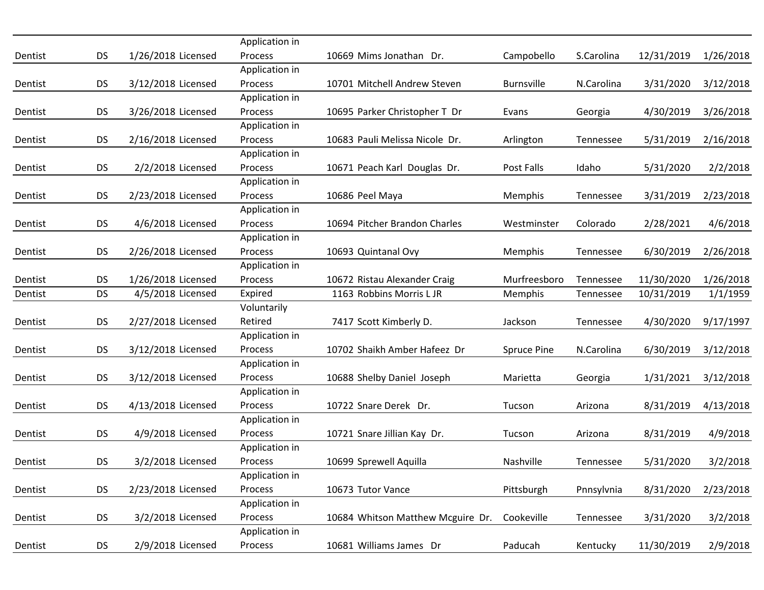|         |           |                    | Application in            |                                   |                    |            |            |           |
|---------|-----------|--------------------|---------------------------|-----------------------------------|--------------------|------------|------------|-----------|
| Dentist | <b>DS</b> | 1/26/2018 Licensed | <b>Process</b>            | 10669 Mims Jonathan Dr.           | Campobello         | S.Carolina | 12/31/2019 | 1/26/2018 |
|         |           |                    | Application in            |                                   |                    |            |            |           |
| Dentist | <b>DS</b> | 3/12/2018 Licensed | Process                   | 10701 Mitchell Andrew Steven      | <b>Burnsville</b>  | N.Carolina | 3/31/2020  | 3/12/2018 |
|         |           |                    | Application in            |                                   |                    |            |            |           |
| Dentist | <b>DS</b> | 3/26/2018 Licensed | Process                   | 10695 Parker Christopher T Dr     | Evans              | Georgia    | 4/30/2019  | 3/26/2018 |
|         |           |                    | Application in            |                                   |                    |            |            |           |
| Dentist | <b>DS</b> | 2/16/2018 Licensed | Process                   | 10683 Pauli Melissa Nicole Dr.    | Arlington          | Tennessee  | 5/31/2019  | 2/16/2018 |
|         |           |                    | Application in            |                                   |                    |            |            |           |
| Dentist | <b>DS</b> | 2/2/2018 Licensed  | Process                   | 10671 Peach Karl Douglas Dr.      | Post Falls         | Idaho      | 5/31/2020  | 2/2/2018  |
|         |           |                    | Application in            |                                   |                    |            |            |           |
| Dentist | <b>DS</b> | 2/23/2018 Licensed | Process                   | 10686 Peel Maya                   | Memphis            | Tennessee  | 3/31/2019  | 2/23/2018 |
|         |           |                    | Application in            |                                   |                    |            |            |           |
| Dentist | <b>DS</b> | 4/6/2018 Licensed  | Process                   | 10694 Pitcher Brandon Charles     | Westminster        | Colorado   | 2/28/2021  | 4/6/2018  |
|         |           |                    | Application in            |                                   |                    |            |            |           |
| Dentist | <b>DS</b> | 2/26/2018 Licensed | Process                   | 10693 Quintanal Ovy               | Memphis            | Tennessee  | 6/30/2019  | 2/26/2018 |
|         |           |                    | Application in            |                                   |                    |            |            |           |
| Dentist | <b>DS</b> | 1/26/2018 Licensed | Process                   | 10672 Ristau Alexander Craig      | Murfreesboro       | Tennessee  | 11/30/2020 | 1/26/2018 |
| Dentist | <b>DS</b> | 4/5/2018 Licensed  | Expired                   | 1163 Robbins Morris L JR          | Memphis            | Tennessee  | 10/31/2019 | 1/1/1959  |
|         |           |                    | Voluntarily               |                                   |                    |            |            |           |
| Dentist | <b>DS</b> | 2/27/2018 Licensed | Retired                   | 7417 Scott Kimberly D.            | Jackson            | Tennessee  | 4/30/2020  | 9/17/1997 |
|         |           |                    | Application in            |                                   |                    |            |            |           |
| Dentist | <b>DS</b> | 3/12/2018 Licensed | Process                   | 10702 Shaikh Amber Hafeez Dr      | <b>Spruce Pine</b> | N.Carolina | 6/30/2019  | 3/12/2018 |
|         |           |                    | Application in            |                                   |                    |            |            |           |
| Dentist | <b>DS</b> | 3/12/2018 Licensed | Process                   | 10688 Shelby Daniel Joseph        | Marietta           | Georgia    | 1/31/2021  | 3/12/2018 |
|         |           |                    | Application in            |                                   |                    |            |            |           |
| Dentist | <b>DS</b> | 4/13/2018 Licensed | Process                   | 10722 Snare Derek Dr.             | Tucson             | Arizona    | 8/31/2019  | 4/13/2018 |
|         |           |                    | Application in            |                                   |                    |            |            |           |
| Dentist | <b>DS</b> | 4/9/2018 Licensed  | Process                   | 10721 Snare Jillian Kay Dr.       | Tucson             | Arizona    | 8/31/2019  | 4/9/2018  |
|         |           |                    | Application in            |                                   |                    |            |            |           |
| Dentist | <b>DS</b> | 3/2/2018 Licensed  | Process                   | 10699 Sprewell Aquilla            | Nashville          | Tennessee  | 5/31/2020  | 3/2/2018  |
|         |           |                    | Application in            |                                   |                    |            |            |           |
| Dentist | <b>DS</b> | 2/23/2018 Licensed | Process                   | 10673 Tutor Vance                 | Pittsburgh         | Pnnsylvnia | 8/31/2020  | 2/23/2018 |
| Dentist |           | 3/2/2018 Licensed  | Application in            |                                   |                    |            |            |           |
|         | <b>DS</b> |                    | Process<br>Application in | 10684 Whitson Matthew Mcguire Dr. | Cookeville         | Tennessee  | 3/31/2020  | 3/2/2018  |
|         |           | 2/9/2018 Licensed  |                           | 10681 Williams James Dr           |                    |            |            |           |
| Dentist | <b>DS</b> |                    | Process                   |                                   | Paducah            | Kentucky   | 11/30/2019 | 2/9/2018  |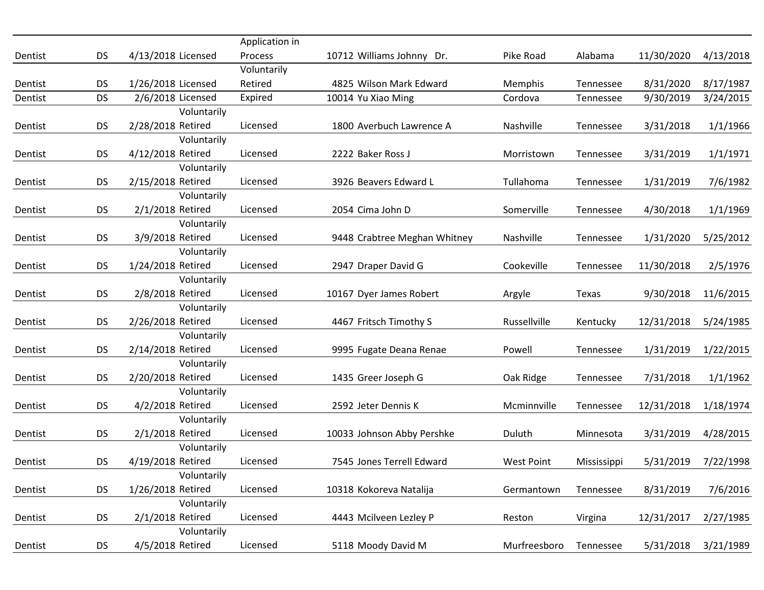|         |           |                                 | Application in |                              |                   |             |            |           |
|---------|-----------|---------------------------------|----------------|------------------------------|-------------------|-------------|------------|-----------|
| Dentist | <b>DS</b> | 4/13/2018 Licensed              | <b>Process</b> | 10712 Williams Johnny Dr.    | Pike Road         | Alabama     | 11/30/2020 | 4/13/2018 |
|         |           |                                 | Voluntarily    |                              |                   |             |            |           |
| Dentist | <b>DS</b> | 1/26/2018 Licensed              | Retired        | 4825 Wilson Mark Edward      | <b>Memphis</b>    | Tennessee   | 8/31/2020  | 8/17/1987 |
| Dentist | <b>DS</b> | 2/6/2018 Licensed               | Expired        | 10014 Yu Xiao Ming           | Cordova           | Tennessee   | 9/30/2019  | 3/24/2015 |
|         |           | Voluntarily                     |                |                              |                   |             |            |           |
| Dentist | <b>DS</b> | 2/28/2018 Retired               | Licensed       | 1800 Averbuch Lawrence A     | Nashville         | Tennessee   | 3/31/2018  | 1/1/1966  |
|         |           | Voluntarily                     |                |                              |                   |             |            |           |
| Dentist | <b>DS</b> | 4/12/2018 Retired               | Licensed       | 2222 Baker Ross J            | Morristown        | Tennessee   | 3/31/2019  | 1/1/1971  |
|         |           | Voluntarily                     |                |                              |                   |             |            |           |
| Dentist | <b>DS</b> | 2/15/2018 Retired               | Licensed       | 3926 Beavers Edward L        | Tullahoma         | Tennessee   | 1/31/2019  | 7/6/1982  |
|         |           | Voluntarily                     |                |                              |                   |             |            |           |
| Dentist | <b>DS</b> | 2/1/2018 Retired                | Licensed       | 2054 Cima John D             | Somerville        | Tennessee   | 4/30/2018  | 1/1/1969  |
|         |           | Voluntarily                     |                |                              |                   |             |            |           |
| Dentist | <b>DS</b> | 3/9/2018 Retired                | Licensed       | 9448 Crabtree Meghan Whitney | Nashville         | Tennessee   | 1/31/2020  | 5/25/2012 |
|         |           | Voluntarily                     |                |                              |                   |             |            |           |
| Dentist | <b>DS</b> | 1/24/2018 Retired               | Licensed       | 2947 Draper David G          | Cookeville        | Tennessee   | 11/30/2018 | 2/5/1976  |
|         |           | Voluntarily                     |                |                              |                   |             |            |           |
| Dentist | <b>DS</b> | 2/8/2018 Retired<br>Voluntarily | Licensed       | 10167 Dyer James Robert      | Argyle            | Texas       | 9/30/2018  | 11/6/2015 |
|         | <b>DS</b> | 2/26/2018 Retired               | Licensed       | 4467 Fritsch Timothy S       | Russellville      |             |            |           |
| Dentist |           | Voluntarily                     |                |                              |                   | Kentucky    | 12/31/2018 | 5/24/1985 |
| Dentist | <b>DS</b> | 2/14/2018 Retired               | Licensed       | 9995 Fugate Deana Renae      | Powell            | Tennessee   | 1/31/2019  | 1/22/2015 |
|         |           | Voluntarily                     |                |                              |                   |             |            |           |
| Dentist | <b>DS</b> | 2/20/2018 Retired               | Licensed       | 1435 Greer Joseph G          | Oak Ridge         | Tennessee   | 7/31/2018  | 1/1/1962  |
|         |           | Voluntarily                     |                |                              |                   |             |            |           |
| Dentist | <b>DS</b> | 4/2/2018 Retired                | Licensed       | 2592 Jeter Dennis K          | Mcminnville       | Tennessee   | 12/31/2018 | 1/18/1974 |
|         |           | Voluntarily                     |                |                              |                   |             |            |           |
| Dentist | <b>DS</b> | 2/1/2018 Retired                | Licensed       | 10033 Johnson Abby Pershke   | Duluth            | Minnesota   | 3/31/2019  | 4/28/2015 |
|         |           | Voluntarily                     |                |                              |                   |             |            |           |
| Dentist | <b>DS</b> | 4/19/2018 Retired               | Licensed       | 7545 Jones Terrell Edward    | <b>West Point</b> | Mississippi | 5/31/2019  | 7/22/1998 |
|         |           | Voluntarily                     |                |                              |                   |             |            |           |
| Dentist | <b>DS</b> | 1/26/2018 Retired               | Licensed       | 10318 Kokoreva Natalija      | Germantown        | Tennessee   | 8/31/2019  | 7/6/2016  |
|         |           | Voluntarily                     |                |                              |                   |             |            |           |
| Dentist | <b>DS</b> | 2/1/2018 Retired                | Licensed       | 4443 Mcilveen Lezley P       | Reston            | Virgina     | 12/31/2017 | 2/27/1985 |
|         |           | Voluntarily                     |                |                              |                   |             |            |           |
| Dentist | <b>DS</b> | 4/5/2018 Retired                | Licensed       | 5118 Moody David M           | Murfreesboro      | Tennessee   | 5/31/2018  | 3/21/1989 |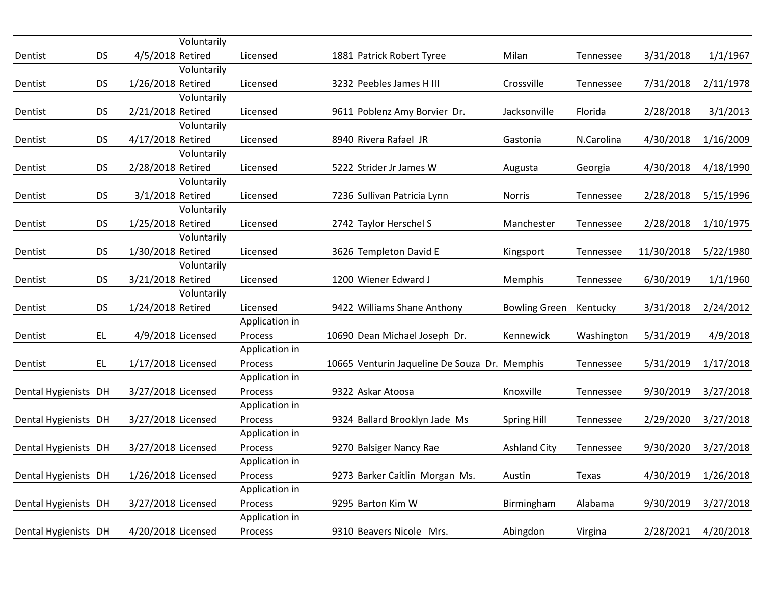|                      |           | Voluntarily        |                |                                               |                      |            |            |           |
|----------------------|-----------|--------------------|----------------|-----------------------------------------------|----------------------|------------|------------|-----------|
| Dentist              | <b>DS</b> | 4/5/2018 Retired   | Licensed       | 1881 Patrick Robert Tyree                     | Milan                | Tennessee  | 3/31/2018  | 1/1/1967  |
|                      |           | Voluntarily        |                |                                               |                      |            |            |           |
| Dentist              | <b>DS</b> | 1/26/2018 Retired  | Licensed       | 3232 Peebles James H III                      | Crossville           | Tennessee  | 7/31/2018  | 2/11/1978 |
|                      |           | Voluntarily        |                |                                               |                      |            |            |           |
| Dentist              | <b>DS</b> | 2/21/2018 Retired  | Licensed       | 9611 Poblenz Amy Borvier Dr.                  | Jacksonville         | Florida    | 2/28/2018  | 3/1/2013  |
|                      |           | Voluntarily        |                |                                               |                      |            |            |           |
| Dentist              | <b>DS</b> | 4/17/2018 Retired  | Licensed       | 8940 Rivera Rafael JR                         | Gastonia             | N.Carolina | 4/30/2018  | 1/16/2009 |
|                      |           | Voluntarily        |                |                                               |                      |            |            |           |
| Dentist              | <b>DS</b> | 2/28/2018 Retired  | Licensed       | 5222 Strider Jr James W                       | Augusta              | Georgia    | 4/30/2018  | 4/18/1990 |
|                      |           | Voluntarily        |                |                                               |                      |            |            |           |
| Dentist              | <b>DS</b> | 3/1/2018 Retired   | Licensed       | 7236 Sullivan Patricia Lynn                   | <b>Norris</b>        | Tennessee  | 2/28/2018  | 5/15/1996 |
|                      |           | Voluntarily        |                |                                               |                      |            |            |           |
| Dentist              | <b>DS</b> | 1/25/2018 Retired  | Licensed       | 2742 Taylor Herschel S                        | Manchester           | Tennessee  | 2/28/2018  | 1/10/1975 |
|                      |           | Voluntarily        |                |                                               |                      |            |            |           |
| Dentist              | <b>DS</b> | 1/30/2018 Retired  | Licensed       | 3626 Templeton David E                        | Kingsport            | Tennessee  | 11/30/2018 | 5/22/1980 |
|                      |           | Voluntarily        |                |                                               |                      |            |            |           |
| Dentist              | <b>DS</b> | 3/21/2018 Retired  | Licensed       | 1200 Wiener Edward J                          | Memphis              | Tennessee  | 6/30/2019  | 1/1/1960  |
|                      |           | Voluntarily        |                |                                               |                      |            |            |           |
| Dentist              | <b>DS</b> | 1/24/2018 Retired  | Licensed       | 9422 Williams Shane Anthony                   | <b>Bowling Green</b> | Kentucky   | 3/31/2018  | 2/24/2012 |
|                      |           |                    | Application in |                                               |                      |            |            |           |
| Dentist              | EL.       | 4/9/2018 Licensed  | Process        | 10690 Dean Michael Joseph Dr.                 | Kennewick            | Washington | 5/31/2019  | 4/9/2018  |
|                      |           |                    | Application in |                                               |                      |            |            |           |
| Dentist              | EL        | 1/17/2018 Licensed | Process        | 10665 Venturin Jaqueline De Souza Dr. Memphis |                      | Tennessee  | 5/31/2019  | 1/17/2018 |
|                      |           |                    | Application in |                                               |                      |            |            |           |
| Dental Hygienists DH |           | 3/27/2018 Licensed | Process        | 9322 Askar Atoosa                             | Knoxville            | Tennessee  | 9/30/2019  | 3/27/2018 |
|                      |           |                    | Application in |                                               |                      |            |            |           |
| Dental Hygienists DH |           | 3/27/2018 Licensed | Process        | 9324 Ballard Brooklyn Jade Ms                 | <b>Spring Hill</b>   | Tennessee  | 2/29/2020  | 3/27/2018 |
|                      |           |                    | Application in |                                               |                      |            |            |           |
| Dental Hygienists DH |           | 3/27/2018 Licensed | Process        | 9270 Balsiger Nancy Rae                       | <b>Ashland City</b>  | Tennessee  | 9/30/2020  | 3/27/2018 |
|                      |           |                    | Application in |                                               |                      |            |            |           |
| Dental Hygienists DH |           | 1/26/2018 Licensed | Process        | 9273 Barker Caitlin Morgan Ms.                | Austin               | Texas      | 4/30/2019  | 1/26/2018 |
|                      |           |                    | Application in |                                               |                      |            |            |           |
| Dental Hygienists DH |           | 3/27/2018 Licensed | Process        | 9295 Barton Kim W                             | Birmingham           | Alabama    | 9/30/2019  | 3/27/2018 |
|                      |           |                    | Application in |                                               |                      |            |            |           |
| Dental Hygienists DH |           | 4/20/2018 Licensed | Process        | 9310 Beavers Nicole Mrs.                      | Abingdon             | Virgina    | 2/28/2021  | 4/20/2018 |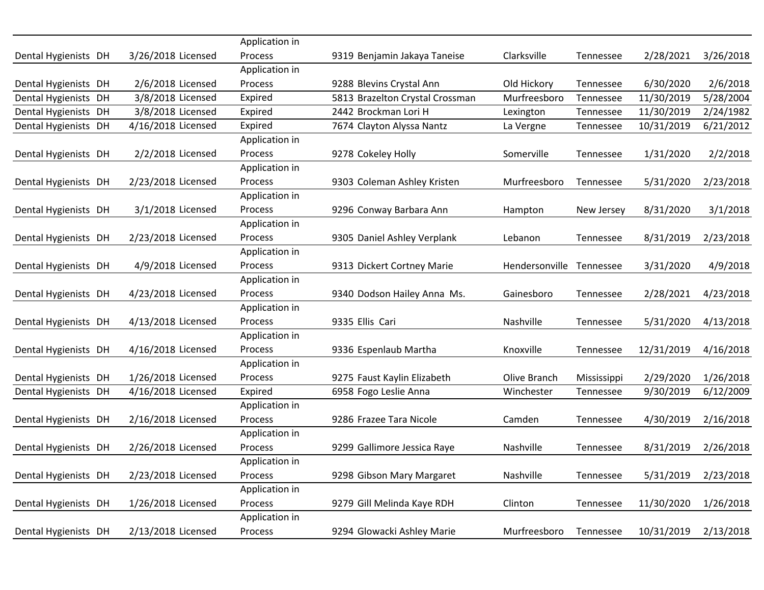|                      |                    | Application in            |                                 |                |             |            |           |
|----------------------|--------------------|---------------------------|---------------------------------|----------------|-------------|------------|-----------|
| Dental Hygienists DH | 3/26/2018 Licensed | Process<br>Application in | 9319 Benjamin Jakaya Taneise    | Clarksville    | Tennessee   | 2/28/2021  | 3/26/2018 |
| Dental Hygienists DH | 2/6/2018 Licensed  | <b>Process</b>            | 9288 Blevins Crystal Ann        | Old Hickory    |             | 6/30/2020  | 2/6/2018  |
|                      |                    |                           |                                 |                | Tennessee   |            |           |
| Dental Hygienists DH | 3/8/2018 Licensed  | Expired                   | 5813 Brazelton Crystal Crossman | Murfreesboro   | Tennessee   | 11/30/2019 | 5/28/2004 |
| Dental Hygienists DH | 3/8/2018 Licensed  | Expired                   | 2442 Brockman Lori H            | Lexington      | Tennessee   | 11/30/2019 | 2/24/1982 |
| Dental Hygienists DH | 4/16/2018 Licensed | Expired                   | 7674 Clayton Alyssa Nantz       | La Vergne      | Tennessee   | 10/31/2019 | 6/21/2012 |
|                      |                    | Application in            |                                 |                |             |            |           |
| Dental Hygienists DH | 2/2/2018 Licensed  | Process                   | 9278 Cokeley Holly              | Somerville     | Tennessee   | 1/31/2020  | 2/2/2018  |
|                      |                    | Application in            |                                 |                |             |            |           |
| Dental Hygienists DH | 2/23/2018 Licensed | Process                   | 9303 Coleman Ashley Kristen     | Murfreesboro   | Tennessee   | 5/31/2020  | 2/23/2018 |
|                      |                    | Application in            |                                 |                |             |            |           |
| Dental Hygienists DH | 3/1/2018 Licensed  | Process                   | 9296 Conway Barbara Ann         | Hampton        | New Jersey  | 8/31/2020  | 3/1/2018  |
|                      |                    | Application in            |                                 |                |             |            |           |
| Dental Hygienists DH | 2/23/2018 Licensed | Process                   | 9305 Daniel Ashley Verplank     | Lebanon        | Tennessee   | 8/31/2019  | 2/23/2018 |
|                      |                    | Application in            |                                 |                |             |            |           |
| Dental Hygienists DH | 4/9/2018 Licensed  | Process                   | 9313 Dickert Cortney Marie      | Hendersonville | Tennessee   | 3/31/2020  | 4/9/2018  |
|                      |                    | Application in            |                                 |                |             |            |           |
| Dental Hygienists DH | 4/23/2018 Licensed | Process                   | 9340 Dodson Hailey Anna Ms.     | Gainesboro     | Tennessee   | 2/28/2021  | 4/23/2018 |
|                      |                    | Application in            |                                 |                |             |            |           |
| Dental Hygienists DH | 4/13/2018 Licensed | Process                   | 9335 Ellis Cari                 | Nashville      | Tennessee   | 5/31/2020  | 4/13/2018 |
|                      |                    | Application in            |                                 |                |             |            |           |
| Dental Hygienists DH | 4/16/2018 Licensed | Process                   | 9336 Espenlaub Martha           | Knoxville      | Tennessee   | 12/31/2019 | 4/16/2018 |
|                      |                    | Application in            |                                 |                |             |            |           |
| Dental Hygienists DH | 1/26/2018 Licensed | Process                   | 9275 Faust Kaylin Elizabeth     | Olive Branch   | Mississippi | 2/29/2020  | 1/26/2018 |
| Dental Hygienists DH | 4/16/2018 Licensed | Expired                   | 6958 Fogo Leslie Anna           | Winchester     | Tennessee   | 9/30/2019  | 6/12/2009 |
|                      |                    | Application in            |                                 |                |             |            |           |
| Dental Hygienists DH | 2/16/2018 Licensed | Process                   | 9286 Frazee Tara Nicole         | Camden         | Tennessee   | 4/30/2019  | 2/16/2018 |
|                      |                    | Application in            |                                 |                |             |            |           |
| Dental Hygienists DH | 2/26/2018 Licensed | Process                   | 9299 Gallimore Jessica Raye     | Nashville      | Tennessee   | 8/31/2019  | 2/26/2018 |
|                      |                    | Application in            |                                 |                |             |            |           |
| Dental Hygienists DH | 2/23/2018 Licensed | Process                   | 9298 Gibson Mary Margaret       | Nashville      | Tennessee   | 5/31/2019  | 2/23/2018 |
|                      |                    | Application in            |                                 |                |             |            |           |
| Dental Hygienists DH | 1/26/2018 Licensed | Process                   | 9279 Gill Melinda Kaye RDH      | Clinton        | Tennessee   | 11/30/2020 | 1/26/2018 |
|                      |                    | Application in            |                                 |                |             |            |           |
| Dental Hygienists DH | 2/13/2018 Licensed | Process                   | 9294 Glowacki Ashley Marie      | Murfreesboro   | Tennessee   | 10/31/2019 | 2/13/2018 |
|                      |                    |                           |                                 |                |             |            |           |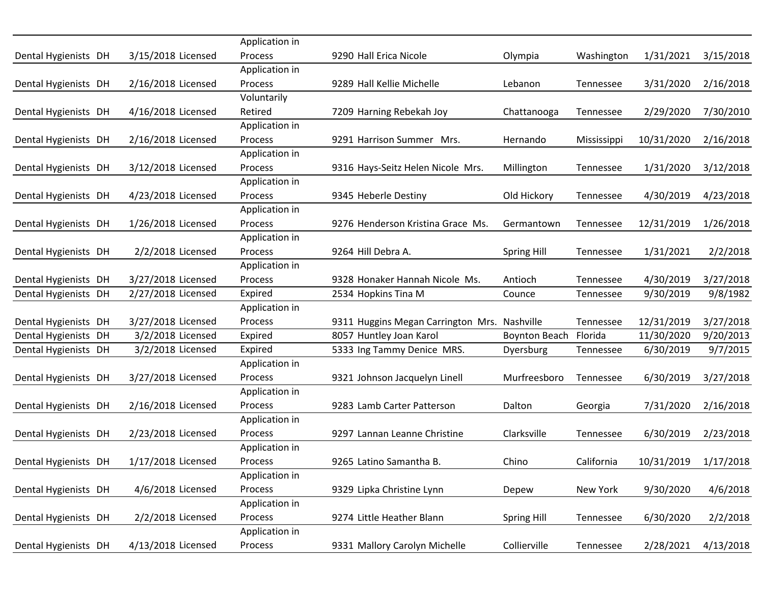|                      |                    | Application in |                                              |                      |             |            |           |
|----------------------|--------------------|----------------|----------------------------------------------|----------------------|-------------|------------|-----------|
| Dental Hygienists DH | 3/15/2018 Licensed | Process        | 9290 Hall Erica Nicole                       | Olympia              | Washington  | 1/31/2021  | 3/15/2018 |
|                      |                    | Application in |                                              |                      |             |            |           |
| Dental Hygienists DH | 2/16/2018 Licensed | Process        | 9289 Hall Kellie Michelle                    | Lebanon              | Tennessee   | 3/31/2020  | 2/16/2018 |
|                      |                    | Voluntarily    |                                              |                      |             |            |           |
| Dental Hygienists DH | 4/16/2018 Licensed | Retired        | 7209 Harning Rebekah Joy                     | Chattanooga          | Tennessee   | 2/29/2020  | 7/30/2010 |
|                      |                    | Application in |                                              |                      |             |            |           |
| Dental Hygienists DH | 2/16/2018 Licensed | Process        | 9291 Harrison Summer Mrs.                    | Hernando             | Mississippi | 10/31/2020 | 2/16/2018 |
|                      |                    | Application in |                                              |                      |             |            |           |
| Dental Hygienists DH | 3/12/2018 Licensed | Process        | 9316 Hays-Seitz Helen Nicole Mrs.            | Millington           | Tennessee   | 1/31/2020  | 3/12/2018 |
|                      |                    | Application in |                                              |                      |             |            |           |
| Dental Hygienists DH | 4/23/2018 Licensed | Process        | 9345 Heberle Destiny                         | Old Hickory          | Tennessee   | 4/30/2019  | 4/23/2018 |
|                      |                    | Application in |                                              |                      |             |            |           |
| Dental Hygienists DH | 1/26/2018 Licensed | Process        | 9276 Henderson Kristina Grace Ms.            | Germantown           | Tennessee   | 12/31/2019 | 1/26/2018 |
|                      |                    | Application in |                                              |                      |             |            |           |
| Dental Hygienists DH | 2/2/2018 Licensed  | Process        | 9264 Hill Debra A.                           | <b>Spring Hill</b>   | Tennessee   | 1/31/2021  | 2/2/2018  |
|                      |                    | Application in |                                              |                      |             |            |           |
| Dental Hygienists DH | 3/27/2018 Licensed | Process        | 9328 Honaker Hannah Nicole Ms.               | Antioch              | Tennessee   | 4/30/2019  | 3/27/2018 |
| Dental Hygienists DH | 2/27/2018 Licensed | Expired        | 2534 Hopkins Tina M                          | Counce               | Tennessee   | 9/30/2019  | 9/8/1982  |
|                      |                    | Application in |                                              |                      |             |            |           |
| Dental Hygienists DH | 3/27/2018 Licensed | Process        | 9311 Huggins Megan Carrington Mrs. Nashville |                      | Tennessee   | 12/31/2019 | 3/27/2018 |
| Dental Hygienists DH | 3/2/2018 Licensed  | Expired        | 8057 Huntley Joan Karol                      | <b>Boynton Beach</b> | Florida     | 11/30/2020 | 9/20/2013 |
| Dental Hygienists DH | 3/2/2018 Licensed  | Expired        | 5333 Ing Tammy Denice MRS.                   | Dyersburg            | Tennessee   | 6/30/2019  | 9/7/2015  |
|                      |                    | Application in |                                              |                      |             |            |           |
| Dental Hygienists DH | 3/27/2018 Licensed | Process        | 9321 Johnson Jacquelyn Linell                | Murfreesboro         | Tennessee   | 6/30/2019  | 3/27/2018 |
|                      |                    | Application in |                                              |                      |             |            |           |
| Dental Hygienists DH | 2/16/2018 Licensed | Process        | 9283 Lamb Carter Patterson                   | Dalton               | Georgia     | 7/31/2020  | 2/16/2018 |
|                      |                    | Application in |                                              |                      |             |            |           |
| Dental Hygienists DH | 2/23/2018 Licensed | Process        | 9297 Lannan Leanne Christine                 | Clarksville          | Tennessee   | 6/30/2019  | 2/23/2018 |
|                      |                    | Application in |                                              |                      |             |            |           |
| Dental Hygienists DH | 1/17/2018 Licensed | Process        | 9265 Latino Samantha B.                      | Chino                | California  | 10/31/2019 | 1/17/2018 |
|                      |                    | Application in |                                              |                      |             |            |           |
| Dental Hygienists DH | 4/6/2018 Licensed  | Process        | 9329 Lipka Christine Lynn                    | Depew                | New York    | 9/30/2020  | 4/6/2018  |
|                      |                    | Application in |                                              |                      |             |            |           |
| Dental Hygienists DH | 2/2/2018 Licensed  | Process        | 9274 Little Heather Blann                    | <b>Spring Hill</b>   | Tennessee   | 6/30/2020  | 2/2/2018  |
|                      |                    | Application in |                                              |                      |             |            |           |
| Dental Hygienists DH | 4/13/2018 Licensed | Process        | 9331 Mallory Carolyn Michelle                | Collierville         | Tennessee   | 2/28/2021  | 4/13/2018 |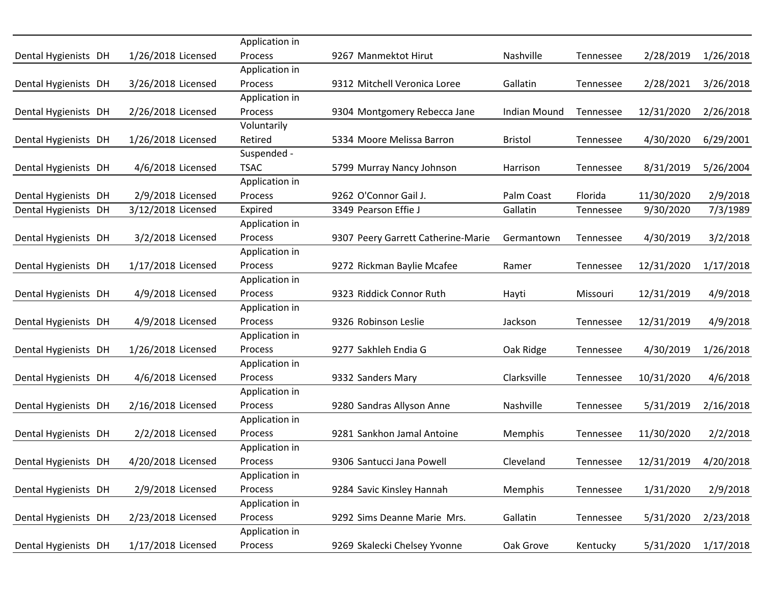|                      |                    | Application in |                                    |                |           |            |           |
|----------------------|--------------------|----------------|------------------------------------|----------------|-----------|------------|-----------|
| Dental Hygienists DH | 1/26/2018 Licensed | Process        | 9267 Manmektot Hirut               | Nashville      | Tennessee | 2/28/2019  | 1/26/2018 |
|                      |                    | Application in |                                    |                |           |            |           |
| Dental Hygienists DH | 3/26/2018 Licensed | Process        | 9312 Mitchell Veronica Loree       | Gallatin       | Tennessee | 2/28/2021  | 3/26/2018 |
|                      |                    | Application in |                                    |                |           |            |           |
| Dental Hygienists DH | 2/26/2018 Licensed | Process        | 9304 Montgomery Rebecca Jane       | Indian Mound   | Tennessee | 12/31/2020 | 2/26/2018 |
|                      |                    | Voluntarily    |                                    |                |           |            |           |
| Dental Hygienists DH | 1/26/2018 Licensed | Retired        | 5334 Moore Melissa Barron          | <b>Bristol</b> | Tennessee | 4/30/2020  | 6/29/2001 |
|                      |                    | Suspended -    |                                    |                |           |            |           |
| Dental Hygienists DH | 4/6/2018 Licensed  | <b>TSAC</b>    | 5799 Murray Nancy Johnson          | Harrison       | Tennessee | 8/31/2019  | 5/26/2004 |
|                      |                    | Application in |                                    |                |           |            |           |
| Dental Hygienists DH | 2/9/2018 Licensed  | Process        | 9262 O'Connor Gail J.              | Palm Coast     | Florida   | 11/30/2020 | 2/9/2018  |
| Dental Hygienists DH | 3/12/2018 Licensed | Expired        | 3349 Pearson Effie J               | Gallatin       | Tennessee | 9/30/2020  | 7/3/1989  |
|                      |                    | Application in |                                    |                |           |            |           |
| Dental Hygienists DH | 3/2/2018 Licensed  | Process        | 9307 Peery Garrett Catherine-Marie | Germantown     | Tennessee | 4/30/2019  | 3/2/2018  |
|                      |                    | Application in |                                    |                |           |            |           |
| Dental Hygienists DH | 1/17/2018 Licensed | Process        | 9272 Rickman Baylie Mcafee         | Ramer          | Tennessee | 12/31/2020 | 1/17/2018 |
|                      |                    | Application in |                                    |                |           |            |           |
| Dental Hygienists DH | 4/9/2018 Licensed  | Process        | 9323 Riddick Connor Ruth           | Hayti          | Missouri  | 12/31/2019 | 4/9/2018  |
|                      |                    | Application in |                                    |                |           |            |           |
| Dental Hygienists DH | 4/9/2018 Licensed  | Process        | 9326 Robinson Leslie               | Jackson        | Tennessee | 12/31/2019 | 4/9/2018  |
|                      |                    | Application in |                                    |                |           |            |           |
| Dental Hygienists DH | 1/26/2018 Licensed | Process        | 9277 Sakhleh Endia G               | Oak Ridge      | Tennessee | 4/30/2019  | 1/26/2018 |
|                      |                    | Application in |                                    |                |           |            |           |
| Dental Hygienists DH | 4/6/2018 Licensed  | Process        | 9332 Sanders Mary                  | Clarksville    | Tennessee | 10/31/2020 | 4/6/2018  |
|                      |                    | Application in |                                    |                |           |            |           |
| Dental Hygienists DH | 2/16/2018 Licensed | Process        | 9280 Sandras Allyson Anne          | Nashville      | Tennessee | 5/31/2019  | 2/16/2018 |
|                      |                    | Application in |                                    |                |           |            |           |
| Dental Hygienists DH | 2/2/2018 Licensed  | Process        | 9281 Sankhon Jamal Antoine         | Memphis        | Tennessee | 11/30/2020 | 2/2/2018  |
|                      |                    | Application in |                                    |                |           |            |           |
| Dental Hygienists DH | 4/20/2018 Licensed | Process        | 9306 Santucci Jana Powell          | Cleveland      | Tennessee | 12/31/2019 | 4/20/2018 |
|                      |                    | Application in |                                    |                |           |            |           |
| Dental Hygienists DH | 2/9/2018 Licensed  | Process        | 9284 Savic Kinsley Hannah          | Memphis        | Tennessee | 1/31/2020  | 2/9/2018  |
|                      |                    | Application in |                                    |                |           |            |           |
| Dental Hygienists DH | 2/23/2018 Licensed | Process        | 9292 Sims Deanne Marie Mrs.        | Gallatin       | Tennessee | 5/31/2020  | 2/23/2018 |
|                      |                    | Application in |                                    |                |           |            |           |
| Dental Hygienists DH | 1/17/2018 Licensed | Process        | 9269 Skalecki Chelsey Yvonne       | Oak Grove      | Kentucky  | 5/31/2020  | 1/17/2018 |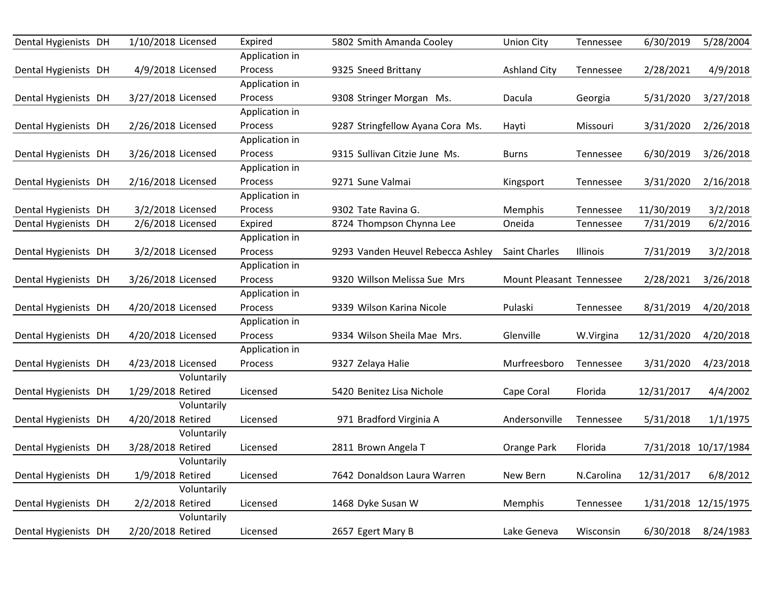| Dental Hygienists DH | 1/10/2018 Licensed | Expired        | 5802 Smith Amanda Cooley          | <b>Union City</b>        | Tennessee  | 6/30/2019  | 5/28/2004            |
|----------------------|--------------------|----------------|-----------------------------------|--------------------------|------------|------------|----------------------|
|                      |                    | Application in |                                   |                          |            |            |                      |
| Dental Hygienists DH | 4/9/2018 Licensed  | Process        | 9325 Sneed Brittany               | <b>Ashland City</b>      | Tennessee  | 2/28/2021  | 4/9/2018             |
|                      |                    | Application in |                                   |                          |            |            |                      |
| Dental Hygienists DH | 3/27/2018 Licensed | Process        | 9308 Stringer Morgan Ms.          | Dacula                   | Georgia    | 5/31/2020  | 3/27/2018            |
|                      |                    | Application in |                                   |                          |            |            |                      |
| Dental Hygienists DH | 2/26/2018 Licensed | Process        | 9287 Stringfellow Ayana Cora Ms.  | Hayti                    | Missouri   | 3/31/2020  | 2/26/2018            |
|                      |                    | Application in |                                   |                          |            |            |                      |
| Dental Hygienists DH | 3/26/2018 Licensed | Process        | 9315 Sullivan Citzie June Ms.     | <b>Burns</b>             | Tennessee  | 6/30/2019  | 3/26/2018            |
|                      |                    | Application in |                                   |                          |            |            |                      |
| Dental Hygienists DH | 2/16/2018 Licensed | Process        | 9271 Sune Valmai                  | Kingsport                | Tennessee  | 3/31/2020  | 2/16/2018            |
|                      |                    | Application in |                                   |                          |            |            |                      |
| Dental Hygienists DH | 3/2/2018 Licensed  | Process        | 9302 Tate Ravina G.               | Memphis                  | Tennessee  | 11/30/2019 | 3/2/2018             |
| Dental Hygienists DH | 2/6/2018 Licensed  | Expired        | 8724 Thompson Chynna Lee          | Oneida                   | Tennessee  | 7/31/2019  | 6/2/2016             |
|                      |                    | Application in |                                   |                          |            |            |                      |
| Dental Hygienists DH | 3/2/2018 Licensed  | Process        | 9293 Vanden Heuvel Rebecca Ashley | Saint Charles            | Illinois   | 7/31/2019  | 3/2/2018             |
|                      |                    | Application in |                                   |                          |            |            |                      |
| Dental Hygienists DH | 3/26/2018 Licensed | Process        | 9320 Willson Melissa Sue Mrs      | Mount Pleasant Tennessee |            | 2/28/2021  | 3/26/2018            |
|                      |                    | Application in |                                   |                          |            |            |                      |
| Dental Hygienists DH | 4/20/2018 Licensed | Process        | 9339 Wilson Karina Nicole         | Pulaski                  | Tennessee  | 8/31/2019  | 4/20/2018            |
|                      |                    | Application in |                                   |                          |            |            |                      |
| Dental Hygienists DH | 4/20/2018 Licensed | Process        | 9334 Wilson Sheila Mae Mrs.       | Glenville                | W.Virgina  | 12/31/2020 | 4/20/2018            |
|                      |                    | Application in |                                   |                          |            |            |                      |
| Dental Hygienists DH | 4/23/2018 Licensed | <b>Process</b> | 9327 Zelaya Halie                 | Murfreesboro             | Tennessee  | 3/31/2020  | 4/23/2018            |
|                      | Voluntarily        |                |                                   |                          |            |            |                      |
| Dental Hygienists DH | 1/29/2018 Retired  | Licensed       | 5420 Benitez Lisa Nichole         | Cape Coral               | Florida    | 12/31/2017 | 4/4/2002             |
|                      | Voluntarily        |                |                                   |                          |            |            |                      |
| Dental Hygienists DH | 4/20/2018 Retired  | Licensed       | 971 Bradford Virginia A           | Andersonville            | Tennessee  | 5/31/2018  | 1/1/1975             |
|                      | Voluntarily        |                |                                   |                          |            |            |                      |
| Dental Hygienists DH | 3/28/2018 Retired  | Licensed       | 2811 Brown Angela T               | Orange Park              | Florida    |            | 7/31/2018 10/17/1984 |
|                      | Voluntarily        |                |                                   |                          |            |            |                      |
| Dental Hygienists DH | 1/9/2018 Retired   | Licensed       | 7642 Donaldson Laura Warren       | New Bern                 | N.Carolina | 12/31/2017 | 6/8/2012             |
|                      | Voluntarily        |                |                                   |                          |            |            |                      |
| Dental Hygienists DH | 2/2/2018 Retired   | Licensed       | 1468 Dyke Susan W                 | Memphis                  | Tennessee  |            | 1/31/2018 12/15/1975 |
|                      | Voluntarily        |                |                                   |                          |            |            |                      |
| Dental Hygienists DH | 2/20/2018 Retired  | Licensed       | 2657 Egert Mary B                 | Lake Geneva              | Wisconsin  | 6/30/2018  | 8/24/1983            |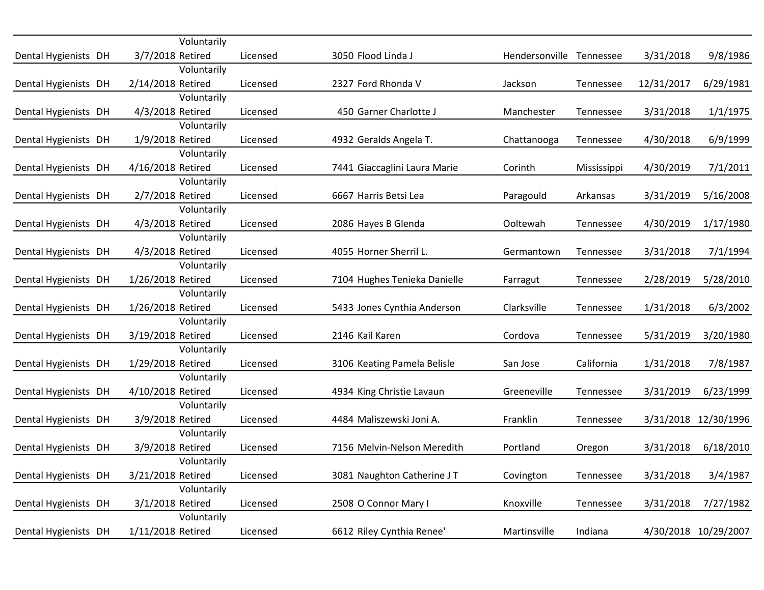|                      | Voluntarily                     |          |                              |                |             |            |                      |
|----------------------|---------------------------------|----------|------------------------------|----------------|-------------|------------|----------------------|
| Dental Hygienists DH | 3/7/2018 Retired<br>Voluntarily | Licensed | 3050 Flood Linda J           | Hendersonville | Tennessee   | 3/31/2018  | 9/8/1986             |
| Dental Hygienists DH | 2/14/2018 Retired               | Licensed | 2327 Ford Rhonda V           | Jackson        | Tennessee   | 12/31/2017 | 6/29/1981            |
|                      | Voluntarily                     |          |                              |                |             |            |                      |
| Dental Hygienists DH | 4/3/2018 Retired                | Licensed | 450 Garner Charlotte J       | Manchester     | Tennessee   | 3/31/2018  | 1/1/1975             |
|                      | Voluntarily                     |          |                              |                |             |            |                      |
| Dental Hygienists DH | 1/9/2018 Retired                | Licensed | 4932 Geralds Angela T.       | Chattanooga    | Tennessee   | 4/30/2018  | 6/9/1999             |
|                      | Voluntarily                     |          |                              |                |             |            |                      |
| Dental Hygienists DH | 4/16/2018 Retired               | Licensed | 7441 Giaccaglini Laura Marie | Corinth        | Mississippi | 4/30/2019  | 7/1/2011             |
|                      | Voluntarily                     |          |                              |                |             |            |                      |
| Dental Hygienists DH | 2/7/2018 Retired                | Licensed | 6667 Harris Betsi Lea        | Paragould      | Arkansas    | 3/31/2019  | 5/16/2008            |
|                      | Voluntarily                     |          |                              |                |             |            |                      |
| Dental Hygienists DH | 4/3/2018 Retired                | Licensed | 2086 Hayes B Glenda          | Ooltewah       | Tennessee   | 4/30/2019  | 1/17/1980            |
|                      | Voluntarily                     |          |                              |                |             |            |                      |
| Dental Hygienists DH | 4/3/2018 Retired                | Licensed | 4055 Horner Sherril L.       | Germantown     | Tennessee   | 3/31/2018  | 7/1/1994             |
|                      | Voluntarily                     |          |                              |                |             |            |                      |
| Dental Hygienists DH | 1/26/2018 Retired               | Licensed | 7104 Hughes Tenieka Danielle | Farragut       | Tennessee   | 2/28/2019  | 5/28/2010            |
|                      | Voluntarily                     |          |                              |                |             |            |                      |
| Dental Hygienists DH | 1/26/2018 Retired               | Licensed | 5433 Jones Cynthia Anderson  | Clarksville    | Tennessee   | 1/31/2018  | 6/3/2002             |
|                      | Voluntarily                     |          |                              |                |             |            |                      |
| Dental Hygienists DH | 3/19/2018 Retired               | Licensed | 2146 Kail Karen              | Cordova        | Tennessee   | 5/31/2019  | 3/20/1980            |
|                      | Voluntarily                     |          |                              |                |             |            |                      |
| Dental Hygienists DH | 1/29/2018 Retired               | Licensed | 3106 Keating Pamela Belisle  | San Jose       | California  | 1/31/2018  | 7/8/1987             |
|                      | Voluntarily                     |          |                              |                |             |            |                      |
| Dental Hygienists DH | 4/10/2018 Retired               | Licensed | 4934 King Christie Lavaun    | Greeneville    | Tennessee   | 3/31/2019  | 6/23/1999            |
|                      | Voluntarily                     |          |                              |                |             |            |                      |
| Dental Hygienists DH | 3/9/2018 Retired                | Licensed | 4484 Maliszewski Joni A.     | Franklin       | Tennessee   |            | 3/31/2018 12/30/1996 |
|                      | Voluntarily                     |          |                              |                |             |            |                      |
| Dental Hygienists DH | 3/9/2018 Retired                | Licensed | 7156 Melvin-Nelson Meredith  | Portland       | Oregon      | 3/31/2018  | 6/18/2010            |
|                      | Voluntarily                     |          |                              |                |             |            |                      |
| Dental Hygienists DH | 3/21/2018 Retired               | Licensed | 3081 Naughton Catherine JT   | Covington      | Tennessee   | 3/31/2018  | 3/4/1987             |
|                      | Voluntarily                     |          |                              |                |             |            |                      |
| Dental Hygienists DH | 3/1/2018 Retired                | Licensed | 2508 O Connor Mary I         | Knoxville      | Tennessee   | 3/31/2018  | 7/27/1982            |
|                      | Voluntarily                     |          |                              |                |             |            |                      |
| Dental Hygienists DH | 1/11/2018 Retired               | Licensed | 6612 Riley Cynthia Renee'    | Martinsville   | Indiana     |            | 4/30/2018 10/29/2007 |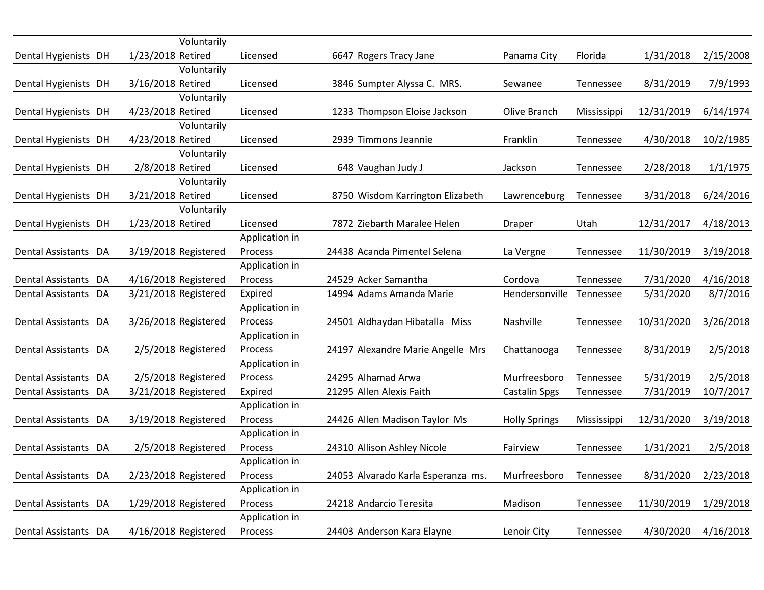|                      | Voluntarily          |                |                                    |                      |             |            |           |
|----------------------|----------------------|----------------|------------------------------------|----------------------|-------------|------------|-----------|
| Dental Hygienists DH | 1/23/2018 Retired    | Licensed       | 6647 Rogers Tracy Jane             | Panama City          | Florida     | 1/31/2018  | 2/15/2008 |
|                      | Voluntarily          |                |                                    |                      |             |            |           |
| Dental Hygienists DH | 3/16/2018 Retired    | Licensed       | 3846 Sumpter Alyssa C. MRS.        | Sewanee              | Tennessee   | 8/31/2019  | 7/9/1993  |
|                      | Voluntarily          |                |                                    |                      |             |            |           |
| Dental Hygienists DH | 4/23/2018 Retired    | Licensed       | 1233 Thompson Eloise Jackson       | Olive Branch         | Mississippi | 12/31/2019 | 6/14/1974 |
|                      | Voluntarily          |                |                                    |                      |             |            |           |
| Dental Hygienists DH | 4/23/2018 Retired    | Licensed       | 2939 Timmons Jeannie               | Franklin             | Tennessee   | 4/30/2018  | 10/2/1985 |
|                      | Voluntarily          |                |                                    |                      |             |            |           |
| Dental Hygienists DH | 2/8/2018 Retired     | Licensed       | 648 Vaughan Judy J                 | Jackson              | Tennessee   | 2/28/2018  | 1/1/1975  |
|                      | Voluntarily          |                |                                    |                      |             |            |           |
| Dental Hygienists DH | 3/21/2018 Retired    | Licensed       | 8750 Wisdom Karrington Elizabeth   | Lawrenceburg         | Tennessee   | 3/31/2018  | 6/24/2016 |
|                      | Voluntarily          |                |                                    |                      |             |            |           |
| Dental Hygienists DH | 1/23/2018 Retired    | Licensed       | 7872 Ziebarth Maralee Helen        | Draper               | Utah        | 12/31/2017 | 4/18/2013 |
|                      |                      | Application in |                                    |                      |             |            |           |
| Dental Assistants DA | 3/19/2018 Registered | Process        | 24438 Acanda Pimentel Selena       | La Vergne            | Tennessee   | 11/30/2019 | 3/19/2018 |
|                      |                      | Application in |                                    |                      |             |            |           |
| Dental Assistants DA | 4/16/2018 Registered | Process        | 24529 Acker Samantha               | Cordova              | Tennessee   | 7/31/2020  | 4/16/2018 |
| Dental Assistants DA | 3/21/2018 Registered | Expired        | 14994 Adams Amanda Marie           | Hendersonville       | Tennessee   | 5/31/2020  | 8/7/2016  |
|                      |                      | Application in |                                    |                      |             |            |           |
| Dental Assistants DA | 3/26/2018 Registered | Process        | 24501 Aldhaydan Hibatalla Miss     | Nashville            | Tennessee   | 10/31/2020 | 3/26/2018 |
|                      |                      | Application in |                                    |                      |             |            |           |
| Dental Assistants DA | 2/5/2018 Registered  | Process        | 24197 Alexandre Marie Angelle Mrs  | Chattanooga          | Tennessee   | 8/31/2019  | 2/5/2018  |
|                      |                      | Application in |                                    |                      |             |            |           |
| Dental Assistants DA | 2/5/2018 Registered  | Process        | 24295 Alhamad Arwa                 | Murfreesboro         | Tennessee   | 5/31/2019  | 2/5/2018  |
| Dental Assistants DA | 3/21/2018 Registered | Expired        | 21295 Allen Alexis Faith           | <b>Castalin Spgs</b> | Tennessee   | 7/31/2019  | 10/7/2017 |
|                      |                      | Application in |                                    |                      |             |            |           |
| Dental Assistants DA | 3/19/2018 Registered | Process        | 24426 Allen Madison Taylor Ms      | <b>Holly Springs</b> | Mississippi | 12/31/2020 | 3/19/2018 |
|                      |                      | Application in |                                    |                      |             |            |           |
| Dental Assistants DA | 2/5/2018 Registered  | Process        | 24310 Allison Ashley Nicole        | Fairview             | Tennessee   | 1/31/2021  | 2/5/2018  |
|                      |                      | Application in |                                    |                      |             |            |           |
| Dental Assistants DA | 2/23/2018 Registered | Process        | 24053 Alvarado Karla Esperanza ms. | Murfreesboro         | Tennessee   | 8/31/2020  | 2/23/2018 |
|                      |                      | Application in |                                    |                      |             |            |           |
| Dental Assistants DA | 1/29/2018 Registered | Process        | 24218 Andarcio Teresita            | Madison              | Tennessee   | 11/30/2019 | 1/29/2018 |
|                      |                      | Application in |                                    |                      |             |            |           |
| Dental Assistants DA | 4/16/2018 Registered | Process        | 24403 Anderson Kara Elayne         | Lenoir City          | Tennessee   | 4/30/2020  | 4/16/2018 |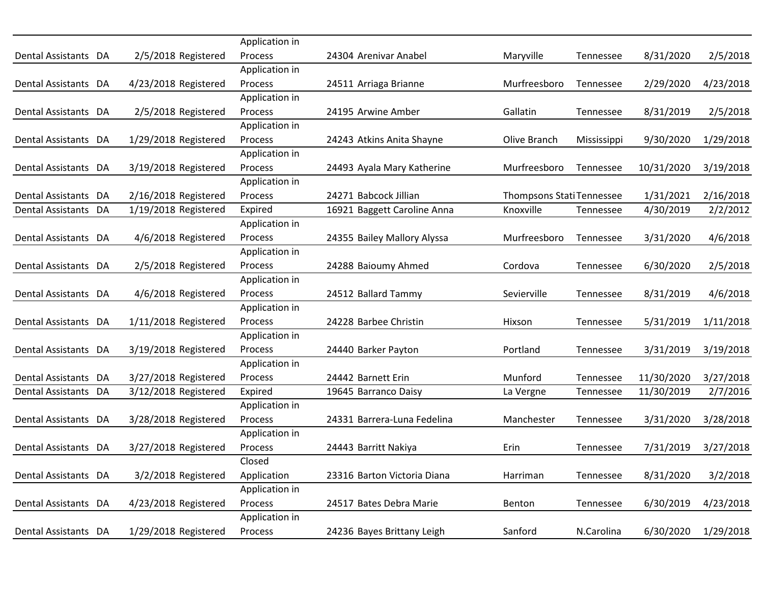|                      |                      | Application in |                             |                                  |             |            |           |
|----------------------|----------------------|----------------|-----------------------------|----------------------------------|-------------|------------|-----------|
| Dental Assistants DA | 2/5/2018 Registered  | Process        | 24304 Arenivar Anabel       | Maryville                        | Tennessee   | 8/31/2020  | 2/5/2018  |
|                      |                      | Application in |                             |                                  |             |            |           |
| Dental Assistants DA | 4/23/2018 Registered | Process        | 24511 Arriaga Brianne       | Murfreesboro                     | Tennessee   | 2/29/2020  | 4/23/2018 |
|                      |                      | Application in |                             |                                  |             |            |           |
| Dental Assistants DA | 2/5/2018 Registered  | Process        | 24195 Arwine Amber          | Gallatin                         | Tennessee   | 8/31/2019  | 2/5/2018  |
|                      |                      | Application in |                             |                                  |             |            |           |
| Dental Assistants DA | 1/29/2018 Registered | Process        | 24243 Atkins Anita Shayne   | Olive Branch                     | Mississippi | 9/30/2020  | 1/29/2018 |
|                      |                      | Application in |                             |                                  |             |            |           |
| Dental Assistants DA | 3/19/2018 Registered | Process        | 24493 Ayala Mary Katherine  | Murfreesboro                     | Tennessee   | 10/31/2020 | 3/19/2018 |
|                      |                      | Application in |                             |                                  |             |            |           |
| Dental Assistants DA | 2/16/2018 Registered | Process        | 24271 Babcock Jillian       | <b>Thompsons Stati Tennessee</b> |             | 1/31/2021  | 2/16/2018 |
| Dental Assistants DA | 1/19/2018 Registered | Expired        | 16921 Baggett Caroline Anna | Knoxville                        | Tennessee   | 4/30/2019  | 2/2/2012  |
|                      |                      | Application in |                             |                                  |             |            |           |
| Dental Assistants DA | 4/6/2018 Registered  | Process        | 24355 Bailey Mallory Alyssa | Murfreesboro                     | Tennessee   | 3/31/2020  | 4/6/2018  |
|                      |                      | Application in |                             |                                  |             |            |           |
| Dental Assistants DA | 2/5/2018 Registered  | Process        | 24288 Baioumy Ahmed         | Cordova                          | Tennessee   | 6/30/2020  | 2/5/2018  |
|                      |                      | Application in |                             |                                  |             |            |           |
| Dental Assistants DA | 4/6/2018 Registered  | <b>Process</b> | 24512 Ballard Tammy         | Sevierville                      | Tennessee   | 8/31/2019  | 4/6/2018  |
|                      |                      | Application in |                             |                                  |             |            |           |
| Dental Assistants DA | 1/11/2018 Registered | Process        | 24228 Barbee Christin       | Hixson                           | Tennessee   | 5/31/2019  | 1/11/2018 |
|                      |                      | Application in |                             |                                  |             |            |           |
| Dental Assistants DA | 3/19/2018 Registered | <b>Process</b> | 24440 Barker Payton         | Portland                         | Tennessee   | 3/31/2019  | 3/19/2018 |
|                      |                      | Application in |                             |                                  |             |            |           |
| Dental Assistants DA | 3/27/2018 Registered | Process        | 24442 Barnett Erin          | Munford                          | Tennessee   | 11/30/2020 | 3/27/2018 |
| Dental Assistants DA | 3/12/2018 Registered | Expired        | 19645 Barranco Daisy        | La Vergne                        | Tennessee   | 11/30/2019 | 2/7/2016  |
|                      |                      | Application in |                             |                                  |             |            |           |
| Dental Assistants DA | 3/28/2018 Registered | Process        | 24331 Barrera-Luna Fedelina | Manchester                       | Tennessee   | 3/31/2020  | 3/28/2018 |
|                      |                      | Application in |                             |                                  |             |            |           |
| Dental Assistants DA | 3/27/2018 Registered | Process        | 24443 Barritt Nakiya        | Erin                             | Tennessee   | 7/31/2019  | 3/27/2018 |
|                      |                      | Closed         |                             |                                  |             |            |           |
| Dental Assistants DA | 3/2/2018 Registered  | Application    | 23316 Barton Victoria Diana | Harriman                         | Tennessee   | 8/31/2020  | 3/2/2018  |
|                      |                      | Application in |                             |                                  |             |            |           |
| Dental Assistants DA | 4/23/2018 Registered | Process        | 24517 Bates Debra Marie     | Benton                           | Tennessee   | 6/30/2019  | 4/23/2018 |
|                      |                      | Application in |                             |                                  |             |            |           |
| Dental Assistants DA | 1/29/2018 Registered | Process        | 24236 Bayes Brittany Leigh  | Sanford                          | N.Carolina  | 6/30/2020  | 1/29/2018 |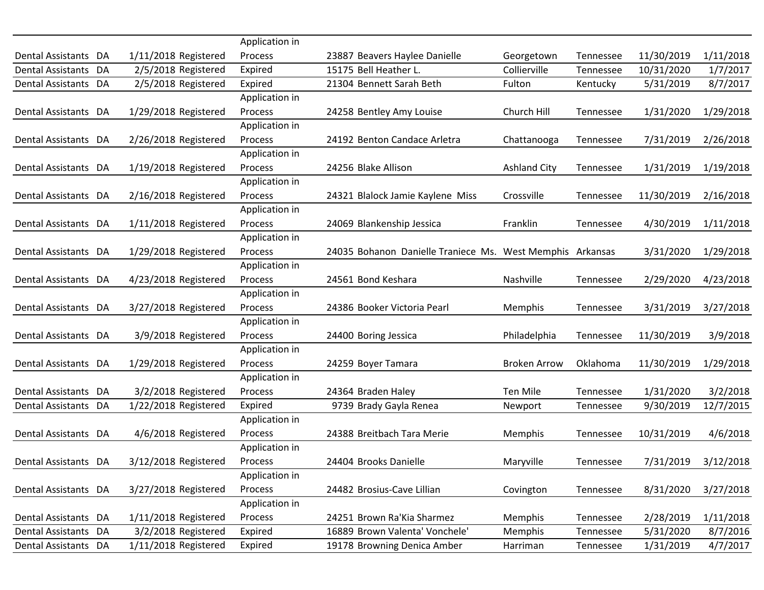|                      |                      | Application in |                                                           |                     |           |            |           |
|----------------------|----------------------|----------------|-----------------------------------------------------------|---------------------|-----------|------------|-----------|
| Dental Assistants DA | 1/11/2018 Registered | Process        | 23887 Beavers Haylee Danielle                             | Georgetown          | Tennessee | 11/30/2019 | 1/11/2018 |
| Dental Assistants DA | 2/5/2018 Registered  | Expired        | 15175 Bell Heather L.                                     | Collierville        | Tennessee | 10/31/2020 | 1/7/2017  |
| Dental Assistants DA | 2/5/2018 Registered  | Expired        | 21304 Bennett Sarah Beth                                  | Fulton              | Kentucky  | 5/31/2019  | 8/7/2017  |
|                      |                      | Application in |                                                           |                     |           |            |           |
| Dental Assistants DA | 1/29/2018 Registered | Process        | 24258 Bentley Amy Louise                                  | Church Hill         | Tennessee | 1/31/2020  | 1/29/2018 |
|                      |                      | Application in |                                                           |                     |           |            |           |
| Dental Assistants DA | 2/26/2018 Registered | Process        | 24192 Benton Candace Arletra                              | Chattanooga         | Tennessee | 7/31/2019  | 2/26/2018 |
|                      |                      | Application in |                                                           |                     |           |            |           |
| Dental Assistants DA | 1/19/2018 Registered | Process        | 24256 Blake Allison                                       | <b>Ashland City</b> | Tennessee | 1/31/2019  | 1/19/2018 |
|                      |                      | Application in |                                                           |                     |           |            |           |
| Dental Assistants DA | 2/16/2018 Registered | Process        | 24321 Blalock Jamie Kaylene Miss                          | Crossville          | Tennessee | 11/30/2019 | 2/16/2018 |
|                      |                      | Application in |                                                           |                     |           |            |           |
| Dental Assistants DA | 1/11/2018 Registered | Process        | 24069 Blankenship Jessica                                 | Franklin            | Tennessee | 4/30/2019  | 1/11/2018 |
|                      |                      | Application in |                                                           |                     |           |            |           |
| Dental Assistants DA | 1/29/2018 Registered | Process        | 24035 Bohanon Danielle Traniece Ms. West Memphis Arkansas |                     |           | 3/31/2020  | 1/29/2018 |
|                      |                      | Application in |                                                           |                     |           |            |           |
| Dental Assistants DA | 4/23/2018 Registered | Process        | 24561 Bond Keshara                                        | Nashville           | Tennessee | 2/29/2020  | 4/23/2018 |
|                      |                      | Application in |                                                           |                     |           |            |           |
| Dental Assistants DA | 3/27/2018 Registered | Process        | 24386 Booker Victoria Pearl                               | Memphis             | Tennessee | 3/31/2019  | 3/27/2018 |
|                      |                      | Application in |                                                           |                     |           |            |           |
| Dental Assistants DA | 3/9/2018 Registered  | Process        | 24400 Boring Jessica                                      | Philadelphia        | Tennessee | 11/30/2019 | 3/9/2018  |
|                      |                      | Application in |                                                           |                     |           |            |           |
| Dental Assistants DA | 1/29/2018 Registered | Process        | 24259 Boyer Tamara                                        | <b>Broken Arrow</b> | Oklahoma  | 11/30/2019 | 1/29/2018 |
|                      |                      | Application in |                                                           |                     |           |            |           |
| Dental Assistants DA | 3/2/2018 Registered  | Process        | 24364 Braden Haley                                        | <b>Ten Mile</b>     | Tennessee | 1/31/2020  | 3/2/2018  |
| Dental Assistants DA | 1/22/2018 Registered | Expired        | 9739 Brady Gayla Renea                                    | Newport             | Tennessee | 9/30/2019  | 12/7/2015 |
|                      |                      | Application in |                                                           |                     |           |            |           |
| Dental Assistants DA | 4/6/2018 Registered  | Process        | 24388 Breitbach Tara Merie                                | Memphis             | Tennessee | 10/31/2019 | 4/6/2018  |
|                      |                      | Application in |                                                           |                     |           |            |           |
| Dental Assistants DA | 3/12/2018 Registered | Process        | 24404 Brooks Danielle                                     | Maryville           | Tennessee | 7/31/2019  | 3/12/2018 |
|                      |                      | Application in |                                                           |                     |           |            |           |
| Dental Assistants DA | 3/27/2018 Registered | Process        | 24482 Brosius-Cave Lillian                                | Covington           | Tennessee | 8/31/2020  | 3/27/2018 |
|                      |                      | Application in |                                                           |                     |           |            |           |
| Dental Assistants DA | 1/11/2018 Registered | Process        | 24251 Brown Ra'Kia Sharmez                                | Memphis             | Tennessee | 2/28/2019  | 1/11/2018 |
| Dental Assistants DA | 3/2/2018 Registered  | Expired        | 16889 Brown Valenta' Vonchele'                            | Memphis             | Tennessee | 5/31/2020  | 8/7/2016  |
| Dental Assistants DA | 1/11/2018 Registered | Expired        | 19178 Browning Denica Amber                               | Harriman            | Tennessee | 1/31/2019  | 4/7/2017  |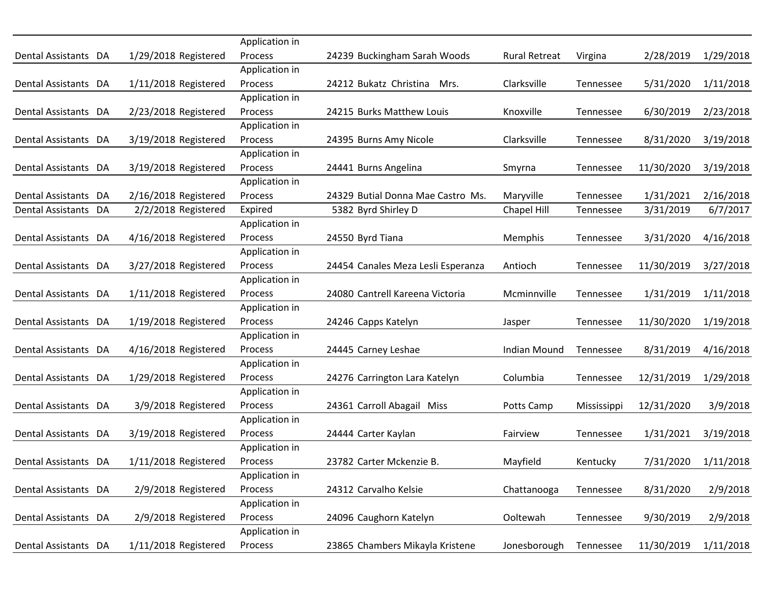|                      |                      | Application in |                                    |                      |             |            |           |
|----------------------|----------------------|----------------|------------------------------------|----------------------|-------------|------------|-----------|
| Dental Assistants DA | 1/29/2018 Registered | Process        | 24239 Buckingham Sarah Woods       | <b>Rural Retreat</b> | Virgina     | 2/28/2019  | 1/29/2018 |
|                      |                      | Application in |                                    |                      |             |            |           |
| Dental Assistants DA | 1/11/2018 Registered | Process        | 24212 Bukatz Christina<br>Mrs.     | Clarksville          | Tennessee   | 5/31/2020  | 1/11/2018 |
|                      |                      | Application in |                                    |                      |             |            |           |
| Dental Assistants DA | 2/23/2018 Registered | Process        | 24215 Burks Matthew Louis          | Knoxville            | Tennessee   | 6/30/2019  | 2/23/2018 |
|                      |                      | Application in |                                    |                      |             |            |           |
| Dental Assistants DA | 3/19/2018 Registered | Process        | 24395 Burns Amy Nicole             | Clarksville          | Tennessee   | 8/31/2020  | 3/19/2018 |
|                      |                      | Application in |                                    |                      |             |            |           |
| Dental Assistants DA | 3/19/2018 Registered | Process        | 24441 Burns Angelina               | Smyrna               | Tennessee   | 11/30/2020 | 3/19/2018 |
|                      |                      | Application in |                                    |                      |             |            |           |
| Dental Assistants DA | 2/16/2018 Registered | Process        | 24329 Butial Donna Mae Castro Ms.  | Maryville            | Tennessee   | 1/31/2021  | 2/16/2018 |
| Dental Assistants DA | 2/2/2018 Registered  | Expired        | 5382 Byrd Shirley D                | Chapel Hill          | Tennessee   | 3/31/2019  | 6/7/2017  |
|                      |                      | Application in |                                    |                      |             |            |           |
| Dental Assistants DA | 4/16/2018 Registered | Process        | 24550 Byrd Tiana                   | Memphis              | Tennessee   | 3/31/2020  | 4/16/2018 |
|                      |                      | Application in |                                    |                      |             |            |           |
| Dental Assistants DA | 3/27/2018 Registered | Process        | 24454 Canales Meza Lesli Esperanza | Antioch              | Tennessee   | 11/30/2019 | 3/27/2018 |
|                      |                      | Application in |                                    |                      |             |            |           |
| Dental Assistants DA | 1/11/2018 Registered | Process        | 24080 Cantrell Kareena Victoria    | Mcminnville          | Tennessee   | 1/31/2019  | 1/11/2018 |
|                      |                      | Application in |                                    |                      |             |            |           |
| Dental Assistants DA | 1/19/2018 Registered | Process        | 24246 Capps Katelyn                | Jasper               | Tennessee   | 11/30/2020 | 1/19/2018 |
|                      |                      | Application in |                                    |                      |             |            |           |
| Dental Assistants DA | 4/16/2018 Registered | Process        | 24445 Carney Leshae                | Indian Mound         | Tennessee   | 8/31/2019  | 4/16/2018 |
|                      |                      | Application in |                                    |                      |             |            |           |
| Dental Assistants DA | 1/29/2018 Registered | Process        | 24276 Carrington Lara Katelyn      | Columbia             | Tennessee   | 12/31/2019 | 1/29/2018 |
|                      |                      | Application in |                                    |                      |             |            |           |
| Dental Assistants DA | 3/9/2018 Registered  | Process        | 24361 Carroll Abagail Miss         | Potts Camp           | Mississippi | 12/31/2020 | 3/9/2018  |
|                      |                      | Application in |                                    |                      |             |            |           |
| Dental Assistants DA | 3/19/2018 Registered | Process        | 24444 Carter Kaylan                | Fairview             | Tennessee   | 1/31/2021  | 3/19/2018 |
|                      |                      | Application in |                                    |                      |             |            |           |
| Dental Assistants DA | 1/11/2018 Registered | Process        | 23782 Carter Mckenzie B.           | Mayfield             | Kentucky    | 7/31/2020  | 1/11/2018 |
|                      |                      | Application in |                                    |                      |             |            |           |
| Dental Assistants DA | 2/9/2018 Registered  | Process        | 24312 Carvalho Kelsie              | Chattanooga          | Tennessee   | 8/31/2020  | 2/9/2018  |
|                      |                      | Application in |                                    |                      |             |            |           |
| Dental Assistants DA | 2/9/2018 Registered  | Process        | 24096 Caughorn Katelyn             | Ooltewah             | Tennessee   | 9/30/2019  | 2/9/2018  |
|                      |                      | Application in |                                    |                      |             |            |           |
| Dental Assistants DA | 1/11/2018 Registered | Process        | 23865 Chambers Mikayla Kristene    | Jonesborough         | Tennessee   | 11/30/2019 | 1/11/2018 |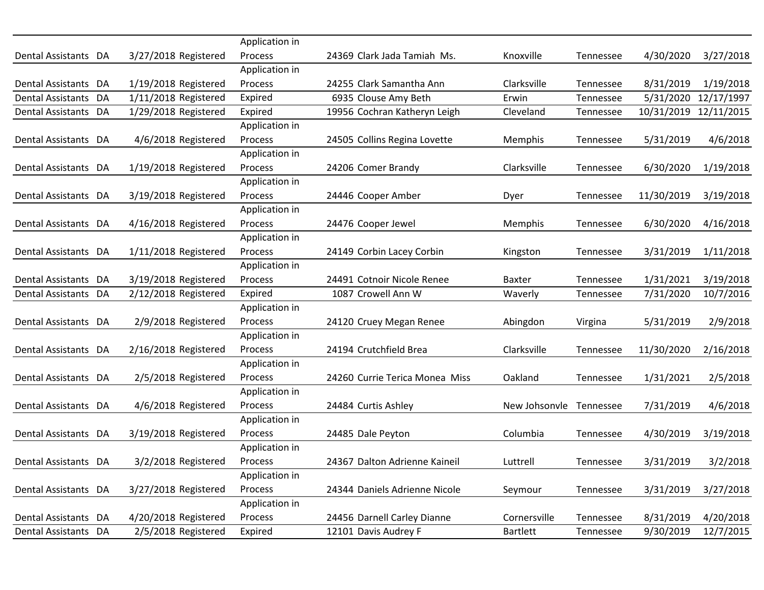|                      |                      | Application in |                                |                 |           |            |            |
|----------------------|----------------------|----------------|--------------------------------|-----------------|-----------|------------|------------|
| Dental Assistants DA | 3/27/2018 Registered | Process        | 24369 Clark Jada Tamiah Ms.    | Knoxville       | Tennessee | 4/30/2020  | 3/27/2018  |
|                      |                      | Application in |                                |                 |           |            |            |
| Dental Assistants DA | 1/19/2018 Registered | Process        | 24255 Clark Samantha Ann       | Clarksville     | Tennessee | 8/31/2019  | 1/19/2018  |
| Dental Assistants DA | 1/11/2018 Registered | Expired        | 6935 Clouse Amy Beth           | Erwin           | Tennessee | 5/31/2020  | 12/17/1997 |
| Dental Assistants DA | 1/29/2018 Registered | Expired        | 19956 Cochran Katheryn Leigh   | Cleveland       | Tennessee | 10/31/2019 | 12/11/2015 |
|                      |                      | Application in |                                |                 |           |            |            |
| Dental Assistants DA | 4/6/2018 Registered  | Process        | 24505 Collins Regina Lovette   | Memphis         | Tennessee | 5/31/2019  | 4/6/2018   |
|                      |                      | Application in |                                |                 |           |            |            |
| Dental Assistants DA | 1/19/2018 Registered | Process        | 24206 Comer Brandy             | Clarksville     | Tennessee | 6/30/2020  | 1/19/2018  |
|                      |                      | Application in |                                |                 |           |            |            |
| Dental Assistants DA | 3/19/2018 Registered | Process        | 24446 Cooper Amber             | Dyer            | Tennessee | 11/30/2019 | 3/19/2018  |
|                      |                      | Application in |                                |                 |           |            |            |
| Dental Assistants DA | 4/16/2018 Registered | Process        | 24476 Cooper Jewel             | Memphis         | Tennessee | 6/30/2020  | 4/16/2018  |
|                      |                      | Application in |                                |                 |           |            |            |
| Dental Assistants DA | 1/11/2018 Registered | Process        | 24149 Corbin Lacey Corbin      | Kingston        | Tennessee | 3/31/2019  | 1/11/2018  |
|                      |                      | Application in |                                |                 |           |            |            |
| Dental Assistants DA | 3/19/2018 Registered | Process        | 24491 Cotnoir Nicole Renee     | <b>Baxter</b>   | Tennessee | 1/31/2021  | 3/19/2018  |
| Dental Assistants DA | 2/12/2018 Registered | Expired        | 1087 Crowell Ann W             | Waverly         | Tennessee | 7/31/2020  | 10/7/2016  |
|                      |                      | Application in |                                |                 |           |            |            |
| Dental Assistants DA | 2/9/2018 Registered  | Process        | 24120 Cruey Megan Renee        | Abingdon        | Virgina   | 5/31/2019  | 2/9/2018   |
|                      |                      | Application in |                                |                 |           |            |            |
| Dental Assistants DA | 2/16/2018 Registered | Process        | 24194 Crutchfield Brea         | Clarksville     | Tennessee | 11/30/2020 | 2/16/2018  |
|                      |                      | Application in |                                |                 |           |            |            |
| Dental Assistants DA | 2/5/2018 Registered  | Process        | 24260 Currie Terica Monea Miss | Oakland         | Tennessee | 1/31/2021  | 2/5/2018   |
|                      |                      | Application in |                                |                 |           |            |            |
| Dental Assistants DA | 4/6/2018 Registered  | Process        | 24484 Curtis Ashley            | New Johsonvle   | Tennessee | 7/31/2019  | 4/6/2018   |
|                      |                      | Application in |                                |                 |           |            |            |
| Dental Assistants DA | 3/19/2018 Registered | Process        | 24485 Dale Peyton              | Columbia        | Tennessee | 4/30/2019  | 3/19/2018  |
|                      |                      | Application in |                                |                 |           |            |            |
| Dental Assistants DA | 3/2/2018 Registered  | Process        | 24367 Dalton Adrienne Kaineil  | Luttrell        | Tennessee | 3/31/2019  | 3/2/2018   |
|                      |                      | Application in |                                |                 |           |            |            |
| Dental Assistants DA | 3/27/2018 Registered | Process        | 24344 Daniels Adrienne Nicole  | Seymour         | Tennessee | 3/31/2019  | 3/27/2018  |
|                      |                      | Application in |                                |                 |           |            |            |
| Dental Assistants DA | 4/20/2018 Registered | Process        | 24456 Darnell Carley Dianne    | Cornersville    | Tennessee | 8/31/2019  | 4/20/2018  |
| Dental Assistants DA | 2/5/2018 Registered  | Expired        | 12101 Davis Audrey F           | <b>Bartlett</b> | Tennessee | 9/30/2019  | 12/7/2015  |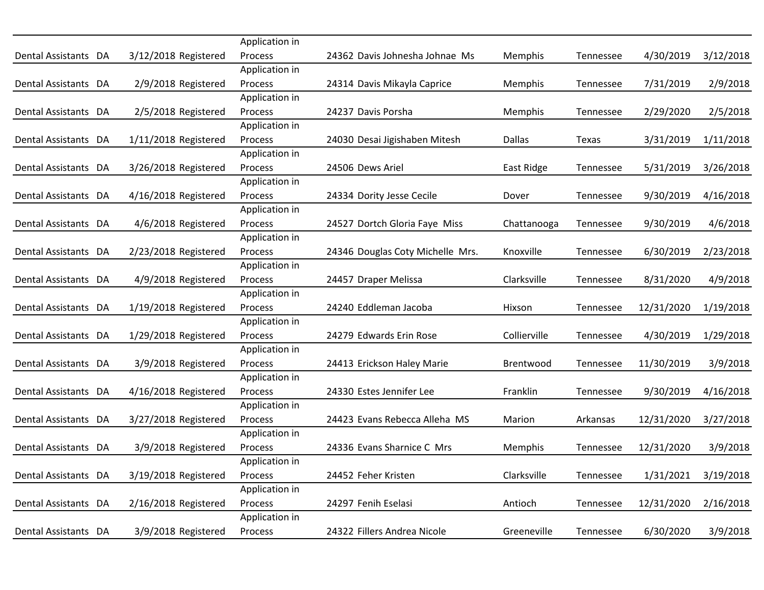|                      |                      | Application in |                                  |              |           |            |           |
|----------------------|----------------------|----------------|----------------------------------|--------------|-----------|------------|-----------|
| Dental Assistants DA | 3/12/2018 Registered | Process        | 24362 Davis Johnesha Johnae Ms   | Memphis      | Tennessee | 4/30/2019  | 3/12/2018 |
|                      |                      | Application in |                                  |              |           |            |           |
| Dental Assistants DA | 2/9/2018 Registered  | Process        | 24314 Davis Mikayla Caprice      | Memphis      | Tennessee | 7/31/2019  | 2/9/2018  |
|                      |                      | Application in |                                  |              |           |            |           |
| Dental Assistants DA | 2/5/2018 Registered  | Process        | 24237 Davis Porsha               | Memphis      | Tennessee | 2/29/2020  | 2/5/2018  |
|                      |                      | Application in |                                  |              |           |            |           |
| Dental Assistants DA | 1/11/2018 Registered | Process        | 24030 Desai Jigishaben Mitesh    | Dallas       | Texas     | 3/31/2019  | 1/11/2018 |
|                      |                      | Application in |                                  |              |           |            |           |
| Dental Assistants DA | 3/26/2018 Registered | Process        | 24506 Dews Ariel                 | East Ridge   | Tennessee | 5/31/2019  | 3/26/2018 |
|                      |                      | Application in |                                  |              |           |            |           |
| Dental Assistants DA | 4/16/2018 Registered | Process        | 24334 Dority Jesse Cecile        | Dover        | Tennessee | 9/30/2019  | 4/16/2018 |
|                      |                      | Application in |                                  |              |           |            |           |
| Dental Assistants DA | 4/6/2018 Registered  | Process        | 24527 Dortch Gloria Faye Miss    | Chattanooga  | Tennessee | 9/30/2019  | 4/6/2018  |
|                      |                      | Application in |                                  |              |           |            |           |
| Dental Assistants DA | 2/23/2018 Registered | Process        | 24346 Douglas Coty Michelle Mrs. | Knoxville    | Tennessee | 6/30/2019  | 2/23/2018 |
|                      |                      | Application in |                                  |              |           |            |           |
| Dental Assistants DA | 4/9/2018 Registered  | Process        | 24457 Draper Melissa             | Clarksville  | Tennessee | 8/31/2020  | 4/9/2018  |
|                      |                      | Application in |                                  |              |           |            |           |
| Dental Assistants DA | 1/19/2018 Registered | Process        | 24240 Eddleman Jacoba            | Hixson       | Tennessee | 12/31/2020 | 1/19/2018 |
|                      |                      | Application in |                                  |              |           |            |           |
| Dental Assistants DA | 1/29/2018 Registered | Process        | 24279 Edwards Erin Rose          | Collierville | Tennessee | 4/30/2019  | 1/29/2018 |
|                      |                      | Application in |                                  |              |           |            |           |
| Dental Assistants DA | 3/9/2018 Registered  | Process        | 24413 Erickson Haley Marie       | Brentwood    | Tennessee | 11/30/2019 | 3/9/2018  |
|                      |                      | Application in |                                  |              |           |            |           |
| Dental Assistants DA | 4/16/2018 Registered | Process        | 24330 Estes Jennifer Lee         | Franklin     | Tennessee | 9/30/2019  | 4/16/2018 |
|                      |                      | Application in |                                  |              |           |            |           |
| Dental Assistants DA | 3/27/2018 Registered | Process        | 24423 Evans Rebecca Alleha MS    | Marion       | Arkansas  | 12/31/2020 | 3/27/2018 |
|                      |                      | Application in |                                  |              |           |            |           |
| Dental Assistants DA | 3/9/2018 Registered  | Process        | 24336 Evans Sharnice C Mrs       | Memphis      | Tennessee | 12/31/2020 | 3/9/2018  |
|                      |                      | Application in |                                  |              |           |            |           |
| Dental Assistants DA | 3/19/2018 Registered | Process        | 24452 Feher Kristen              | Clarksville  | Tennessee | 1/31/2021  | 3/19/2018 |
|                      |                      | Application in |                                  |              |           |            |           |
| Dental Assistants DA | 2/16/2018 Registered | Process        | 24297 Fenih Eselasi              | Antioch      | Tennessee | 12/31/2020 | 2/16/2018 |
|                      |                      | Application in |                                  |              |           |            |           |
| Dental Assistants DA | 3/9/2018 Registered  | Process        | 24322 Fillers Andrea Nicole      | Greeneville  | Tennessee | 6/30/2020  | 3/9/2018  |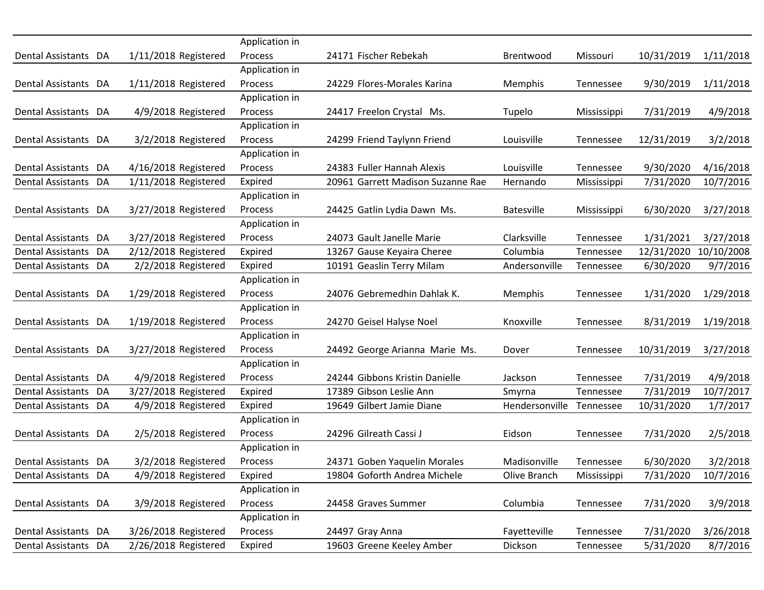|                      |                      | Application in            |                                   |                   |             |            |            |
|----------------------|----------------------|---------------------------|-----------------------------------|-------------------|-------------|------------|------------|
| Dental Assistants DA | 1/11/2018 Registered | Process<br>Application in | 24171 Fischer Rebekah             | Brentwood         | Missouri    | 10/31/2019 | 1/11/2018  |
|                      |                      | Process                   |                                   |                   |             |            |            |
| Dental Assistants DA | 1/11/2018 Registered |                           | 24229 Flores-Morales Karina       | <b>Memphis</b>    | Tennessee   | 9/30/2019  | 1/11/2018  |
|                      | 4/9/2018 Registered  | Application in<br>Process |                                   |                   |             |            |            |
| Dental Assistants DA |                      |                           | 24417 Freelon Crystal Ms.         | Tupelo            | Mississippi | 7/31/2019  | 4/9/2018   |
|                      |                      | Application in            |                                   |                   |             |            |            |
| Dental Assistants DA | 3/2/2018 Registered  | Process<br>Application in | 24299 Friend Taylynn Friend       | Louisville        | Tennessee   | 12/31/2019 | 3/2/2018   |
|                      |                      |                           |                                   | Louisville        |             |            |            |
| Dental Assistants DA | 4/16/2018 Registered | Process                   | 24383 Fuller Hannah Alexis        |                   | Tennessee   | 9/30/2020  | 4/16/2018  |
| Dental Assistants DA | 1/11/2018 Registered | Expired                   | 20961 Garrett Madison Suzanne Rae | Hernando          | Mississippi | 7/31/2020  | 10/7/2016  |
|                      |                      | Application in            |                                   |                   |             |            |            |
| Dental Assistants DA | 3/27/2018 Registered | Process                   | 24425 Gatlin Lydia Dawn Ms.       | <b>Batesville</b> | Mississippi | 6/30/2020  | 3/27/2018  |
|                      |                      | Application in            |                                   |                   |             |            |            |
| Dental Assistants DA | 3/27/2018 Registered | Process                   | 24073 Gault Janelle Marie         | Clarksville       | Tennessee   | 1/31/2021  | 3/27/2018  |
| Dental Assistants DA | 2/12/2018 Registered | Expired                   | 13267 Gause Keyaira Cheree        | Columbia          | Tennessee   | 12/31/2020 | 10/10/2008 |
| Dental Assistants DA | 2/2/2018 Registered  | Expired                   | 10191 Geaslin Terry Milam         | Andersonville     | Tennessee   | 6/30/2020  | 9/7/2016   |
|                      |                      | Application in            |                                   |                   |             |            |            |
| Dental Assistants DA | 1/29/2018 Registered | Process                   | 24076 Gebremedhin Dahlak K.       | Memphis           | Tennessee   | 1/31/2020  | 1/29/2018  |
|                      |                      | Application in            |                                   |                   |             |            |            |
| Dental Assistants DA | 1/19/2018 Registered | Process                   | 24270 Geisel Halyse Noel          | Knoxville         | Tennessee   | 8/31/2019  | 1/19/2018  |
|                      |                      | Application in            |                                   |                   |             |            |            |
| Dental Assistants DA | 3/27/2018 Registered | Process                   | 24492 George Arianna Marie Ms.    | Dover             | Tennessee   | 10/31/2019 | 3/27/2018  |
|                      |                      | Application in            |                                   |                   |             |            |            |
| Dental Assistants DA | 4/9/2018 Registered  | Process                   | 24244 Gibbons Kristin Danielle    | Jackson           | Tennessee   | 7/31/2019  | 4/9/2018   |
| Dental Assistants DA | 3/27/2018 Registered | Expired                   | 17389 Gibson Leslie Ann           | Smyrna            | Tennessee   | 7/31/2019  | 10/7/2017  |
| Dental Assistants DA | 4/9/2018 Registered  | Expired                   | 19649 Gilbert Jamie Diane         | Hendersonville    | Tennessee   | 10/31/2020 | 1/7/2017   |
|                      |                      | Application in            |                                   |                   |             |            |            |
| Dental Assistants DA | 2/5/2018 Registered  | Process                   | 24296 Gilreath Cassi J            | Eidson            | Tennessee   | 7/31/2020  | 2/5/2018   |
|                      |                      | Application in            |                                   |                   |             |            |            |
| Dental Assistants DA | 3/2/2018 Registered  | Process                   | 24371 Goben Yaquelin Morales      | Madisonville      | Tennessee   | 6/30/2020  | 3/2/2018   |
| Dental Assistants DA | 4/9/2018 Registered  | Expired                   | 19804 Goforth Andrea Michele      | Olive Branch      | Mississippi | 7/31/2020  | 10/7/2016  |
|                      |                      | Application in            |                                   |                   |             |            |            |
| Dental Assistants DA | 3/9/2018 Registered  | Process                   | 24458 Graves Summer               | Columbia          | Tennessee   | 7/31/2020  | 3/9/2018   |
|                      |                      | Application in            |                                   |                   |             |            |            |
| Dental Assistants DA | 3/26/2018 Registered | Process                   | 24497 Gray Anna                   | Fayetteville      | Tennessee   | 7/31/2020  | 3/26/2018  |
| Dental Assistants DA | 2/26/2018 Registered | Expired                   | 19603 Greene Keeley Amber         | Dickson           | Tennessee   | 5/31/2020  | 8/7/2016   |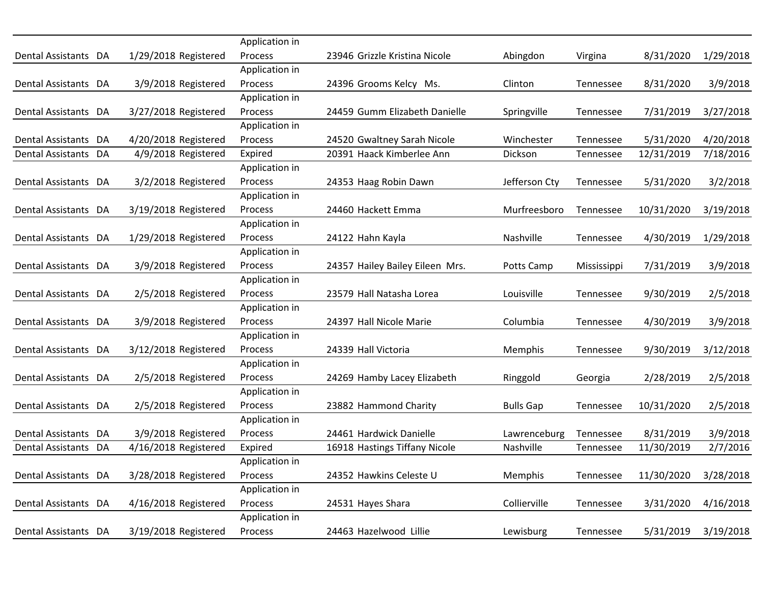|                      |                      | Application in |                                 |                  |             |            |           |
|----------------------|----------------------|----------------|---------------------------------|------------------|-------------|------------|-----------|
| Dental Assistants DA | 1/29/2018 Registered | Process        | 23946 Grizzle Kristina Nicole   | Abingdon         | Virgina     | 8/31/2020  | 1/29/2018 |
|                      |                      | Application in |                                 |                  |             |            |           |
| Dental Assistants DA | 3/9/2018 Registered  | Process        | 24396 Grooms Kelcy Ms.          | Clinton          | Tennessee   | 8/31/2020  | 3/9/2018  |
|                      |                      | Application in |                                 |                  |             |            |           |
| Dental Assistants DA | 3/27/2018 Registered | Process        | 24459 Gumm Elizabeth Danielle   | Springville      | Tennessee   | 7/31/2019  | 3/27/2018 |
|                      |                      | Application in |                                 |                  |             |            |           |
| Dental Assistants DA | 4/20/2018 Registered | Process        | 24520 Gwaltney Sarah Nicole     | Winchester       | Tennessee   | 5/31/2020  | 4/20/2018 |
| Dental Assistants DA | 4/9/2018 Registered  | Expired        | 20391 Haack Kimberlee Ann       | Dickson          | Tennessee   | 12/31/2019 | 7/18/2016 |
|                      |                      | Application in |                                 |                  |             |            |           |
| Dental Assistants DA | 3/2/2018 Registered  | Process        | 24353 Haag Robin Dawn           | Jefferson Cty    | Tennessee   | 5/31/2020  | 3/2/2018  |
|                      |                      | Application in |                                 |                  |             |            |           |
| Dental Assistants DA | 3/19/2018 Registered | Process        | 24460 Hackett Emma              | Murfreesboro     | Tennessee   | 10/31/2020 | 3/19/2018 |
|                      |                      | Application in |                                 |                  |             |            |           |
| Dental Assistants DA | 1/29/2018 Registered | Process        | 24122 Hahn Kayla                | Nashville        | Tennessee   | 4/30/2019  | 1/29/2018 |
|                      |                      | Application in |                                 |                  |             |            |           |
| Dental Assistants DA | 3/9/2018 Registered  | Process        | 24357 Hailey Bailey Eileen Mrs. | Potts Camp       | Mississippi | 7/31/2019  | 3/9/2018  |
|                      |                      | Application in |                                 |                  |             |            |           |
| Dental Assistants DA | 2/5/2018 Registered  | Process        | 23579 Hall Natasha Lorea        | Louisville       | Tennessee   | 9/30/2019  | 2/5/2018  |
|                      |                      | Application in |                                 |                  |             |            |           |
| Dental Assistants DA | 3/9/2018 Registered  | Process        | 24397 Hall Nicole Marie         | Columbia         | Tennessee   | 4/30/2019  | 3/9/2018  |
|                      |                      | Application in |                                 |                  |             |            |           |
| Dental Assistants DA | 3/12/2018 Registered | Process        | 24339 Hall Victoria             | <b>Memphis</b>   | Tennessee   | 9/30/2019  | 3/12/2018 |
|                      |                      | Application in |                                 |                  |             |            |           |
| Dental Assistants DA | 2/5/2018 Registered  | Process        | 24269 Hamby Lacey Elizabeth     | Ringgold         | Georgia     | 2/28/2019  | 2/5/2018  |
|                      |                      | Application in |                                 |                  |             |            |           |
| Dental Assistants DA | 2/5/2018 Registered  | Process        | 23882 Hammond Charity           | <b>Bulls Gap</b> | Tennessee   | 10/31/2020 | 2/5/2018  |
|                      |                      | Application in |                                 |                  |             |            |           |
| Dental Assistants DA | 3/9/2018 Registered  | <b>Process</b> | 24461 Hardwick Danielle         | Lawrenceburg     | Tennessee   | 8/31/2019  | 3/9/2018  |
| Dental Assistants DA | 4/16/2018 Registered | Expired        | 16918 Hastings Tiffany Nicole   | Nashville        | Tennessee   | 11/30/2019 | 2/7/2016  |
|                      |                      | Application in |                                 |                  |             |            |           |
| Dental Assistants DA | 3/28/2018 Registered | Process        | 24352 Hawkins Celeste U         | Memphis          | Tennessee   | 11/30/2020 | 3/28/2018 |
|                      |                      | Application in |                                 |                  |             |            |           |
| Dental Assistants DA | 4/16/2018 Registered | Process        | 24531 Hayes Shara               | Collierville     | Tennessee   | 3/31/2020  | 4/16/2018 |
|                      |                      | Application in |                                 |                  |             |            |           |
| Dental Assistants DA | 3/19/2018 Registered | Process        | 24463 Hazelwood Lillie          | Lewisburg        | Tennessee   | 5/31/2019  | 3/19/2018 |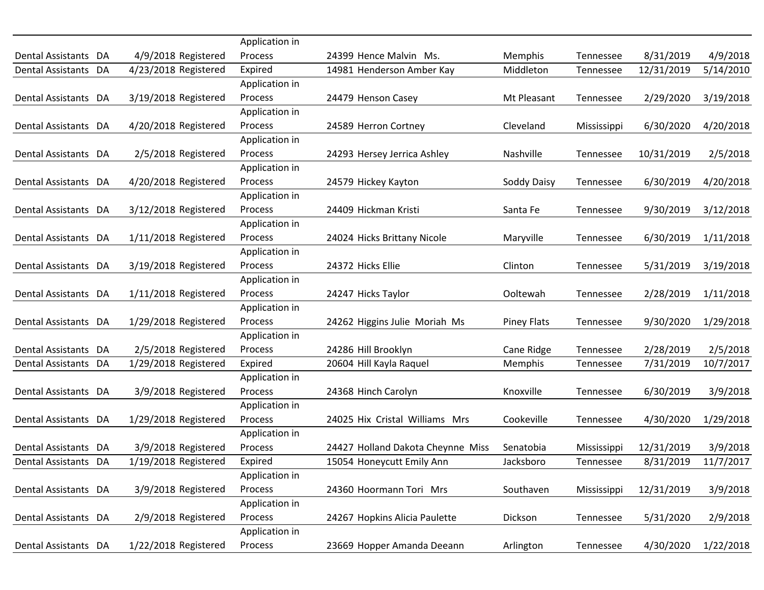|                      |                      | Application in |                                   |                    |             |            |           |
|----------------------|----------------------|----------------|-----------------------------------|--------------------|-------------|------------|-----------|
| Dental Assistants DA | 4/9/2018 Registered  | Process        | 24399 Hence Malvin Ms.            | Memphis            | Tennessee   | 8/31/2019  | 4/9/2018  |
| Dental Assistants DA | 4/23/2018 Registered | Expired        | 14981 Henderson Amber Kay         | Middleton          | Tennessee   | 12/31/2019 | 5/14/2010 |
|                      |                      | Application in |                                   |                    |             |            |           |
| Dental Assistants DA | 3/19/2018 Registered | Process        | 24479 Henson Casey                | Mt Pleasant        | Tennessee   | 2/29/2020  | 3/19/2018 |
|                      |                      | Application in |                                   |                    |             |            |           |
| Dental Assistants DA | 4/20/2018 Registered | Process        | 24589 Herron Cortney              | Cleveland          | Mississippi | 6/30/2020  | 4/20/2018 |
|                      |                      | Application in |                                   |                    |             |            |           |
| Dental Assistants DA | 2/5/2018 Registered  | Process        | 24293 Hersey Jerrica Ashley       | Nashville          | Tennessee   | 10/31/2019 | 2/5/2018  |
|                      |                      | Application in |                                   |                    |             |            |           |
| Dental Assistants DA | 4/20/2018 Registered | Process        | 24579 Hickey Kayton               | Soddy Daisy        | Tennessee   | 6/30/2019  | 4/20/2018 |
|                      |                      | Application in |                                   |                    |             |            |           |
| Dental Assistants DA | 3/12/2018 Registered | Process        | 24409 Hickman Kristi              | Santa Fe           | Tennessee   | 9/30/2019  | 3/12/2018 |
|                      |                      | Application in |                                   |                    |             |            |           |
| Dental Assistants DA | 1/11/2018 Registered | Process        | 24024 Hicks Brittany Nicole       | Maryville          | Tennessee   | 6/30/2019  | 1/11/2018 |
|                      |                      | Application in |                                   |                    |             |            |           |
| Dental Assistants DA | 3/19/2018 Registered | Process        | 24372 Hicks Ellie                 | Clinton            | Tennessee   | 5/31/2019  | 3/19/2018 |
|                      |                      | Application in |                                   |                    |             |            |           |
| Dental Assistants DA | 1/11/2018 Registered | Process        | 24247 Hicks Taylor                | Ooltewah           | Tennessee   | 2/28/2019  | 1/11/2018 |
|                      |                      | Application in |                                   |                    |             |            |           |
| Dental Assistants DA | 1/29/2018 Registered | Process        | 24262 Higgins Julie Moriah Ms     | <b>Piney Flats</b> | Tennessee   | 9/30/2020  | 1/29/2018 |
|                      |                      | Application in |                                   |                    |             |            |           |
| Dental Assistants DA | 2/5/2018 Registered  | Process        | 24286 Hill Brooklyn               | Cane Ridge         | Tennessee   | 2/28/2019  | 2/5/2018  |
| Dental Assistants DA | 1/29/2018 Registered | Expired        | 20604 Hill Kayla Raquel           | <b>Memphis</b>     | Tennessee   | 7/31/2019  | 10/7/2017 |
|                      |                      | Application in |                                   |                    |             |            |           |
| Dental Assistants DA | 3/9/2018 Registered  | Process        | 24368 Hinch Carolyn               | Knoxville          | Tennessee   | 6/30/2019  | 3/9/2018  |
|                      |                      | Application in |                                   |                    |             |            |           |
| Dental Assistants DA | 1/29/2018 Registered | Process        | 24025 Hix Cristal Williams Mrs    | Cookeville         | Tennessee   | 4/30/2020  | 1/29/2018 |
|                      |                      | Application in |                                   |                    |             |            |           |
| Dental Assistants DA | 3/9/2018 Registered  | Process        | 24427 Holland Dakota Cheynne Miss | Senatobia          | Mississippi | 12/31/2019 | 3/9/2018  |
| Dental Assistants DA | 1/19/2018 Registered | Expired        | 15054 Honeycutt Emily Ann         | Jacksboro          | Tennessee   | 8/31/2019  | 11/7/2017 |
|                      |                      | Application in |                                   |                    |             |            |           |
| Dental Assistants DA | 3/9/2018 Registered  | Process        | 24360 Hoormann Tori Mrs           | Southaven          | Mississippi | 12/31/2019 | 3/9/2018  |
|                      |                      | Application in |                                   |                    |             |            |           |
| Dental Assistants DA | 2/9/2018 Registered  | Process        | 24267 Hopkins Alicia Paulette     | Dickson            | Tennessee   | 5/31/2020  | 2/9/2018  |
|                      |                      | Application in |                                   |                    |             |            |           |
| Dental Assistants DA | 1/22/2018 Registered | Process        | 23669 Hopper Amanda Deeann        | Arlington          | Tennessee   | 4/30/2020  | 1/22/2018 |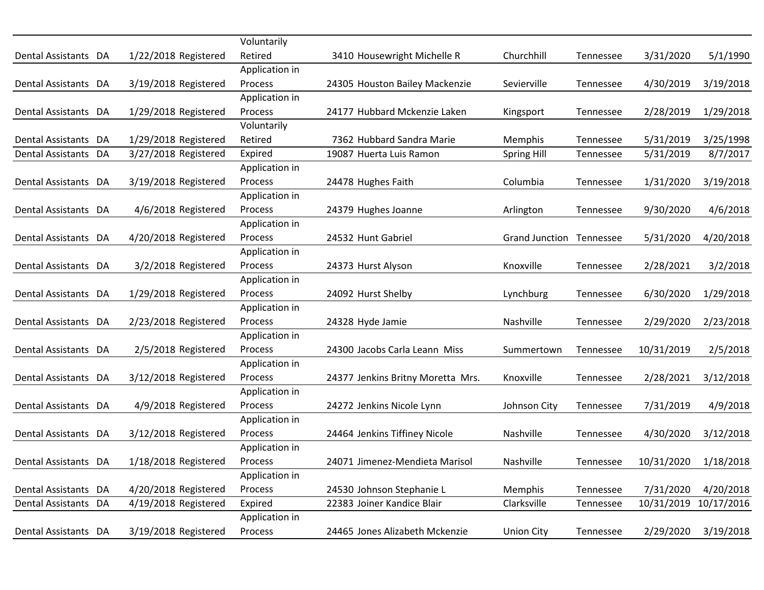|                      |                      | Voluntarily    |                                   |                          |           |            |            |
|----------------------|----------------------|----------------|-----------------------------------|--------------------------|-----------|------------|------------|
| Dental Assistants DA | 1/22/2018 Registered | Retired        | 3410 Housewright Michelle R       | Churchhill               | Tennessee | 3/31/2020  | 5/1/1990   |
|                      |                      | Application in |                                   |                          |           |            |            |
| Dental Assistants DA | 3/19/2018 Registered | <b>Process</b> | 24305 Houston Bailey Mackenzie    | Sevierville              | Tennessee | 4/30/2019  | 3/19/2018  |
|                      |                      | Application in |                                   |                          |           |            |            |
| Dental Assistants DA | 1/29/2018 Registered | <b>Process</b> | 24177 Hubbard Mckenzie Laken      | Kingsport                | Tennessee | 2/28/2019  | 1/29/2018  |
|                      |                      | Voluntarily    |                                   |                          |           |            |            |
| Dental Assistants DA | 1/29/2018 Registered | Retired        | 7362 Hubbard Sandra Marie         | Memphis                  | Tennessee | 5/31/2019  | 3/25/1998  |
| Dental Assistants DA | 3/27/2018 Registered | Expired        | 19087 Huerta Luis Ramon           | <b>Spring Hill</b>       | Tennessee | 5/31/2019  | 8/7/2017   |
|                      |                      | Application in |                                   |                          |           |            |            |
| Dental Assistants DA | 3/19/2018 Registered | Process        | 24478 Hughes Faith                | Columbia                 | Tennessee | 1/31/2020  | 3/19/2018  |
|                      |                      | Application in |                                   |                          |           |            |            |
| Dental Assistants DA | 4/6/2018 Registered  | Process        | 24379 Hughes Joanne               | Arlington                | Tennessee | 9/30/2020  | 4/6/2018   |
|                      |                      | Application in |                                   |                          |           |            |            |
| Dental Assistants DA | 4/20/2018 Registered | Process        | 24532 Hunt Gabriel                | Grand Junction Tennessee |           | 5/31/2020  | 4/20/2018  |
|                      |                      | Application in |                                   |                          |           |            |            |
| Dental Assistants DA | 3/2/2018 Registered  | Process        | 24373 Hurst Alyson                | Knoxville                | Tennessee | 2/28/2021  | 3/2/2018   |
|                      |                      | Application in |                                   |                          |           |            |            |
| Dental Assistants DA | 1/29/2018 Registered | <b>Process</b> | 24092 Hurst Shelby                | Lynchburg                | Tennessee | 6/30/2020  | 1/29/2018  |
|                      |                      | Application in |                                   |                          |           |            |            |
| Dental Assistants DA | 2/23/2018 Registered | Process        | 24328 Hyde Jamie                  | Nashville                | Tennessee | 2/29/2020  | 2/23/2018  |
|                      |                      | Application in |                                   |                          |           |            |            |
| Dental Assistants DA | 2/5/2018 Registered  | <b>Process</b> | 24300 Jacobs Carla Leann Miss     | Summertown               | Tennessee | 10/31/2019 | 2/5/2018   |
|                      |                      | Application in |                                   |                          |           |            |            |
| Dental Assistants DA | 3/12/2018 Registered | Process        | 24377 Jenkins Britny Moretta Mrs. | Knoxville                | Tennessee | 2/28/2021  | 3/12/2018  |
|                      |                      | Application in |                                   |                          |           |            |            |
| Dental Assistants DA | 4/9/2018 Registered  | Process        | 24272 Jenkins Nicole Lynn         | Johnson City             | Tennessee | 7/31/2019  | 4/9/2018   |
|                      |                      | Application in |                                   |                          |           |            |            |
| Dental Assistants DA | 3/12/2018 Registered | <b>Process</b> | 24464 Jenkins Tiffiney Nicole     | Nashville                | Tennessee | 4/30/2020  | 3/12/2018  |
|                      |                      | Application in |                                   |                          |           |            |            |
| Dental Assistants DA | 1/18/2018 Registered | Process        | 24071 Jimenez-Mendieta Marisol    | Nashville                | Tennessee | 10/31/2020 | 1/18/2018  |
|                      |                      | Application in |                                   |                          |           |            |            |
| Dental Assistants DA | 4/20/2018 Registered | Process        | 24530 Johnson Stephanie L         | Memphis                  | Tennessee | 7/31/2020  | 4/20/2018  |
| Dental Assistants DA | 4/19/2018 Registered | Expired        | 22383 Joiner Kandice Blair        | Clarksville              | Tennessee | 10/31/2019 | 10/17/2016 |
|                      |                      | Application in |                                   |                          |           |            |            |
| Dental Assistants DA | 3/19/2018 Registered | Process        | 24465 Jones Alizabeth Mckenzie    | <b>Union City</b>        | Tennessee | 2/29/2020  | 3/19/2018  |
|                      |                      |                |                                   |                          |           |            |            |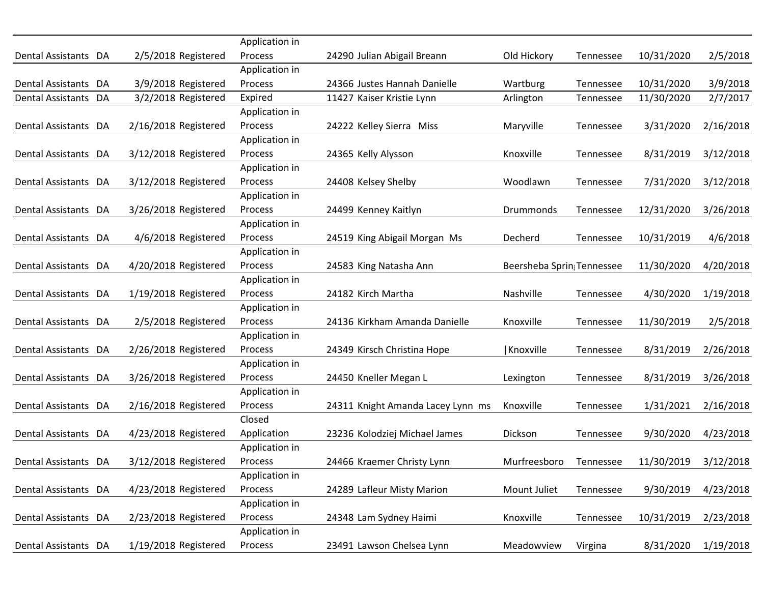|                      |                      | Application in |                                   |                           |           |            |           |
|----------------------|----------------------|----------------|-----------------------------------|---------------------------|-----------|------------|-----------|
| Dental Assistants DA | 2/5/2018 Registered  | Process        | 24290 Julian Abigail Breann       | Old Hickory               | Tennessee | 10/31/2020 | 2/5/2018  |
|                      |                      | Application in |                                   |                           |           |            |           |
| Dental Assistants DA | 3/9/2018 Registered  | Process        | 24366 Justes Hannah Danielle      | Wartburg                  | Tennessee | 10/31/2020 | 3/9/2018  |
| Dental Assistants DA | 3/2/2018 Registered  | Expired        | 11427 Kaiser Kristie Lynn         | Arlington                 | Tennessee | 11/30/2020 | 2/7/2017  |
|                      |                      | Application in |                                   |                           |           |            |           |
| Dental Assistants DA | 2/16/2018 Registered | Process        | 24222 Kelley Sierra Miss          | Maryville                 | Tennessee | 3/31/2020  | 2/16/2018 |
|                      |                      | Application in |                                   |                           |           |            |           |
| Dental Assistants DA | 3/12/2018 Registered | Process        | 24365 Kelly Alysson               | Knoxville                 | Tennessee | 8/31/2019  | 3/12/2018 |
|                      |                      | Application in |                                   |                           |           |            |           |
| Dental Assistants DA | 3/12/2018 Registered | Process        | 24408 Kelsey Shelby               | Woodlawn                  | Tennessee | 7/31/2020  | 3/12/2018 |
|                      |                      | Application in |                                   |                           |           |            |           |
| Dental Assistants DA | 3/26/2018 Registered | Process        | 24499 Kenney Kaitlyn              | Drummonds                 | Tennessee | 12/31/2020 | 3/26/2018 |
|                      |                      | Application in |                                   |                           |           |            |           |
| Dental Assistants DA | 4/6/2018 Registered  | Process        | 24519 King Abigail Morgan Ms      | Decherd                   | Tennessee | 10/31/2019 | 4/6/2018  |
|                      |                      | Application in |                                   |                           |           |            |           |
| Dental Assistants DA | 4/20/2018 Registered | Process        | 24583 King Natasha Ann            | Beersheba Sprin Tennessee |           | 11/30/2020 | 4/20/2018 |
|                      |                      | Application in |                                   |                           |           |            |           |
| Dental Assistants DA | 1/19/2018 Registered | Process        | 24182 Kirch Martha                | Nashville                 | Tennessee | 4/30/2020  | 1/19/2018 |
|                      |                      | Application in |                                   |                           |           |            |           |
| Dental Assistants DA | 2/5/2018 Registered  | Process        | 24136 Kirkham Amanda Danielle     | Knoxville                 | Tennessee | 11/30/2019 | 2/5/2018  |
|                      |                      | Application in |                                   |                           |           |            |           |
| Dental Assistants DA | 2/26/2018 Registered | Process        | 24349 Kirsch Christina Hope       | Knoxville                 | Tennessee | 8/31/2019  | 2/26/2018 |
|                      |                      | Application in |                                   |                           |           |            |           |
| Dental Assistants DA | 3/26/2018 Registered | Process        | 24450 Kneller Megan L             | Lexington                 | Tennessee | 8/31/2019  | 3/26/2018 |
|                      |                      | Application in |                                   |                           |           |            |           |
| Dental Assistants DA | 2/16/2018 Registered | Process        | 24311 Knight Amanda Lacey Lynn ms | Knoxville                 | Tennessee | 1/31/2021  | 2/16/2018 |
|                      |                      | Closed         |                                   |                           |           |            |           |
| Dental Assistants DA | 4/23/2018 Registered | Application    | 23236 Kolodziej Michael James     | Dickson                   | Tennessee | 9/30/2020  | 4/23/2018 |
|                      |                      | Application in |                                   |                           |           |            |           |
| Dental Assistants DA | 3/12/2018 Registered | Process        | 24466 Kraemer Christy Lynn        | Murfreesboro              | Tennessee | 11/30/2019 | 3/12/2018 |
|                      |                      | Application in |                                   |                           |           |            |           |
| Dental Assistants DA | 4/23/2018 Registered | Process        | 24289 Lafleur Misty Marion        | Mount Juliet              | Tennessee | 9/30/2019  | 4/23/2018 |
|                      |                      | Application in |                                   |                           |           |            |           |
| Dental Assistants DA | 2/23/2018 Registered | Process        | 24348 Lam Sydney Haimi            | Knoxville                 | Tennessee | 10/31/2019 | 2/23/2018 |
|                      |                      | Application in |                                   |                           |           |            |           |
| Dental Assistants DA | 1/19/2018 Registered | Process        | 23491 Lawson Chelsea Lynn         | Meadowview                | Virgina   | 8/31/2020  | 1/19/2018 |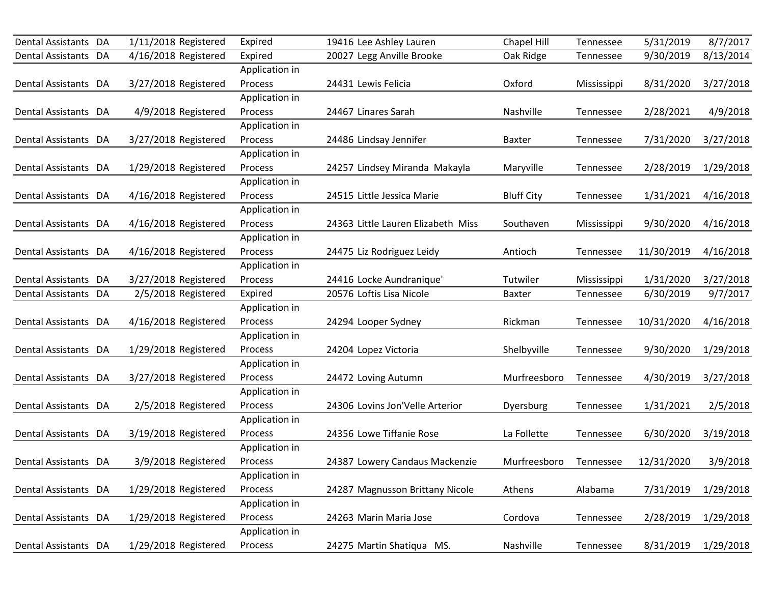| Dental Assistants DA | 1/11/2018 Registered | Expired        | 19416 Lee Ashley Lauren            | Chapel Hill       | Tennessee   | 5/31/2019  | 8/7/2017  |
|----------------------|----------------------|----------------|------------------------------------|-------------------|-------------|------------|-----------|
| Dental Assistants DA | 4/16/2018 Registered | Expired        | 20027 Legg Anville Brooke          | Oak Ridge         | Tennessee   | 9/30/2019  | 8/13/2014 |
|                      |                      | Application in |                                    |                   |             |            |           |
| Dental Assistants DA | 3/27/2018 Registered | Process        | 24431 Lewis Felicia                | Oxford            | Mississippi | 8/31/2020  | 3/27/2018 |
|                      |                      | Application in |                                    |                   |             |            |           |
| Dental Assistants DA | 4/9/2018 Registered  | Process        | 24467 Linares Sarah                | Nashville         | Tennessee   | 2/28/2021  | 4/9/2018  |
|                      |                      | Application in |                                    |                   |             |            |           |
| Dental Assistants DA | 3/27/2018 Registered | Process        | 24486 Lindsay Jennifer             | <b>Baxter</b>     | Tennessee   | 7/31/2020  | 3/27/2018 |
|                      |                      | Application in |                                    |                   |             |            |           |
| Dental Assistants DA | 1/29/2018 Registered | Process        | 24257 Lindsey Miranda Makayla      | Maryville         | Tennessee   | 2/28/2019  | 1/29/2018 |
|                      |                      | Application in |                                    |                   |             |            |           |
| Dental Assistants DA | 4/16/2018 Registered | Process        | 24515 Little Jessica Marie         | <b>Bluff City</b> | Tennessee   | 1/31/2021  | 4/16/2018 |
|                      |                      | Application in |                                    |                   |             |            |           |
| Dental Assistants DA | 4/16/2018 Registered | Process        | 24363 Little Lauren Elizabeth Miss | Southaven         | Mississippi | 9/30/2020  | 4/16/2018 |
|                      |                      | Application in |                                    |                   |             |            |           |
| Dental Assistants DA | 4/16/2018 Registered | <b>Process</b> | 24475 Liz Rodriguez Leidy          | Antioch           | Tennessee   | 11/30/2019 | 4/16/2018 |
|                      |                      | Application in |                                    |                   |             |            |           |
| Dental Assistants DA | 3/27/2018 Registered | Process        | 24416 Locke Aundranique'           | Tutwiler          | Mississippi | 1/31/2020  | 3/27/2018 |
| Dental Assistants DA | 2/5/2018 Registered  | Expired        | 20576 Loftis Lisa Nicole           | <b>Baxter</b>     | Tennessee   | 6/30/2019  | 9/7/2017  |
|                      |                      | Application in |                                    |                   |             |            |           |
| Dental Assistants DA | 4/16/2018 Registered | Process        | 24294 Looper Sydney                | Rickman           | Tennessee   | 10/31/2020 | 4/16/2018 |
|                      |                      | Application in |                                    |                   |             |            |           |
| Dental Assistants DA | 1/29/2018 Registered | Process        | 24204 Lopez Victoria               | Shelbyville       | Tennessee   | 9/30/2020  | 1/29/2018 |
|                      |                      | Application in |                                    |                   |             |            |           |
| Dental Assistants DA | 3/27/2018 Registered | Process        | 24472 Loving Autumn                | Murfreesboro      | Tennessee   | 4/30/2019  | 3/27/2018 |
|                      |                      | Application in |                                    |                   |             |            |           |
| Dental Assistants DA | 2/5/2018 Registered  | Process        | 24306 Lovins Jon'Velle Arterior    | Dyersburg         | Tennessee   | 1/31/2021  | 2/5/2018  |
|                      |                      | Application in |                                    |                   |             |            |           |
| Dental Assistants DA | 3/19/2018 Registered | Process        | 24356 Lowe Tiffanie Rose           | La Follette       | Tennessee   | 6/30/2020  | 3/19/2018 |
|                      |                      | Application in |                                    |                   |             |            |           |
| Dental Assistants DA | 3/9/2018 Registered  | Process        | 24387 Lowery Candaus Mackenzie     | Murfreesboro      | Tennessee   | 12/31/2020 | 3/9/2018  |
|                      |                      | Application in |                                    |                   |             |            |           |
| Dental Assistants DA | 1/29/2018 Registered | Process        | 24287 Magnusson Brittany Nicole    | Athens            | Alabama     | 7/31/2019  | 1/29/2018 |
|                      |                      | Application in |                                    |                   |             |            |           |
| Dental Assistants DA | 1/29/2018 Registered | Process        | 24263 Marin Maria Jose             | Cordova           | Tennessee   | 2/28/2019  | 1/29/2018 |
|                      |                      | Application in |                                    |                   |             |            |           |
| Dental Assistants DA | 1/29/2018 Registered | Process        | 24275 Martin Shatiqua MS.          | Nashville         | Tennessee   | 8/31/2019  | 1/29/2018 |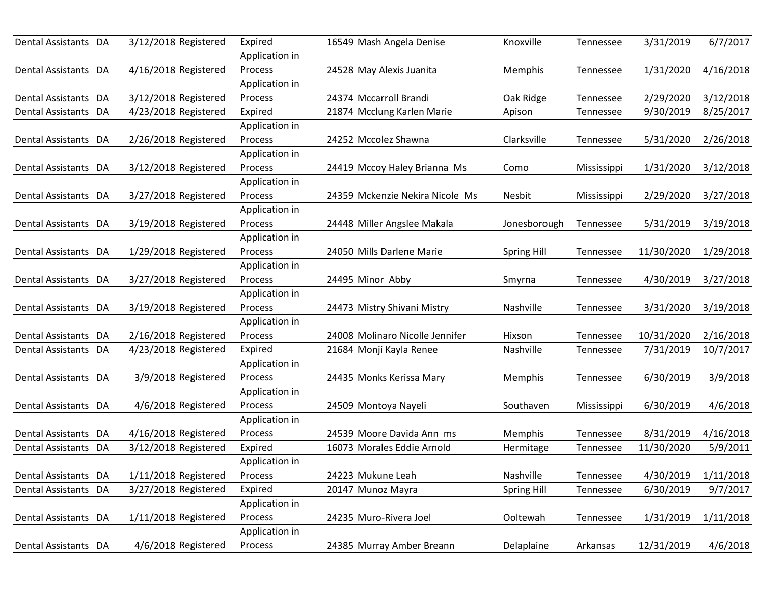| Dental Assistants DA     |    | 3/12/2018 Registered | Expired        | 16549 Mash Angela Denise        | Knoxville          | Tennessee   | 3/31/2019  | 6/7/2017  |
|--------------------------|----|----------------------|----------------|---------------------------------|--------------------|-------------|------------|-----------|
|                          |    |                      | Application in |                                 |                    |             |            |           |
| Dental Assistants DA     |    | 4/16/2018 Registered | Process        | 24528 May Alexis Juanita        | Memphis            | Tennessee   | 1/31/2020  | 4/16/2018 |
|                          |    |                      | Application in |                                 |                    |             |            |           |
| Dental Assistants DA     |    | 3/12/2018 Registered | Process        | 24374 Mccarroll Brandi          | Oak Ridge          | Tennessee   | 2/29/2020  | 3/12/2018 |
| Dental Assistants        | DA | 4/23/2018 Registered | Expired        | 21874 Mcclung Karlen Marie      | Apison             | Tennessee   | 9/30/2019  | 8/25/2017 |
|                          |    |                      | Application in |                                 |                    |             |            |           |
| Dental Assistants DA     |    | 2/26/2018 Registered | Process        | 24252 Mccolez Shawna            | Clarksville        | Tennessee   | 5/31/2020  | 2/26/2018 |
|                          |    |                      | Application in |                                 |                    |             |            |           |
| Dental Assistants DA     |    | 3/12/2018 Registered | Process        | 24419 Mccoy Haley Brianna Ms    | Como               | Mississippi | 1/31/2020  | 3/12/2018 |
|                          |    |                      | Application in |                                 |                    |             |            |           |
| Dental Assistants DA     |    | 3/27/2018 Registered | Process        | 24359 Mckenzie Nekira Nicole Ms | Nesbit             | Mississippi | 2/29/2020  | 3/27/2018 |
|                          |    |                      | Application in |                                 |                    |             |            |           |
| Dental Assistants DA     |    | 3/19/2018 Registered | Process        | 24448 Miller Angslee Makala     | Jonesborough       | Tennessee   | 5/31/2019  | 3/19/2018 |
|                          |    |                      | Application in |                                 |                    |             |            |           |
| Dental Assistants DA     |    | 1/29/2018 Registered | Process        | 24050 Mills Darlene Marie       | <b>Spring Hill</b> | Tennessee   | 11/30/2020 | 1/29/2018 |
|                          |    |                      | Application in |                                 |                    |             |            |           |
| Dental Assistants DA     |    | 3/27/2018 Registered | Process        | 24495 Minor Abby                | Smyrna             | Tennessee   | 4/30/2019  | 3/27/2018 |
|                          |    |                      | Application in |                                 |                    |             |            |           |
| Dental Assistants DA     |    | 3/19/2018 Registered | Process        | 24473 Mistry Shivani Mistry     | Nashville          | Tennessee   | 3/31/2020  | 3/19/2018 |
|                          |    |                      | Application in |                                 |                    |             |            |           |
| Dental Assistants DA     |    | 2/16/2018 Registered | Process        | 24008 Molinaro Nicolle Jennifer | Hixson             | Tennessee   | 10/31/2020 | 2/16/2018 |
| Dental Assistants DA     |    | 4/23/2018 Registered | Expired        | 21684 Monji Kayla Renee         | Nashville          | Tennessee   | 7/31/2019  | 10/7/2017 |
|                          |    |                      | Application in |                                 |                    |             |            |           |
| Dental Assistants DA     |    | 3/9/2018 Registered  | Process        | 24435 Monks Kerissa Mary        | Memphis            | Tennessee   | 6/30/2019  | 3/9/2018  |
|                          |    |                      | Application in |                                 |                    |             |            |           |
| Dental Assistants DA     |    | 4/6/2018 Registered  | Process        | 24509 Montoya Nayeli            | Southaven          | Mississippi | 6/30/2019  | 4/6/2018  |
|                          |    |                      | Application in |                                 |                    |             |            |           |
| Dental Assistants DA     |    | 4/16/2018 Registered | Process        | 24539 Moore Davida Ann ms       | Memphis            | Tennessee   | 8/31/2019  | 4/16/2018 |
| <b>Dental Assistants</b> | DA | 3/12/2018 Registered | Expired        | 16073 Morales Eddie Arnold      | Hermitage          | Tennessee   | 11/30/2020 | 5/9/2011  |
|                          |    |                      | Application in |                                 |                    |             |            |           |
| Dental Assistants DA     |    | 1/11/2018 Registered | Process        | 24223 Mukune Leah               | Nashville          | Tennessee   | 4/30/2019  | 1/11/2018 |
| Dental Assistants DA     |    | 3/27/2018 Registered | Expired        | 20147 Munoz Mayra               | Spring Hill        | Tennessee   | 6/30/2019  | 9/7/2017  |
|                          |    |                      | Application in |                                 |                    |             |            |           |
| Dental Assistants DA     |    | 1/11/2018 Registered | Process        | 24235 Muro-Rivera Joel          | Ooltewah           | Tennessee   | 1/31/2019  | 1/11/2018 |
|                          |    |                      | Application in |                                 |                    |             |            |           |
| Dental Assistants DA     |    | 4/6/2018 Registered  | Process        | 24385 Murray Amber Breann       | Delaplaine         | Arkansas    | 12/31/2019 | 4/6/2018  |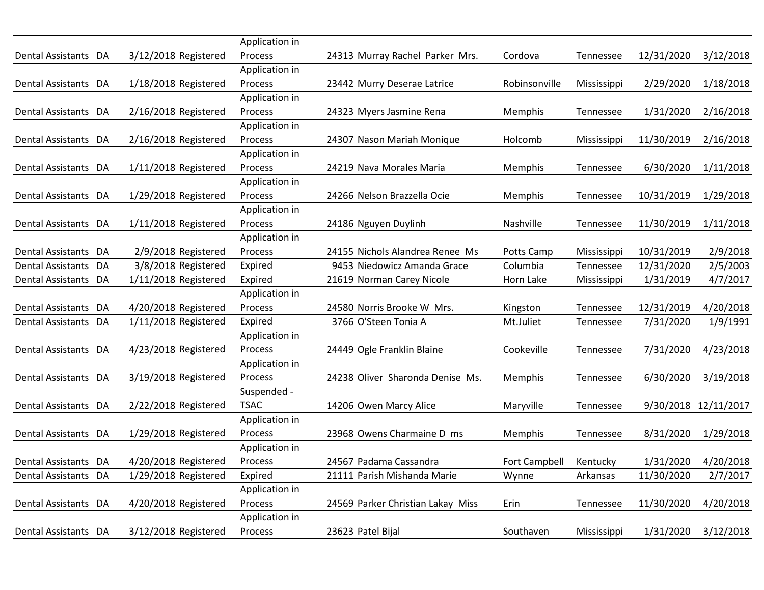|                      |                      | Application in             |                                   |                      |             |            |                       |
|----------------------|----------------------|----------------------------|-----------------------------------|----------------------|-------------|------------|-----------------------|
| Dental Assistants DA | 3/12/2018 Registered | Process                    | 24313 Murray Rachel Parker Mrs.   | Cordova              | Tennessee   | 12/31/2020 | 3/12/2018             |
|                      |                      | Application in             |                                   |                      |             |            |                       |
| Dental Assistants DA | 1/18/2018 Registered | Process                    | 23442 Murry Deserae Latrice       | Robinsonville        | Mississippi | 2/29/2020  | 1/18/2018             |
|                      |                      | Application in             |                                   |                      |             |            |                       |
| Dental Assistants DA | 2/16/2018 Registered | Process                    | 24323 Myers Jasmine Rena          | Memphis              | Tennessee   | 1/31/2020  | 2/16/2018             |
|                      |                      | Application in             |                                   |                      |             |            |                       |
| Dental Assistants DA | 2/16/2018 Registered | Process                    | 24307 Nason Mariah Monique        | Holcomb              | Mississippi | 11/30/2019 | 2/16/2018             |
|                      |                      | Application in             |                                   |                      |             |            |                       |
| Dental Assistants DA | 1/11/2018 Registered | Process                    | 24219 Nava Morales Maria          | Memphis              | Tennessee   | 6/30/2020  | 1/11/2018             |
|                      |                      | Application in             |                                   |                      |             |            |                       |
| Dental Assistants DA | 1/29/2018 Registered | Process                    | 24266 Nelson Brazzella Ocie       | Memphis              | Tennessee   | 10/31/2019 | 1/29/2018             |
|                      |                      | Application in             |                                   |                      |             |            |                       |
| Dental Assistants DA | 1/11/2018 Registered | Process                    | 24186 Nguyen Duylinh              | Nashville            | Tennessee   | 11/30/2019 | 1/11/2018             |
|                      |                      | Application in             |                                   |                      |             |            |                       |
| Dental Assistants DA | 2/9/2018 Registered  | Process                    | 24155 Nichols Alandrea Renee Ms   | Potts Camp           | Mississippi | 10/31/2019 | 2/9/2018              |
| Dental Assistants DA | 3/8/2018 Registered  | Expired                    | 9453 Niedowicz Amanda Grace       | Columbia             | Tennessee   | 12/31/2020 | 2/5/2003              |
| Dental Assistants DA | 1/11/2018 Registered | Expired                    | 21619 Norman Carey Nicole         | Horn Lake            | Mississippi | 1/31/2019  | 4/7/2017              |
|                      |                      | Application in             |                                   |                      |             |            |                       |
| Dental Assistants DA | 4/20/2018 Registered | Process                    | 24580 Norris Brooke W Mrs.        | Kingston             | Tennessee   | 12/31/2019 | 4/20/2018             |
| Dental Assistants DA | 1/11/2018 Registered | Expired                    | 3766 O'Steen Tonia A              | Mt.Juliet            | Tennessee   | 7/31/2020  | 1/9/1991              |
|                      |                      | Application in             |                                   |                      |             |            |                       |
| Dental Assistants DA | 4/23/2018 Registered | Process                    | 24449 Ogle Franklin Blaine        | Cookeville           | Tennessee   | 7/31/2020  | 4/23/2018             |
|                      |                      | Application in             |                                   |                      |             |            |                       |
| Dental Assistants DA | 3/19/2018 Registered | Process                    | 24238 Oliver Sharonda Denise Ms.  | Memphis              | Tennessee   | 6/30/2020  | 3/19/2018             |
|                      |                      | Suspended -<br><b>TSAC</b> |                                   |                      |             |            |                       |
| Dental Assistants DA | 2/22/2018 Registered |                            | 14206 Owen Marcy Alice            | Maryville            | Tennessee   |            | 9/30/2018 12/11/2017  |
| Dental Assistants DA | 1/29/2018 Registered | Application in<br>Process  | 23968 Owens Charmaine D ms        |                      |             |            |                       |
|                      |                      | Application in             |                                   | Memphis              | Tennessee   | 8/31/2020  | 1/29/2018             |
| Dental Assistants DA | 4/20/2018 Registered | Process                    | 24567 Padama Cassandra            | <b>Fort Campbell</b> | Kentucky    | 1/31/2020  |                       |
| Dental Assistants DA | 1/29/2018 Registered | Expired                    | 21111 Parish Mishanda Marie       | Wynne                | Arkansas    | 11/30/2020 | 4/20/2018<br>2/7/2017 |
|                      |                      | Application in             |                                   |                      |             |            |                       |
| Dental Assistants DA | 4/20/2018 Registered | Process                    | 24569 Parker Christian Lakay Miss | Erin                 | Tennessee   | 11/30/2020 | 4/20/2018             |
|                      |                      | Application in             |                                   |                      |             |            |                       |
| Dental Assistants DA | 3/12/2018 Registered | Process                    | 23623 Patel Bijal                 | Southaven            | Mississippi | 1/31/2020  | 3/12/2018             |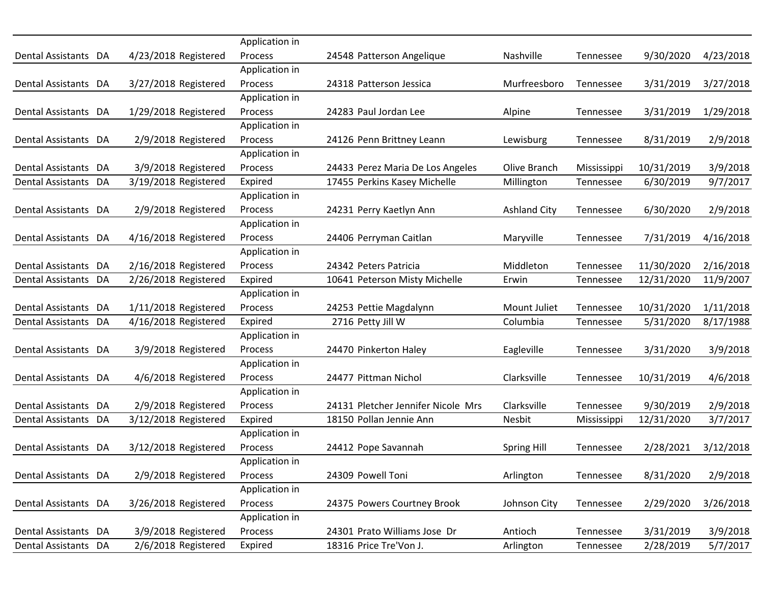|                      |                      | Application in |                                    |                     |             |            |           |
|----------------------|----------------------|----------------|------------------------------------|---------------------|-------------|------------|-----------|
| Dental Assistants DA | 4/23/2018 Registered | Process        | 24548 Patterson Angelique          | Nashville           | Tennessee   | 9/30/2020  | 4/23/2018 |
|                      |                      | Application in |                                    |                     |             |            |           |
| Dental Assistants DA | 3/27/2018 Registered | Process        | 24318 Patterson Jessica            | Murfreesboro        | Tennessee   | 3/31/2019  | 3/27/2018 |
|                      |                      | Application in |                                    |                     |             |            |           |
| Dental Assistants DA | 1/29/2018 Registered | Process        | 24283 Paul Jordan Lee              | Alpine              | Tennessee   | 3/31/2019  | 1/29/2018 |
|                      |                      | Application in |                                    |                     |             |            |           |
| Dental Assistants DA | 2/9/2018 Registered  | Process        | 24126 Penn Brittney Leann          | Lewisburg           | Tennessee   | 8/31/2019  | 2/9/2018  |
|                      |                      | Application in |                                    |                     |             |            |           |
| Dental Assistants DA | 3/9/2018 Registered  | Process        | 24433 Perez Maria De Los Angeles   | Olive Branch        | Mississippi | 10/31/2019 | 3/9/2018  |
| Dental Assistants DA | 3/19/2018 Registered | Expired        | 17455 Perkins Kasey Michelle       | Millington          | Tennessee   | 6/30/2019  | 9/7/2017  |
|                      |                      | Application in |                                    |                     |             |            |           |
| Dental Assistants DA | 2/9/2018 Registered  | Process        | 24231 Perry Kaetlyn Ann            | <b>Ashland City</b> | Tennessee   | 6/30/2020  | 2/9/2018  |
|                      |                      | Application in |                                    |                     |             |            |           |
| Dental Assistants DA | 4/16/2018 Registered | Process        | 24406 Perryman Caitlan             | Maryville           | Tennessee   | 7/31/2019  | 4/16/2018 |
|                      |                      | Application in |                                    |                     |             |            |           |
| Dental Assistants DA | 2/16/2018 Registered | Process        | 24342 Peters Patricia              | Middleton           | Tennessee   | 11/30/2020 | 2/16/2018 |
| Dental Assistants DA | 2/26/2018 Registered | Expired        | 10641 Peterson Misty Michelle      | Erwin               | Tennessee   | 12/31/2020 | 11/9/2007 |
|                      |                      | Application in |                                    |                     |             |            |           |
| Dental Assistants DA | 1/11/2018 Registered | Process        | 24253 Pettie Magdalynn             | Mount Juliet        | Tennessee   | 10/31/2020 | 1/11/2018 |
| Dental Assistants DA | 4/16/2018 Registered | Expired        | 2716 Petty Jill W                  | Columbia            | Tennessee   | 5/31/2020  | 8/17/1988 |
|                      |                      | Application in |                                    |                     |             |            |           |
| Dental Assistants DA | 3/9/2018 Registered  | Process        | 24470 Pinkerton Haley              | Eagleville          | Tennessee   | 3/31/2020  | 3/9/2018  |
|                      |                      | Application in |                                    |                     |             |            |           |
| Dental Assistants DA | 4/6/2018 Registered  | Process        | 24477 Pittman Nichol               | Clarksville         | Tennessee   | 10/31/2019 | 4/6/2018  |
|                      |                      | Application in |                                    |                     |             |            |           |
| Dental Assistants DA | 2/9/2018 Registered  | Process        | 24131 Pletcher Jennifer Nicole Mrs | Clarksville         | Tennessee   | 9/30/2019  | 2/9/2018  |
| Dental Assistants DA | 3/12/2018 Registered | Expired        | 18150 Pollan Jennie Ann            | Nesbit              | Mississippi | 12/31/2020 | 3/7/2017  |
|                      |                      | Application in |                                    |                     |             |            |           |
| Dental Assistants DA | 3/12/2018 Registered | Process        | 24412 Pope Savannah                | <b>Spring Hill</b>  | Tennessee   | 2/28/2021  | 3/12/2018 |
|                      |                      | Application in |                                    |                     |             |            |           |
| Dental Assistants DA | 2/9/2018 Registered  | Process        | 24309 Powell Toni                  | Arlington           | Tennessee   | 8/31/2020  | 2/9/2018  |
|                      |                      | Application in |                                    |                     |             |            |           |
| Dental Assistants DA | 3/26/2018 Registered | Process        | 24375 Powers Courtney Brook        | Johnson City        | Tennessee   | 2/29/2020  | 3/26/2018 |
|                      |                      | Application in |                                    |                     |             |            |           |
| Dental Assistants DA | 3/9/2018 Registered  | Process        | 24301 Prato Williams Jose Dr       | Antioch             | Tennessee   | 3/31/2019  | 3/9/2018  |
| Dental Assistants DA | 2/6/2018 Registered  | Expired        | 18316 Price Tre'Von J.             | Arlington           | Tennessee   | 2/28/2019  | 5/7/2017  |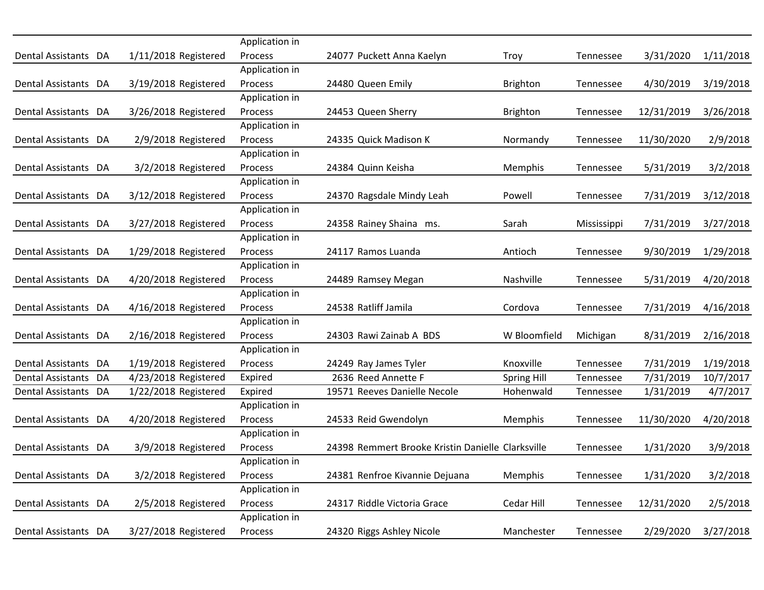|                      |                      | Application in |                                                   |                    |             |            |           |
|----------------------|----------------------|----------------|---------------------------------------------------|--------------------|-------------|------------|-----------|
| Dental Assistants DA | 1/11/2018 Registered | Process        | 24077 Puckett Anna Kaelyn                         | Troy               | Tennessee   | 3/31/2020  | 1/11/2018 |
|                      |                      | Application in |                                                   |                    |             |            |           |
| Dental Assistants DA | 3/19/2018 Registered | Process        | 24480 Queen Emily                                 | <b>Brighton</b>    | Tennessee   | 4/30/2019  | 3/19/2018 |
|                      |                      | Application in |                                                   |                    |             |            |           |
| Dental Assistants DA | 3/26/2018 Registered | Process        | 24453 Queen Sherry                                | <b>Brighton</b>    | Tennessee   | 12/31/2019 | 3/26/2018 |
|                      |                      | Application in |                                                   |                    |             |            |           |
| Dental Assistants DA | 2/9/2018 Registered  | Process        | 24335 Quick Madison K                             | Normandy           | Tennessee   | 11/30/2020 | 2/9/2018  |
|                      |                      | Application in |                                                   |                    |             |            |           |
| Dental Assistants DA | 3/2/2018 Registered  | Process        | 24384 Quinn Keisha                                | Memphis            | Tennessee   | 5/31/2019  | 3/2/2018  |
|                      |                      | Application in |                                                   |                    |             |            |           |
| Dental Assistants DA | 3/12/2018 Registered | Process        | 24370 Ragsdale Mindy Leah                         | Powell             | Tennessee   | 7/31/2019  | 3/12/2018 |
|                      |                      | Application in |                                                   |                    |             |            |           |
| Dental Assistants DA | 3/27/2018 Registered | Process        | 24358 Rainey Shaina ms.                           | Sarah              | Mississippi | 7/31/2019  | 3/27/2018 |
|                      |                      | Application in |                                                   |                    |             |            |           |
| Dental Assistants DA | 1/29/2018 Registered | Process        | 24117 Ramos Luanda                                | Antioch            | Tennessee   | 9/30/2019  | 1/29/2018 |
|                      |                      | Application in |                                                   |                    |             |            |           |
| Dental Assistants DA | 4/20/2018 Registered | Process        | 24489 Ramsey Megan                                | Nashville          | Tennessee   | 5/31/2019  | 4/20/2018 |
|                      |                      | Application in |                                                   |                    |             |            |           |
| Dental Assistants DA | 4/16/2018 Registered | Process        | 24538 Ratliff Jamila                              | Cordova            | Tennessee   | 7/31/2019  | 4/16/2018 |
|                      |                      | Application in |                                                   |                    |             |            |           |
| Dental Assistants DA | 2/16/2018 Registered | Process        | 24303 Rawi Zainab A BDS                           | W Bloomfield       | Michigan    | 8/31/2019  | 2/16/2018 |
|                      |                      | Application in |                                                   |                    |             |            |           |
| Dental Assistants DA | 1/19/2018 Registered | Process        | 24249 Ray James Tyler                             | Knoxville          | Tennessee   | 7/31/2019  | 1/19/2018 |
| Dental Assistants DA | 4/23/2018 Registered | Expired        | 2636 Reed Annette F                               | <b>Spring Hill</b> | Tennessee   | 7/31/2019  | 10/7/2017 |
| Dental Assistants DA | 1/22/2018 Registered | Expired        | 19571 Reeves Danielle Necole                      | Hohenwald          | Tennessee   | 1/31/2019  | 4/7/2017  |
|                      |                      | Application in |                                                   |                    |             |            |           |
| Dental Assistants DA | 4/20/2018 Registered | Process        | 24533 Reid Gwendolyn                              | Memphis            | Tennessee   | 11/30/2020 | 4/20/2018 |
|                      |                      | Application in |                                                   |                    |             |            |           |
| Dental Assistants DA | 3/9/2018 Registered  | Process        | 24398 Remmert Brooke Kristin Danielle Clarksville |                    | Tennessee   | 1/31/2020  | 3/9/2018  |
|                      |                      | Application in |                                                   |                    |             |            |           |
| Dental Assistants DA | 3/2/2018 Registered  | Process        | 24381 Renfroe Kivannie Dejuana                    | Memphis            | Tennessee   | 1/31/2020  | 3/2/2018  |
|                      |                      | Application in |                                                   |                    |             |            |           |
| Dental Assistants DA | 2/5/2018 Registered  | Process        | 24317 Riddle Victoria Grace                       | Cedar Hill         | Tennessee   | 12/31/2020 | 2/5/2018  |
|                      |                      | Application in |                                                   |                    |             |            |           |
| Dental Assistants DA | 3/27/2018 Registered | Process        | 24320 Riggs Ashley Nicole                         | Manchester         | Tennessee   | 2/29/2020  | 3/27/2018 |
|                      |                      |                |                                                   |                    |             |            |           |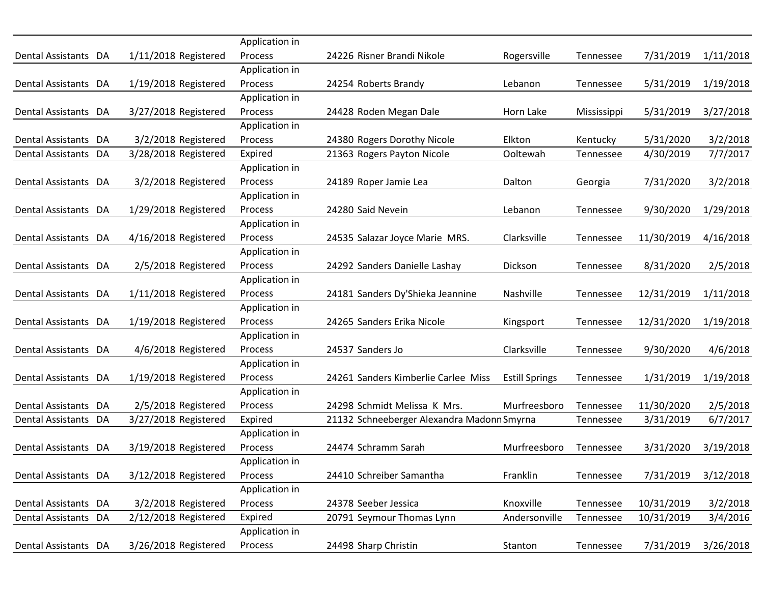|                      |                      | Application in |                                            |                       |             |            |           |
|----------------------|----------------------|----------------|--------------------------------------------|-----------------------|-------------|------------|-----------|
| Dental Assistants DA | 1/11/2018 Registered | Process        | 24226 Risner Brandi Nikole                 | Rogersville           | Tennessee   | 7/31/2019  | 1/11/2018 |
|                      |                      | Application in |                                            |                       |             |            |           |
| Dental Assistants DA | 1/19/2018 Registered | Process        | 24254 Roberts Brandy                       | Lebanon               | Tennessee   | 5/31/2019  | 1/19/2018 |
|                      |                      | Application in |                                            |                       |             |            |           |
| Dental Assistants DA | 3/27/2018 Registered | <b>Process</b> | 24428 Roden Megan Dale                     | Horn Lake             | Mississippi | 5/31/2019  | 3/27/2018 |
|                      |                      | Application in |                                            |                       |             |            |           |
| Dental Assistants DA | 3/2/2018 Registered  | Process        | 24380 Rogers Dorothy Nicole                | Elkton                | Kentucky    | 5/31/2020  | 3/2/2018  |
| Dental Assistants DA | 3/28/2018 Registered | Expired        | 21363 Rogers Payton Nicole                 | Ooltewah              | Tennessee   | 4/30/2019  | 7/7/2017  |
|                      |                      | Application in |                                            |                       |             |            |           |
| Dental Assistants DA | 3/2/2018 Registered  | Process        | 24189 Roper Jamie Lea                      | Dalton                | Georgia     | 7/31/2020  | 3/2/2018  |
|                      |                      | Application in |                                            |                       |             |            |           |
| Dental Assistants DA | 1/29/2018 Registered | Process        | 24280 Said Nevein                          | Lebanon               | Tennessee   | 9/30/2020  | 1/29/2018 |
|                      |                      | Application in |                                            |                       |             |            |           |
| Dental Assistants DA | 4/16/2018 Registered | Process        | 24535 Salazar Joyce Marie MRS.             | Clarksville           | Tennessee   | 11/30/2019 | 4/16/2018 |
|                      |                      | Application in |                                            |                       |             |            |           |
| Dental Assistants DA | 2/5/2018 Registered  | Process        | 24292 Sanders Danielle Lashay              | Dickson               | Tennessee   | 8/31/2020  | 2/5/2018  |
|                      |                      | Application in |                                            |                       |             |            |           |
| Dental Assistants DA | 1/11/2018 Registered | <b>Process</b> | 24181 Sanders Dy'Shieka Jeannine           | Nashville             | Tennessee   | 12/31/2019 | 1/11/2018 |
|                      |                      | Application in |                                            |                       |             |            |           |
| Dental Assistants DA | 1/19/2018 Registered | Process        | 24265 Sanders Erika Nicole                 | Kingsport             | Tennessee   | 12/31/2020 | 1/19/2018 |
|                      |                      | Application in |                                            |                       |             |            |           |
| Dental Assistants DA | 4/6/2018 Registered  | Process        | 24537 Sanders Jo                           | Clarksville           | Tennessee   | 9/30/2020  | 4/6/2018  |
|                      |                      | Application in |                                            |                       |             |            |           |
| Dental Assistants DA | 1/19/2018 Registered | Process        | 24261 Sanders Kimberlie Carlee Miss        | <b>Estill Springs</b> | Tennessee   | 1/31/2019  | 1/19/2018 |
|                      |                      | Application in |                                            |                       |             |            |           |
| Dental Assistants DA | 2/5/2018 Registered  | Process        | 24298 Schmidt Melissa K Mrs.               | Murfreesboro          | Tennessee   | 11/30/2020 | 2/5/2018  |
| Dental Assistants DA | 3/27/2018 Registered | Expired        | 21132 Schneeberger Alexandra Madonn Smyrna |                       | Tennessee   | 3/31/2019  | 6/7/2017  |
|                      |                      | Application in |                                            |                       |             |            |           |
| Dental Assistants DA | 3/19/2018 Registered | Process        | 24474 Schramm Sarah                        | Murfreesboro          | Tennessee   | 3/31/2020  | 3/19/2018 |
|                      |                      | Application in |                                            |                       |             |            |           |
| Dental Assistants DA | 3/12/2018 Registered | Process        | 24410 Schreiber Samantha                   | Franklin              | Tennessee   | 7/31/2019  | 3/12/2018 |
|                      |                      | Application in |                                            |                       |             |            |           |
| Dental Assistants DA | 3/2/2018 Registered  | Process        | 24378 Seeber Jessica                       | Knoxville             | Tennessee   | 10/31/2019 | 3/2/2018  |
| Dental Assistants DA | 2/12/2018 Registered | Expired        | 20791 Seymour Thomas Lynn                  | Andersonville         | Tennessee   | 10/31/2019 | 3/4/2016  |
|                      |                      | Application in |                                            |                       |             |            |           |
| Dental Assistants DA | 3/26/2018 Registered | Process        | 24498 Sharp Christin                       | Stanton               | Tennessee   | 7/31/2019  | 3/26/2018 |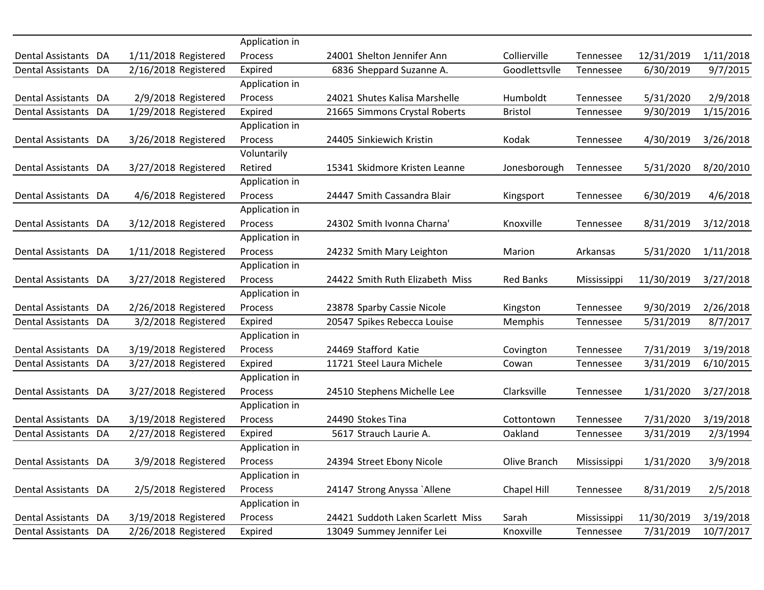|                      |                      | Application in |                                   |                  |             |            |           |
|----------------------|----------------------|----------------|-----------------------------------|------------------|-------------|------------|-----------|
| Dental Assistants DA | 1/11/2018 Registered | Process        | 24001 Shelton Jennifer Ann        | Collierville     | Tennessee   | 12/31/2019 | 1/11/2018 |
| Dental Assistants DA | 2/16/2018 Registered | Expired        | 6836 Sheppard Suzanne A.          | Goodlettsvlle    | Tennessee   | 6/30/2019  | 9/7/2015  |
|                      |                      | Application in |                                   |                  |             |            |           |
| Dental Assistants DA | 2/9/2018 Registered  | Process        | 24021 Shutes Kalisa Marshelle     | Humboldt         | Tennessee   | 5/31/2020  | 2/9/2018  |
| Dental Assistants DA | 1/29/2018 Registered | Expired        | 21665 Simmons Crystal Roberts     | <b>Bristol</b>   | Tennessee   | 9/30/2019  | 1/15/2016 |
|                      |                      | Application in |                                   |                  |             |            |           |
| Dental Assistants DA | 3/26/2018 Registered | Process        | 24405 Sinkiewich Kristin          | Kodak            | Tennessee   | 4/30/2019  | 3/26/2018 |
|                      |                      | Voluntarily    |                                   |                  |             |            |           |
| Dental Assistants DA | 3/27/2018 Registered | Retired        | 15341 Skidmore Kristen Leanne     | Jonesborough     | Tennessee   | 5/31/2020  | 8/20/2010 |
|                      |                      | Application in |                                   |                  |             |            |           |
| Dental Assistants DA | 4/6/2018 Registered  | Process        | 24447 Smith Cassandra Blair       | Kingsport        | Tennessee   | 6/30/2019  | 4/6/2018  |
|                      |                      | Application in |                                   |                  |             |            |           |
| Dental Assistants DA | 3/12/2018 Registered | Process        | 24302 Smith Ivonna Charna'        | Knoxville        | Tennessee   | 8/31/2019  | 3/12/2018 |
|                      |                      | Application in |                                   |                  |             |            |           |
| Dental Assistants DA | 1/11/2018 Registered | Process        | 24232 Smith Mary Leighton         | Marion           | Arkansas    | 5/31/2020  | 1/11/2018 |
|                      |                      | Application in |                                   |                  |             |            |           |
| Dental Assistants DA | 3/27/2018 Registered | Process        | 24422 Smith Ruth Elizabeth Miss   | <b>Red Banks</b> | Mississippi | 11/30/2019 | 3/27/2018 |
|                      |                      | Application in |                                   |                  |             |            |           |
| Dental Assistants DA | 2/26/2018 Registered | Process        | 23878 Sparby Cassie Nicole        | Kingston         | Tennessee   | 9/30/2019  | 2/26/2018 |
| Dental Assistants DA | 3/2/2018 Registered  | Expired        | 20547 Spikes Rebecca Louise       | Memphis          | Tennessee   | 5/31/2019  | 8/7/2017  |
|                      |                      | Application in |                                   |                  |             |            |           |
| Dental Assistants DA | 3/19/2018 Registered | Process        | 24469 Stafford Katie              | Covington        | Tennessee   | 7/31/2019  | 3/19/2018 |
| Dental Assistants DA | 3/27/2018 Registered | Expired        | 11721 Steel Laura Michele         | Cowan            | Tennessee   | 3/31/2019  | 6/10/2015 |
|                      |                      | Application in |                                   |                  |             |            |           |
| Dental Assistants DA | 3/27/2018 Registered | Process        | 24510 Stephens Michelle Lee       | Clarksville      | Tennessee   | 1/31/2020  | 3/27/2018 |
|                      |                      | Application in |                                   |                  |             |            |           |
| Dental Assistants DA | 3/19/2018 Registered | <b>Process</b> | 24490 Stokes Tina                 | Cottontown       | Tennessee   | 7/31/2020  | 3/19/2018 |
| Dental Assistants DA | 2/27/2018 Registered | Expired        | 5617 Strauch Laurie A.            | Oakland          | Tennessee   | 3/31/2019  | 2/3/1994  |
|                      |                      | Application in |                                   |                  |             |            |           |
| Dental Assistants DA | 3/9/2018 Registered  | <b>Process</b> | 24394 Street Ebony Nicole         | Olive Branch     | Mississippi | 1/31/2020  | 3/9/2018  |
|                      |                      | Application in |                                   |                  |             |            |           |
| Dental Assistants DA | 2/5/2018 Registered  | Process        | 24147 Strong Anyssa `Allene       | Chapel Hill      | Tennessee   | 8/31/2019  | 2/5/2018  |
|                      |                      | Application in |                                   |                  |             |            |           |
| Dental Assistants DA | 3/19/2018 Registered | Process        | 24421 Suddoth Laken Scarlett Miss | Sarah            | Mississippi | 11/30/2019 | 3/19/2018 |
| Dental Assistants DA | 2/26/2018 Registered | Expired        | 13049 Summey Jennifer Lei         | Knoxville        | Tennessee   | 7/31/2019  | 10/7/2017 |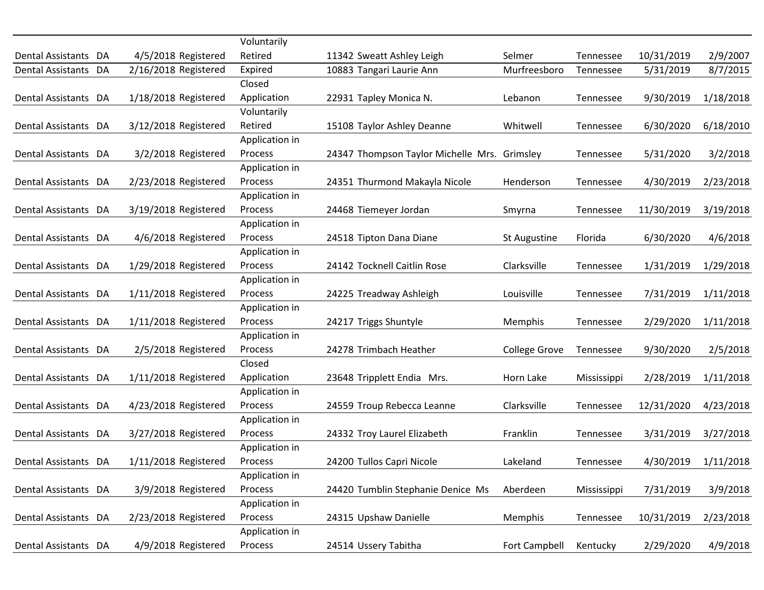| Dental Assistants DA | 4/5/2018 Registered  | Voluntarily<br>Retired | 11342 Sweatt Ashley Leigh                    | Selmer               | Tennessee   | 10/31/2019 | 2/9/2007  |
|----------------------|----------------------|------------------------|----------------------------------------------|----------------------|-------------|------------|-----------|
| Dental Assistants DA | 2/16/2018 Registered | Expired                | 10883 Tangari Laurie Ann                     | Murfreesboro         | Tennessee   | 5/31/2019  | 8/7/2015  |
|                      |                      | Closed                 |                                              |                      |             |            |           |
|                      |                      |                        |                                              |                      |             |            |           |
| Dental Assistants DA | 1/18/2018 Registered | Application            | 22931 Tapley Monica N.                       | Lebanon              | Tennessee   | 9/30/2019  | 1/18/2018 |
|                      |                      | Voluntarily            |                                              |                      |             |            |           |
| Dental Assistants DA | 3/12/2018 Registered | Retired                | 15108 Taylor Ashley Deanne                   | Whitwell             | Tennessee   | 6/30/2020  | 6/18/2010 |
|                      |                      | Application in         |                                              |                      |             |            |           |
| Dental Assistants DA | 3/2/2018 Registered  | Process                | 24347 Thompson Taylor Michelle Mrs. Grimsley |                      | Tennessee   | 5/31/2020  | 3/2/2018  |
|                      |                      | Application in         |                                              |                      |             |            |           |
| Dental Assistants DA | 2/23/2018 Registered | Process                | 24351 Thurmond Makayla Nicole                | Henderson            | Tennessee   | 4/30/2019  | 2/23/2018 |
|                      |                      | Application in         |                                              |                      |             |            |           |
| Dental Assistants DA | 3/19/2018 Registered | Process                | 24468 Tiemeyer Jordan                        | Smyrna               | Tennessee   | 11/30/2019 | 3/19/2018 |
|                      |                      | Application in         |                                              |                      |             |            |           |
| Dental Assistants DA | 4/6/2018 Registered  | Process                | 24518 Tipton Dana Diane                      | St Augustine         | Florida     | 6/30/2020  | 4/6/2018  |
|                      |                      | Application in         |                                              |                      |             |            |           |
| Dental Assistants DA | 1/29/2018 Registered | Process                | 24142 Tocknell Caitlin Rose                  | Clarksville          | Tennessee   | 1/31/2019  | 1/29/2018 |
|                      |                      | Application in         |                                              |                      |             |            |           |
| Dental Assistants DA | 1/11/2018 Registered | <b>Process</b>         | 24225 Treadway Ashleigh                      | Louisville           | Tennessee   | 7/31/2019  | 1/11/2018 |
|                      |                      | Application in         |                                              |                      |             |            |           |
| Dental Assistants DA | 1/11/2018 Registered | Process                | 24217 Triggs Shuntyle                        | Memphis              | Tennessee   | 2/29/2020  | 1/11/2018 |
|                      |                      | Application in         |                                              |                      |             |            |           |
| Dental Assistants DA | 2/5/2018 Registered  | Process                | 24278 Trimbach Heather                       | <b>College Grove</b> | Tennessee   | 9/30/2020  | 2/5/2018  |
|                      |                      | Closed                 |                                              |                      |             |            |           |
| Dental Assistants DA | 1/11/2018 Registered | Application            | 23648 Tripplett Endia Mrs.                   | Horn Lake            | Mississippi | 2/28/2019  | 1/11/2018 |
|                      |                      | Application in         |                                              |                      |             |            |           |
| Dental Assistants DA | 4/23/2018 Registered | Process                | 24559 Troup Rebecca Leanne                   | Clarksville          | Tennessee   | 12/31/2020 | 4/23/2018 |
|                      |                      | Application in         |                                              |                      |             |            |           |
| Dental Assistants DA | 3/27/2018 Registered | Process                | 24332 Troy Laurel Elizabeth                  | Franklin             | Tennessee   | 3/31/2019  | 3/27/2018 |
|                      |                      | Application in         |                                              |                      |             |            |           |
| Dental Assistants DA | 1/11/2018 Registered | Process                | 24200 Tullos Capri Nicole                    | Lakeland             | Tennessee   | 4/30/2019  | 1/11/2018 |
|                      |                      | Application in         |                                              |                      |             |            |           |
| Dental Assistants DA | 3/9/2018 Registered  | Process                | 24420 Tumblin Stephanie Denice Ms            | Aberdeen             | Mississippi | 7/31/2019  | 3/9/2018  |
|                      |                      | Application in         |                                              |                      |             |            |           |
| Dental Assistants DA | 2/23/2018 Registered | Process                | 24315 Upshaw Danielle                        | Memphis              | Tennessee   | 10/31/2019 | 2/23/2018 |
|                      |                      | Application in         |                                              |                      |             |            |           |
| Dental Assistants DA | 4/9/2018 Registered  | Process                | 24514 Ussery Tabitha                         | Fort Campbell        | Kentucky    | 2/29/2020  | 4/9/2018  |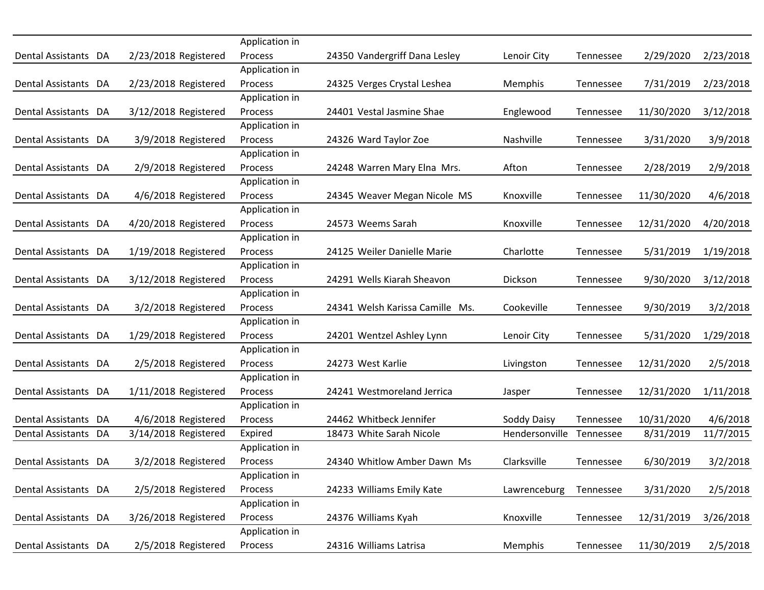|                      |                      | Application in |                                 |                |           |            |           |
|----------------------|----------------------|----------------|---------------------------------|----------------|-----------|------------|-----------|
| Dental Assistants DA | 2/23/2018 Registered | Process        | 24350 Vandergriff Dana Lesley   | Lenoir City    | Tennessee | 2/29/2020  | 2/23/2018 |
|                      |                      | Application in |                                 |                |           |            |           |
| Dental Assistants DA | 2/23/2018 Registered | Process        | 24325 Verges Crystal Leshea     | Memphis        | Tennessee | 7/31/2019  | 2/23/2018 |
|                      |                      | Application in |                                 |                |           |            |           |
| Dental Assistants DA | 3/12/2018 Registered | Process        | 24401 Vestal Jasmine Shae       | Englewood      | Tennessee | 11/30/2020 | 3/12/2018 |
|                      |                      | Application in |                                 |                |           |            |           |
| Dental Assistants DA | 3/9/2018 Registered  | Process        | 24326 Ward Taylor Zoe           | Nashville      | Tennessee | 3/31/2020  | 3/9/2018  |
|                      |                      | Application in |                                 |                |           |            |           |
| Dental Assistants DA | 2/9/2018 Registered  | Process        | 24248 Warren Mary Elna Mrs.     | Afton          | Tennessee | 2/28/2019  | 2/9/2018  |
|                      |                      | Application in |                                 |                |           |            |           |
| Dental Assistants DA | 4/6/2018 Registered  | Process        | 24345 Weaver Megan Nicole MS    | Knoxville      | Tennessee | 11/30/2020 | 4/6/2018  |
|                      |                      | Application in |                                 |                |           |            |           |
| Dental Assistants DA | 4/20/2018 Registered | Process        | 24573 Weems Sarah               | Knoxville      | Tennessee | 12/31/2020 | 4/20/2018 |
|                      |                      | Application in |                                 |                |           |            |           |
| Dental Assistants DA | 1/19/2018 Registered | Process        | 24125 Weiler Danielle Marie     | Charlotte      | Tennessee | 5/31/2019  | 1/19/2018 |
|                      |                      | Application in |                                 |                |           |            |           |
| Dental Assistants DA | 3/12/2018 Registered | Process        | 24291 Wells Kiarah Sheavon      | Dickson        | Tennessee | 9/30/2020  | 3/12/2018 |
|                      |                      | Application in |                                 |                |           |            |           |
| Dental Assistants DA | 3/2/2018 Registered  | Process        | 24341 Welsh Karissa Camille Ms. | Cookeville     | Tennessee | 9/30/2019  | 3/2/2018  |
|                      |                      | Application in |                                 |                |           |            |           |
| Dental Assistants DA | 1/29/2018 Registered | Process        | 24201 Wentzel Ashley Lynn       | Lenoir City    | Tennessee | 5/31/2020  | 1/29/2018 |
|                      |                      | Application in |                                 |                |           |            |           |
| Dental Assistants DA | 2/5/2018 Registered  | Process        | 24273 West Karlie               | Livingston     | Tennessee | 12/31/2020 | 2/5/2018  |
|                      |                      | Application in |                                 |                |           |            |           |
| Dental Assistants DA | 1/11/2018 Registered | Process        | 24241 Westmoreland Jerrica      | Jasper         | Tennessee | 12/31/2020 | 1/11/2018 |
|                      |                      | Application in |                                 |                |           |            |           |
| Dental Assistants DA | 4/6/2018 Registered  | Process        | 24462 Whitbeck Jennifer         | Soddy Daisy    | Tennessee | 10/31/2020 | 4/6/2018  |
| Dental Assistants DA | 3/14/2018 Registered | Expired        | 18473 White Sarah Nicole        | Hendersonville | Tennessee | 8/31/2019  | 11/7/2015 |
|                      |                      | Application in |                                 |                |           |            |           |
| Dental Assistants DA | 3/2/2018 Registered  | Process        | 24340 Whitlow Amber Dawn Ms     | Clarksville    | Tennessee | 6/30/2019  | 3/2/2018  |
|                      |                      | Application in |                                 |                |           |            |           |
| Dental Assistants DA | 2/5/2018 Registered  | Process        | 24233 Williams Emily Kate       | Lawrenceburg   | Tennessee | 3/31/2020  | 2/5/2018  |
|                      |                      | Application in |                                 |                |           |            |           |
| Dental Assistants DA | 3/26/2018 Registered | Process        | 24376 Williams Kyah             | Knoxville      | Tennessee | 12/31/2019 | 3/26/2018 |
|                      |                      | Application in |                                 |                |           |            |           |
| Dental Assistants DA | 2/5/2018 Registered  | Process        | 24316 Williams Latrisa          | Memphis        | Tennessee | 11/30/2019 | 2/5/2018  |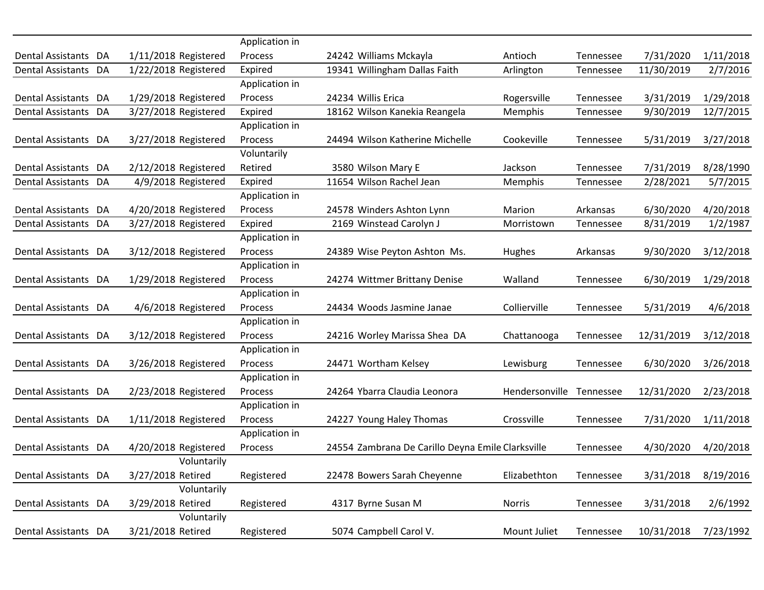|                                |                      | Application in |                                                   |                |           |            |           |
|--------------------------------|----------------------|----------------|---------------------------------------------------|----------------|-----------|------------|-----------|
| Dental Assistants DA           | 1/11/2018 Registered | Process        | 24242 Williams Mckayla                            | Antioch        | Tennessee | 7/31/2020  | 1/11/2018 |
| Dental Assistants DA           | 1/22/2018 Registered | Expired        | 19341 Willingham Dallas Faith                     | Arlington      | Tennessee | 11/30/2019 | 2/7/2016  |
|                                |                      | Application in |                                                   |                |           |            |           |
| Dental Assistants DA           | 1/29/2018 Registered | Process        | 24234 Willis Erica                                | Rogersville    | Tennessee | 3/31/2019  | 1/29/2018 |
| <b>Dental Assistants</b><br>DA | 3/27/2018 Registered | Expired        | 18162 Wilson Kanekia Reangela                     | Memphis        | Tennessee | 9/30/2019  | 12/7/2015 |
|                                |                      | Application in |                                                   |                |           |            |           |
| Dental Assistants DA           | 3/27/2018 Registered | Process        | 24494 Wilson Katherine Michelle                   | Cookeville     | Tennessee | 5/31/2019  | 3/27/2018 |
|                                |                      | Voluntarily    |                                                   |                |           |            |           |
| Dental Assistants DA           | 2/12/2018 Registered | Retired        | 3580 Wilson Mary E                                | Jackson        | Tennessee | 7/31/2019  | 8/28/1990 |
| Dental Assistants DA           | 4/9/2018 Registered  | Expired        | 11654 Wilson Rachel Jean                          | Memphis        | Tennessee | 2/28/2021  | 5/7/2015  |
|                                |                      | Application in |                                                   |                |           |            |           |
| Dental Assistants DA           | 4/20/2018 Registered | Process        | 24578 Winders Ashton Lynn                         | Marion         | Arkansas  | 6/30/2020  | 4/20/2018 |
| Dental Assistants DA           | 3/27/2018 Registered | Expired        | 2169 Winstead Carolyn J                           | Morristown     | Tennessee | 8/31/2019  | 1/2/1987  |
|                                |                      | Application in |                                                   |                |           |            |           |
| Dental Assistants DA           | 3/12/2018 Registered | Process        | 24389 Wise Peyton Ashton Ms.                      | Hughes         | Arkansas  | 9/30/2020  | 3/12/2018 |
|                                |                      | Application in |                                                   |                |           |            |           |
| Dental Assistants DA           | 1/29/2018 Registered | Process        | 24274 Wittmer Brittany Denise                     | Walland        | Tennessee | 6/30/2019  | 1/29/2018 |
|                                |                      | Application in |                                                   |                |           |            |           |
| Dental Assistants DA           | 4/6/2018 Registered  | Process        | 24434 Woods Jasmine Janae                         | Collierville   | Tennessee | 5/31/2019  | 4/6/2018  |
|                                |                      | Application in |                                                   |                |           |            |           |
| Dental Assistants DA           | 3/12/2018 Registered | Process        | 24216 Worley Marissa Shea DA                      | Chattanooga    | Tennessee | 12/31/2019 | 3/12/2018 |
|                                |                      | Application in |                                                   |                |           |            |           |
| Dental Assistants DA           | 3/26/2018 Registered | Process        | 24471 Wortham Kelsey                              | Lewisburg      | Tennessee | 6/30/2020  | 3/26/2018 |
|                                |                      | Application in |                                                   |                |           |            |           |
| Dental Assistants DA           | 2/23/2018 Registered | Process        | 24264 Ybarra Claudia Leonora                      | Hendersonville | Tennessee | 12/31/2020 | 2/23/2018 |
|                                |                      | Application in |                                                   |                |           |            |           |
| Dental Assistants DA           | 1/11/2018 Registered | Process        | 24227 Young Haley Thomas                          | Crossville     | Tennessee | 7/31/2020  | 1/11/2018 |
|                                |                      | Application in |                                                   |                |           |            |           |
| Dental Assistants DA           | 4/20/2018 Registered | Process        | 24554 Zambrana De Carillo Deyna Emile Clarksville |                | Tennessee | 4/30/2020  | 4/20/2018 |
|                                | Voluntarily          |                |                                                   |                |           |            |           |
| Dental Assistants DA           | 3/27/2018 Retired    | Registered     | 22478 Bowers Sarah Cheyenne                       | Elizabethton   | Tennessee | 3/31/2018  | 8/19/2016 |
|                                | Voluntarily          |                |                                                   |                |           |            |           |
| Dental Assistants DA           | 3/29/2018 Retired    | Registered     | 4317 Byrne Susan M                                | Norris         | Tennessee | 3/31/2018  | 2/6/1992  |
|                                | Voluntarily          |                |                                                   |                |           |            |           |
| Dental Assistants DA           | 3/21/2018 Retired    | Registered     | 5074 Campbell Carol V.                            | Mount Juliet   | Tennessee | 10/31/2018 | 7/23/1992 |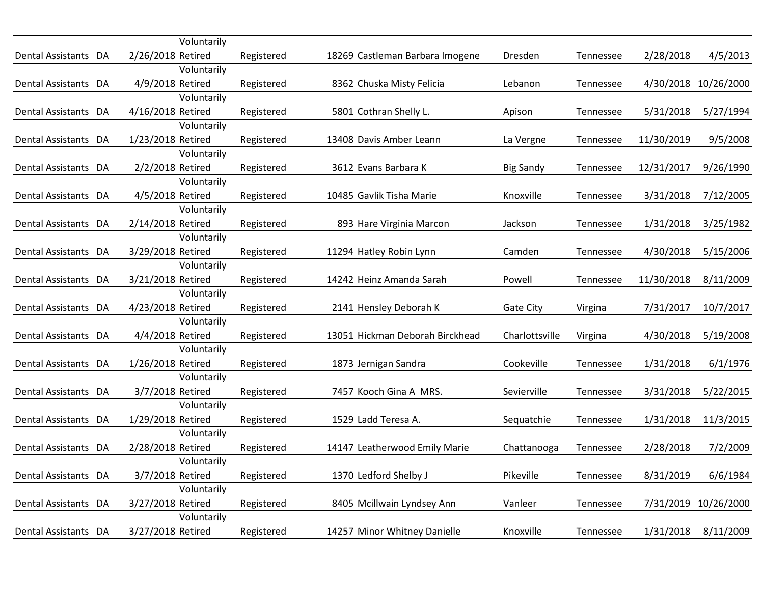|                      |                   | Voluntarily |            |                                 |                  |           |            |                      |
|----------------------|-------------------|-------------|------------|---------------------------------|------------------|-----------|------------|----------------------|
| Dental Assistants DA | 2/26/2018 Retired |             | Registered | 18269 Castleman Barbara Imogene | Dresden          | Tennessee | 2/28/2018  | 4/5/2013             |
| Dental Assistants DA | 4/9/2018 Retired  | Voluntarily | Registered | 8362 Chuska Misty Felicia       | Lebanon          | Tennessee |            | 4/30/2018 10/26/2000 |
|                      |                   | Voluntarily |            |                                 |                  |           |            |                      |
| Dental Assistants DA | 4/16/2018 Retired |             | Registered | 5801 Cothran Shelly L.          | Apison           | Tennessee | 5/31/2018  | 5/27/1994            |
|                      |                   | Voluntarily |            |                                 |                  |           |            |                      |
| Dental Assistants DA | 1/23/2018 Retired |             | Registered | 13408 Davis Amber Leann         | La Vergne        | Tennessee | 11/30/2019 | 9/5/2008             |
|                      |                   | Voluntarily |            |                                 |                  |           |            |                      |
| Dental Assistants DA | 2/2/2018 Retired  |             | Registered | 3612 Evans Barbara K            | <b>Big Sandy</b> | Tennessee | 12/31/2017 | 9/26/1990            |
|                      |                   | Voluntarily |            |                                 |                  |           |            |                      |
| Dental Assistants DA | 4/5/2018 Retired  |             | Registered | 10485 Gavlik Tisha Marie        | Knoxville        | Tennessee | 3/31/2018  | 7/12/2005            |
|                      |                   | Voluntarily |            |                                 |                  |           |            |                      |
| Dental Assistants DA | 2/14/2018 Retired |             | Registered | 893 Hare Virginia Marcon        | Jackson          | Tennessee | 1/31/2018  | 3/25/1982            |
|                      |                   | Voluntarily |            |                                 |                  |           |            |                      |
| Dental Assistants DA | 3/29/2018 Retired |             | Registered | 11294 Hatley Robin Lynn         | Camden           | Tennessee | 4/30/2018  | 5/15/2006            |
|                      |                   | Voluntarily |            |                                 |                  |           |            |                      |
| Dental Assistants DA | 3/21/2018 Retired |             | Registered | 14242 Heinz Amanda Sarah        | Powell           | Tennessee | 11/30/2018 | 8/11/2009            |
|                      |                   | Voluntarily |            |                                 |                  |           |            |                      |
| Dental Assistants DA | 4/23/2018 Retired |             | Registered | 2141 Hensley Deborah K          | <b>Gate City</b> | Virgina   | 7/31/2017  | 10/7/2017            |
|                      |                   | Voluntarily |            |                                 |                  |           |            |                      |
| Dental Assistants DA | 4/4/2018 Retired  |             | Registered | 13051 Hickman Deborah Birckhead | Charlottsville   | Virgina   | 4/30/2018  | 5/19/2008            |
|                      |                   | Voluntarily |            |                                 |                  |           |            |                      |
| Dental Assistants DA | 1/26/2018 Retired |             | Registered | 1873 Jernigan Sandra            | Cookeville       | Tennessee | 1/31/2018  | 6/1/1976             |
|                      |                   | Voluntarily |            |                                 |                  |           |            |                      |
| Dental Assistants DA | 3/7/2018 Retired  | Voluntarily | Registered | 7457 Kooch Gina A MRS.          | Sevierville      | Tennessee | 3/31/2018  | 5/22/2015            |
| Dental Assistants DA | 1/29/2018 Retired |             | Registered | 1529 Ladd Teresa A.             | Sequatchie       | Tennessee | 1/31/2018  | 11/3/2015            |
|                      |                   | Voluntarily |            |                                 |                  |           |            |                      |
| Dental Assistants DA | 2/28/2018 Retired |             | Registered | 14147 Leatherwood Emily Marie   | Chattanooga      | Tennessee | 2/28/2018  | 7/2/2009             |
|                      |                   | Voluntarily |            |                                 |                  |           |            |                      |
| Dental Assistants DA | 3/7/2018 Retired  |             | Registered | 1370 Ledford Shelby J           | Pikeville        | Tennessee | 8/31/2019  | 6/6/1984             |
|                      |                   | Voluntarily |            |                                 |                  |           |            |                      |
| Dental Assistants DA | 3/27/2018 Retired |             | Registered | 8405 Mcillwain Lyndsey Ann      | Vanleer          | Tennessee |            | 7/31/2019 10/26/2000 |
|                      |                   | Voluntarily |            |                                 |                  |           |            |                      |
| Dental Assistants DA | 3/27/2018 Retired |             | Registered | 14257 Minor Whitney Danielle    | Knoxville        | Tennessee | 1/31/2018  | 8/11/2009            |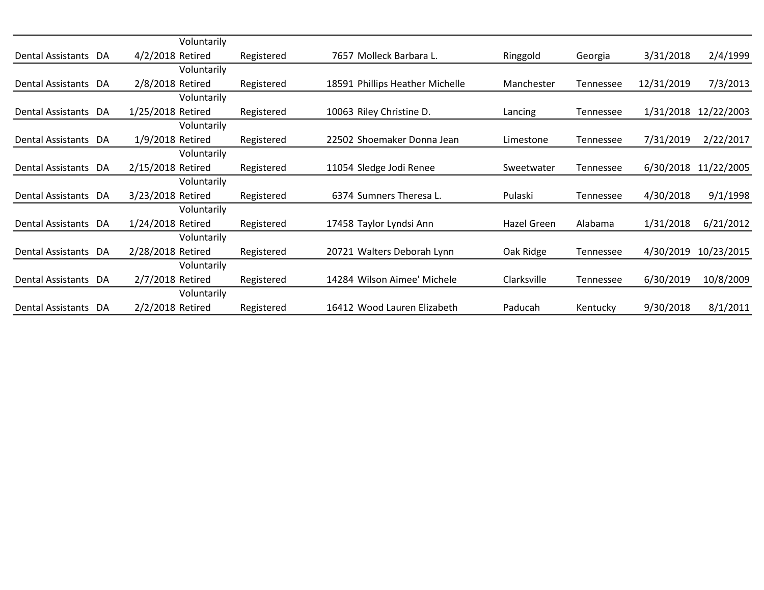|                      | Voluntarily       |            |                                 |             |           |            |            |
|----------------------|-------------------|------------|---------------------------------|-------------|-----------|------------|------------|
| Dental Assistants DA | 4/2/2018 Retired  | Registered | 7657 Molleck Barbara L.         | Ringgold    | Georgia   | 3/31/2018  | 2/4/1999   |
|                      | Voluntarily       |            |                                 |             |           |            |            |
| Dental Assistants DA | 2/8/2018 Retired  | Registered | 18591 Phillips Heather Michelle | Manchester  | Tennessee | 12/31/2019 | 7/3/2013   |
|                      | Voluntarily       |            |                                 |             |           |            |            |
| Dental Assistants DA | 1/25/2018 Retired | Registered | 10063 Riley Christine D.        | Lancing     | Tennessee | 1/31/2018  | 12/22/2003 |
|                      | Voluntarily       |            |                                 |             |           |            |            |
| Dental Assistants DA | 1/9/2018 Retired  | Registered | 22502 Shoemaker Donna Jean      | Limestone   | Tennessee | 7/31/2019  | 2/22/2017  |
|                      | Voluntarily       |            |                                 |             |           |            |            |
| Dental Assistants DA | 2/15/2018 Retired | Registered | 11054 Sledge Jodi Renee         | Sweetwater  | Tennessee | 6/30/2018  | 11/22/2005 |
|                      | Voluntarily       |            |                                 |             |           |            |            |
| Dental Assistants DA | 3/23/2018 Retired | Registered | 6374 Sumners Theresa L.         | Pulaski     | Tennessee | 4/30/2018  | 9/1/1998   |
|                      | Voluntarily       |            |                                 |             |           |            |            |
| Dental Assistants DA | 1/24/2018 Retired | Registered | 17458 Taylor Lyndsi Ann         | Hazel Green | Alabama   | 1/31/2018  | 6/21/2012  |
|                      | Voluntarily       |            |                                 |             |           |            |            |
| Dental Assistants DA | 2/28/2018 Retired | Registered | 20721 Walters Deborah Lynn      | Oak Ridge   | Tennessee | 4/30/2019  | 10/23/2015 |
|                      | Voluntarily       |            |                                 |             |           |            |            |
| Dental Assistants DA | 2/7/2018 Retired  | Registered | 14284 Wilson Aimee' Michele     | Clarksville | Tennessee | 6/30/2019  | 10/8/2009  |
|                      | Voluntarily       |            |                                 |             |           |            |            |
| Dental Assistants DA | 2/2/2018 Retired  | Registered | 16412 Wood Lauren Elizabeth     | Paducah     | Kentucky  | 9/30/2018  | 8/1/2011   |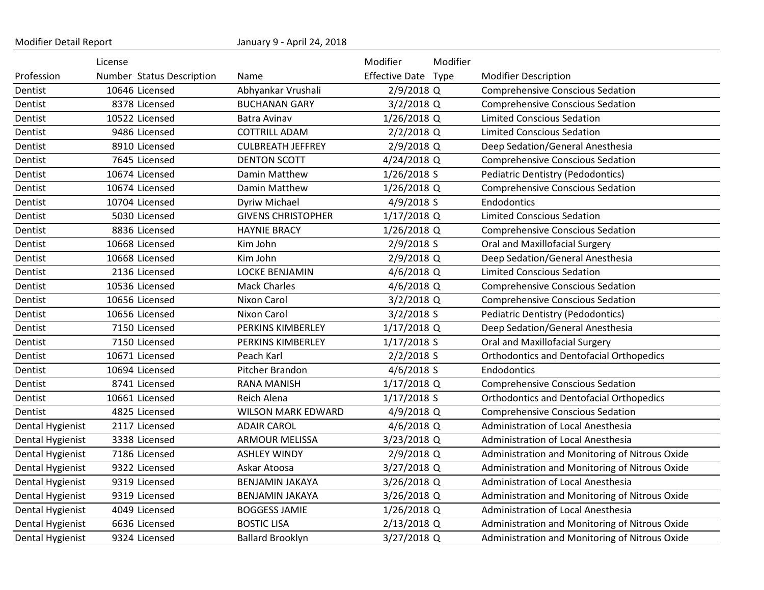| Modifier Detail Report |                           | January 9 - April 24, 2018 |                       |          |                                                 |
|------------------------|---------------------------|----------------------------|-----------------------|----------|-------------------------------------------------|
|                        | License                   |                            | Modifier              | Modifier |                                                 |
| Profession             | Number Status Description | Name                       | <b>Effective Date</b> | Type     | <b>Modifier Description</b>                     |
| Dentist                | 10646 Licensed            | Abhyankar Vrushali         | 2/9/2018 Q            |          | <b>Comprehensive Conscious Sedation</b>         |
| Dentist                | 8378 Licensed             | <b>BUCHANAN GARY</b>       | 3/2/2018 Q            |          | <b>Comprehensive Conscious Sedation</b>         |
| Dentist                | 10522 Licensed            | Batra Avinav               | 1/26/2018 Q           |          | <b>Limited Conscious Sedation</b>               |
| Dentist                | 9486 Licensed             | <b>COTTRILL ADAM</b>       | $2/2/2018$ Q          |          | <b>Limited Conscious Sedation</b>               |
| Dentist                | 8910 Licensed             | <b>CULBREATH JEFFREY</b>   | 2/9/2018 Q            |          | Deep Sedation/General Anesthesia                |
| Dentist                | 7645 Licensed             | <b>DENTON SCOTT</b>        | 4/24/2018 Q           |          | <b>Comprehensive Conscious Sedation</b>         |
| Dentist                | 10674 Licensed            | Damin Matthew              | 1/26/2018 S           |          | <b>Pediatric Dentistry (Pedodontics)</b>        |
| Dentist                | 10674 Licensed            | Damin Matthew              | $1/26/2018$ Q         |          | <b>Comprehensive Conscious Sedation</b>         |
| Dentist                | 10704 Licensed            | Dyriw Michael              | 4/9/2018 S            |          | Endodontics                                     |
| Dentist                | 5030 Licensed             | <b>GIVENS CHRISTOPHER</b>  | 1/17/2018 Q           |          | <b>Limited Conscious Sedation</b>               |
| Dentist                | 8836 Licensed             | <b>HAYNIE BRACY</b>        | 1/26/2018 Q           |          | <b>Comprehensive Conscious Sedation</b>         |
| Dentist                | 10668 Licensed            | Kim John                   | 2/9/2018 S            |          | Oral and Maxillofacial Surgery                  |
| Dentist                | 10668 Licensed            | Kim John                   | 2/9/2018 Q            |          | Deep Sedation/General Anesthesia                |
| Dentist                | 2136 Licensed             | <b>LOCKE BENJAMIN</b>      | 4/6/2018 Q            |          | <b>Limited Conscious Sedation</b>               |
| Dentist                | 10536 Licensed            | <b>Mack Charles</b>        | 4/6/2018 Q            |          | <b>Comprehensive Conscious Sedation</b>         |
| Dentist                | 10656 Licensed            | Nixon Carol                | 3/2/2018 Q            |          | <b>Comprehensive Conscious Sedation</b>         |
| Dentist                | 10656 Licensed            | Nixon Carol                | $3/2/2018$ S          |          | <b>Pediatric Dentistry (Pedodontics)</b>        |
| Dentist                | 7150 Licensed             | PERKINS KIMBERLEY          | 1/17/2018 Q           |          | Deep Sedation/General Anesthesia                |
| Dentist                | 7150 Licensed             | PERKINS KIMBERLEY          | $1/17/2018$ S         |          | Oral and Maxillofacial Surgery                  |
| Dentist                | 10671 Licensed            | Peach Karl                 | $2/2/2018$ S          |          | <b>Orthodontics and Dentofacial Orthopedics</b> |
| Dentist                | 10694 Licensed            | Pitcher Brandon            | 4/6/2018 S            |          | Endodontics                                     |
| Dentist                | 8741 Licensed             | <b>RANA MANISH</b>         | 1/17/2018 Q           |          | <b>Comprehensive Conscious Sedation</b>         |
| Dentist                | 10661 Licensed            | Reich Alena                | $1/17/2018$ S         |          | <b>Orthodontics and Dentofacial Orthopedics</b> |
| Dentist                | 4825 Licensed             | <b>WILSON MARK EDWARD</b>  | 4/9/2018 Q            |          | <b>Comprehensive Conscious Sedation</b>         |
| Dental Hygienist       | 2117 Licensed             | <b>ADAIR CAROL</b>         | 4/6/2018 Q            |          | Administration of Local Anesthesia              |
| Dental Hygienist       | 3338 Licensed             | <b>ARMOUR MELISSA</b>      | 3/23/2018 Q           |          | Administration of Local Anesthesia              |
| Dental Hygienist       | 7186 Licensed             | <b>ASHLEY WINDY</b>        | 2/9/2018 Q            |          | Administration and Monitoring of Nitrous Oxide  |
| Dental Hygienist       | 9322 Licensed             | Askar Atoosa               | 3/27/2018 Q           |          | Administration and Monitoring of Nitrous Oxide  |
| Dental Hygienist       | 9319 Licensed             | BENJAMIN JAKAYA            | 3/26/2018 Q           |          | Administration of Local Anesthesia              |
| Dental Hygienist       | 9319 Licensed             | BENJAMIN JAKAYA            | 3/26/2018 Q           |          | Administration and Monitoring of Nitrous Oxide  |
| Dental Hygienist       | 4049 Licensed             | <b>BOGGESS JAMIE</b>       | 1/26/2018 Q           |          | Administration of Local Anesthesia              |
| Dental Hygienist       | 6636 Licensed             | <b>BOSTIC LISA</b>         | 2/13/2018 Q           |          | Administration and Monitoring of Nitrous Oxide  |
| Dental Hygienist       | 9324 Licensed             | <b>Ballard Brooklyn</b>    | 3/27/2018 Q           |          | Administration and Monitoring of Nitrous Oxide  |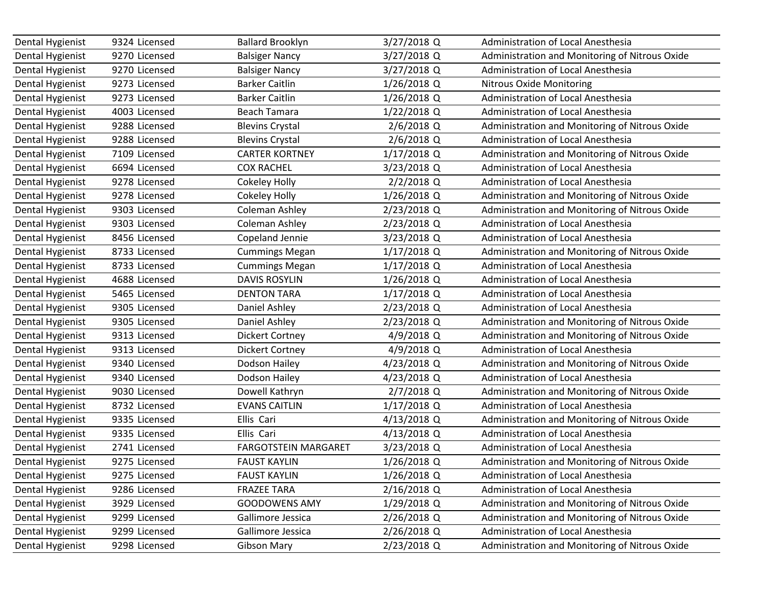| Dental Hygienist | 9324 Licensed | <b>Ballard Brooklyn</b>     | 3/27/2018 Q   | Administration of Local Anesthesia             |
|------------------|---------------|-----------------------------|---------------|------------------------------------------------|
| Dental Hygienist | 9270 Licensed | <b>Balsiger Nancy</b>       | 3/27/2018 Q   | Administration and Monitoring of Nitrous Oxide |
| Dental Hygienist | 9270 Licensed | <b>Balsiger Nancy</b>       | 3/27/2018 Q   | <b>Administration of Local Anesthesia</b>      |
| Dental Hygienist | 9273 Licensed | <b>Barker Caitlin</b>       | 1/26/2018 Q   | <b>Nitrous Oxide Monitoring</b>                |
| Dental Hygienist | 9273 Licensed | <b>Barker Caitlin</b>       | 1/26/2018 Q   | Administration of Local Anesthesia             |
| Dental Hygienist | 4003 Licensed | <b>Beach Tamara</b>         | 1/22/2018 Q   | Administration of Local Anesthesia             |
| Dental Hygienist | 9288 Licensed | <b>Blevins Crystal</b>      | 2/6/2018 Q    | Administration and Monitoring of Nitrous Oxide |
| Dental Hygienist | 9288 Licensed | <b>Blevins Crystal</b>      | 2/6/2018 Q    | Administration of Local Anesthesia             |
| Dental Hygienist | 7109 Licensed | <b>CARTER KORTNEY</b>       | 1/17/2018 Q   | Administration and Monitoring of Nitrous Oxide |
| Dental Hygienist | 6694 Licensed | <b>COX RACHEL</b>           | 3/23/2018 Q   | Administration of Local Anesthesia             |
| Dental Hygienist | 9278 Licensed | Cokeley Holly               | 2/2/2018 Q    | Administration of Local Anesthesia             |
| Dental Hygienist | 9278 Licensed | Cokeley Holly               | 1/26/2018 Q   | Administration and Monitoring of Nitrous Oxide |
| Dental Hygienist | 9303 Licensed | Coleman Ashley              | 2/23/2018 Q   | Administration and Monitoring of Nitrous Oxide |
| Dental Hygienist | 9303 Licensed | Coleman Ashley              | 2/23/2018 Q   | Administration of Local Anesthesia             |
| Dental Hygienist | 8456 Licensed | Copeland Jennie             | 3/23/2018 Q   | Administration of Local Anesthesia             |
| Dental Hygienist | 8733 Licensed | <b>Cummings Megan</b>       | $1/17/2018$ Q | Administration and Monitoring of Nitrous Oxide |
| Dental Hygienist | 8733 Licensed | <b>Cummings Megan</b>       | 1/17/2018 Q   | Administration of Local Anesthesia             |
| Dental Hygienist | 4688 Licensed | <b>DAVIS ROSYLIN</b>        | 1/26/2018 Q   | Administration of Local Anesthesia             |
| Dental Hygienist | 5465 Licensed | <b>DENTON TARA</b>          | $1/17/2018$ Q | Administration of Local Anesthesia             |
| Dental Hygienist | 9305 Licensed | Daniel Ashley               | 2/23/2018 Q   | Administration of Local Anesthesia             |
| Dental Hygienist | 9305 Licensed | Daniel Ashley               | 2/23/2018 Q   | Administration and Monitoring of Nitrous Oxide |
| Dental Hygienist | 9313 Licensed | <b>Dickert Cortney</b>      | 4/9/2018 Q    | Administration and Monitoring of Nitrous Oxide |
| Dental Hygienist | 9313 Licensed | <b>Dickert Cortney</b>      | 4/9/2018 Q    | Administration of Local Anesthesia             |
| Dental Hygienist | 9340 Licensed | Dodson Hailey               | 4/23/2018 Q   | Administration and Monitoring of Nitrous Oxide |
| Dental Hygienist | 9340 Licensed | Dodson Hailey               | 4/23/2018 Q   | Administration of Local Anesthesia             |
| Dental Hygienist | 9030 Licensed | Dowell Kathryn              | 2/7/2018 Q    | Administration and Monitoring of Nitrous Oxide |
| Dental Hygienist | 8732 Licensed | <b>EVANS CAITLIN</b>        | $1/17/2018$ Q | Administration of Local Anesthesia             |
| Dental Hygienist | 9335 Licensed | Ellis Cari                  | 4/13/2018 Q   | Administration and Monitoring of Nitrous Oxide |
| Dental Hygienist | 9335 Licensed | Ellis Cari                  | 4/13/2018 Q   | Administration of Local Anesthesia             |
| Dental Hygienist | 2741 Licensed | <b>FARGOTSTEIN MARGARET</b> | 3/23/2018 Q   | Administration of Local Anesthesia             |
| Dental Hygienist | 9275 Licensed | <b>FAUST KAYLIN</b>         | 1/26/2018 Q   | Administration and Monitoring of Nitrous Oxide |
| Dental Hygienist | 9275 Licensed | <b>FAUST KAYLIN</b>         | 1/26/2018 Q   | Administration of Local Anesthesia             |
| Dental Hygienist | 9286 Licensed | <b>FRAZEE TARA</b>          | 2/16/2018 Q   | Administration of Local Anesthesia             |
| Dental Hygienist | 3929 Licensed | <b>GOODOWENS AMY</b>        | 1/29/2018 Q   | Administration and Monitoring of Nitrous Oxide |
| Dental Hygienist | 9299 Licensed | Gallimore Jessica           | 2/26/2018 Q   | Administration and Monitoring of Nitrous Oxide |
| Dental Hygienist | 9299 Licensed | Gallimore Jessica           | 2/26/2018 Q   | Administration of Local Anesthesia             |
| Dental Hygienist | 9298 Licensed | <b>Gibson Mary</b>          | 2/23/2018 Q   | Administration and Monitoring of Nitrous Oxide |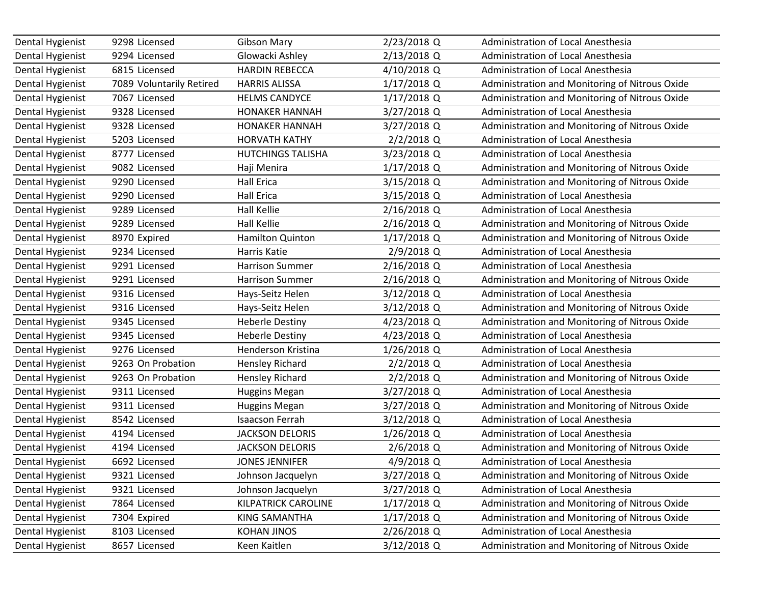| Dental Hygienist | 9298 Licensed            | <b>Gibson Mary</b>       | 2/23/2018 Q   | Administration of Local Anesthesia             |
|------------------|--------------------------|--------------------------|---------------|------------------------------------------------|
| Dental Hygienist | 9294 Licensed            | Glowacki Ashley          | 2/13/2018 Q   | Administration of Local Anesthesia             |
| Dental Hygienist | 6815 Licensed            | <b>HARDIN REBECCA</b>    | 4/10/2018 Q   | <b>Administration of Local Anesthesia</b>      |
| Dental Hygienist | 7089 Voluntarily Retired | <b>HARRIS ALISSA</b>     | $1/17/2018$ Q | Administration and Monitoring of Nitrous Oxide |
| Dental Hygienist | 7067 Licensed            | <b>HELMS CANDYCE</b>     | 1/17/2018 Q   | Administration and Monitoring of Nitrous Oxide |
| Dental Hygienist | 9328 Licensed            | <b>HONAKER HANNAH</b>    | 3/27/2018 Q   | Administration of Local Anesthesia             |
| Dental Hygienist | 9328 Licensed            | <b>HONAKER HANNAH</b>    | 3/27/2018 Q   | Administration and Monitoring of Nitrous Oxide |
| Dental Hygienist | 5203 Licensed            | <b>HORVATH KATHY</b>     | 2/2/2018 Q    | Administration of Local Anesthesia             |
| Dental Hygienist | 8777 Licensed            | <b>HUTCHINGS TALISHA</b> | 3/23/2018 Q   | Administration of Local Anesthesia             |
| Dental Hygienist | 9082 Licensed            | Haji Menira              | $1/17/2018$ Q | Administration and Monitoring of Nitrous Oxide |
| Dental Hygienist | 9290 Licensed            | <b>Hall Erica</b>        | 3/15/2018 Q   | Administration and Monitoring of Nitrous Oxide |
| Dental Hygienist | 9290 Licensed            | <b>Hall Erica</b>        | 3/15/2018 Q   | Administration of Local Anesthesia             |
| Dental Hygienist | 9289 Licensed            | <b>Hall Kellie</b>       | 2/16/2018 Q   | Administration of Local Anesthesia             |
| Dental Hygienist | 9289 Licensed            | <b>Hall Kellie</b>       | 2/16/2018 Q   | Administration and Monitoring of Nitrous Oxide |
| Dental Hygienist | 8970 Expired             | Hamilton Quinton         | 1/17/2018 Q   | Administration and Monitoring of Nitrous Oxide |
| Dental Hygienist | 9234 Licensed            | Harris Katie             | 2/9/2018 Q    | Administration of Local Anesthesia             |
| Dental Hygienist | 9291 Licensed            | <b>Harrison Summer</b>   | 2/16/2018 Q   | Administration of Local Anesthesia             |
| Dental Hygienist | 9291 Licensed            | <b>Harrison Summer</b>   | 2/16/2018 Q   | Administration and Monitoring of Nitrous Oxide |
| Dental Hygienist | 9316 Licensed            | Hays-Seitz Helen         | 3/12/2018 Q   | Administration of Local Anesthesia             |
| Dental Hygienist | 9316 Licensed            | Hays-Seitz Helen         | 3/12/2018 Q   | Administration and Monitoring of Nitrous Oxide |
| Dental Hygienist | 9345 Licensed            | <b>Heberle Destiny</b>   | 4/23/2018 Q   | Administration and Monitoring of Nitrous Oxide |
| Dental Hygienist | 9345 Licensed            | <b>Heberle Destiny</b>   | 4/23/2018 Q   | <b>Administration of Local Anesthesia</b>      |
| Dental Hygienist | 9276 Licensed            | Henderson Kristina       | 1/26/2018 Q   | Administration of Local Anesthesia             |
| Dental Hygienist | 9263 On Probation        | <b>Hensley Richard</b>   | $2/2/2018$ Q  | Administration of Local Anesthesia             |
| Dental Hygienist | 9263 On Probation        | <b>Hensley Richard</b>   | 2/2/2018 Q    | Administration and Monitoring of Nitrous Oxide |
| Dental Hygienist | 9311 Licensed            | <b>Huggins Megan</b>     | 3/27/2018 Q   | Administration of Local Anesthesia             |
| Dental Hygienist | 9311 Licensed            | <b>Huggins Megan</b>     | 3/27/2018 Q   | Administration and Monitoring of Nitrous Oxide |
| Dental Hygienist | 8542 Licensed            | <b>Isaacson Ferrah</b>   | 3/12/2018 Q   | Administration of Local Anesthesia             |
| Dental Hygienist | 4194 Licensed            | <b>JACKSON DELORIS</b>   | $1/26/2018$ Q | <b>Administration of Local Anesthesia</b>      |
| Dental Hygienist | 4194 Licensed            | <b>JACKSON DELORIS</b>   | 2/6/2018 Q    | Administration and Monitoring of Nitrous Oxide |
| Dental Hygienist | 6692 Licensed            | <b>JONES JENNIFER</b>    | 4/9/2018 Q    | Administration of Local Anesthesia             |
| Dental Hygienist | 9321 Licensed            | Johnson Jacquelyn        | 3/27/2018 Q   | Administration and Monitoring of Nitrous Oxide |
| Dental Hygienist | 9321 Licensed            | Johnson Jacquelyn        | 3/27/2018 Q   | Administration of Local Anesthesia             |
| Dental Hygienist | 7864 Licensed            | KILPATRICK CAROLINE      | $1/17/2018$ Q | Administration and Monitoring of Nitrous Oxide |
| Dental Hygienist | 7304 Expired             | KING SAMANTHA            | 1/17/2018 Q   | Administration and Monitoring of Nitrous Oxide |
| Dental Hygienist | 8103 Licensed            | <b>KOHAN JINOS</b>       | 2/26/2018 Q   | Administration of Local Anesthesia             |
| Dental Hygienist | 8657 Licensed            | Keen Kaitlen             | 3/12/2018 Q   | Administration and Monitoring of Nitrous Oxide |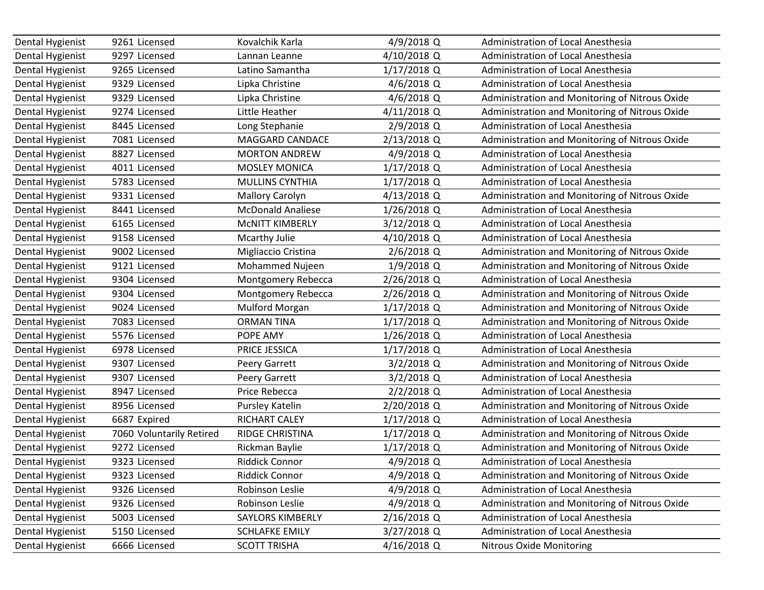| Dental Hygienist | 9261 Licensed            | Kovalchik Karla          | 4/9/2018 Q    | Administration of Local Anesthesia             |
|------------------|--------------------------|--------------------------|---------------|------------------------------------------------|
| Dental Hygienist | 9297 Licensed            | Lannan Leanne            | 4/10/2018 Q   | Administration of Local Anesthesia             |
| Dental Hygienist | 9265 Licensed            | Latino Samantha          | $1/17/2018$ Q | Administration of Local Anesthesia             |
| Dental Hygienist | 9329 Licensed            | Lipka Christine          | 4/6/2018 Q    | Administration of Local Anesthesia             |
| Dental Hygienist | 9329 Licensed            | Lipka Christine          | 4/6/2018 Q    | Administration and Monitoring of Nitrous Oxide |
| Dental Hygienist | 9274 Licensed            | Little Heather           | 4/11/2018 Q   | Administration and Monitoring of Nitrous Oxide |
| Dental Hygienist | 8445 Licensed            | Long Stephanie           | 2/9/2018 Q    | Administration of Local Anesthesia             |
| Dental Hygienist | 7081 Licensed            | MAGGARD CANDACE          | 2/13/2018 Q   | Administration and Monitoring of Nitrous Oxide |
| Dental Hygienist | 8827 Licensed            | <b>MORTON ANDREW</b>     | 4/9/2018 Q    | Administration of Local Anesthesia             |
| Dental Hygienist | 4011 Licensed            | <b>MOSLEY MONICA</b>     | $1/17/2018$ Q | <b>Administration of Local Anesthesia</b>      |
| Dental Hygienist | 5783 Licensed            | MULLINS CYNTHIA          | 1/17/2018 Q   | Administration of Local Anesthesia             |
| Dental Hygienist | 9331 Licensed            | <b>Mallory Carolyn</b>   | 4/13/2018 Q   | Administration and Monitoring of Nitrous Oxide |
| Dental Hygienist | 8441 Licensed            | <b>McDonald Analiese</b> | 1/26/2018 Q   | Administration of Local Anesthesia             |
| Dental Hygienist | 6165 Licensed            | <b>MCNITT KIMBERLY</b>   | 3/12/2018 Q   | Administration of Local Anesthesia             |
| Dental Hygienist | 9158 Licensed            | Mcarthy Julie            | 4/10/2018 Q   | Administration of Local Anesthesia             |
| Dental Hygienist | 9002 Licensed            | Migliaccio Cristina      | 2/6/2018 Q    | Administration and Monitoring of Nitrous Oxide |
| Dental Hygienist | 9121 Licensed            | Mohammed Nujeen          | 1/9/2018 Q    | Administration and Monitoring of Nitrous Oxide |
| Dental Hygienist | 9304 Licensed            | Montgomery Rebecca       | 2/26/2018 Q   | Administration of Local Anesthesia             |
| Dental Hygienist | 9304 Licensed            | Montgomery Rebecca       | 2/26/2018 Q   | Administration and Monitoring of Nitrous Oxide |
| Dental Hygienist | 9024 Licensed            | Mulford Morgan           | $1/17/2018$ Q | Administration and Monitoring of Nitrous Oxide |
| Dental Hygienist | 7083 Licensed            | <b>ORMAN TINA</b>        | $1/17/2018$ Q | Administration and Monitoring of Nitrous Oxide |
| Dental Hygienist | 5576 Licensed            | POPE AMY                 | $1/26/2018$ Q | Administration of Local Anesthesia             |
| Dental Hygienist | 6978 Licensed            | PRICE JESSICA            | 1/17/2018 Q   | Administration of Local Anesthesia             |
| Dental Hygienist | 9307 Licensed            | Peery Garrett            | $3/2/2018$ Q  | Administration and Monitoring of Nitrous Oxide |
| Dental Hygienist | 9307 Licensed            | Peery Garrett            | 3/2/2018 Q    | Administration of Local Anesthesia             |
| Dental Hygienist | 8947 Licensed            | Price Rebecca            | 2/2/2018 Q    | Administration of Local Anesthesia             |
| Dental Hygienist | 8956 Licensed            | Pursley Katelin          | 2/20/2018 Q   | Administration and Monitoring of Nitrous Oxide |
| Dental Hygienist | 6687 Expired             | RICHART CALEY            | 1/17/2018 Q   | Administration of Local Anesthesia             |
| Dental Hygienist | 7060 Voluntarily Retired | <b>RIDGE CHRISTINA</b>   | 1/17/2018 Q   | Administration and Monitoring of Nitrous Oxide |
| Dental Hygienist | 9272 Licensed            | Rickman Baylie           | 1/17/2018 Q   | Administration and Monitoring of Nitrous Oxide |
| Dental Hygienist | 9323 Licensed            | <b>Riddick Connor</b>    | 4/9/2018 Q    | Administration of Local Anesthesia             |
| Dental Hygienist | 9323 Licensed            | <b>Riddick Connor</b>    | 4/9/2018 Q    | Administration and Monitoring of Nitrous Oxide |
| Dental Hygienist | 9326 Licensed            | Robinson Leslie          | 4/9/2018 Q    | Administration of Local Anesthesia             |
| Dental Hygienist | 9326 Licensed            | Robinson Leslie          | 4/9/2018 Q    | Administration and Monitoring of Nitrous Oxide |
| Dental Hygienist | 5003 Licensed            | SAYLORS KIMBERLY         | 2/16/2018 Q   | Administration of Local Anesthesia             |
| Dental Hygienist | 5150 Licensed            | <b>SCHLAFKE EMILY</b>    | 3/27/2018 Q   | Administration of Local Anesthesia             |
| Dental Hygienist | 6666 Licensed            | <b>SCOTT TRISHA</b>      | 4/16/2018 Q   | <b>Nitrous Oxide Monitoring</b>                |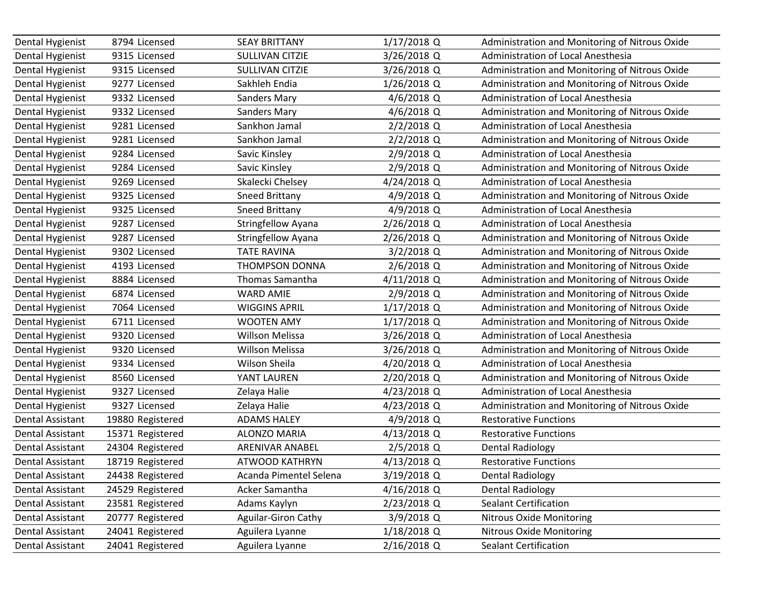| Dental Hygienist        | 8794 Licensed    | <b>SEAY BRITTANY</b>   | $1/17/2018$ Q | Administration and Monitoring of Nitrous Oxide |
|-------------------------|------------------|------------------------|---------------|------------------------------------------------|
| Dental Hygienist        | 9315 Licensed    | <b>SULLIVAN CITZIE</b> | 3/26/2018 Q   | Administration of Local Anesthesia             |
| Dental Hygienist        | 9315 Licensed    | <b>SULLIVAN CITZIE</b> | 3/26/2018 Q   | Administration and Monitoring of Nitrous Oxide |
| Dental Hygienist        | 9277 Licensed    | Sakhleh Endia          | 1/26/2018 Q   | Administration and Monitoring of Nitrous Oxide |
| Dental Hygienist        | 9332 Licensed    | <b>Sanders Mary</b>    | 4/6/2018 Q    | Administration of Local Anesthesia             |
| Dental Hygienist        | 9332 Licensed    | <b>Sanders Mary</b>    | 4/6/2018 Q    | Administration and Monitoring of Nitrous Oxide |
| Dental Hygienist        | 9281 Licensed    | Sankhon Jamal          | $2/2/2018$ Q  | Administration of Local Anesthesia             |
| Dental Hygienist        | 9281 Licensed    | Sankhon Jamal          | $2/2/2018$ Q  | Administration and Monitoring of Nitrous Oxide |
| Dental Hygienist        | 9284 Licensed    | Savic Kinsley          | 2/9/2018 Q    | Administration of Local Anesthesia             |
| Dental Hygienist        | 9284 Licensed    | Savic Kinsley          | 2/9/2018 Q    | Administration and Monitoring of Nitrous Oxide |
| Dental Hygienist        | 9269 Licensed    | Skalecki Chelsey       | 4/24/2018 Q   | Administration of Local Anesthesia             |
| Dental Hygienist        | 9325 Licensed    | Sneed Brittany         | 4/9/2018 Q    | Administration and Monitoring of Nitrous Oxide |
| Dental Hygienist        | 9325 Licensed    | Sneed Brittany         | 4/9/2018 Q    | Administration of Local Anesthesia             |
| Dental Hygienist        | 9287 Licensed    | Stringfellow Ayana     | 2/26/2018 Q   | Administration of Local Anesthesia             |
| Dental Hygienist        | 9287 Licensed    | Stringfellow Ayana     | 2/26/2018 Q   | Administration and Monitoring of Nitrous Oxide |
| Dental Hygienist        | 9302 Licensed    | <b>TATE RAVINA</b>     | 3/2/2018 Q    | Administration and Monitoring of Nitrous Oxide |
| Dental Hygienist        | 4193 Licensed    | <b>THOMPSON DONNA</b>  | 2/6/2018 Q    | Administration and Monitoring of Nitrous Oxide |
| Dental Hygienist        | 8884 Licensed    | Thomas Samantha        | 4/11/2018 Q   | Administration and Monitoring of Nitrous Oxide |
| Dental Hygienist        | 6874 Licensed    | <b>WARD AMIE</b>       | 2/9/2018 Q    | Administration and Monitoring of Nitrous Oxide |
| Dental Hygienist        | 7064 Licensed    | <b>WIGGINS APRIL</b>   | $1/17/2018$ Q | Administration and Monitoring of Nitrous Oxide |
| Dental Hygienist        | 6711 Licensed    | <b>WOOTEN AMY</b>      | 1/17/2018 Q   | Administration and Monitoring of Nitrous Oxide |
| Dental Hygienist        | 9320 Licensed    | <b>Willson Melissa</b> | 3/26/2018 Q   | Administration of Local Anesthesia             |
| Dental Hygienist        | 9320 Licensed    | <b>Willson Melissa</b> | 3/26/2018 Q   | Administration and Monitoring of Nitrous Oxide |
| Dental Hygienist        | 9334 Licensed    | Wilson Sheila          | 4/20/2018 Q   | Administration of Local Anesthesia             |
| Dental Hygienist        | 8560 Licensed    | YANT LAUREN            | 2/20/2018 Q   | Administration and Monitoring of Nitrous Oxide |
| Dental Hygienist        | 9327 Licensed    | Zelaya Halie           | 4/23/2018 Q   | Administration of Local Anesthesia             |
| Dental Hygienist        | 9327 Licensed    | Zelaya Halie           | 4/23/2018 Q   | Administration and Monitoring of Nitrous Oxide |
| Dental Assistant        | 19880 Registered | <b>ADAMS HALEY</b>     | 4/9/2018 Q    | <b>Restorative Functions</b>                   |
| Dental Assistant        | 15371 Registered | <b>ALONZO MARIA</b>    | 4/13/2018 Q   | <b>Restorative Functions</b>                   |
| Dental Assistant        | 24304 Registered | <b>ARENIVAR ANABEL</b> | 2/5/2018 Q    | <b>Dental Radiology</b>                        |
| Dental Assistant        | 18719 Registered | <b>ATWOOD KATHRYN</b>  | 4/13/2018 Q   | <b>Restorative Functions</b>                   |
| Dental Assistant        | 24438 Registered | Acanda Pimentel Selena | 3/19/2018 Q   | <b>Dental Radiology</b>                        |
| Dental Assistant        | 24529 Registered | Acker Samantha         | 4/16/2018 Q   | <b>Dental Radiology</b>                        |
| Dental Assistant        | 23581 Registered | Adams Kaylyn           | 2/23/2018 Q   | <b>Sealant Certification</b>                   |
| Dental Assistant        | 20777 Registered | Aguilar-Giron Cathy    | 3/9/2018 Q    | <b>Nitrous Oxide Monitoring</b>                |
| <b>Dental Assistant</b> | 24041 Registered | Aguilera Lyanne        | 1/18/2018 Q   | <b>Nitrous Oxide Monitoring</b>                |
| Dental Assistant        | 24041 Registered | Aguilera Lyanne        | 2/16/2018 Q   | <b>Sealant Certification</b>                   |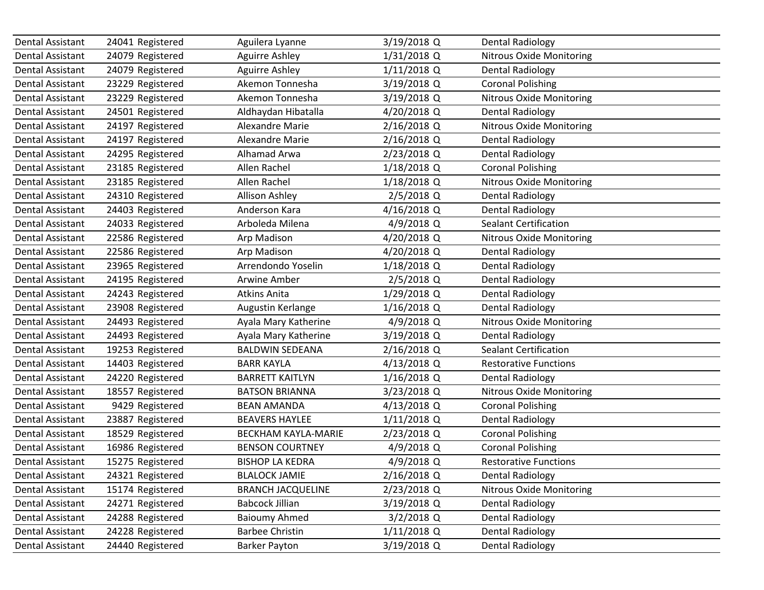| Dental Assistant | 24041 Registered | Aguilera Lyanne            | 3/19/2018 Q   | <b>Dental Radiology</b>         |
|------------------|------------------|----------------------------|---------------|---------------------------------|
| Dental Assistant | 24079 Registered | <b>Aguirre Ashley</b>      | 1/31/2018 Q   | <b>Nitrous Oxide Monitoring</b> |
| Dental Assistant | 24079 Registered | <b>Aguirre Ashley</b>      | $1/11/2018$ Q | <b>Dental Radiology</b>         |
| Dental Assistant | 23229 Registered | Akemon Tonnesha            | 3/19/2018 Q   | <b>Coronal Polishing</b>        |
| Dental Assistant | 23229 Registered | Akemon Tonnesha            | 3/19/2018 Q   | <b>Nitrous Oxide Monitoring</b> |
| Dental Assistant | 24501 Registered | Aldhaydan Hibatalla        | 4/20/2018 Q   | <b>Dental Radiology</b>         |
| Dental Assistant | 24197 Registered | <b>Alexandre Marie</b>     | 2/16/2018 Q   | Nitrous Oxide Monitoring        |
| Dental Assistant | 24197 Registered | <b>Alexandre Marie</b>     | 2/16/2018 Q   | <b>Dental Radiology</b>         |
| Dental Assistant | 24295 Registered | Alhamad Arwa               | 2/23/2018 Q   | <b>Dental Radiology</b>         |
| Dental Assistant | 23185 Registered | Allen Rachel               | 1/18/2018 Q   | <b>Coronal Polishing</b>        |
| Dental Assistant | 23185 Registered | Allen Rachel               | 1/18/2018 Q   | <b>Nitrous Oxide Monitoring</b> |
| Dental Assistant | 24310 Registered | Allison Ashley             | 2/5/2018 Q    | <b>Dental Radiology</b>         |
| Dental Assistant | 24403 Registered | Anderson Kara              | 4/16/2018 Q   | <b>Dental Radiology</b>         |
| Dental Assistant | 24033 Registered | Arboleda Milena            | 4/9/2018 Q    | <b>Sealant Certification</b>    |
| Dental Assistant | 22586 Registered | Arp Madison                | 4/20/2018 Q   | <b>Nitrous Oxide Monitoring</b> |
| Dental Assistant | 22586 Registered | Arp Madison                | 4/20/2018 Q   | <b>Dental Radiology</b>         |
| Dental Assistant | 23965 Registered | Arrendondo Yoselin         | 1/18/2018 Q   | <b>Dental Radiology</b>         |
| Dental Assistant | 24195 Registered | Arwine Amber               | 2/5/2018 Q    | Dental Radiology                |
| Dental Assistant | 24243 Registered | Atkins Anita               | 1/29/2018 Q   | <b>Dental Radiology</b>         |
| Dental Assistant | 23908 Registered | Augustin Kerlange          | 1/16/2018 Q   | <b>Dental Radiology</b>         |
| Dental Assistant | 24493 Registered | Ayala Mary Katherine       | 4/9/2018 Q    | <b>Nitrous Oxide Monitoring</b> |
| Dental Assistant | 24493 Registered | Ayala Mary Katherine       | 3/19/2018 Q   | <b>Dental Radiology</b>         |
| Dental Assistant | 19253 Registered | <b>BALDWIN SEDEANA</b>     | 2/16/2018 Q   | <b>Sealant Certification</b>    |
| Dental Assistant | 14403 Registered | <b>BARR KAYLA</b>          | 4/13/2018 Q   | <b>Restorative Functions</b>    |
| Dental Assistant | 24220 Registered | <b>BARRETT KAITLYN</b>     | 1/16/2018 Q   | <b>Dental Radiology</b>         |
| Dental Assistant | 18557 Registered | <b>BATSON BRIANNA</b>      | 3/23/2018 Q   | Nitrous Oxide Monitoring        |
| Dental Assistant | 9429 Registered  | <b>BEAN AMANDA</b>         | 4/13/2018 Q   | <b>Coronal Polishing</b>        |
| Dental Assistant | 23887 Registered | <b>BEAVERS HAYLEE</b>      | $1/11/2018$ Q | <b>Dental Radiology</b>         |
| Dental Assistant | 18529 Registered | <b>BECKHAM KAYLA-MARIE</b> | 2/23/2018 Q   | <b>Coronal Polishing</b>        |
| Dental Assistant | 16986 Registered | <b>BENSON COURTNEY</b>     | 4/9/2018 Q    | <b>Coronal Polishing</b>        |
| Dental Assistant | 15275 Registered | <b>BISHOP LA KEDRA</b>     | 4/9/2018 Q    | <b>Restorative Functions</b>    |
| Dental Assistant | 24321 Registered | <b>BLALOCK JAMIE</b>       | 2/16/2018 Q   | <b>Dental Radiology</b>         |
| Dental Assistant | 15174 Registered | <b>BRANCH JACQUELINE</b>   | 2/23/2018 Q   | <b>Nitrous Oxide Monitoring</b> |
| Dental Assistant | 24271 Registered | <b>Babcock Jillian</b>     | 3/19/2018 Q   | <b>Dental Radiology</b>         |
| Dental Assistant | 24288 Registered | <b>Baioumy Ahmed</b>       | $3/2/2018$ Q  | <b>Dental Radiology</b>         |
| Dental Assistant | 24228 Registered | <b>Barbee Christin</b>     | 1/11/2018 Q   | <b>Dental Radiology</b>         |
| Dental Assistant | 24440 Registered | <b>Barker Payton</b>       | 3/19/2018 Q   | <b>Dental Radiology</b>         |
|                  |                  |                            |               |                                 |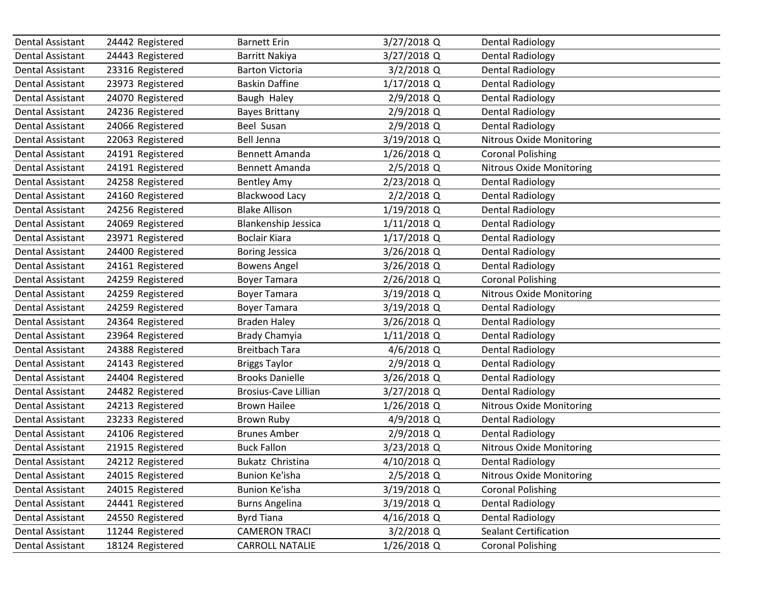| Dental Assistant        | 24442 Registered | <b>Barnett Erin</b>         | 3/27/2018 Q   | <b>Dental Radiology</b>         |  |
|-------------------------|------------------|-----------------------------|---------------|---------------------------------|--|
| Dental Assistant        | 24443 Registered | Barritt Nakiya              | 3/27/2018 Q   | <b>Dental Radiology</b>         |  |
| Dental Assistant        | 23316 Registered | <b>Barton Victoria</b>      | $3/2/2018$ Q  | <b>Dental Radiology</b>         |  |
| Dental Assistant        | 23973 Registered | <b>Baskin Daffine</b>       | 1/17/2018 Q   | <b>Dental Radiology</b>         |  |
| Dental Assistant        | 24070 Registered | Baugh Haley                 | 2/9/2018 Q    | Dental Radiology                |  |
| Dental Assistant        | 24236 Registered | <b>Bayes Brittany</b>       | 2/9/2018 Q    | <b>Dental Radiology</b>         |  |
| Dental Assistant        | 24066 Registered | Beel Susan                  | 2/9/2018 Q    | <b>Dental Radiology</b>         |  |
| Dental Assistant        | 22063 Registered | <b>Bell Jenna</b>           | 3/19/2018 Q   | Nitrous Oxide Monitoring        |  |
| Dental Assistant        | 24191 Registered | Bennett Amanda              | 1/26/2018 Q   | <b>Coronal Polishing</b>        |  |
| Dental Assistant        | 24191 Registered | Bennett Amanda              | 2/5/2018 Q    | <b>Nitrous Oxide Monitoring</b> |  |
| Dental Assistant        | 24258 Registered | <b>Bentley Amy</b>          | 2/23/2018 Q   | <b>Dental Radiology</b>         |  |
| Dental Assistant        | 24160 Registered | Blackwood Lacy              | $2/2/2018$ Q  | <b>Dental Radiology</b>         |  |
| Dental Assistant        | 24256 Registered | <b>Blake Allison</b>        | 1/19/2018 Q   | <b>Dental Radiology</b>         |  |
| Dental Assistant        | 24069 Registered | <b>Blankenship Jessica</b>  | $1/11/2018$ Q | <b>Dental Radiology</b>         |  |
| Dental Assistant        | 23971 Registered | <b>Boclair Kiara</b>        | $1/17/2018$ Q | <b>Dental Radiology</b>         |  |
| Dental Assistant        | 24400 Registered | <b>Boring Jessica</b>       | 3/26/2018 Q   | <b>Dental Radiology</b>         |  |
| Dental Assistant        | 24161 Registered | <b>Bowens Angel</b>         | 3/26/2018 Q   | <b>Dental Radiology</b>         |  |
| Dental Assistant        | 24259 Registered | <b>Boyer Tamara</b>         | 2/26/2018 Q   | <b>Coronal Polishing</b>        |  |
| Dental Assistant        | 24259 Registered | <b>Boyer Tamara</b>         | 3/19/2018 Q   | <b>Nitrous Oxide Monitoring</b> |  |
| Dental Assistant        | 24259 Registered | <b>Boyer Tamara</b>         | 3/19/2018 Q   | <b>Dental Radiology</b>         |  |
| Dental Assistant        | 24364 Registered | <b>Braden Haley</b>         | 3/26/2018 Q   | <b>Dental Radiology</b>         |  |
| Dental Assistant        | 23964 Registered | Brady Chamyia               | $1/11/2018$ Q | <b>Dental Radiology</b>         |  |
| Dental Assistant        | 24388 Registered | <b>Breitbach Tara</b>       | 4/6/2018 Q    | <b>Dental Radiology</b>         |  |
| Dental Assistant        | 24143 Registered | <b>Briggs Taylor</b>        | 2/9/2018 Q    | Dental Radiology                |  |
| Dental Assistant        | 24404 Registered | <b>Brooks Danielle</b>      | 3/26/2018 Q   | <b>Dental Radiology</b>         |  |
| Dental Assistant        | 24482 Registered | <b>Brosius-Cave Lillian</b> | 3/27/2018 Q   | <b>Dental Radiology</b>         |  |
| Dental Assistant        | 24213 Registered | <b>Brown Hailee</b>         | 1/26/2018 Q   | Nitrous Oxide Monitoring        |  |
| Dental Assistant        | 23233 Registered | <b>Brown Ruby</b>           | 4/9/2018 Q    | <b>Dental Radiology</b>         |  |
| Dental Assistant        | 24106 Registered | <b>Brunes Amber</b>         | 2/9/2018 Q    | <b>Dental Radiology</b>         |  |
| <b>Dental Assistant</b> | 21915 Registered | <b>Buck Fallon</b>          | 3/23/2018 Q   | <b>Nitrous Oxide Monitoring</b> |  |
| Dental Assistant        | 24212 Registered | Bukatz Christina            | 4/10/2018 Q   | <b>Dental Radiology</b>         |  |
| Dental Assistant        | 24015 Registered | Bunion Ke'isha              | 2/5/2018 Q    | <b>Nitrous Oxide Monitoring</b> |  |
| Dental Assistant        | 24015 Registered | <b>Bunion Ke'isha</b>       | 3/19/2018 Q   | <b>Coronal Polishing</b>        |  |
| Dental Assistant        | 24441 Registered | <b>Burns Angelina</b>       | 3/19/2018 Q   | <b>Dental Radiology</b>         |  |
| Dental Assistant        | 24550 Registered | <b>Byrd Tiana</b>           | 4/16/2018 Q   | <b>Dental Radiology</b>         |  |
| Dental Assistant        | 11244 Registered | <b>CAMERON TRACI</b>        | $3/2/2018$ Q  | <b>Sealant Certification</b>    |  |
| Dental Assistant        | 18124 Registered | <b>CARROLL NATALIE</b>      | 1/26/2018 Q   | <b>Coronal Polishing</b>        |  |
|                         |                  |                             |               |                                 |  |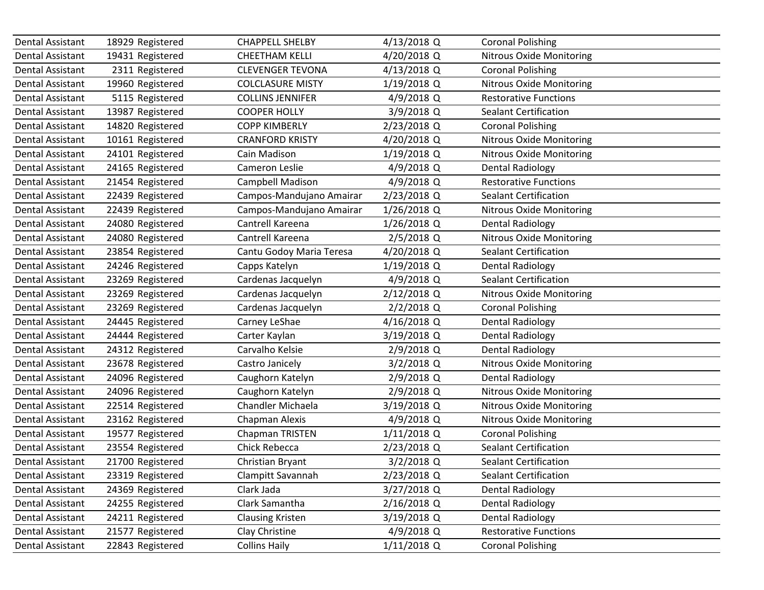| Dental Assistant        | 18929 Registered | <b>CHAPPELL SHELBY</b>   | 4/13/2018 Q   | <b>Coronal Polishing</b>        |
|-------------------------|------------------|--------------------------|---------------|---------------------------------|
| Dental Assistant        | 19431 Registered | <b>CHEETHAM KELLI</b>    | 4/20/2018 Q   | <b>Nitrous Oxide Monitoring</b> |
| <b>Dental Assistant</b> | 2311 Registered  | <b>CLEVENGER TEVONA</b>  | 4/13/2018 Q   | <b>Coronal Polishing</b>        |
| Dental Assistant        | 19960 Registered | <b>COLCLASURE MISTY</b>  | 1/19/2018 Q   | <b>Nitrous Oxide Monitoring</b> |
| Dental Assistant        | 5115 Registered  | <b>COLLINS JENNIFER</b>  | 4/9/2018 Q    | <b>Restorative Functions</b>    |
| Dental Assistant        | 13987 Registered | <b>COOPER HOLLY</b>      | 3/9/2018 Q    | <b>Sealant Certification</b>    |
| Dental Assistant        | 14820 Registered | <b>COPP KIMBERLY</b>     | 2/23/2018 Q   | <b>Coronal Polishing</b>        |
| Dental Assistant        | 10161 Registered | <b>CRANFORD KRISTY</b>   | 4/20/2018 Q   | <b>Nitrous Oxide Monitoring</b> |
| Dental Assistant        | 24101 Registered | Cain Madison             | 1/19/2018 Q   | <b>Nitrous Oxide Monitoring</b> |
| Dental Assistant        | 24165 Registered | Cameron Leslie           | 4/9/2018 Q    | <b>Dental Radiology</b>         |
| Dental Assistant        | 21454 Registered | Campbell Madison         | 4/9/2018 Q    | <b>Restorative Functions</b>    |
| Dental Assistant        | 22439 Registered | Campos-Mandujano Amairar | 2/23/2018 Q   | <b>Sealant Certification</b>    |
| Dental Assistant        | 22439 Registered | Campos-Mandujano Amairar | 1/26/2018 Q   | <b>Nitrous Oxide Monitoring</b> |
| Dental Assistant        | 24080 Registered | Cantrell Kareena         | 1/26/2018 Q   | <b>Dental Radiology</b>         |
| Dental Assistant        | 24080 Registered | Cantrell Kareena         | 2/5/2018 Q    | <b>Nitrous Oxide Monitoring</b> |
| Dental Assistant        | 23854 Registered | Cantu Godoy Maria Teresa | 4/20/2018 Q   | <b>Sealant Certification</b>    |
| Dental Assistant        | 24246 Registered | Capps Katelyn            | 1/19/2018 Q   | <b>Dental Radiology</b>         |
| Dental Assistant        | 23269 Registered | Cardenas Jacquelyn       | 4/9/2018 Q    | <b>Sealant Certification</b>    |
| Dental Assistant        | 23269 Registered | Cardenas Jacquelyn       | 2/12/2018 Q   | <b>Nitrous Oxide Monitoring</b> |
| Dental Assistant        | 23269 Registered | Cardenas Jacquelyn       | 2/2/2018 Q    | <b>Coronal Polishing</b>        |
| Dental Assistant        | 24445 Registered | Carney LeShae            | 4/16/2018 Q   | <b>Dental Radiology</b>         |
| Dental Assistant        | 24444 Registered | Carter Kaylan            | 3/19/2018 Q   | <b>Dental Radiology</b>         |
| Dental Assistant        | 24312 Registered | Carvalho Kelsie          | 2/9/2018 Q    | <b>Dental Radiology</b>         |
| Dental Assistant        | 23678 Registered | Castro Janicely          | $3/2/2018$ Q  | <b>Nitrous Oxide Monitoring</b> |
| Dental Assistant        | 24096 Registered | Caughorn Katelyn         | 2/9/2018 Q    | <b>Dental Radiology</b>         |
| Dental Assistant        | 24096 Registered | Caughorn Katelyn         | 2/9/2018 Q    | <b>Nitrous Oxide Monitoring</b> |
| Dental Assistant        | 22514 Registered | <b>Chandler Michaela</b> | 3/19/2018 Q   | <b>Nitrous Oxide Monitoring</b> |
| Dental Assistant        | 23162 Registered | Chapman Alexis           | 4/9/2018 Q    | <b>Nitrous Oxide Monitoring</b> |
| <b>Dental Assistant</b> | 19577 Registered | Chapman TRISTEN          | 1/11/2018 Q   | <b>Coronal Polishing</b>        |
| Dental Assistant        | 23554 Registered | Chick Rebecca            | 2/23/2018 Q   | <b>Sealant Certification</b>    |
| Dental Assistant        | 21700 Registered | Christian Bryant         | $3/2/2018$ Q  | <b>Sealant Certification</b>    |
| Dental Assistant        | 23319 Registered | Clampitt Savannah        | 2/23/2018 Q   | <b>Sealant Certification</b>    |
| Dental Assistant        | 24369 Registered | Clark Jada               | 3/27/2018 Q   | <b>Dental Radiology</b>         |
| Dental Assistant        | 24255 Registered | Clark Samantha           | 2/16/2018 Q   | <b>Dental Radiology</b>         |
| Dental Assistant        | 24211 Registered | <b>Clausing Kristen</b>  | 3/19/2018 Q   | <b>Dental Radiology</b>         |
| Dental Assistant        | 21577 Registered | Clay Christine           | $4/9/2018$ Q  | <b>Restorative Functions</b>    |
| Dental Assistant        | 22843 Registered | <b>Collins Haily</b>     | $1/11/2018$ Q | <b>Coronal Polishing</b>        |
|                         |                  |                          |               |                                 |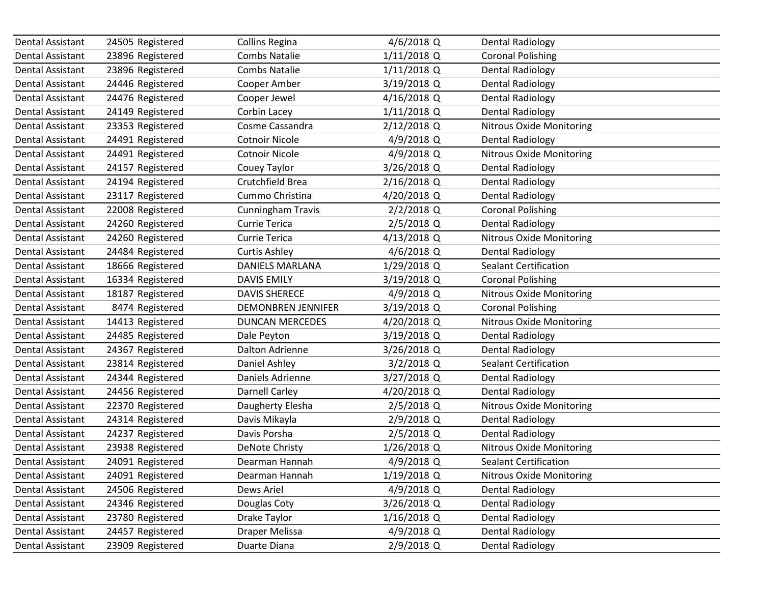| Dental Assistant        | 24505 Registered | <b>Collins Regina</b>     | 4/6/2018 Q    | <b>Dental Radiology</b>         |
|-------------------------|------------------|---------------------------|---------------|---------------------------------|
| Dental Assistant        | 23896 Registered | <b>Combs Natalie</b>      | $1/11/2018$ Q | <b>Coronal Polishing</b>        |
| Dental Assistant        | 23896 Registered | <b>Combs Natalie</b>      | $1/11/2018$ Q | <b>Dental Radiology</b>         |
| Dental Assistant        | 24446 Registered | Cooper Amber              | 3/19/2018 Q   | <b>Dental Radiology</b>         |
| Dental Assistant        | 24476 Registered | Cooper Jewel              | 4/16/2018 Q   | Dental Radiology                |
| Dental Assistant        | 24149 Registered | Corbin Lacey              | 1/11/2018 Q   | <b>Dental Radiology</b>         |
| Dental Assistant        | 23353 Registered | Cosme Cassandra           | 2/12/2018 Q   | Nitrous Oxide Monitoring        |
| <b>Dental Assistant</b> | 24491 Registered | <b>Cotnoir Nicole</b>     | 4/9/2018 Q    | <b>Dental Radiology</b>         |
| Dental Assistant        | 24491 Registered | <b>Cotnoir Nicole</b>     | 4/9/2018 Q    | Nitrous Oxide Monitoring        |
| Dental Assistant        | 24157 Registered | Couey Taylor              | 3/26/2018 Q   | <b>Dental Radiology</b>         |
| Dental Assistant        | 24194 Registered | Crutchfield Brea          | 2/16/2018 Q   | <b>Dental Radiology</b>         |
| Dental Assistant        | 23117 Registered | Cummo Christina           | 4/20/2018 Q   | <b>Dental Radiology</b>         |
| Dental Assistant        | 22008 Registered | <b>Cunningham Travis</b>  | $2/2/2018$ Q  | <b>Coronal Polishing</b>        |
| Dental Assistant        | 24260 Registered | <b>Currie Terica</b>      | 2/5/2018 Q    | <b>Dental Radiology</b>         |
| Dental Assistant        | 24260 Registered | <b>Currie Terica</b>      | 4/13/2018 Q   | <b>Nitrous Oxide Monitoring</b> |
| Dental Assistant        | 24484 Registered | <b>Curtis Ashley</b>      | 4/6/2018 Q    | <b>Dental Radiology</b>         |
| Dental Assistant        | 18666 Registered | DANIELS MARLANA           | 1/29/2018 Q   | <b>Sealant Certification</b>    |
| Dental Assistant        | 16334 Registered | <b>DAVIS EMILY</b>        | 3/19/2018 Q   | <b>Coronal Polishing</b>        |
| Dental Assistant        | 18187 Registered | <b>DAVIS SHERECE</b>      | 4/9/2018 Q    | <b>Nitrous Oxide Monitoring</b> |
| Dental Assistant        | 8474 Registered  | <b>DEMONBREN JENNIFER</b> | 3/19/2018 Q   | <b>Coronal Polishing</b>        |
| Dental Assistant        | 14413 Registered | <b>DUNCAN MERCEDES</b>    | 4/20/2018 Q   | <b>Nitrous Oxide Monitoring</b> |
| Dental Assistant        | 24485 Registered | Dale Peyton               | 3/19/2018 Q   | <b>Dental Radiology</b>         |
| Dental Assistant        | 24367 Registered | Dalton Adrienne           | 3/26/2018 Q   | <b>Dental Radiology</b>         |
| Dental Assistant        | 23814 Registered | Daniel Ashley             | 3/2/2018 Q    | <b>Sealant Certification</b>    |
| Dental Assistant        | 24344 Registered | Daniels Adrienne          | 3/27/2018 Q   | <b>Dental Radiology</b>         |
| Dental Assistant        | 24456 Registered | <b>Darnell Carley</b>     | 4/20/2018 Q   | <b>Dental Radiology</b>         |
| Dental Assistant        | 22370 Registered | Daugherty Elesha          | 2/5/2018 Q    | Nitrous Oxide Monitoring        |
| Dental Assistant        | 24314 Registered | Davis Mikayla             | 2/9/2018 Q    | <b>Dental Radiology</b>         |
| Dental Assistant        | 24237 Registered | Davis Porsha              | 2/5/2018 Q    | <b>Dental Radiology</b>         |
| Dental Assistant        | 23938 Registered | <b>DeNote Christy</b>     | 1/26/2018 Q   | <b>Nitrous Oxide Monitoring</b> |
| Dental Assistant        | 24091 Registered | Dearman Hannah            | 4/9/2018 Q    | Sealant Certification           |
| Dental Assistant        | 24091 Registered | Dearman Hannah            | 1/19/2018 Q   | <b>Nitrous Oxide Monitoring</b> |
| Dental Assistant        | 24506 Registered | Dews Ariel                | 4/9/2018 Q    | <b>Dental Radiology</b>         |
| Dental Assistant        | 24346 Registered | Douglas Coty              | 3/26/2018 Q   | <b>Dental Radiology</b>         |
| Dental Assistant        | 23780 Registered | Drake Taylor              | 1/16/2018 Q   | <b>Dental Radiology</b>         |
| Dental Assistant        | 24457 Registered | Draper Melissa            | 4/9/2018 Q    | <b>Dental Radiology</b>         |
| Dental Assistant        | 23909 Registered | Duarte Diana              | 2/9/2018 Q    | <b>Dental Radiology</b>         |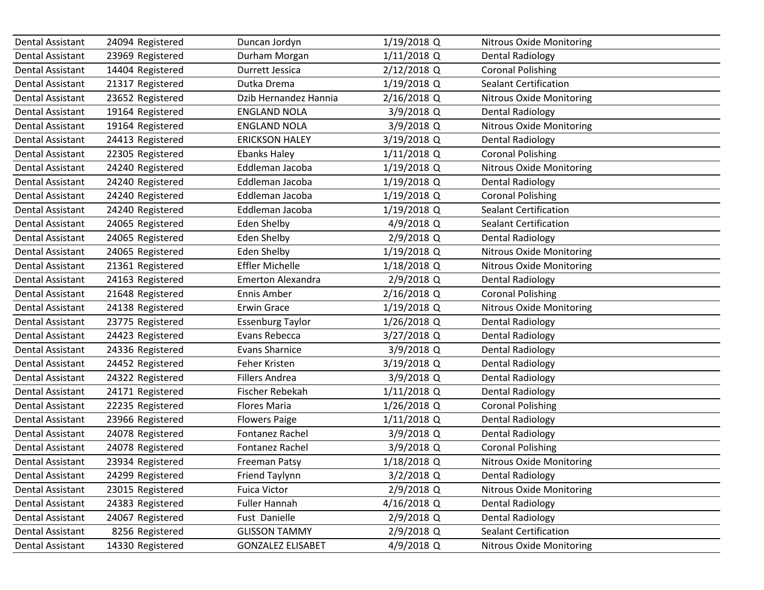| Dental Assistant        | 24094 Registered | Duncan Jordyn            | 1/19/2018 Q   | <b>Nitrous Oxide Monitoring</b> |
|-------------------------|------------------|--------------------------|---------------|---------------------------------|
| Dental Assistant        | 23969 Registered | Durham Morgan            | $1/11/2018$ Q | <b>Dental Radiology</b>         |
| Dental Assistant        | 14404 Registered | Durrett Jessica          | 2/12/2018 Q   | <b>Coronal Polishing</b>        |
| Dental Assistant        | 21317 Registered | Dutka Drema              | 1/19/2018 Q   | <b>Sealant Certification</b>    |
| Dental Assistant        | 23652 Registered | Dzib Hernandez Hannia    | 2/16/2018 Q   | <b>Nitrous Oxide Monitoring</b> |
| Dental Assistant        | 19164 Registered | <b>ENGLAND NOLA</b>      | 3/9/2018 Q    | <b>Dental Radiology</b>         |
| Dental Assistant        | 19164 Registered | <b>ENGLAND NOLA</b>      | 3/9/2018 Q    | Nitrous Oxide Monitoring        |
| Dental Assistant        | 24413 Registered | <b>ERICKSON HALEY</b>    | 3/19/2018 Q   | <b>Dental Radiology</b>         |
| Dental Assistant        | 22305 Registered | <b>Ebanks Haley</b>      | $1/11/2018$ Q | <b>Coronal Polishing</b>        |
| Dental Assistant        | 24240 Registered | Eddleman Jacoba          | 1/19/2018 Q   | Nitrous Oxide Monitoring        |
| Dental Assistant        | 24240 Registered | Eddleman Jacoba          | 1/19/2018 Q   | <b>Dental Radiology</b>         |
| Dental Assistant        | 24240 Registered | Eddleman Jacoba          | 1/19/2018 Q   | <b>Coronal Polishing</b>        |
| Dental Assistant        | 24240 Registered | Eddleman Jacoba          | 1/19/2018 Q   | <b>Sealant Certification</b>    |
| Dental Assistant        | 24065 Registered | <b>Eden Shelby</b>       | 4/9/2018 Q    | <b>Sealant Certification</b>    |
| Dental Assistant        | 24065 Registered | Eden Shelby              | 2/9/2018 Q    | <b>Dental Radiology</b>         |
| Dental Assistant        | 24065 Registered | <b>Eden Shelby</b>       | 1/19/2018 Q   | <b>Nitrous Oxide Monitoring</b> |
| Dental Assistant        | 21361 Registered | <b>Effler Michelle</b>   | 1/18/2018 Q   | <b>Nitrous Oxide Monitoring</b> |
| Dental Assistant        | 24163 Registered | <b>Emerton Alexandra</b> | 2/9/2018 Q    | <b>Dental Radiology</b>         |
| Dental Assistant        | 21648 Registered | Ennis Amber              | 2/16/2018 Q   | <b>Coronal Polishing</b>        |
| Dental Assistant        | 24138 Registered | <b>Erwin Grace</b>       | 1/19/2018 Q   | <b>Nitrous Oxide Monitoring</b> |
| Dental Assistant        | 23775 Registered | <b>Essenburg Taylor</b>  | 1/26/2018 Q   | <b>Dental Radiology</b>         |
| Dental Assistant        | 24423 Registered | Evans Rebecca            | 3/27/2018 Q   | <b>Dental Radiology</b>         |
| Dental Assistant        | 24336 Registered | <b>Evans Sharnice</b>    | 3/9/2018 Q    | <b>Dental Radiology</b>         |
| Dental Assistant        | 24452 Registered | Feher Kristen            | 3/19/2018 Q   | <b>Dental Radiology</b>         |
| Dental Assistant        | 24322 Registered | <b>Fillers Andrea</b>    | 3/9/2018 Q    | <b>Dental Radiology</b>         |
| Dental Assistant        | 24171 Registered | Fischer Rebekah          | 1/11/2018 Q   | <b>Dental Radiology</b>         |
| Dental Assistant        | 22235 Registered | <b>Flores Maria</b>      | $1/26/2018$ Q | <b>Coronal Polishing</b>        |
| Dental Assistant        | 23966 Registered | <b>Flowers Paige</b>     | $1/11/2018$ Q | <b>Dental Radiology</b>         |
| Dental Assistant        | 24078 Registered | Fontanez Rachel          | 3/9/2018 Q    | <b>Dental Radiology</b>         |
| Dental Assistant        | 24078 Registered | Fontanez Rachel          | 3/9/2018 Q    | <b>Coronal Polishing</b>        |
| <b>Dental Assistant</b> | 23934 Registered | <b>Freeman Patsy</b>     | 1/18/2018 Q   | <b>Nitrous Oxide Monitoring</b> |
| Dental Assistant        | 24299 Registered | Friend Taylynn           | $3/2/2018$ Q  | <b>Dental Radiology</b>         |
| Dental Assistant        | 23015 Registered | <b>Fuica Victor</b>      | 2/9/2018 Q    | <b>Nitrous Oxide Monitoring</b> |
| Dental Assistant        | 24383 Registered | <b>Fuller Hannah</b>     | 4/16/2018 Q   | <b>Dental Radiology</b>         |
| Dental Assistant        | 24067 Registered | Fust Danielle            | 2/9/2018 Q    | Dental Radiology                |
| Dental Assistant        | 8256 Registered  | <b>GLISSON TAMMY</b>     | 2/9/2018 Q    | <b>Sealant Certification</b>    |
| <b>Dental Assistant</b> | 14330 Registered | <b>GONZALEZ ELISABET</b> | 4/9/2018 Q    | <b>Nitrous Oxide Monitoring</b> |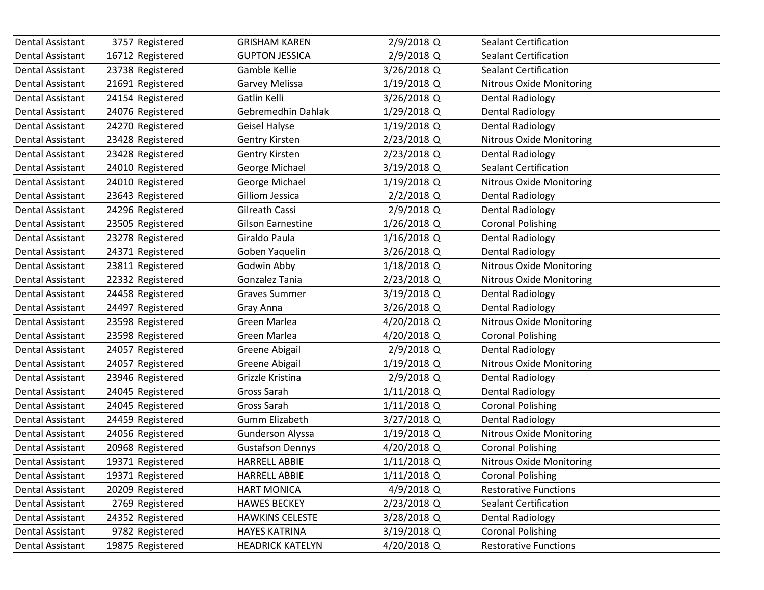| Dental Assistant<br>Dental Assistant<br>Dental Assistant<br>Dental Assistant<br>Dental Assistant<br>Dental Assistant | 3757 Registered<br>16712 Registered<br>23738 Registered<br>21691 Registered<br>24154 Registered<br>24076 Registered<br>24270 Registered<br>23428 Registered<br>23428 Registered | <b>GRISHAM KAREN</b><br><b>GUPTON JESSICA</b><br>Gamble Kellie<br>Garvey Melissa<br>Gatlin Kelli<br>Gebremedhin Dahlak<br><b>Geisel Halyse</b> | 2/9/2018 Q<br>2/9/2018 Q<br>3/26/2018 Q<br>1/19/2018 Q<br>3/26/2018 Q<br>1/29/2018 Q | <b>Sealant Certification</b><br><b>Sealant Certification</b><br><b>Sealant Certification</b><br><b>Nitrous Oxide Monitoring</b><br><b>Dental Radiology</b> |
|----------------------------------------------------------------------------------------------------------------------|---------------------------------------------------------------------------------------------------------------------------------------------------------------------------------|------------------------------------------------------------------------------------------------------------------------------------------------|--------------------------------------------------------------------------------------|------------------------------------------------------------------------------------------------------------------------------------------------------------|
|                                                                                                                      |                                                                                                                                                                                 |                                                                                                                                                |                                                                                      |                                                                                                                                                            |
|                                                                                                                      |                                                                                                                                                                                 |                                                                                                                                                |                                                                                      |                                                                                                                                                            |
|                                                                                                                      |                                                                                                                                                                                 |                                                                                                                                                |                                                                                      |                                                                                                                                                            |
|                                                                                                                      |                                                                                                                                                                                 |                                                                                                                                                |                                                                                      |                                                                                                                                                            |
|                                                                                                                      |                                                                                                                                                                                 |                                                                                                                                                |                                                                                      |                                                                                                                                                            |
|                                                                                                                      |                                                                                                                                                                                 |                                                                                                                                                |                                                                                      | <b>Dental Radiology</b>                                                                                                                                    |
| Dental Assistant                                                                                                     |                                                                                                                                                                                 |                                                                                                                                                | 1/19/2018 Q                                                                          | <b>Dental Radiology</b>                                                                                                                                    |
| Dental Assistant                                                                                                     |                                                                                                                                                                                 | <b>Gentry Kirsten</b>                                                                                                                          | 2/23/2018 Q                                                                          | Nitrous Oxide Monitoring                                                                                                                                   |
| Dental Assistant                                                                                                     |                                                                                                                                                                                 | <b>Gentry Kirsten</b>                                                                                                                          | 2/23/2018 Q                                                                          | <b>Dental Radiology</b>                                                                                                                                    |
| Dental Assistant                                                                                                     | 24010 Registered                                                                                                                                                                | George Michael                                                                                                                                 | 3/19/2018 Q                                                                          | <b>Sealant Certification</b>                                                                                                                               |
| Dental Assistant                                                                                                     | 24010 Registered                                                                                                                                                                | George Michael                                                                                                                                 | 1/19/2018 Q                                                                          | <b>Nitrous Oxide Monitoring</b>                                                                                                                            |
| Dental Assistant                                                                                                     | 23643 Registered                                                                                                                                                                | Gilliom Jessica                                                                                                                                | $2/2/2018$ Q                                                                         | <b>Dental Radiology</b>                                                                                                                                    |
| Dental Assistant                                                                                                     | 24296 Registered                                                                                                                                                                | Gilreath Cassi                                                                                                                                 | 2/9/2018 Q                                                                           | <b>Dental Radiology</b>                                                                                                                                    |
| Dental Assistant                                                                                                     | 23505 Registered                                                                                                                                                                | <b>Gilson Earnestine</b>                                                                                                                       | 1/26/2018 Q                                                                          | <b>Coronal Polishing</b>                                                                                                                                   |
| Dental Assistant                                                                                                     | 23278 Registered                                                                                                                                                                | Giraldo Paula                                                                                                                                  | 1/16/2018 Q                                                                          | <b>Dental Radiology</b>                                                                                                                                    |
| Dental Assistant                                                                                                     | 24371 Registered                                                                                                                                                                | Goben Yaquelin                                                                                                                                 | 3/26/2018 Q                                                                          | <b>Dental Radiology</b>                                                                                                                                    |
| Dental Assistant                                                                                                     | 23811 Registered                                                                                                                                                                | Godwin Abby                                                                                                                                    | 1/18/2018 Q                                                                          | Nitrous Oxide Monitoring                                                                                                                                   |
| Dental Assistant                                                                                                     | 22332 Registered                                                                                                                                                                | Gonzalez Tania                                                                                                                                 | 2/23/2018 Q                                                                          | <b>Nitrous Oxide Monitoring</b>                                                                                                                            |
| Dental Assistant                                                                                                     | 24458 Registered                                                                                                                                                                | <b>Graves Summer</b>                                                                                                                           | 3/19/2018 Q                                                                          | <b>Dental Radiology</b>                                                                                                                                    |
| Dental Assistant                                                                                                     | 24497 Registered                                                                                                                                                                | Gray Anna                                                                                                                                      | 3/26/2018 Q                                                                          | <b>Dental Radiology</b>                                                                                                                                    |
| Dental Assistant                                                                                                     | 23598 Registered                                                                                                                                                                | Green Marlea                                                                                                                                   | 4/20/2018 Q                                                                          | <b>Nitrous Oxide Monitoring</b>                                                                                                                            |
| Dental Assistant                                                                                                     | 23598 Registered                                                                                                                                                                | Green Marlea                                                                                                                                   | 4/20/2018 Q                                                                          | <b>Coronal Polishing</b>                                                                                                                                   |
| Dental Assistant                                                                                                     | 24057 Registered                                                                                                                                                                | Greene Abigail                                                                                                                                 | 2/9/2018 Q                                                                           | <b>Dental Radiology</b>                                                                                                                                    |
| Dental Assistant                                                                                                     | 24057 Registered                                                                                                                                                                | Greene Abigail                                                                                                                                 | 1/19/2018 Q                                                                          | <b>Nitrous Oxide Monitoring</b>                                                                                                                            |
| Dental Assistant                                                                                                     | 23946 Registered                                                                                                                                                                | Grizzle Kristina                                                                                                                               | 2/9/2018 Q                                                                           | <b>Dental Radiology</b>                                                                                                                                    |
| Dental Assistant                                                                                                     | 24045 Registered                                                                                                                                                                | Gross Sarah                                                                                                                                    | $1/11/2018$ Q                                                                        | <b>Dental Radiology</b>                                                                                                                                    |
| Dental Assistant                                                                                                     | 24045 Registered                                                                                                                                                                | Gross Sarah                                                                                                                                    | $1/11/2018$ Q                                                                        | <b>Coronal Polishing</b>                                                                                                                                   |
| Dental Assistant                                                                                                     | 24459 Registered                                                                                                                                                                | <b>Gumm Elizabeth</b>                                                                                                                          | 3/27/2018 Q                                                                          | <b>Dental Radiology</b>                                                                                                                                    |
| Dental Assistant                                                                                                     | 24056 Registered                                                                                                                                                                | <b>Gunderson Alyssa</b>                                                                                                                        | 1/19/2018 Q                                                                          | <b>Nitrous Oxide Monitoring</b>                                                                                                                            |
| Dental Assistant                                                                                                     | 20968 Registered                                                                                                                                                                | <b>Gustafson Dennys</b>                                                                                                                        | 4/20/2018 Q                                                                          | <b>Coronal Polishing</b>                                                                                                                                   |
| Dental Assistant                                                                                                     | 19371 Registered                                                                                                                                                                | HARRELL ABBIE                                                                                                                                  | 1/11/2018 Q                                                                          | Nitrous Oxide Monitoring                                                                                                                                   |
| Dental Assistant                                                                                                     | 19371 Registered                                                                                                                                                                | <b>HARRELL ABBIE</b>                                                                                                                           | $1/11/2018$ Q                                                                        | <b>Coronal Polishing</b>                                                                                                                                   |
| Dental Assistant                                                                                                     | 20209 Registered                                                                                                                                                                | <b>HART MONICA</b>                                                                                                                             | 4/9/2018 Q                                                                           | <b>Restorative Functions</b>                                                                                                                               |
| Dental Assistant                                                                                                     | 2769 Registered                                                                                                                                                                 | <b>HAWES BECKEY</b>                                                                                                                            | 2/23/2018 Q                                                                          | <b>Sealant Certification</b>                                                                                                                               |
| Dental Assistant                                                                                                     | 24352 Registered                                                                                                                                                                | <b>HAWKINS CELESTE</b>                                                                                                                         | 3/28/2018 Q                                                                          | <b>Dental Radiology</b>                                                                                                                                    |
| Dental Assistant                                                                                                     | 9782 Registered                                                                                                                                                                 | <b>HAYES KATRINA</b>                                                                                                                           | 3/19/2018 Q                                                                          | <b>Coronal Polishing</b>                                                                                                                                   |
| Dental Assistant                                                                                                     | 19875 Registered                                                                                                                                                                | <b>HEADRICK KATELYN</b>                                                                                                                        | 4/20/2018 Q                                                                          | <b>Restorative Functions</b>                                                                                                                               |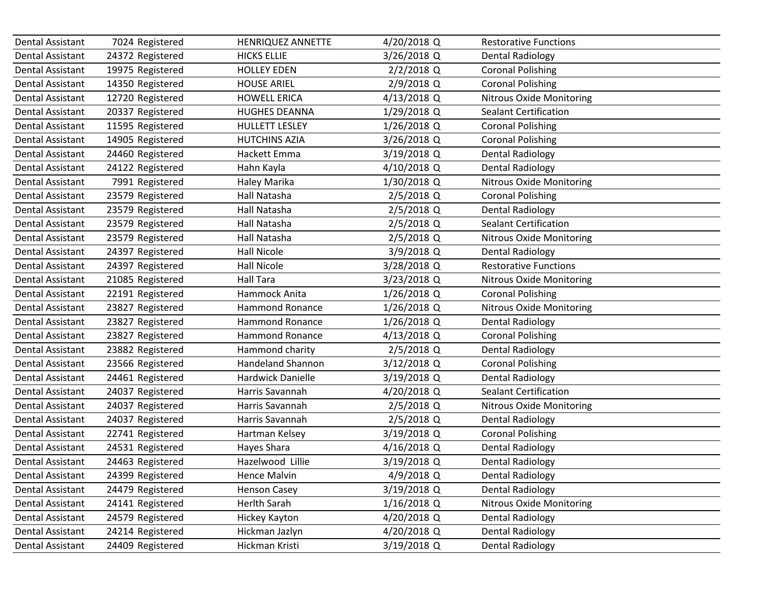| Dental Assistant<br>Dental Assistant<br>Dental Assistant<br>Dental Assistant<br>Dental Assistant | 7024 Registered<br>24372 Registered<br>19975 Registered<br>14350 Registered<br>12720 Registered<br>20337 Registered | HENRIQUEZ ANNETTE<br><b>HICKS ELLIE</b><br><b>HOLLEY EDEN</b><br><b>HOUSE ARIEL</b><br><b>HOWELL ERICA</b> | 4/20/2018 Q<br>3/26/2018 Q<br>$2/2/2018$ Q<br>2/9/2018 Q | <b>Restorative Functions</b><br><b>Dental Radiology</b><br><b>Coronal Polishing</b> |
|--------------------------------------------------------------------------------------------------|---------------------------------------------------------------------------------------------------------------------|------------------------------------------------------------------------------------------------------------|----------------------------------------------------------|-------------------------------------------------------------------------------------|
|                                                                                                  |                                                                                                                     |                                                                                                            |                                                          |                                                                                     |
|                                                                                                  |                                                                                                                     |                                                                                                            |                                                          |                                                                                     |
|                                                                                                  |                                                                                                                     |                                                                                                            |                                                          |                                                                                     |
|                                                                                                  |                                                                                                                     |                                                                                                            |                                                          | <b>Coronal Polishing</b>                                                            |
|                                                                                                  |                                                                                                                     |                                                                                                            | 4/13/2018 Q                                              | <b>Nitrous Oxide Monitoring</b>                                                     |
| Dental Assistant                                                                                 |                                                                                                                     | <b>HUGHES DEANNA</b>                                                                                       | 1/29/2018 Q                                              | <b>Sealant Certification</b>                                                        |
| Dental Assistant                                                                                 | 11595 Registered                                                                                                    | <b>HULLETT LESLEY</b>                                                                                      | 1/26/2018 Q                                              | <b>Coronal Polishing</b>                                                            |
| Dental Assistant                                                                                 | 14905 Registered                                                                                                    | <b>HUTCHINS AZIA</b>                                                                                       | 3/26/2018 Q                                              | <b>Coronal Polishing</b>                                                            |
| Dental Assistant                                                                                 | 24460 Registered                                                                                                    | Hackett Emma                                                                                               | 3/19/2018 Q                                              | <b>Dental Radiology</b>                                                             |
| Dental Assistant                                                                                 | 24122 Registered                                                                                                    | Hahn Kayla                                                                                                 | 4/10/2018 Q                                              | <b>Dental Radiology</b>                                                             |
| Dental Assistant                                                                                 | 7991 Registered                                                                                                     | Haley Marika                                                                                               | 1/30/2018 Q                                              | <b>Nitrous Oxide Monitoring</b>                                                     |
| Dental Assistant                                                                                 | 23579 Registered                                                                                                    | Hall Natasha                                                                                               | 2/5/2018 Q                                               | <b>Coronal Polishing</b>                                                            |
| Dental Assistant                                                                                 | 23579 Registered                                                                                                    | Hall Natasha                                                                                               | 2/5/2018 Q                                               | <b>Dental Radiology</b>                                                             |
| Dental Assistant                                                                                 | 23579 Registered                                                                                                    | Hall Natasha                                                                                               | 2/5/2018 Q                                               | <b>Sealant Certification</b>                                                        |
| Dental Assistant                                                                                 | 23579 Registered                                                                                                    | Hall Natasha                                                                                               | $2/5/2018$ Q                                             | <b>Nitrous Oxide Monitoring</b>                                                     |
| <b>Dental Assistant</b>                                                                          | 24397 Registered                                                                                                    | <b>Hall Nicole</b>                                                                                         | 3/9/2018 Q                                               | <b>Dental Radiology</b>                                                             |
| Dental Assistant                                                                                 | 24397 Registered                                                                                                    | <b>Hall Nicole</b>                                                                                         | 3/28/2018 Q                                              | <b>Restorative Functions</b>                                                        |
| <b>Dental Assistant</b>                                                                          | 21085 Registered                                                                                                    | <b>Hall Tara</b>                                                                                           | 3/23/2018 Q                                              | <b>Nitrous Oxide Monitoring</b>                                                     |
| Dental Assistant                                                                                 | 22191 Registered                                                                                                    | Hammock Anita                                                                                              | 1/26/2018 Q                                              | <b>Coronal Polishing</b>                                                            |
| Dental Assistant                                                                                 | 23827 Registered                                                                                                    | <b>Hammond Ronance</b>                                                                                     | $1/26/2018$ Q                                            | <b>Nitrous Oxide Monitoring</b>                                                     |
| Dental Assistant                                                                                 | 23827 Registered                                                                                                    | <b>Hammond Ronance</b>                                                                                     | 1/26/2018 Q                                              | <b>Dental Radiology</b>                                                             |
| Dental Assistant                                                                                 | 23827 Registered                                                                                                    | <b>Hammond Ronance</b>                                                                                     | 4/13/2018 Q                                              | <b>Coronal Polishing</b>                                                            |
| Dental Assistant                                                                                 | 23882 Registered                                                                                                    | Hammond charity                                                                                            | 2/5/2018 Q                                               | <b>Dental Radiology</b>                                                             |
| Dental Assistant                                                                                 | 23566 Registered                                                                                                    | <b>Handeland Shannon</b>                                                                                   | 3/12/2018 Q                                              | <b>Coronal Polishing</b>                                                            |
| Dental Assistant                                                                                 | 24461 Registered                                                                                                    | Hardwick Danielle                                                                                          | 3/19/2018 Q                                              | <b>Dental Radiology</b>                                                             |
| Dental Assistant                                                                                 | 24037 Registered                                                                                                    | Harris Savannah                                                                                            | 4/20/2018 Q                                              | <b>Sealant Certification</b>                                                        |
| Dental Assistant                                                                                 | 24037 Registered                                                                                                    | Harris Savannah                                                                                            | 2/5/2018 Q                                               | <b>Nitrous Oxide Monitoring</b>                                                     |
| Dental Assistant                                                                                 | 24037 Registered                                                                                                    | Harris Savannah                                                                                            | 2/5/2018 Q                                               | <b>Dental Radiology</b>                                                             |
| <b>Dental Assistant</b>                                                                          | 22741 Registered                                                                                                    | Hartman Kelsey                                                                                             | 3/19/2018 Q                                              | <b>Coronal Polishing</b>                                                            |
| Dental Assistant                                                                                 | 24531 Registered                                                                                                    | Hayes Shara                                                                                                | 4/16/2018 Q                                              | <b>Dental Radiology</b>                                                             |
| Dental Assistant                                                                                 | 24463 Registered                                                                                                    | Hazelwood Lillie                                                                                           | 3/19/2018 Q                                              | <b>Dental Radiology</b>                                                             |
| Dental Assistant                                                                                 | 24399 Registered                                                                                                    | Hence Malvin                                                                                               | 4/9/2018 Q                                               | <b>Dental Radiology</b>                                                             |
| Dental Assistant                                                                                 | 24479 Registered                                                                                                    | <b>Henson Casey</b>                                                                                        | 3/19/2018 Q                                              | <b>Dental Radiology</b>                                                             |
| Dental Assistant                                                                                 | 24141 Registered                                                                                                    | Herlth Sarah                                                                                               | 1/16/2018 Q                                              | Nitrous Oxide Monitoring                                                            |
| Dental Assistant                                                                                 | 24579 Registered                                                                                                    | Hickey Kayton                                                                                              | 4/20/2018 Q                                              | <b>Dental Radiology</b>                                                             |
| Dental Assistant                                                                                 | 24214 Registered                                                                                                    | Hickman Jazlyn                                                                                             | 4/20/2018 Q                                              | <b>Dental Radiology</b>                                                             |
| Dental Assistant                                                                                 | 24409 Registered                                                                                                    | Hickman Kristi                                                                                             | 3/19/2018 Q                                              | <b>Dental Radiology</b>                                                             |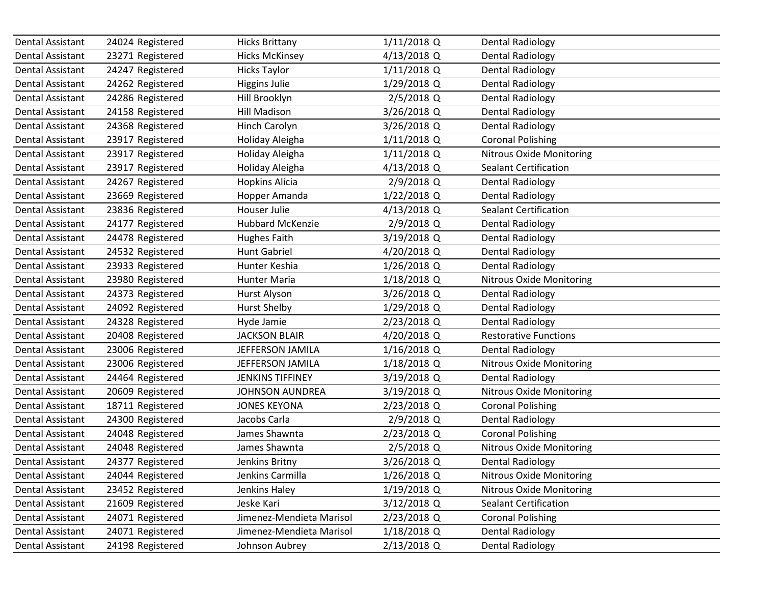| Dental Assistant        | 24024 Registered | <b>Hicks Brittany</b>    | 1/11/2018 Q   | <b>Dental Radiology</b>         |
|-------------------------|------------------|--------------------------|---------------|---------------------------------|
| Dental Assistant        | 23271 Registered | <b>Hicks McKinsey</b>    | 4/13/2018 Q   | <b>Dental Radiology</b>         |
| <b>Dental Assistant</b> | 24247 Registered | <b>Hicks Taylor</b>      | $1/11/2018$ Q | <b>Dental Radiology</b>         |
| Dental Assistant        | 24262 Registered | <b>Higgins Julie</b>     | 1/29/2018 Q   | <b>Dental Radiology</b>         |
| Dental Assistant        | 24286 Registered | Hill Brooklyn            | 2/5/2018 Q    | <b>Dental Radiology</b>         |
| Dental Assistant        | 24158 Registered | <b>Hill Madison</b>      | 3/26/2018 Q   | <b>Dental Radiology</b>         |
| Dental Assistant        | 24368 Registered | Hinch Carolyn            | 3/26/2018 Q   | <b>Dental Radiology</b>         |
| <b>Dental Assistant</b> | 23917 Registered | Holiday Aleigha          | $1/11/2018$ Q | <b>Coronal Polishing</b>        |
| Dental Assistant        | 23917 Registered | Holiday Aleigha          | $1/11/2018$ Q | <b>Nitrous Oxide Monitoring</b> |
| Dental Assistant        | 23917 Registered | Holiday Aleigha          | 4/13/2018 Q   | <b>Sealant Certification</b>    |
| <b>Dental Assistant</b> | 24267 Registered | <b>Hopkins Alicia</b>    | 2/9/2018 Q    | <b>Dental Radiology</b>         |
| Dental Assistant        | 23669 Registered | Hopper Amanda            | 1/22/2018 Q   | <b>Dental Radiology</b>         |
| <b>Dental Assistant</b> | 23836 Registered | Houser Julie             | 4/13/2018 Q   | Sealant Certification           |
| Dental Assistant        | 24177 Registered | <b>Hubbard McKenzie</b>  | 2/9/2018 Q    | <b>Dental Radiology</b>         |
| <b>Dental Assistant</b> | 24478 Registered | <b>Hughes Faith</b>      | 3/19/2018 Q   | <b>Dental Radiology</b>         |
| Dental Assistant        | 24532 Registered | <b>Hunt Gabriel</b>      | 4/20/2018 Q   | <b>Dental Radiology</b>         |
| Dental Assistant        | 23933 Registered | Hunter Keshia            | 1/26/2018 Q   | <b>Dental Radiology</b>         |
| <b>Dental Assistant</b> | 23980 Registered | Hunter Maria             | 1/18/2018 Q   | <b>Nitrous Oxide Monitoring</b> |
| <b>Dental Assistant</b> | 24373 Registered | Hurst Alyson             | 3/26/2018 Q   | <b>Dental Radiology</b>         |
| <b>Dental Assistant</b> | 24092 Registered | <b>Hurst Shelby</b>      | 1/29/2018 Q   | <b>Dental Radiology</b>         |
| Dental Assistant        | 24328 Registered | Hyde Jamie               | 2/23/2018 Q   | <b>Dental Radiology</b>         |
| <b>Dental Assistant</b> | 20408 Registered | <b>JACKSON BLAIR</b>     | 4/20/2018 Q   | <b>Restorative Functions</b>    |
| Dental Assistant        | 23006 Registered | JEFFERSON JAMILA         | 1/16/2018 Q   | <b>Dental Radiology</b>         |
| Dental Assistant        | 23006 Registered | JEFFERSON JAMILA         | 1/18/2018 Q   | <b>Nitrous Oxide Monitoring</b> |
| <b>Dental Assistant</b> | 24464 Registered | <b>JENKINS TIFFINEY</b>  | 3/19/2018 Q   | <b>Dental Radiology</b>         |
| Dental Assistant        | 20609 Registered | <b>JOHNSON AUNDREA</b>   | 3/19/2018 Q   | Nitrous Oxide Monitoring        |
| <b>Dental Assistant</b> | 18711 Registered | <b>JONES KEYONA</b>      | 2/23/2018 Q   | <b>Coronal Polishing</b>        |
| Dental Assistant        | 24300 Registered | Jacobs Carla             | 2/9/2018 Q    | <b>Dental Radiology</b>         |
| Dental Assistant        | 24048 Registered | James Shawnta            | 2/23/2018 Q   | <b>Coronal Polishing</b>        |
| <b>Dental Assistant</b> | 24048 Registered | James Shawnta            | 2/5/2018 Q    | <b>Nitrous Oxide Monitoring</b> |
| Dental Assistant        | 24377 Registered | Jenkins Britny           | 3/26/2018 Q   | <b>Dental Radiology</b>         |
| Dental Assistant        | 24044 Registered | Jenkins Carmilla         | 1/26/2018 Q   | <b>Nitrous Oxide Monitoring</b> |
| <b>Dental Assistant</b> | 23452 Registered | Jenkins Haley            | 1/19/2018 Q   | <b>Nitrous Oxide Monitoring</b> |
| <b>Dental Assistant</b> | 21609 Registered | Jeske Kari               | 3/12/2018 Q   | Sealant Certification           |
| Dental Assistant        | 24071 Registered | Jimenez-Mendieta Marisol | 2/23/2018 Q   | <b>Coronal Polishing</b>        |
| Dental Assistant        | 24071 Registered | Jimenez-Mendieta Marisol | 1/18/2018 Q   | <b>Dental Radiology</b>         |
| Dental Assistant        | 24198 Registered | Johnson Aubrey           | 2/13/2018 Q   | <b>Dental Radiology</b>         |
|                         |                  |                          |               |                                 |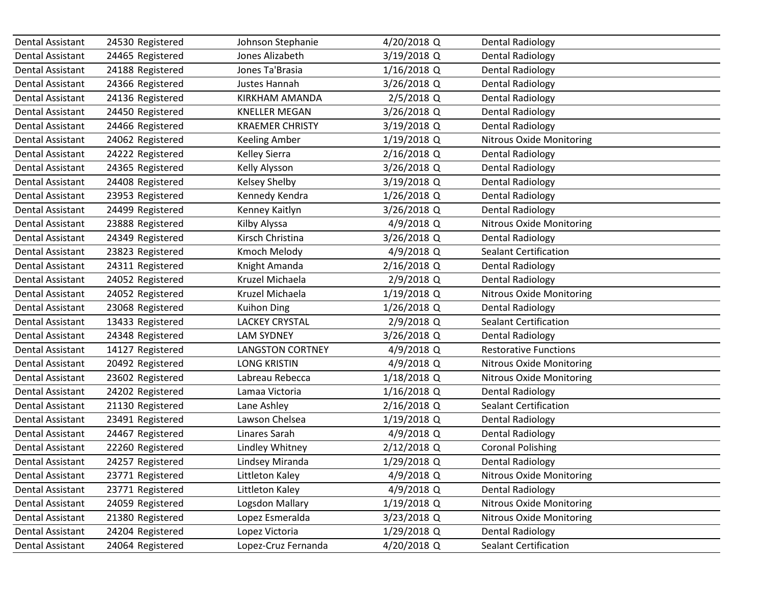| Dental Assistant        | 24530 Registered | Johnson Stephanie       | 4/20/2018 Q   | <b>Dental Radiology</b>         |  |
|-------------------------|------------------|-------------------------|---------------|---------------------------------|--|
| Dental Assistant        | 24465 Registered | Jones Alizabeth         | 3/19/2018 Q   | <b>Dental Radiology</b>         |  |
| <b>Dental Assistant</b> | 24188 Registered | Jones Ta'Brasia         | 1/16/2018 Q   | <b>Dental Radiology</b>         |  |
| Dental Assistant        | 24366 Registered | Justes Hannah           | 3/26/2018 Q   | <b>Dental Radiology</b>         |  |
| Dental Assistant        | 24136 Registered | KIRKHAM AMANDA          | 2/5/2018 Q    | <b>Dental Radiology</b>         |  |
| Dental Assistant        | 24450 Registered | <b>KNELLER MEGAN</b>    | 3/26/2018 Q   | <b>Dental Radiology</b>         |  |
| Dental Assistant        | 24466 Registered | <b>KRAEMER CHRISTY</b>  | 3/19/2018 Q   | <b>Dental Radiology</b>         |  |
| <b>Dental Assistant</b> | 24062 Registered | <b>Keeling Amber</b>    | 1/19/2018 Q   | Nitrous Oxide Monitoring        |  |
| Dental Assistant        | 24222 Registered | Kelley Sierra           | 2/16/2018 Q   | <b>Dental Radiology</b>         |  |
| Dental Assistant        | 24365 Registered | Kelly Alysson           | 3/26/2018 Q   | <b>Dental Radiology</b>         |  |
| <b>Dental Assistant</b> | 24408 Registered | <b>Kelsey Shelby</b>    | 3/19/2018 Q   | <b>Dental Radiology</b>         |  |
| Dental Assistant        | 23953 Registered | Kennedy Kendra          | 1/26/2018 Q   | <b>Dental Radiology</b>         |  |
| <b>Dental Assistant</b> | 24499 Registered | Kenney Kaitlyn          | 3/26/2018 Q   | <b>Dental Radiology</b>         |  |
| Dental Assistant        | 23888 Registered | Kilby Alyssa            | 4/9/2018 Q    | <b>Nitrous Oxide Monitoring</b> |  |
| <b>Dental Assistant</b> | 24349 Registered | Kirsch Christina        | 3/26/2018 Q   | <b>Dental Radiology</b>         |  |
| Dental Assistant        | 23823 Registered | Kmoch Melody            | 4/9/2018 Q    | <b>Sealant Certification</b>    |  |
| Dental Assistant        | 24311 Registered | Knight Amanda           | 2/16/2018 Q   | <b>Dental Radiology</b>         |  |
| <b>Dental Assistant</b> | 24052 Registered | Kruzel Michaela         | 2/9/2018 Q    | <b>Dental Radiology</b>         |  |
| <b>Dental Assistant</b> | 24052 Registered | Kruzel Michaela         | 1/19/2018 Q   | <b>Nitrous Oxide Monitoring</b> |  |
| <b>Dental Assistant</b> | 23068 Registered | <b>Kuihon Ding</b>      | 1/26/2018 Q   | <b>Dental Radiology</b>         |  |
| Dental Assistant        | 13433 Registered | <b>LACKEY CRYSTAL</b>   | 2/9/2018 Q    | <b>Sealant Certification</b>    |  |
| <b>Dental Assistant</b> | 24348 Registered | <b>LAM SYDNEY</b>       | 3/26/2018 Q   | <b>Dental Radiology</b>         |  |
| Dental Assistant        | 14127 Registered | <b>LANGSTON CORTNEY</b> | 4/9/2018 Q    | <b>Restorative Functions</b>    |  |
| Dental Assistant        | 20492 Registered | <b>LONG KRISTIN</b>     | 4/9/2018 Q    | <b>Nitrous Oxide Monitoring</b> |  |
| <b>Dental Assistant</b> | 23602 Registered | Labreau Rebecca         | 1/18/2018 Q   | <b>Nitrous Oxide Monitoring</b> |  |
| Dental Assistant        | 24202 Registered | Lamaa Victoria          | 1/16/2018 Q   | <b>Dental Radiology</b>         |  |
| <b>Dental Assistant</b> | 21130 Registered | Lane Ashley             | 2/16/2018 Q   | <b>Sealant Certification</b>    |  |
| Dental Assistant        | 23491 Registered | Lawson Chelsea          | 1/19/2018 Q   | <b>Dental Radiology</b>         |  |
| <b>Dental Assistant</b> | 24467 Registered | Linares Sarah           | 4/9/2018 Q    | <b>Dental Radiology</b>         |  |
| <b>Dental Assistant</b> | 22260 Registered | Lindley Whitney         | 2/12/2018 Q   | <b>Coronal Polishing</b>        |  |
| Dental Assistant        | 24257 Registered | Lindsey Miranda         | 1/29/2018 Q   | <b>Dental Radiology</b>         |  |
| Dental Assistant        | 23771 Registered | Littleton Kaley         | 4/9/2018 Q    | <b>Nitrous Oxide Monitoring</b> |  |
| Dental Assistant        | 23771 Registered | Littleton Kaley         | 4/9/2018 Q    | <b>Dental Radiology</b>         |  |
| Dental Assistant        | 24059 Registered | Logsdon Mallary         | $1/19/2018$ Q | <b>Nitrous Oxide Monitoring</b> |  |
| Dental Assistant        | 21380 Registered | Lopez Esmeralda         | 3/23/2018 Q   | <b>Nitrous Oxide Monitoring</b> |  |
| Dental Assistant        | 24204 Registered | Lopez Victoria          | 1/29/2018 Q   | <b>Dental Radiology</b>         |  |
| Dental Assistant        | 24064 Registered | Lopez-Cruz Fernanda     | 4/20/2018 Q   | Sealant Certification           |  |
|                         |                  |                         |               |                                 |  |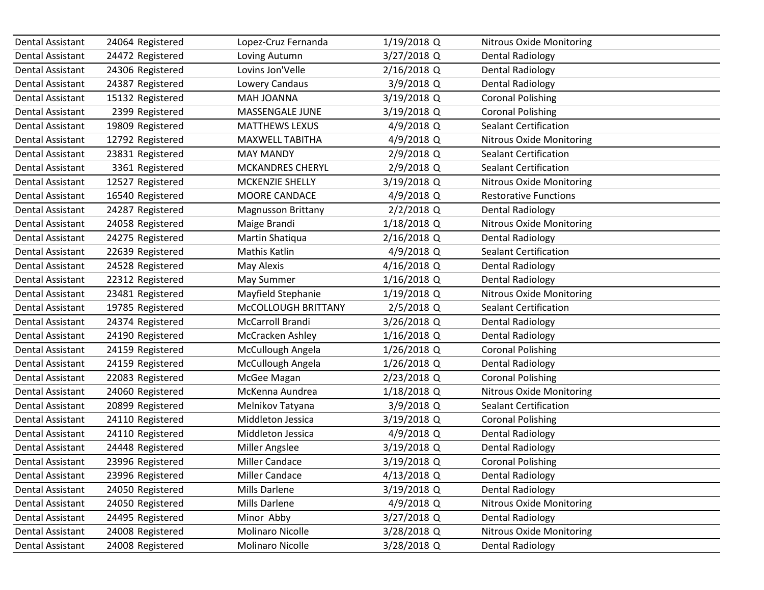| Dental Assistant        | 24064 Registered | Lopez-Cruz Fernanda       | 1/19/2018 Q   | <b>Nitrous Oxide Monitoring</b> |
|-------------------------|------------------|---------------------------|---------------|---------------------------------|
| Dental Assistant        | 24472 Registered | Loving Autumn             | 3/27/2018 Q   | <b>Dental Radiology</b>         |
| Dental Assistant        | 24306 Registered | Lovins Jon'Velle          | 2/16/2018 Q   | <b>Dental Radiology</b>         |
| <b>Dental Assistant</b> | 24387 Registered | Lowery Candaus            | 3/9/2018 Q    | <b>Dental Radiology</b>         |
| <b>Dental Assistant</b> | 15132 Registered | MAH JOANNA                | 3/19/2018 Q   | <b>Coronal Polishing</b>        |
| <b>Dental Assistant</b> | 2399 Registered  | MASSENGALE JUNE           | 3/19/2018 Q   | <b>Coronal Polishing</b>        |
| Dental Assistant        | 19809 Registered | <b>MATTHEWS LEXUS</b>     | 4/9/2018 Q    | <b>Sealant Certification</b>    |
| <b>Dental Assistant</b> | 12792 Registered | MAXWELL TABITHA           | 4/9/2018 Q    | <b>Nitrous Oxide Monitoring</b> |
| Dental Assistant        | 23831 Registered | <b>MAY MANDY</b>          | 2/9/2018 Q    | <b>Sealant Certification</b>    |
| Dental Assistant        | 3361 Registered  | <b>MCKANDRES CHERYL</b>   | 2/9/2018 Q    | <b>Sealant Certification</b>    |
| <b>Dental Assistant</b> | 12527 Registered | MCKENZIE SHELLY           | 3/19/2018 Q   | <b>Nitrous Oxide Monitoring</b> |
| Dental Assistant        | 16540 Registered | MOORE CANDACE             | 4/9/2018 Q    | <b>Restorative Functions</b>    |
| <b>Dental Assistant</b> | 24287 Registered | <b>Magnusson Brittany</b> | 2/2/2018 Q    | <b>Dental Radiology</b>         |
| Dental Assistant        | 24058 Registered | Maige Brandi              | 1/18/2018 Q   | <b>Nitrous Oxide Monitoring</b> |
| Dental Assistant        | 24275 Registered | Martin Shatiqua           | 2/16/2018 Q   | <b>Dental Radiology</b>         |
| <b>Dental Assistant</b> | 22639 Registered | Mathis Katlin             | 4/9/2018 Q    | <b>Sealant Certification</b>    |
| Dental Assistant        | 24528 Registered | May Alexis                | 4/16/2018 Q   | <b>Dental Radiology</b>         |
| <b>Dental Assistant</b> | 22312 Registered | May Summer                | 1/16/2018 Q   | <b>Dental Radiology</b>         |
| Dental Assistant        | 23481 Registered | Mayfield Stephanie        | 1/19/2018 Q   | <b>Nitrous Oxide Monitoring</b> |
| Dental Assistant        | 19785 Registered | McCOLLOUGH BRITTANY       | 2/5/2018 Q    | <b>Sealant Certification</b>    |
| Dental Assistant        | 24374 Registered | McCarroll Brandi          | 3/26/2018 Q   | <b>Dental Radiology</b>         |
| Dental Assistant        | 24190 Registered | McCracken Ashley          | $1/16/2018$ Q | <b>Dental Radiology</b>         |
| <b>Dental Assistant</b> | 24159 Registered | McCullough Angela         | 1/26/2018 Q   | <b>Coronal Polishing</b>        |
| Dental Assistant        | 24159 Registered | McCullough Angela         | 1/26/2018 Q   | <b>Dental Radiology</b>         |
| <b>Dental Assistant</b> | 22083 Registered | McGee Magan               | 2/23/2018 Q   | <b>Coronal Polishing</b>        |
| Dental Assistant        | 24060 Registered | McKenna Aundrea           | 1/18/2018 Q   | <b>Nitrous Oxide Monitoring</b> |
| <b>Dental Assistant</b> | 20899 Registered | Melnikov Tatyana          | 3/9/2018 Q    | <b>Sealant Certification</b>    |
| Dental Assistant        | 24110 Registered | Middleton Jessica         | 3/19/2018 Q   | <b>Coronal Polishing</b>        |
| Dental Assistant        | 24110 Registered | Middleton Jessica         | 4/9/2018 Q    | <b>Dental Radiology</b>         |
| <b>Dental Assistant</b> | 24448 Registered | Miller Angslee            | 3/19/2018 Q   | <b>Dental Radiology</b>         |
| Dental Assistant        | 23996 Registered | <b>Miller Candace</b>     | 3/19/2018 Q   | <b>Coronal Polishing</b>        |
| Dental Assistant        | 23996 Registered | <b>Miller Candace</b>     | 4/13/2018 Q   | <b>Dental Radiology</b>         |
| Dental Assistant        | 24050 Registered | Mills Darlene             | 3/19/2018 Q   | <b>Dental Radiology</b>         |
| Dental Assistant        | 24050 Registered | Mills Darlene             | 4/9/2018 Q    | <b>Nitrous Oxide Monitoring</b> |
| Dental Assistant        | 24495 Registered | Minor Abby                | 3/27/2018 Q   | <b>Dental Radiology</b>         |
| Dental Assistant        | 24008 Registered | <b>Molinaro Nicolle</b>   | 3/28/2018 Q   | <b>Nitrous Oxide Monitoring</b> |
| Dental Assistant        | 24008 Registered | Molinaro Nicolle          | 3/28/2018 Q   | <b>Dental Radiology</b>         |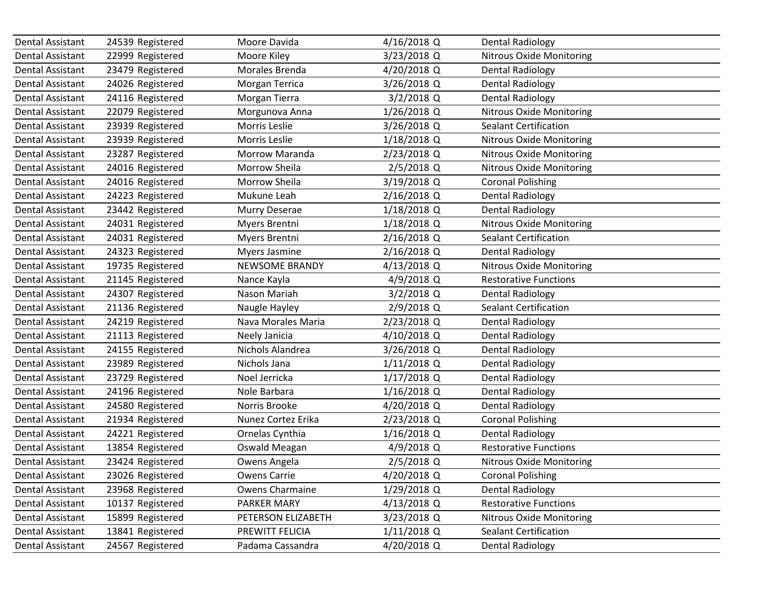| Dental Assistant | 24539 Registered | Moore Davida          | 4/16/2018 Q   | <b>Dental Radiology</b>         |
|------------------|------------------|-----------------------|---------------|---------------------------------|
| Dental Assistant | 22999 Registered | Moore Kiley           | 3/23/2018 Q   | <b>Nitrous Oxide Monitoring</b> |
| Dental Assistant | 23479 Registered | Morales Brenda        | 4/20/2018 Q   | <b>Dental Radiology</b>         |
| Dental Assistant | 24026 Registered | Morgan Terrica        | 3/26/2018 Q   | <b>Dental Radiology</b>         |
| Dental Assistant | 24116 Registered | Morgan Tierra         | $3/2/2018$ Q  | <b>Dental Radiology</b>         |
| Dental Assistant | 22079 Registered | Morgunova Anna        | 1/26/2018 Q   | <b>Nitrous Oxide Monitoring</b> |
| Dental Assistant | 23939 Registered | Morris Leslie         | 3/26/2018 Q   | <b>Sealant Certification</b>    |
| Dental Assistant | 23939 Registered | Morris Leslie         | 1/18/2018 Q   | <b>Nitrous Oxide Monitoring</b> |
| Dental Assistant | 23287 Registered | Morrow Maranda        | 2/23/2018 Q   | <b>Nitrous Oxide Monitoring</b> |
| Dental Assistant | 24016 Registered | Morrow Sheila         | 2/5/2018 Q    | <b>Nitrous Oxide Monitoring</b> |
| Dental Assistant | 24016 Registered | Morrow Sheila         | 3/19/2018 Q   | <b>Coronal Polishing</b>        |
| Dental Assistant | 24223 Registered | Mukune Leah           | 2/16/2018 Q   | <b>Dental Radiology</b>         |
| Dental Assistant | 23442 Registered | Murry Deserae         | 1/18/2018 Q   | <b>Dental Radiology</b>         |
| Dental Assistant | 24031 Registered | Myers Brentni         | 1/18/2018 Q   | <b>Nitrous Oxide Monitoring</b> |
| Dental Assistant | 24031 Registered | Myers Brentni         | 2/16/2018 Q   | <b>Sealant Certification</b>    |
| Dental Assistant | 24323 Registered | Myers Jasmine         | 2/16/2018 Q   | <b>Dental Radiology</b>         |
| Dental Assistant | 19735 Registered | <b>NEWSOME BRANDY</b> | 4/13/2018 Q   | <b>Nitrous Oxide Monitoring</b> |
| Dental Assistant | 21145 Registered | Nance Kayla           | 4/9/2018 Q    | <b>Restorative Functions</b>    |
| Dental Assistant | 24307 Registered | Nason Mariah          | $3/2/2018$ Q  | <b>Dental Radiology</b>         |
| Dental Assistant | 21136 Registered | Naugle Hayley         | 2/9/2018 Q    | <b>Sealant Certification</b>    |
| Dental Assistant | 24219 Registered | Nava Morales Maria    | 2/23/2018 Q   | <b>Dental Radiology</b>         |
| Dental Assistant | 21113 Registered | Neely Janicia         | 4/10/2018 Q   | <b>Dental Radiology</b>         |
| Dental Assistant | 24155 Registered | Nichols Alandrea      | 3/26/2018 Q   | <b>Dental Radiology</b>         |
| Dental Assistant | 23989 Registered | Nichols Jana          | $1/11/2018$ Q | <b>Dental Radiology</b>         |
| Dental Assistant | 23729 Registered | Noel Jerricka         | 1/17/2018 Q   | <b>Dental Radiology</b>         |
| Dental Assistant | 24196 Registered | Nole Barbara          | 1/16/2018 Q   | <b>Dental Radiology</b>         |
| Dental Assistant | 24580 Registered | Norris Brooke         | 4/20/2018 Q   | <b>Dental Radiology</b>         |
| Dental Assistant | 21934 Registered | Nunez Cortez Erika    | 2/23/2018 Q   | <b>Coronal Polishing</b>        |
| Dental Assistant | 24221 Registered | Ornelas Cynthia       | 1/16/2018 Q   | <b>Dental Radiology</b>         |
| Dental Assistant | 13854 Registered | Oswald Meagan         | 4/9/2018 Q    | <b>Restorative Functions</b>    |
| Dental Assistant | 23424 Registered | Owens Angela          | 2/5/2018 Q    | Nitrous Oxide Monitoring        |
| Dental Assistant | 23026 Registered | <b>Owens Carrie</b>   | 4/20/2018 Q   | <b>Coronal Polishing</b>        |
| Dental Assistant | 23968 Registered | Owens Charmaine       | 1/29/2018 Q   | <b>Dental Radiology</b>         |
| Dental Assistant | 10137 Registered | PARKER MARY           | 4/13/2018 Q   | <b>Restorative Functions</b>    |
| Dental Assistant | 15899 Registered | PETERSON ELIZABETH    | 3/23/2018 Q   | <b>Nitrous Oxide Monitoring</b> |
| Dental Assistant | 13841 Registered | PREWITT FELICIA       | 1/11/2018 Q   | <b>Sealant Certification</b>    |
| Dental Assistant | 24567 Registered | Padama Cassandra      | 4/20/2018 Q   | <b>Dental Radiology</b>         |
|                  |                  |                       |               |                                 |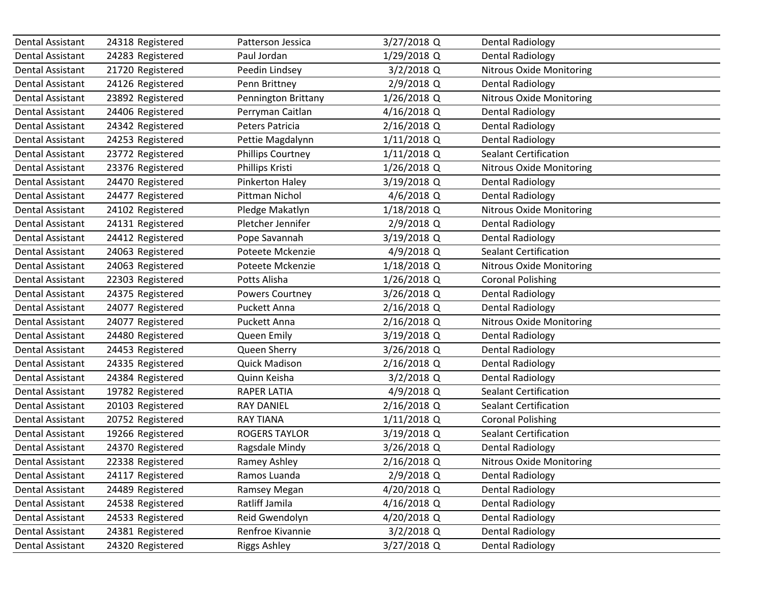| Dental Assistant        | 24318 Registered | Patterson Jessica        | 3/27/2018 Q   | <b>Dental Radiology</b>         |
|-------------------------|------------------|--------------------------|---------------|---------------------------------|
| Dental Assistant        | 24283 Registered | Paul Jordan              | 1/29/2018 Q   | <b>Dental Radiology</b>         |
| Dental Assistant        | 21720 Registered | Peedin Lindsey           | $3/2/2018$ Q  | <b>Nitrous Oxide Monitoring</b> |
| Dental Assistant        | 24126 Registered | Penn Brittney            | 2/9/2018 Q    | <b>Dental Radiology</b>         |
| <b>Dental Assistant</b> | 23892 Registered | Pennington Brittany      | 1/26/2018 Q   | <b>Nitrous Oxide Monitoring</b> |
| Dental Assistant        | 24406 Registered | Perryman Caitlan         | 4/16/2018 Q   | <b>Dental Radiology</b>         |
| Dental Assistant        | 24342 Registered | Peters Patricia          | 2/16/2018 Q   | <b>Dental Radiology</b>         |
| <b>Dental Assistant</b> | 24253 Registered | Pettie Magdalynn         | $1/11/2018$ Q | <b>Dental Radiology</b>         |
| Dental Assistant        | 23772 Registered | <b>Phillips Courtney</b> | $1/11/2018$ Q | <b>Sealant Certification</b>    |
| <b>Dental Assistant</b> | 23376 Registered | Phillips Kristi          | 1/26/2018 Q   | <b>Nitrous Oxide Monitoring</b> |
| Dental Assistant        | 24470 Registered | Pinkerton Haley          | 3/19/2018 Q   | <b>Dental Radiology</b>         |
| <b>Dental Assistant</b> | 24477 Registered | Pittman Nichol           | $4/6/2018$ Q  | <b>Dental Radiology</b>         |
| Dental Assistant        | 24102 Registered | Pledge Makatlyn          | 1/18/2018 Q   | <b>Nitrous Oxide Monitoring</b> |
| Dental Assistant        | 24131 Registered | Pletcher Jennifer        | 2/9/2018 Q    | <b>Dental Radiology</b>         |
| <b>Dental Assistant</b> | 24412 Registered | Pope Savannah            | 3/19/2018 Q   | <b>Dental Radiology</b>         |
| Dental Assistant        | 24063 Registered | Poteete Mckenzie         | 4/9/2018 Q    | <b>Sealant Certification</b>    |
| <b>Dental Assistant</b> | 24063 Registered | Poteete Mckenzie         | 1/18/2018 Q   | <b>Nitrous Oxide Monitoring</b> |
| Dental Assistant        | 22303 Registered | Potts Alisha             | $1/26/2018$ Q | <b>Coronal Polishing</b>        |
| Dental Assistant        | 24375 Registered | <b>Powers Courtney</b>   | $3/26/2018$ Q | <b>Dental Radiology</b>         |
| <b>Dental Assistant</b> | 24077 Registered | Puckett Anna             | 2/16/2018 Q   | <b>Dental Radiology</b>         |
| Dental Assistant        | 24077 Registered | Puckett Anna             | 2/16/2018 Q   | <b>Nitrous Oxide Monitoring</b> |
| Dental Assistant        | 24480 Registered | Queen Emily              | 3/19/2018 Q   | <b>Dental Radiology</b>         |
| Dental Assistant        | 24453 Registered | Queen Sherry             | 3/26/2018 Q   | <b>Dental Radiology</b>         |
| Dental Assistant        | 24335 Registered | <b>Quick Madison</b>     | 2/16/2018 Q   | <b>Dental Radiology</b>         |
| Dental Assistant        | 24384 Registered | Quinn Keisha             | $3/2/2018$ Q  | <b>Dental Radiology</b>         |
| Dental Assistant        | 19782 Registered | <b>RAPER LATIA</b>       | 4/9/2018 Q    | <b>Sealant Certification</b>    |
| <b>Dental Assistant</b> | 20103 Registered | <b>RAY DANIEL</b>        | 2/16/2018 Q   | <b>Sealant Certification</b>    |
| <b>Dental Assistant</b> | 20752 Registered | <b>RAY TIANA</b>         | $1/11/2018$ Q | <b>Coronal Polishing</b>        |
| <b>Dental Assistant</b> | 19266 Registered | <b>ROGERS TAYLOR</b>     | 3/19/2018 Q   | <b>Sealant Certification</b>    |
| <b>Dental Assistant</b> | 24370 Registered | Ragsdale Mindy           | 3/26/2018 Q   | <b>Dental Radiology</b>         |
| Dental Assistant        | 22338 Registered | Ramey Ashley             | 2/16/2018 Q   | Nitrous Oxide Monitoring        |
| Dental Assistant        | 24117 Registered | Ramos Luanda             | 2/9/2018 Q    | <b>Dental Radiology</b>         |
| Dental Assistant        | 24489 Registered | Ramsey Megan             | 4/20/2018 Q   | <b>Dental Radiology</b>         |
| Dental Assistant        | 24538 Registered | Ratliff Jamila           | 4/16/2018 Q   | <b>Dental Radiology</b>         |
| Dental Assistant        | 24533 Registered | Reid Gwendolyn           | 4/20/2018 Q   | <b>Dental Radiology</b>         |
| Dental Assistant        | 24381 Registered | Renfroe Kivannie         | $3/2/2018$ Q  | <b>Dental Radiology</b>         |
| Dental Assistant        | 24320 Registered | <b>Riggs Ashley</b>      | 3/27/2018 Q   | <b>Dental Radiology</b>         |
|                         |                  |                          |               |                                 |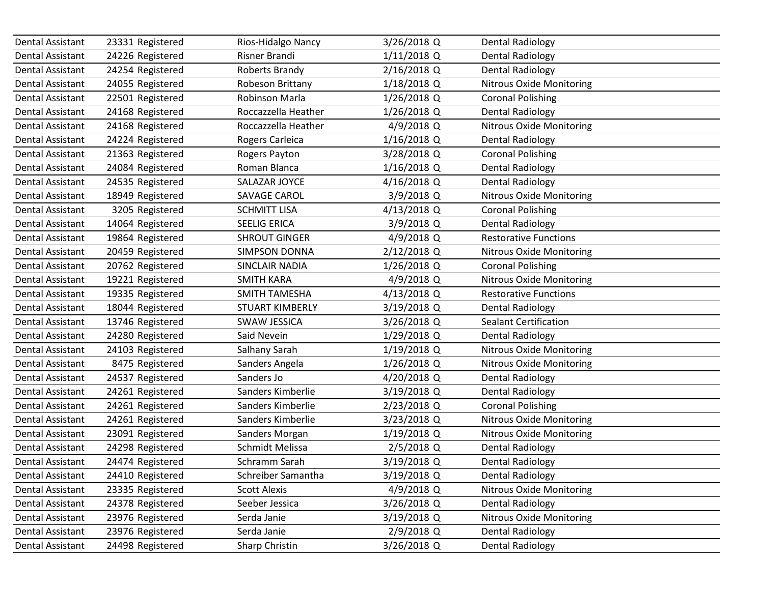| Dental Assistant        | 23331 Registered | Rios-Hidalgo Nancy     | 3/26/2018 Q   | <b>Dental Radiology</b>         |
|-------------------------|------------------|------------------------|---------------|---------------------------------|
| Dental Assistant        | 24226 Registered | Risner Brandi          | $1/11/2018$ Q | <b>Dental Radiology</b>         |
| <b>Dental Assistant</b> | 24254 Registered | Roberts Brandy         | 2/16/2018 Q   | <b>Dental Radiology</b>         |
| Dental Assistant        | 24055 Registered | Robeson Brittany       | 1/18/2018 Q   | <b>Nitrous Oxide Monitoring</b> |
| <b>Dental Assistant</b> | 22501 Registered | Robinson Marla         | 1/26/2018 Q   | <b>Coronal Polishing</b>        |
| Dental Assistant        | 24168 Registered | Roccazzella Heather    | 1/26/2018 Q   | <b>Dental Radiology</b>         |
| Dental Assistant        | 24168 Registered | Roccazzella Heather    | 4/9/2018 Q    | <b>Nitrous Oxide Monitoring</b> |
| <b>Dental Assistant</b> | 24224 Registered | Rogers Carleica        | 1/16/2018 Q   | <b>Dental Radiology</b>         |
| Dental Assistant        | 21363 Registered | Rogers Payton          | 3/28/2018 Q   | <b>Coronal Polishing</b>        |
| <b>Dental Assistant</b> | 24084 Registered | Roman Blanca           | 1/16/2018 Q   | <b>Dental Radiology</b>         |
| Dental Assistant        | 24535 Registered | SALAZAR JOYCE          | 4/16/2018 Q   | <b>Dental Radiology</b>         |
| <b>Dental Assistant</b> | 18949 Registered | <b>SAVAGE CAROL</b>    | 3/9/2018 Q    | <b>Nitrous Oxide Monitoring</b> |
| Dental Assistant        | 3205 Registered  | <b>SCHMITT LISA</b>    | 4/13/2018 Q   | <b>Coronal Polishing</b>        |
| Dental Assistant        | 14064 Registered | <b>SEELIG ERICA</b>    | 3/9/2018 Q    | <b>Dental Radiology</b>         |
| <b>Dental Assistant</b> | 19864 Registered | <b>SHROUT GINGER</b>   | 4/9/2018 Q    | <b>Restorative Functions</b>    |
| Dental Assistant        | 20459 Registered | <b>SIMPSON DONNA</b>   | 2/12/2018 Q   | <b>Nitrous Oxide Monitoring</b> |
| <b>Dental Assistant</b> | 20762 Registered | SINCLAIR NADIA         | 1/26/2018 Q   | <b>Coronal Polishing</b>        |
| Dental Assistant        | 19221 Registered | <b>SMITH KARA</b>      | 4/9/2018 Q    | <b>Nitrous Oxide Monitoring</b> |
| Dental Assistant        | 19335 Registered | <b>SMITH TAMESHA</b>   | 4/13/2018 Q   | <b>Restorative Functions</b>    |
| Dental Assistant        | 18044 Registered | <b>STUART KIMBERLY</b> | 3/19/2018 Q   | <b>Dental Radiology</b>         |
| Dental Assistant        | 13746 Registered | <b>SWAW JESSICA</b>    | 3/26/2018 Q   | <b>Sealant Certification</b>    |
| Dental Assistant        | 24280 Registered | Said Nevein            | 1/29/2018 Q   | <b>Dental Radiology</b>         |
| Dental Assistant        | 24103 Registered | Salhany Sarah          | 1/19/2018 Q   | <b>Nitrous Oxide Monitoring</b> |
| Dental Assistant        | 8475 Registered  | Sanders Angela         | 1/26/2018 Q   | <b>Nitrous Oxide Monitoring</b> |
| Dental Assistant        | 24537 Registered | Sanders Jo             | 4/20/2018 Q   | <b>Dental Radiology</b>         |
| Dental Assistant        | 24261 Registered | Sanders Kimberlie      | 3/19/2018 Q   | <b>Dental Radiology</b>         |
| <b>Dental Assistant</b> | 24261 Registered | Sanders Kimberlie      | 2/23/2018 Q   | <b>Coronal Polishing</b>        |
| Dental Assistant        | 24261 Registered | Sanders Kimberlie      | 3/23/2018 Q   | <b>Nitrous Oxide Monitoring</b> |
| <b>Dental Assistant</b> | 23091 Registered | Sanders Morgan         | 1/19/2018 Q   | <b>Nitrous Oxide Monitoring</b> |
| <b>Dental Assistant</b> | 24298 Registered | Schmidt Melissa        | 2/5/2018 Q    | <b>Dental Radiology</b>         |
| Dental Assistant        | 24474 Registered | Schramm Sarah          | 3/19/2018 Q   | Dental Radiology                |
| Dental Assistant        | 24410 Registered | Schreiber Samantha     | 3/19/2018 Q   | <b>Dental Radiology</b>         |
| Dental Assistant        | 23335 Registered | <b>Scott Alexis</b>    | 4/9/2018 Q    | <b>Nitrous Oxide Monitoring</b> |
| Dental Assistant        | 24378 Registered | Seeber Jessica         | 3/26/2018 Q   | <b>Dental Radiology</b>         |
| Dental Assistant        | 23976 Registered | Serda Janie            | 3/19/2018 Q   | <b>Nitrous Oxide Monitoring</b> |
| Dental Assistant        | 23976 Registered | Serda Janie            | $2/9/2018$ Q  | Dental Radiology                |
| Dental Assistant        | 24498 Registered | Sharp Christin         | 3/26/2018 Q   | <b>Dental Radiology</b>         |
|                         |                  |                        |               |                                 |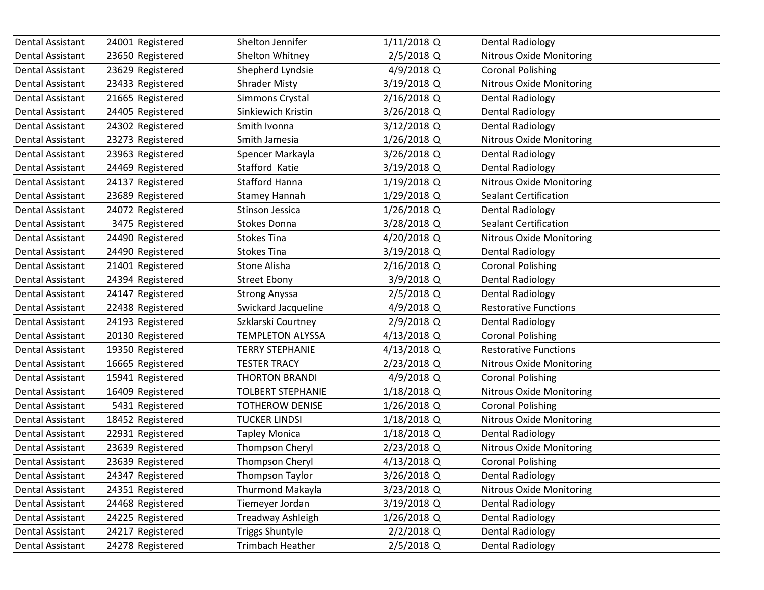| Dental Assistant        | 24001 Registered | Shelton Jennifer         | 1/11/2018 Q   | <b>Dental Radiology</b>         |
|-------------------------|------------------|--------------------------|---------------|---------------------------------|
| Dental Assistant        | 23650 Registered | Shelton Whitney          | $2/5/2018$ Q  | <b>Nitrous Oxide Monitoring</b> |
| Dental Assistant        | 23629 Registered | Shepherd Lyndsie         | 4/9/2018 Q    | <b>Coronal Polishing</b>        |
| Dental Assistant        | 23433 Registered | <b>Shrader Misty</b>     | 3/19/2018 Q   | <b>Nitrous Oxide Monitoring</b> |
| <b>Dental Assistant</b> | 21665 Registered | Simmons Crystal          | 2/16/2018 Q   | <b>Dental Radiology</b>         |
| Dental Assistant        | 24405 Registered | Sinkiewich Kristin       | 3/26/2018 Q   | <b>Dental Radiology</b>         |
| Dental Assistant        | 24302 Registered | Smith Ivonna             | $3/12/2018$ Q | <b>Dental Radiology</b>         |
| <b>Dental Assistant</b> | 23273 Registered | Smith Jamesia            | 1/26/2018 Q   | <b>Nitrous Oxide Monitoring</b> |
| Dental Assistant        | 23963 Registered | Spencer Markayla         | 3/26/2018 Q   | <b>Dental Radiology</b>         |
| <b>Dental Assistant</b> | 24469 Registered | Stafford Katie           | 3/19/2018 Q   | <b>Dental Radiology</b>         |
| Dental Assistant        | 24137 Registered | <b>Stafford Hanna</b>    | 1/19/2018 Q   | <b>Nitrous Oxide Monitoring</b> |
| <b>Dental Assistant</b> | 23689 Registered | <b>Stamey Hannah</b>     | 1/29/2018 Q   | <b>Sealant Certification</b>    |
| Dental Assistant        | 24072 Registered | Stinson Jessica          | 1/26/2018 Q   | <b>Dental Radiology</b>         |
| Dental Assistant        | 3475 Registered  | Stokes Donna             | 3/28/2018 Q   | <b>Sealant Certification</b>    |
| <b>Dental Assistant</b> | 24490 Registered | <b>Stokes Tina</b>       | 4/20/2018 Q   | <b>Nitrous Oxide Monitoring</b> |
| Dental Assistant        | 24490 Registered | <b>Stokes Tina</b>       | 3/19/2018 Q   | <b>Dental Radiology</b>         |
| <b>Dental Assistant</b> | 21401 Registered | Stone Alisha             | 2/16/2018 Q   | <b>Coronal Polishing</b>        |
| Dental Assistant        | 24394 Registered | <b>Street Ebony</b>      | 3/9/2018 Q    | <b>Dental Radiology</b>         |
| <b>Dental Assistant</b> | 24147 Registered | <b>Strong Anyssa</b>     | $2/5/2018$ Q  | Dental Radiology                |
| Dental Assistant        | 22438 Registered | Swickard Jacqueline      | 4/9/2018 Q    | <b>Restorative Functions</b>    |
| Dental Assistant        | 24193 Registered | Szklarski Courtney       | 2/9/2018 Q    | Dental Radiology                |
| Dental Assistant        | 20130 Registered | <b>TEMPLETON ALYSSA</b>  | 4/13/2018 Q   | <b>Coronal Polishing</b>        |
| Dental Assistant        | 19350 Registered | <b>TERRY STEPHANIE</b>   | 4/13/2018 Q   | <b>Restorative Functions</b>    |
| Dental Assistant        | 16665 Registered | <b>TESTER TRACY</b>      | 2/23/2018 Q   | <b>Nitrous Oxide Monitoring</b> |
| Dental Assistant        | 15941 Registered | <b>THORTON BRANDI</b>    | 4/9/2018 Q    | <b>Coronal Polishing</b>        |
| Dental Assistant        | 16409 Registered | <b>TOLBERT STEPHANIE</b> | 1/18/2018 Q   | Nitrous Oxide Monitoring        |
| <b>Dental Assistant</b> | 5431 Registered  | <b>TOTHEROW DENISE</b>   | 1/26/2018 Q   | <b>Coronal Polishing</b>        |
| <b>Dental Assistant</b> | 18452 Registered | <b>TUCKER LINDSI</b>     | 1/18/2018 Q   | <b>Nitrous Oxide Monitoring</b> |
| <b>Dental Assistant</b> | 22931 Registered | <b>Tapley Monica</b>     | 1/18/2018 Q   | <b>Dental Radiology</b>         |
| Dental Assistant        | 23639 Registered | <b>Thompson Cheryl</b>   | 2/23/2018 Q   | <b>Nitrous Oxide Monitoring</b> |
| Dental Assistant        | 23639 Registered | Thompson Cheryl          | 4/13/2018 Q   | <b>Coronal Polishing</b>        |
| Dental Assistant        | 24347 Registered | <b>Thompson Taylor</b>   | 3/26/2018 Q   | Dental Radiology                |
| Dental Assistant        | 24351 Registered | <b>Thurmond Makayla</b>  | 3/23/2018 Q   | <b>Nitrous Oxide Monitoring</b> |
| Dental Assistant        | 24468 Registered | Tiemeyer Jordan          | 3/19/2018 Q   | <b>Dental Radiology</b>         |
| Dental Assistant        | 24225 Registered | Treadway Ashleigh        | 1/26/2018 Q   | <b>Dental Radiology</b>         |
| Dental Assistant        | 24217 Registered | <b>Triggs Shuntyle</b>   | $2/2/2018$ Q  | <b>Dental Radiology</b>         |
| Dental Assistant        | 24278 Registered | Trimbach Heather         | 2/5/2018 Q    | <b>Dental Radiology</b>         |
|                         |                  |                          |               |                                 |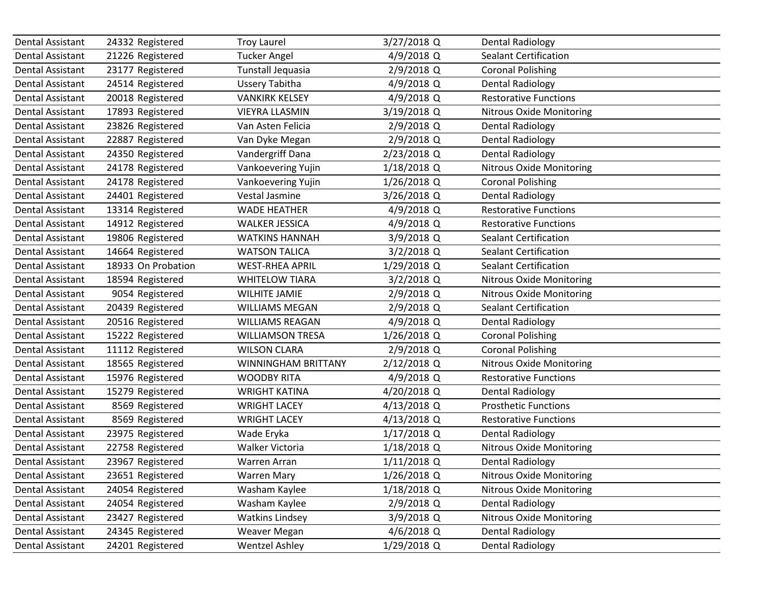| Dental Assistant        | 24332 Registered   | <b>Troy Laurel</b>      | 3/27/2018 Q   | <b>Dental Radiology</b>         |
|-------------------------|--------------------|-------------------------|---------------|---------------------------------|
| Dental Assistant        | 21226 Registered   | <b>Tucker Angel</b>     | 4/9/2018 Q    | <b>Sealant Certification</b>    |
| Dental Assistant        | 23177 Registered   | Tunstall Jequasia       | 2/9/2018 Q    | <b>Coronal Polishing</b>        |
| Dental Assistant        | 24514 Registered   | <b>Ussery Tabitha</b>   | 4/9/2018 Q    | <b>Dental Radiology</b>         |
| <b>Dental Assistant</b> | 20018 Registered   | <b>VANKIRK KELSEY</b>   | 4/9/2018 Q    | <b>Restorative Functions</b>    |
| Dental Assistant        | 17893 Registered   | <b>VIEYRA LLASMIN</b>   | 3/19/2018 Q   | <b>Nitrous Oxide Monitoring</b> |
| Dental Assistant        | 23826 Registered   | Van Asten Felicia       | 2/9/2018 Q    | <b>Dental Radiology</b>         |
| <b>Dental Assistant</b> | 22887 Registered   | Van Dyke Megan          | 2/9/2018 Q    | <b>Dental Radiology</b>         |
| <b>Dental Assistant</b> | 24350 Registered   | Vandergriff Dana        | 2/23/2018 Q   | <b>Dental Radiology</b>         |
| <b>Dental Assistant</b> | 24178 Registered   | Vankoevering Yujin      | 1/18/2018 Q   | <b>Nitrous Oxide Monitoring</b> |
| Dental Assistant        | 24178 Registered   | Vankoevering Yujin      | 1/26/2018 Q   | <b>Coronal Polishing</b>        |
| <b>Dental Assistant</b> | 24401 Registered   | Vestal Jasmine          | 3/26/2018 Q   | <b>Dental Radiology</b>         |
| Dental Assistant        | 13314 Registered   | <b>WADE HEATHER</b>     | 4/9/2018 Q    | <b>Restorative Functions</b>    |
| Dental Assistant        | 14912 Registered   | <b>WALKER JESSICA</b>   | 4/9/2018 Q    | <b>Restorative Functions</b>    |
| <b>Dental Assistant</b> | 19806 Registered   | <b>WATKINS HANNAH</b>   | 3/9/2018 Q    | <b>Sealant Certification</b>    |
| Dental Assistant        | 14664 Registered   | <b>WATSON TALICA</b>    | $3/2/2018$ Q  | <b>Sealant Certification</b>    |
| Dental Assistant        | 18933 On Probation | <b>WEST-RHEA APRIL</b>  | 1/29/2018 Q   | <b>Sealant Certification</b>    |
| Dental Assistant        | 18594 Registered   | <b>WHITELOW TIARA</b>   | $3/2/2018$ Q  | <b>Nitrous Oxide Monitoring</b> |
| Dental Assistant        | 9054 Registered    | <b>WILHITE JAMIE</b>    | 2/9/2018 Q    | <b>Nitrous Oxide Monitoring</b> |
| Dental Assistant        | 20439 Registered   | <b>WILLIAMS MEGAN</b>   | 2/9/2018 Q    | <b>Sealant Certification</b>    |
| Dental Assistant        | 20516 Registered   | <b>WILLIAMS REAGAN</b>  | 4/9/2018 Q    | <b>Dental Radiology</b>         |
| Dental Assistant        | 15222 Registered   | <b>WILLIAMSON TRESA</b> | 1/26/2018 Q   | <b>Coronal Polishing</b>        |
| Dental Assistant        | 11112 Registered   | <b>WILSON CLARA</b>     | 2/9/2018 Q    | <b>Coronal Polishing</b>        |
| Dental Assistant        | 18565 Registered   | WINNINGHAM BRITTANY     | 2/12/2018 Q   | <b>Nitrous Oxide Monitoring</b> |
| Dental Assistant        | 15976 Registered   | <b>WOODBY RITA</b>      | 4/9/2018 Q    | <b>Restorative Functions</b>    |
| Dental Assistant        | 15279 Registered   | <b>WRIGHT KATINA</b>    | 4/20/2018 Q   | <b>Dental Radiology</b>         |
| <b>Dental Assistant</b> | 8569 Registered    | <b>WRIGHT LACEY</b>     | 4/13/2018 Q   | <b>Prosthetic Functions</b>     |
| Dental Assistant        | 8569 Registered    | <b>WRIGHT LACEY</b>     | 4/13/2018 Q   | <b>Restorative Functions</b>    |
| <b>Dental Assistant</b> | 23975 Registered   | Wade Eryka              | 1/17/2018 Q   | <b>Dental Radiology</b>         |
| <b>Dental Assistant</b> | 22758 Registered   | Walker Victoria         | 1/18/2018 Q   | <b>Nitrous Oxide Monitoring</b> |
| Dental Assistant        | 23967 Registered   | Warren Arran            | $1/11/2018$ Q | Dental Radiology                |
| Dental Assistant        | 23651 Registered   | <b>Warren Mary</b>      | 1/26/2018 Q   | <b>Nitrous Oxide Monitoring</b> |
| Dental Assistant        | 24054 Registered   | Washam Kaylee           | 1/18/2018 Q   | <b>Nitrous Oxide Monitoring</b> |
| Dental Assistant        | 24054 Registered   | Washam Kaylee           | 2/9/2018 Q    | <b>Dental Radiology</b>         |
| Dental Assistant        | 23427 Registered   | <b>Watkins Lindsey</b>  | 3/9/2018 Q    | <b>Nitrous Oxide Monitoring</b> |
| <b>Dental Assistant</b> | 24345 Registered   | <b>Weaver Megan</b>     | $4/6/2018$ Q  | <b>Dental Radiology</b>         |
| Dental Assistant        | 24201 Registered   | <b>Wentzel Ashley</b>   | 1/29/2018 Q   | <b>Dental Radiology</b>         |
|                         |                    |                         |               |                                 |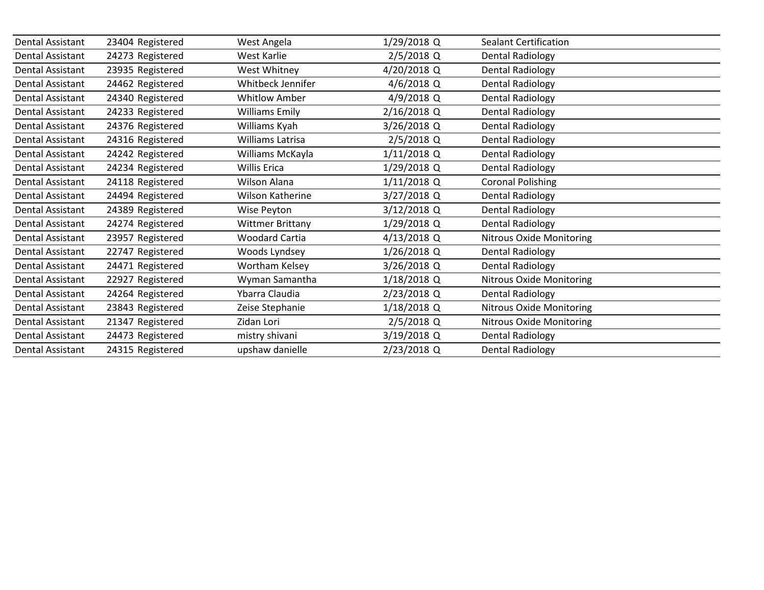| Dental Assistant        | 23404 Registered | West Angela             | 1/29/2018 Q  | <b>Sealant Certification</b>    |
|-------------------------|------------------|-------------------------|--------------|---------------------------------|
| <b>Dental Assistant</b> | 24273 Registered | West Karlie             | $2/5/2018$ Q | <b>Dental Radiology</b>         |
| <b>Dental Assistant</b> | 23935 Registered | West Whitney            | 4/20/2018 Q  | <b>Dental Radiology</b>         |
| <b>Dental Assistant</b> | 24462 Registered | Whitbeck Jennifer       | $4/6/2018$ Q | <b>Dental Radiology</b>         |
| <b>Dental Assistant</b> | 24340 Registered | <b>Whitlow Amber</b>    | 4/9/2018 Q   | <b>Dental Radiology</b>         |
| Dental Assistant        | 24233 Registered | <b>Williams Emily</b>   | 2/16/2018 Q  | Dental Radiology                |
| <b>Dental Assistant</b> | 24376 Registered | Williams Kyah           | 3/26/2018 Q  | <b>Dental Radiology</b>         |
| Dental Assistant        | 24316 Registered | <b>Williams Latrisa</b> | 2/5/2018 Q   | <b>Dental Radiology</b>         |
| <b>Dental Assistant</b> | 24242 Registered | Williams McKayla        | 1/11/2018 Q  | <b>Dental Radiology</b>         |
| Dental Assistant        | 24234 Registered | <b>Willis Erica</b>     | 1/29/2018 Q  | Dental Radiology                |
| <b>Dental Assistant</b> | 24118 Registered | <b>Wilson Alana</b>     | 1/11/2018 Q  | <b>Coronal Polishing</b>        |
| <b>Dental Assistant</b> | 24494 Registered | Wilson Katherine        | 3/27/2018 Q  | <b>Dental Radiology</b>         |
| <b>Dental Assistant</b> | 24389 Registered | Wise Peyton             | 3/12/2018 Q  | <b>Dental Radiology</b>         |
| Dental Assistant        | 24274 Registered | <b>Wittmer Brittany</b> | 1/29/2018 Q  | <b>Dental Radiology</b>         |
| <b>Dental Assistant</b> | 23957 Registered | <b>Woodard Cartia</b>   | 4/13/2018 Q  | Nitrous Oxide Monitoring        |
| <b>Dental Assistant</b> | 22747 Registered | Woods Lyndsey           | 1/26/2018 Q  | Dental Radiology                |
| <b>Dental Assistant</b> | 24471 Registered | Wortham Kelsey          | 3/26/2018 Q  | <b>Dental Radiology</b>         |
| Dental Assistant        | 22927 Registered | Wyman Samantha          | 1/18/2018 Q  | <b>Nitrous Oxide Monitoring</b> |
| Dental Assistant        | 24264 Registered | Ybarra Claudia          | 2/23/2018 Q  | <b>Dental Radiology</b>         |
| Dental Assistant        | 23843 Registered | Zeise Stephanie         | 1/18/2018 Q  | Nitrous Oxide Monitoring        |
| <b>Dental Assistant</b> | 21347 Registered | Zidan Lori              | 2/5/2018 Q   | Nitrous Oxide Monitoring        |
| Dental Assistant        | 24473 Registered | mistry shivani          | 3/19/2018 Q  | <b>Dental Radiology</b>         |
| Dental Assistant        | 24315 Registered | upshaw danielle         | 2/23/2018 Q  | <b>Dental Radiology</b>         |
|                         |                  |                         |              |                                 |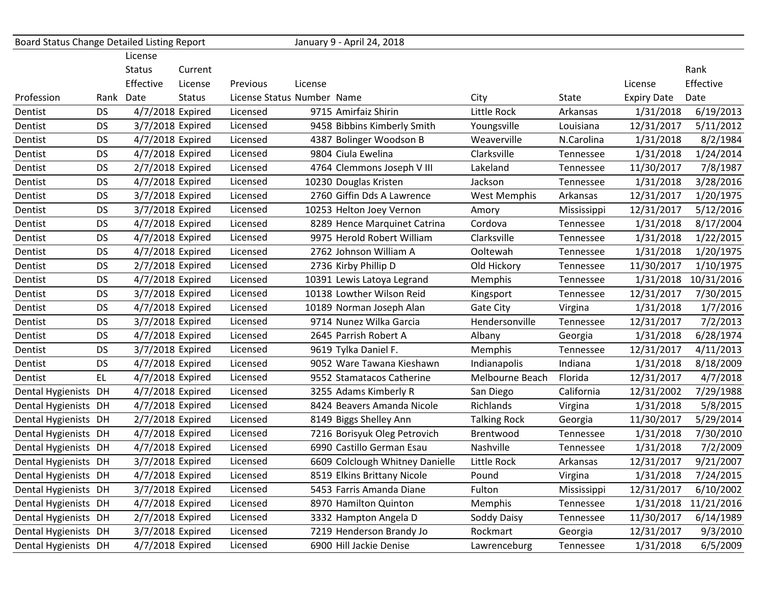| Board Status Change Detailed Listing Report |           |                  |               |          |                            | January 9 - April 24, 2018      |                     |             |                    |            |
|---------------------------------------------|-----------|------------------|---------------|----------|----------------------------|---------------------------------|---------------------|-------------|--------------------|------------|
|                                             |           | License          |               |          |                            |                                 |                     |             |                    |            |
|                                             |           | <b>Status</b>    | Current       |          |                            |                                 |                     |             |                    | Rank       |
|                                             |           | Effective        | License       | Previous | License                    |                                 |                     |             | License            | Effective  |
| Profession                                  |           | Rank Date        | <b>Status</b> |          | License Status Number Name |                                 | City                | State       | <b>Expiry Date</b> | Date       |
| Dentist                                     | <b>DS</b> | 4/7/2018 Expired |               | Licensed |                            | 9715 Amirfaiz Shirin            | Little Rock         | Arkansas    | 1/31/2018          | 6/19/2013  |
| Dentist                                     | <b>DS</b> | 3/7/2018 Expired |               | Licensed |                            | 9458 Bibbins Kimberly Smith     | Youngsville         | Louisiana   | 12/31/2017         | 5/11/2012  |
| Dentist                                     | <b>DS</b> | 4/7/2018 Expired |               | Licensed |                            | 4387 Bolinger Woodson B         | Weaverville         | N.Carolina  | 1/31/2018          | 8/2/1984   |
| Dentist                                     | <b>DS</b> | 4/7/2018 Expired |               | Licensed |                            | 9804 Ciula Ewelina              | Clarksville         | Tennessee   | 1/31/2018          | 1/24/2014  |
| Dentist                                     | <b>DS</b> | 2/7/2018 Expired |               | Licensed |                            | 4764 Clemmons Joseph V III      | Lakeland            | Tennessee   | 11/30/2017         | 7/8/1987   |
| Dentist                                     | <b>DS</b> | 4/7/2018 Expired |               | Licensed |                            | 10230 Douglas Kristen           | Jackson             | Tennessee   | 1/31/2018          | 3/28/2016  |
| Dentist                                     | <b>DS</b> | 3/7/2018 Expired |               | Licensed |                            | 2760 Giffin Dds A Lawrence      | <b>West Memphis</b> | Arkansas    | 12/31/2017         | 1/20/1975  |
| Dentist                                     | <b>DS</b> | 3/7/2018 Expired |               | Licensed |                            | 10253 Helton Joey Vernon        | Amory               | Mississippi | 12/31/2017         | 5/12/2016  |
| Dentist                                     | <b>DS</b> | 4/7/2018 Expired |               | Licensed |                            | 8289 Hence Marquinet Catrina    | Cordova             | Tennessee   | 1/31/2018          | 8/17/2004  |
| Dentist                                     | <b>DS</b> | 4/7/2018 Expired |               | Licensed |                            | 9975 Herold Robert William      | Clarksville         | Tennessee   | 1/31/2018          | 1/22/2015  |
| Dentist                                     | <b>DS</b> | 4/7/2018 Expired |               | Licensed |                            | 2762 Johnson William A          | Ooltewah            | Tennessee   | 1/31/2018          | 1/20/1975  |
| Dentist                                     | <b>DS</b> | 2/7/2018 Expired |               | Licensed |                            | 2736 Kirby Phillip D            | Old Hickory         | Tennessee   | 11/30/2017         | 1/10/1975  |
| Dentist                                     | <b>DS</b> | 4/7/2018 Expired |               | Licensed |                            | 10391 Lewis Latoya Legrand      | <b>Memphis</b>      | Tennessee   | 1/31/2018          | 10/31/2016 |
| Dentist                                     | <b>DS</b> | 3/7/2018 Expired |               | Licensed |                            | 10138 Lowther Wilson Reid       | Kingsport           | Tennessee   | 12/31/2017         | 7/30/2015  |
| Dentist                                     | <b>DS</b> | 4/7/2018 Expired |               | Licensed |                            | 10189 Norman Joseph Alan        | Gate City           | Virgina     | 1/31/2018          | 1/7/2016   |
| Dentist                                     | <b>DS</b> | 3/7/2018 Expired |               | Licensed |                            | 9714 Nunez Wilka Garcia         | Hendersonville      | Tennessee   | 12/31/2017         | 7/2/2013   |
| Dentist                                     | <b>DS</b> | 4/7/2018 Expired |               | Licensed |                            | 2645 Parrish Robert A           | Albany              | Georgia     | 1/31/2018          | 6/28/1974  |
| Dentist                                     | <b>DS</b> | 3/7/2018 Expired |               | Licensed |                            | 9619 Tylka Daniel F.            | Memphis             | Tennessee   | 12/31/2017         | 4/11/2013  |
| Dentist                                     | <b>DS</b> | 4/7/2018 Expired |               | Licensed |                            | 9052 Ware Tawana Kieshawn       | Indianapolis        | Indiana     | 1/31/2018          | 8/18/2009  |
| Dentist                                     | EL.       | 4/7/2018 Expired |               | Licensed |                            | 9552 Stamatacos Catherine       | Melbourne Beach     | Florida     | 12/31/2017         | 4/7/2018   |
| Dental Hygienists DH                        |           | 4/7/2018 Expired |               | Licensed |                            | 3255 Adams Kimberly R           | San Diego           | California  | 12/31/2002         | 7/29/1988  |
| Dental Hygienists DH                        |           | 4/7/2018 Expired |               | Licensed |                            | 8424 Beavers Amanda Nicole      | Richlands           | Virgina     | 1/31/2018          | 5/8/2015   |
| Dental Hygienists DH                        |           | 2/7/2018 Expired |               | Licensed |                            | 8149 Biggs Shelley Ann          | <b>Talking Rock</b> | Georgia     | 11/30/2017         | 5/29/2014  |
| Dental Hygienists DH                        |           | 4/7/2018 Expired |               | Licensed |                            | 7216 Borisyuk Oleg Petrovich    | Brentwood           | Tennessee   | 1/31/2018          | 7/30/2010  |
| Dental Hygienists DH                        |           | 4/7/2018 Expired |               | Licensed |                            | 6990 Castillo German Esau       | Nashville           | Tennessee   | 1/31/2018          | 7/2/2009   |
| Dental Hygienists DH                        |           | 3/7/2018 Expired |               | Licensed |                            | 6609 Colclough Whitney Danielle | Little Rock         | Arkansas    | 12/31/2017         | 9/21/2007  |
| Dental Hygienists DH                        |           | 4/7/2018 Expired |               | Licensed |                            | 8519 Elkins Brittany Nicole     | Pound               | Virgina     | 1/31/2018          | 7/24/2015  |
| Dental Hygienists DH                        |           | 3/7/2018 Expired |               | Licensed |                            | 5453 Farris Amanda Diane        | Fulton              | Mississippi | 12/31/2017         | 6/10/2002  |
| Dental Hygienists DH                        |           | 4/7/2018 Expired |               | Licensed |                            | 8970 Hamilton Quinton           | Memphis             | Tennessee   | 1/31/2018          | 11/21/2016 |
| Dental Hygienists DH                        |           | 2/7/2018 Expired |               | Licensed |                            | 3332 Hampton Angela D           | Soddy Daisy         | Tennessee   | 11/30/2017         | 6/14/1989  |
| Dental Hygienists DH                        |           | 3/7/2018 Expired |               | Licensed |                            | 7219 Henderson Brandy Jo        | Rockmart            | Georgia     | 12/31/2017         | 9/3/2010   |
| Dental Hygienists DH                        |           | 4/7/2018 Expired |               | Licensed |                            | 6900 Hill Jackie Denise         | Lawrenceburg        | Tennessee   | 1/31/2018          | 6/5/2009   |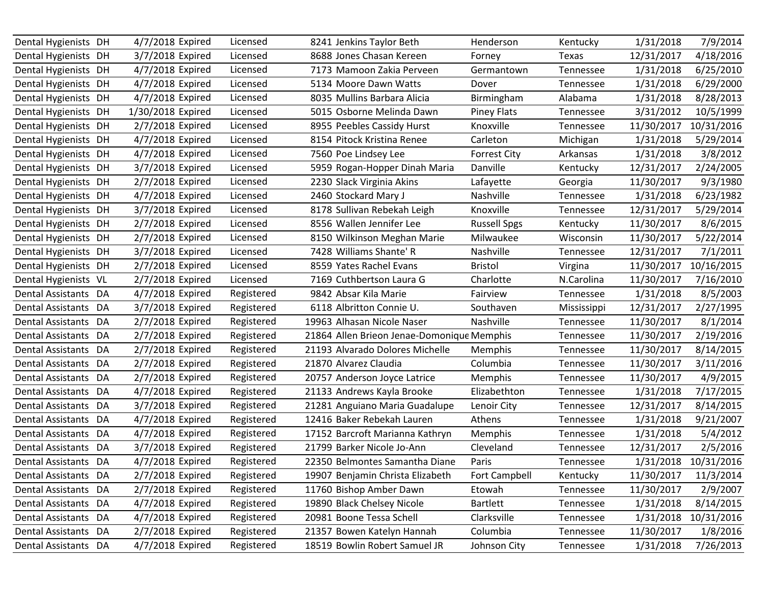| Dental Hygienists DH     |    | 4/7/2018 Expired  | Licensed   | 8241 Jenkins Taylor Beth                   | Henderson           | Kentucky    | 1/31/2018  | 7/9/2014   |
|--------------------------|----|-------------------|------------|--------------------------------------------|---------------------|-------------|------------|------------|
| Dental Hygienists DH     |    | 3/7/2018 Expired  | Licensed   | 8688 Jones Chasan Kereen                   | Forney              | Texas       | 12/31/2017 | 4/18/2016  |
| Dental Hygienists DH     |    | 4/7/2018 Expired  | Licensed   | 7173 Mamoon Zakia Perveen                  | Germantown          | Tennessee   | 1/31/2018  | 6/25/2010  |
| Dental Hygienists DH     |    | 4/7/2018 Expired  | Licensed   | 5134 Moore Dawn Watts                      | Dover               | Tennessee   | 1/31/2018  | 6/29/2000  |
| Dental Hygienists DH     |    | 4/7/2018 Expired  | Licensed   | 8035 Mullins Barbara Alicia                | Birmingham          | Alabama     | 1/31/2018  | 8/28/2013  |
| Dental Hygienists DH     |    | 1/30/2018 Expired | Licensed   | 5015 Osborne Melinda Dawn                  | <b>Piney Flats</b>  | Tennessee   | 3/31/2012  | 10/5/1999  |
| Dental Hygienists DH     |    | 2/7/2018 Expired  | Licensed   | 8955 Peebles Cassidy Hurst                 | Knoxville           | Tennessee   | 11/30/2017 | 10/31/2016 |
| Dental Hygienists DH     |    | 4/7/2018 Expired  | Licensed   | 8154 Pitock Kristina Renee                 | Carleton            | Michigan    | 1/31/2018  | 5/29/2014  |
| Dental Hygienists DH     |    | 4/7/2018 Expired  | Licensed   | 7560 Poe Lindsey Lee                       | <b>Forrest City</b> | Arkansas    | 1/31/2018  | 3/8/2012   |
| Dental Hygienists DH     |    | 3/7/2018 Expired  | Licensed   | 5959 Rogan-Hopper Dinah Maria              | Danville            | Kentucky    | 12/31/2017 | 2/24/2005  |
| Dental Hygienists DH     |    | 2/7/2018 Expired  | Licensed   | 2230 Slack Virginia Akins                  | Lafayette           | Georgia     | 11/30/2017 | 9/3/1980   |
| Dental Hygienists DH     |    | 4/7/2018 Expired  | Licensed   | 2460 Stockard Mary J                       | Nashville           | Tennessee   | 1/31/2018  | 6/23/1982  |
| Dental Hygienists DH     |    | 3/7/2018 Expired  | Licensed   | 8178 Sullivan Rebekah Leigh                | Knoxville           | Tennessee   | 12/31/2017 | 5/29/2014  |
| Dental Hygienists DH     |    | 2/7/2018 Expired  | Licensed   | 8556 Wallen Jennifer Lee                   | <b>Russell Spgs</b> | Kentucky    | 11/30/2017 | 8/6/2015   |
| Dental Hygienists DH     |    | 2/7/2018 Expired  | Licensed   | 8150 Wilkinson Meghan Marie                | Milwaukee           | Wisconsin   | 11/30/2017 | 5/22/2014  |
| Dental Hygienists DH     |    | 3/7/2018 Expired  | Licensed   | 7428 Williams Shante' R                    | Nashville           | Tennessee   | 12/31/2017 | 7/1/2011   |
| Dental Hygienists DH     |    | 2/7/2018 Expired  | Licensed   | 8559 Yates Rachel Evans                    | <b>Bristol</b>      | Virgina     | 11/30/2017 | 10/16/2015 |
| Dental Hygienists VL     |    | 2/7/2018 Expired  | Licensed   | 7169 Cuthbertson Laura G                   | Charlotte           | N.Carolina  | 11/30/2017 | 7/16/2010  |
| Dental Assistants DA     |    | 4/7/2018 Expired  | Registered | 9842 Absar Kila Marie                      | Fairview            | Tennessee   | 1/31/2018  | 8/5/2003   |
| Dental Assistants DA     |    | 3/7/2018 Expired  | Registered | 6118 Albritton Connie U.                   | Southaven           | Mississippi | 12/31/2017 | 2/27/1995  |
| Dental Assistants DA     |    | 2/7/2018 Expired  | Registered | 19963 Alhasan Nicole Naser                 | Nashville           | Tennessee   | 11/30/2017 | 8/1/2014   |
| Dental Assistants DA     |    | 2/7/2018 Expired  | Registered | 21864 Allen Brieon Jenae-Domonique Memphis |                     | Tennessee   | 11/30/2017 | 2/19/2016  |
| Dental Assistants        | DA | 2/7/2018 Expired  | Registered | 21193 Alvarado Dolores Michelle            | Memphis             | Tennessee   | 11/30/2017 | 8/14/2015  |
| Dental Assistants DA     |    | 2/7/2018 Expired  | Registered | 21870 Alvarez Claudia                      | Columbia            | Tennessee   | 11/30/2017 | 3/11/2016  |
| Dental Assistants DA     |    | 2/7/2018 Expired  | Registered | 20757 Anderson Joyce Latrice               | Memphis             | Tennessee   | 11/30/2017 | 4/9/2015   |
| Dental Assistants DA     |    | 4/7/2018 Expired  | Registered | 21133 Andrews Kayla Brooke                 | Elizabethton        | Tennessee   | 1/31/2018  | 7/17/2015  |
| Dental Assistants DA     |    | 3/7/2018 Expired  | Registered | 21281 Anguiano Maria Guadalupe             | Lenoir City         | Tennessee   | 12/31/2017 | 8/14/2015  |
| <b>Dental Assistants</b> | DA | 4/7/2018 Expired  | Registered | 12416 Baker Rebekah Lauren                 | Athens              | Tennessee   | 1/31/2018  | 9/21/2007  |
| Dental Assistants DA     |    | 4/7/2018 Expired  | Registered | 17152 Barcroft Marianna Kathryn            | Memphis             | Tennessee   | 1/31/2018  | 5/4/2012   |
| Dental Assistants DA     |    | 3/7/2018 Expired  | Registered | 21799 Barker Nicole Jo-Ann                 | Cleveland           | Tennessee   | 12/31/2017 | 2/5/2016   |
| Dental Assistants DA     |    | 4/7/2018 Expired  | Registered | 22350 Belmontes Samantha Diane             | Paris               | Tennessee   | 1/31/2018  | 10/31/2016 |
| Dental Assistants DA     |    | 2/7/2018 Expired  | Registered | 19907 Benjamin Christa Elizabeth           | Fort Campbell       | Kentucky    | 11/30/2017 | 11/3/2014  |
| Dental Assistants DA     |    | 2/7/2018 Expired  | Registered | 11760 Bishop Amber Dawn                    | Etowah              | Tennessee   | 11/30/2017 | 2/9/2007   |
| Dental Assistants DA     |    | 4/7/2018 Expired  | Registered | 19890 Black Chelsey Nicole                 | <b>Bartlett</b>     | Tennessee   | 1/31/2018  | 8/14/2015  |
| Dental Assistants DA     |    | 4/7/2018 Expired  | Registered | 20981 Boone Tessa Schell                   | Clarksville         | Tennessee   | 1/31/2018  | 10/31/2016 |
| Dental Assistants DA     |    | 2/7/2018 Expired  | Registered | 21357 Bowen Katelyn Hannah                 | Columbia            | Tennessee   | 11/30/2017 | 1/8/2016   |
| Dental Assistants DA     |    | 4/7/2018 Expired  | Registered | 18519 Bowlin Robert Samuel JR              | Johnson City        | Tennessee   | 1/31/2018  | 7/26/2013  |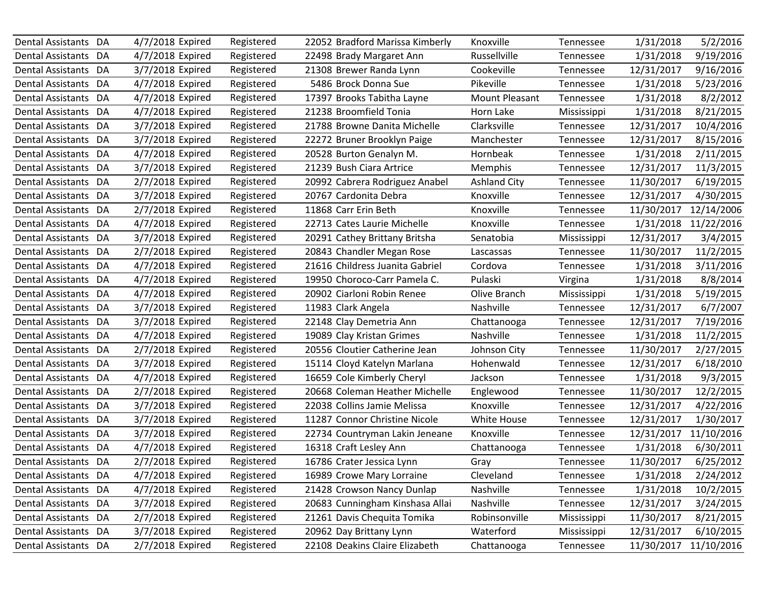| Dental Assistants DA     |    | 4/7/2018 Expired | Registered | 22052 Bradford Marissa Kimberly | Knoxville           | Tennessee   | 1/31/2018  | 5/2/2016   |
|--------------------------|----|------------------|------------|---------------------------------|---------------------|-------------|------------|------------|
| Dental Assistants DA     |    | 4/7/2018 Expired | Registered | 22498 Brady Margaret Ann        | Russellville        | Tennessee   | 1/31/2018  | 9/19/2016  |
| Dental Assistants DA     |    | 3/7/2018 Expired | Registered | 21308 Brewer Randa Lynn         | Cookeville          | Tennessee   | 12/31/2017 | 9/16/2016  |
| Dental Assistants DA     |    | 4/7/2018 Expired | Registered | 5486 Brock Donna Sue            | Pikeville           | Tennessee   | 1/31/2018  | 5/23/2016  |
| Dental Assistants DA     |    | 4/7/2018 Expired | Registered | 17397 Brooks Tabitha Layne      | Mount Pleasant      | Tennessee   | 1/31/2018  | 8/2/2012   |
| Dental Assistants DA     |    | 4/7/2018 Expired | Registered | 21238 Broomfield Tonia          | Horn Lake           | Mississippi | 1/31/2018  | 8/21/2015  |
| Dental Assistants DA     |    | 3/7/2018 Expired | Registered | 21788 Browne Danita Michelle    | Clarksville         | Tennessee   | 12/31/2017 | 10/4/2016  |
| Dental Assistants DA     |    | 3/7/2018 Expired | Registered | 22272 Bruner Brooklyn Paige     | Manchester          | Tennessee   | 12/31/2017 | 8/15/2016  |
| Dental Assistants DA     |    | 4/7/2018 Expired | Registered | 20528 Burton Genalyn M.         | Hornbeak            | Tennessee   | 1/31/2018  | 2/11/2015  |
| Dental Assistants DA     |    | 3/7/2018 Expired | Registered | 21239 Bush Ciara Artrice        | Memphis             | Tennessee   | 12/31/2017 | 11/3/2015  |
| <b>Dental Assistants</b> | DA | 2/7/2018 Expired | Registered | 20992 Cabrera Rodriguez Anabel  | <b>Ashland City</b> | Tennessee   | 11/30/2017 | 6/19/2015  |
| Dental Assistants DA     |    | 3/7/2018 Expired | Registered | 20767 Cardonita Debra           | Knoxville           | Tennessee   | 12/31/2017 | 4/30/2015  |
| Dental Assistants DA     |    | 2/7/2018 Expired | Registered | 11868 Carr Erin Beth            | Knoxville           | Tennessee   | 11/30/2017 | 12/14/2006 |
| Dental Assistants DA     |    | 4/7/2018 Expired | Registered | 22713 Cates Laurie Michelle     | Knoxville           | Tennessee   | 1/31/2018  | 11/22/2016 |
| Dental Assistants DA     |    | 3/7/2018 Expired | Registered | 20291 Cathey Brittany Britsha   | Senatobia           | Mississippi | 12/31/2017 | 3/4/2015   |
| Dental Assistants DA     |    | 2/7/2018 Expired | Registered | 20843 Chandler Megan Rose       | Lascassas           | Tennessee   | 11/30/2017 | 11/2/2015  |
| Dental Assistants DA     |    | 4/7/2018 Expired | Registered | 21616 Childress Juanita Gabriel | Cordova             | Tennessee   | 1/31/2018  | 3/11/2016  |
| Dental Assistants DA     |    | 4/7/2018 Expired | Registered | 19950 Choroco-Carr Pamela C.    | Pulaski             | Virgina     | 1/31/2018  | 8/8/2014   |
| Dental Assistants DA     |    | 4/7/2018 Expired | Registered | 20902 Ciarloni Robin Renee      | Olive Branch        | Mississippi | 1/31/2018  | 5/19/2015  |
| Dental Assistants DA     |    | 3/7/2018 Expired | Registered | 11983 Clark Angela              | Nashville           | Tennessee   | 12/31/2017 | 6/7/2007   |
| Dental Assistants DA     |    | 3/7/2018 Expired | Registered | 22148 Clay Demetria Ann         | Chattanooga         | Tennessee   | 12/31/2017 | 7/19/2016  |
| Dental Assistants DA     |    | 4/7/2018 Expired | Registered | 19089 Clay Kristan Grimes       | Nashville           | Tennessee   | 1/31/2018  | 11/2/2015  |
| <b>Dental Assistants</b> | DA | 2/7/2018 Expired | Registered | 20556 Cloutier Catherine Jean   | Johnson City        | Tennessee   | 11/30/2017 | 2/27/2015  |
| Dental Assistants DA     |    | 3/7/2018 Expired | Registered | 15114 Cloyd Katelyn Marlana     | Hohenwald           | Tennessee   | 12/31/2017 | 6/18/2010  |
| Dental Assistants DA     |    | 4/7/2018 Expired | Registered | 16659 Cole Kimberly Cheryl      | Jackson             | Tennessee   | 1/31/2018  | 9/3/2015   |
| Dental Assistants DA     |    | 2/7/2018 Expired | Registered | 20668 Coleman Heather Michelle  | Englewood           | Tennessee   | 11/30/2017 | 12/2/2015  |
| Dental Assistants DA     |    | 3/7/2018 Expired | Registered | 22038 Collins Jamie Melissa     | Knoxville           | Tennessee   | 12/31/2017 | 4/22/2016  |
| Dental Assistants DA     |    | 3/7/2018 Expired | Registered | 11287 Connor Christine Nicole   | White House         | Tennessee   | 12/31/2017 | 1/30/2017  |
| Dental Assistants DA     |    | 3/7/2018 Expired | Registered | 22734 Countryman Lakin Jeneane  | Knoxville           | Tennessee   | 12/31/2017 | 11/10/2016 |
| Dental Assistants        | DA | 4/7/2018 Expired | Registered | 16318 Craft Lesley Ann          | Chattanooga         | Tennessee   | 1/31/2018  | 6/30/2011  |
| Dental Assistants DA     |    | 2/7/2018 Expired | Registered | 16786 Crater Jessica Lynn       | Gray                | Tennessee   | 11/30/2017 | 6/25/2012  |
| Dental Assistants DA     |    | 4/7/2018 Expired | Registered | 16989 Crowe Mary Lorraine       | Cleveland           | Tennessee   | 1/31/2018  | 2/24/2012  |
| Dental Assistants DA     |    | 4/7/2018 Expired | Registered | 21428 Crowson Nancy Dunlap      | Nashville           | Tennessee   | 1/31/2018  | 10/2/2015  |
| Dental Assistants DA     |    | 3/7/2018 Expired | Registered | 20683 Cunningham Kinshasa Allai | Nashville           | Tennessee   | 12/31/2017 | 3/24/2015  |
| Dental Assistants DA     |    | 2/7/2018 Expired | Registered | 21261 Davis Chequita Tomika     | Robinsonville       | Mississippi | 11/30/2017 | 8/21/2015  |
| Dental Assistants DA     |    | 3/7/2018 Expired | Registered | 20962 Day Brittany Lynn         | Waterford           | Mississippi | 12/31/2017 | 6/10/2015  |
| Dental Assistants DA     |    | 2/7/2018 Expired | Registered | 22108 Deakins Claire Elizabeth  | Chattanooga         | Tennessee   | 11/30/2017 | 11/10/2016 |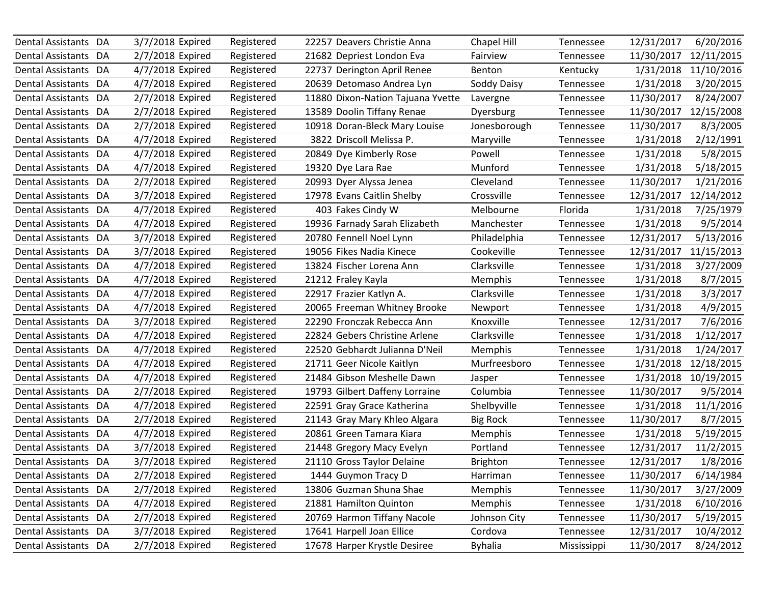| Dental Assistants DA     |    | 3/7/2018 Expired | Registered | 22257 Deavers Christie Anna       | Chapel Hill     | Tennessee   | 12/31/2017 | 6/20/2016  |
|--------------------------|----|------------------|------------|-----------------------------------|-----------------|-------------|------------|------------|
| Dental Assistants DA     |    | 2/7/2018 Expired | Registered | 21682 Depriest London Eva         | Fairview        | Tennessee   | 11/30/2017 | 12/11/2015 |
| Dental Assistants DA     |    | 4/7/2018 Expired | Registered | 22737 Derington April Renee       | Benton          | Kentucky    | 1/31/2018  | 11/10/2016 |
| Dental Assistants DA     |    | 4/7/2018 Expired | Registered | 20639 Detomaso Andrea Lyn         | Soddy Daisy     | Tennessee   | 1/31/2018  | 3/20/2015  |
| Dental Assistants DA     |    | 2/7/2018 Expired | Registered | 11880 Dixon-Nation Tajuana Yvette | Lavergne        | Tennessee   | 11/30/2017 | 8/24/2007  |
| Dental Assistants DA     |    | 2/7/2018 Expired | Registered | 13589 Doolin Tiffany Renae        | Dyersburg       | Tennessee   | 11/30/2017 | 12/15/2008 |
| Dental Assistants DA     |    | 2/7/2018 Expired | Registered | 10918 Doran-Bleck Mary Louise     | Jonesborough    | Tennessee   | 11/30/2017 | 8/3/2005   |
| Dental Assistants DA     |    | 4/7/2018 Expired | Registered | 3822 Driscoll Melissa P.          | Maryville       | Tennessee   | 1/31/2018  | 2/12/1991  |
| Dental Assistants DA     |    | 4/7/2018 Expired | Registered | 20849 Dye Kimberly Rose           | Powell          | Tennessee   | 1/31/2018  | 5/8/2015   |
| Dental Assistants DA     |    | 4/7/2018 Expired | Registered | 19320 Dye Lara Rae                | Munford         | Tennessee   | 1/31/2018  | 5/18/2015  |
| <b>Dental Assistants</b> | DA | 2/7/2018 Expired | Registered | 20993 Dyer Alyssa Jenea           | Cleveland       | Tennessee   | 11/30/2017 | 1/21/2016  |
| Dental Assistants DA     |    | 3/7/2018 Expired | Registered | 17978 Evans Caitlin Shelby        | Crossville      | Tennessee   | 12/31/2017 | 12/14/2012 |
| Dental Assistants DA     |    | 4/7/2018 Expired | Registered | 403 Fakes Cindy W                 | Melbourne       | Florida     | 1/31/2018  | 7/25/1979  |
| Dental Assistants DA     |    | 4/7/2018 Expired | Registered | 19936 Farnady Sarah Elizabeth     | Manchester      | Tennessee   | 1/31/2018  | 9/5/2014   |
| Dental Assistants DA     |    | 3/7/2018 Expired | Registered | 20780 Fennell Noel Lynn           | Philadelphia    | Tennessee   | 12/31/2017 | 5/13/2016  |
| Dental Assistants DA     |    | 3/7/2018 Expired | Registered | 19056 Fikes Nadia Kinece          | Cookeville      | Tennessee   | 12/31/2017 | 11/15/2013 |
| Dental Assistants DA     |    | 4/7/2018 Expired | Registered | 13824 Fischer Lorena Ann          | Clarksville     | Tennessee   | 1/31/2018  | 3/27/2009  |
| <b>Dental Assistants</b> | DA | 4/7/2018 Expired | Registered | 21212 Fraley Kayla                | Memphis         | Tennessee   | 1/31/2018  | 8/7/2015   |
| Dental Assistants DA     |    | 4/7/2018 Expired | Registered | 22917 Frazier Katlyn A.           | Clarksville     | Tennessee   | 1/31/2018  | 3/3/2017   |
| Dental Assistants DA     |    | 4/7/2018 Expired | Registered | 20065 Freeman Whitney Brooke      | Newport         | Tennessee   | 1/31/2018  | 4/9/2015   |
| Dental Assistants DA     |    | 3/7/2018 Expired | Registered | 22290 Fronczak Rebecca Ann        | Knoxville       | Tennessee   | 12/31/2017 | 7/6/2016   |
| Dental Assistants DA     |    | 4/7/2018 Expired | Registered | 22824 Gebers Christine Arlene     | Clarksville     | Tennessee   | 1/31/2018  | 1/12/2017  |
| <b>Dental Assistants</b> | DA | 4/7/2018 Expired | Registered | 22520 Gebhardt Julianna D'Neil    | Memphis         | Tennessee   | 1/31/2018  | 1/24/2017  |
| Dental Assistants DA     |    | 4/7/2018 Expired | Registered | 21711 Geer Nicole Kaitlyn         | Murfreesboro    | Tennessee   | 1/31/2018  | 12/18/2015 |
| Dental Assistants DA     |    | 4/7/2018 Expired | Registered | 21484 Gibson Meshelle Dawn        | Jasper          | Tennessee   | 1/31/2018  | 10/19/2015 |
| Dental Assistants DA     |    | 2/7/2018 Expired | Registered | 19793 Gilbert Daffeny Lorraine    | Columbia        | Tennessee   | 11/30/2017 | 9/5/2014   |
| Dental Assistants DA     |    | 4/7/2018 Expired | Registered | 22591 Gray Grace Katherina        | Shelbyville     | Tennessee   | 1/31/2018  | 11/1/2016  |
| Dental Assistants DA     |    | 2/7/2018 Expired | Registered | 21143 Gray Mary Khleo Algara      | <b>Big Rock</b> | Tennessee   | 11/30/2017 | 8/7/2015   |
| Dental Assistants DA     |    | 4/7/2018 Expired | Registered | 20861 Green Tamara Kiara          | Memphis         | Tennessee   | 1/31/2018  | 5/19/2015  |
| Dental Assistants DA     |    | 3/7/2018 Expired | Registered | 21448 Gregory Macy Evelyn         | Portland        | Tennessee   | 12/31/2017 | 11/2/2015  |
| Dental Assistants DA     |    | 3/7/2018 Expired | Registered | 21110 Gross Taylor Delaine        | <b>Brighton</b> | Tennessee   | 12/31/2017 | 1/8/2016   |
| Dental Assistants DA     |    | 2/7/2018 Expired | Registered | 1444 Guymon Tracy D               | Harriman        | Tennessee   | 11/30/2017 | 6/14/1984  |
| Dental Assistants DA     |    | 2/7/2018 Expired | Registered | 13806 Guzman Shuna Shae           | Memphis         | Tennessee   | 11/30/2017 | 3/27/2009  |
| Dental Assistants DA     |    | 4/7/2018 Expired | Registered | 21881 Hamilton Quinton            | <b>Memphis</b>  | Tennessee   | 1/31/2018  | 6/10/2016  |
| Dental Assistants DA     |    | 2/7/2018 Expired | Registered | 20769 Harmon Tiffany Nacole       | Johnson City    | Tennessee   | 11/30/2017 | 5/19/2015  |
| Dental Assistants DA     |    | 3/7/2018 Expired | Registered | 17641 Harpell Joan Ellice         | Cordova         | Tennessee   | 12/31/2017 | 10/4/2012  |
| Dental Assistants DA     |    | 2/7/2018 Expired | Registered | 17678 Harper Krystle Desiree      | <b>Byhalia</b>  | Mississippi | 11/30/2017 | 8/24/2012  |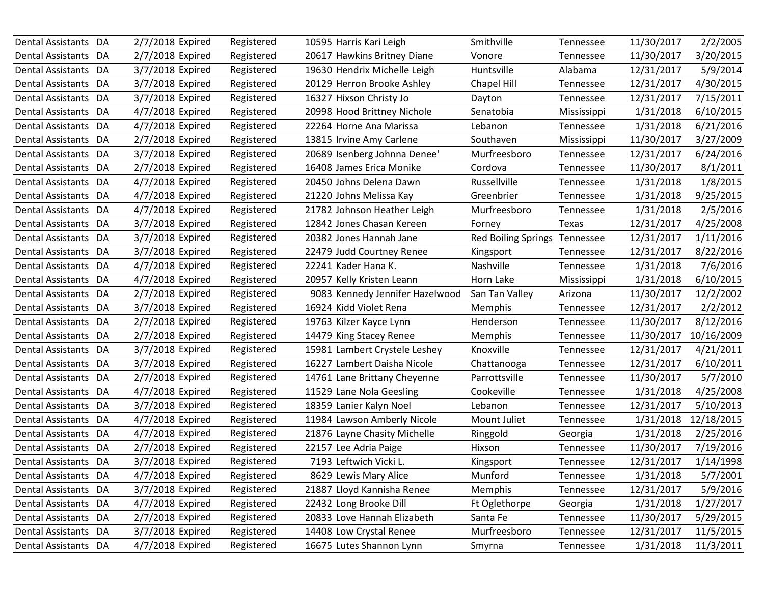| Dental Assistants DA     |    | 2/7/2018 Expired | Registered | 10595 Harris Kari Leigh         | Smithville                 | Tennessee   | 11/30/2017 | 2/2/2005   |
|--------------------------|----|------------------|------------|---------------------------------|----------------------------|-------------|------------|------------|
| Dental Assistants DA     |    | 2/7/2018 Expired | Registered | 20617 Hawkins Britney Diane     | Vonore                     | Tennessee   | 11/30/2017 | 3/20/2015  |
| Dental Assistants DA     |    | 3/7/2018 Expired | Registered | 19630 Hendrix Michelle Leigh    | Huntsville                 | Alabama     | 12/31/2017 | 5/9/2014   |
| Dental Assistants DA     |    | 3/7/2018 Expired | Registered | 20129 Herron Brooke Ashley      | Chapel Hill                | Tennessee   | 12/31/2017 | 4/30/2015  |
| Dental Assistants DA     |    | 3/7/2018 Expired | Registered | 16327 Hixson Christy Jo         | Dayton                     | Tennessee   | 12/31/2017 | 7/15/2011  |
| Dental Assistants DA     |    | 4/7/2018 Expired | Registered | 20998 Hood Brittney Nichole     | Senatobia                  | Mississippi | 1/31/2018  | 6/10/2015  |
| Dental Assistants DA     |    | 4/7/2018 Expired | Registered | 22264 Horne Ana Marissa         | Lebanon                    | Tennessee   | 1/31/2018  | 6/21/2016  |
| Dental Assistants DA     |    | 2/7/2018 Expired | Registered | 13815 Irvine Amy Carlene        | Southaven                  | Mississippi | 11/30/2017 | 3/27/2009  |
| Dental Assistants DA     |    | 3/7/2018 Expired | Registered | 20689 Isenberg Johnna Denee'    | Murfreesboro               | Tennessee   | 12/31/2017 | 6/24/2016  |
| Dental Assistants DA     |    | 2/7/2018 Expired | Registered | 16408 James Erica Monike        | Cordova                    | Tennessee   | 11/30/2017 | 8/1/2011   |
| <b>Dental Assistants</b> | DA | 4/7/2018 Expired | Registered | 20450 Johns Delena Dawn         | Russellville               | Tennessee   | 1/31/2018  | 1/8/2015   |
| Dental Assistants DA     |    | 4/7/2018 Expired | Registered | 21220 Johns Melissa Kay         | Greenbrier                 | Tennessee   | 1/31/2018  | 9/25/2015  |
| Dental Assistants DA     |    | 4/7/2018 Expired | Registered | 21782 Johnson Heather Leigh     | Murfreesboro               | Tennessee   | 1/31/2018  | 2/5/2016   |
| Dental Assistants DA     |    | 3/7/2018 Expired | Registered | 12842 Jones Chasan Kereen       | Forney                     | Texas       | 12/31/2017 | 4/25/2008  |
| Dental Assistants DA     |    | 3/7/2018 Expired | Registered | 20382 Jones Hannah Jane         | <b>Red Boiling Springs</b> | Tennessee   | 12/31/2017 | 1/11/2016  |
| Dental Assistants DA     |    | 3/7/2018 Expired | Registered | 22479 Judd Courtney Renee       | Kingsport                  | Tennessee   | 12/31/2017 | 8/22/2016  |
| Dental Assistants DA     |    | 4/7/2018 Expired | Registered | 22241 Kader Hana K.             | Nashville                  | Tennessee   | 1/31/2018  | 7/6/2016   |
| Dental Assistants DA     |    | 4/7/2018 Expired | Registered | 20957 Kelly Kristen Leann       | Horn Lake                  | Mississippi | 1/31/2018  | 6/10/2015  |
| Dental Assistants DA     |    | 2/7/2018 Expired | Registered | 9083 Kennedy Jennifer Hazelwood | San Tan Valley             | Arizona     | 11/30/2017 | 12/2/2002  |
| Dental Assistants DA     |    | 3/7/2018 Expired | Registered | 16924 Kidd Violet Rena          | <b>Memphis</b>             | Tennessee   | 12/31/2017 | 2/2/2012   |
| Dental Assistants DA     |    | 2/7/2018 Expired | Registered | 19763 Kilzer Kayce Lynn         | Henderson                  | Tennessee   | 11/30/2017 | 8/12/2016  |
| Dental Assistants DA     |    | 2/7/2018 Expired | Registered | 14479 King Stacey Renee         | Memphis                    | Tennessee   | 11/30/2017 | 10/16/2009 |
| <b>Dental Assistants</b> | DA | 3/7/2018 Expired | Registered | 15981 Lambert Crystele Leshey   | Knoxville                  | Tennessee   | 12/31/2017 | 4/21/2011  |
| Dental Assistants DA     |    | 3/7/2018 Expired | Registered | 16227 Lambert Daisha Nicole     | Chattanooga                | Tennessee   | 12/31/2017 | 6/10/2011  |
| Dental Assistants DA     |    | 2/7/2018 Expired | Registered | 14761 Lane Brittany Cheyenne    | Parrottsville              | Tennessee   | 11/30/2017 | 5/7/2010   |
| Dental Assistants DA     |    | 4/7/2018 Expired | Registered | 11529 Lane Nola Geesling        | Cookeville                 | Tennessee   | 1/31/2018  | 4/25/2008  |
| Dental Assistants DA     |    | 3/7/2018 Expired | Registered | 18359 Lanier Kalyn Noel         | Lebanon                    | Tennessee   | 12/31/2017 | 5/10/2013  |
| Dental Assistants DA     |    | 4/7/2018 Expired | Registered | 11984 Lawson Amberly Nicole     | Mount Juliet               | Tennessee   | 1/31/2018  | 12/18/2015 |
| Dental Assistants DA     |    | 4/7/2018 Expired | Registered | 21876 Layne Chasity Michelle    | Ringgold                   | Georgia     | 1/31/2018  | 2/25/2016  |
| Dental Assistants        | DA | 2/7/2018 Expired | Registered | 22157 Lee Adria Paige           | Hixson                     | Tennessee   | 11/30/2017 | 7/19/2016  |
| Dental Assistants DA     |    | 3/7/2018 Expired | Registered | 7193 Leftwich Vicki L.          | Kingsport                  | Tennessee   | 12/31/2017 | 1/14/1998  |
| Dental Assistants DA     |    | 4/7/2018 Expired | Registered | 8629 Lewis Mary Alice           | Munford                    | Tennessee   | 1/31/2018  | 5/7/2001   |
| Dental Assistants DA     |    | 3/7/2018 Expired | Registered | 21887 Lloyd Kannisha Renee      | Memphis                    | Tennessee   | 12/31/2017 | 5/9/2016   |
| Dental Assistants DA     |    | 4/7/2018 Expired | Registered | 22432 Long Brooke Dill          | Ft Oglethorpe              | Georgia     | 1/31/2018  | 1/27/2017  |
| Dental Assistants DA     |    | 2/7/2018 Expired | Registered | 20833 Love Hannah Elizabeth     | Santa Fe                   | Tennessee   | 11/30/2017 | 5/29/2015  |
| Dental Assistants DA     |    | 3/7/2018 Expired | Registered | 14408 Low Crystal Renee         | Murfreesboro               | Tennessee   | 12/31/2017 | 11/5/2015  |
| Dental Assistants DA     |    | 4/7/2018 Expired | Registered | 16675 Lutes Shannon Lynn        | Smyrna                     | Tennessee   | 1/31/2018  | 11/3/2011  |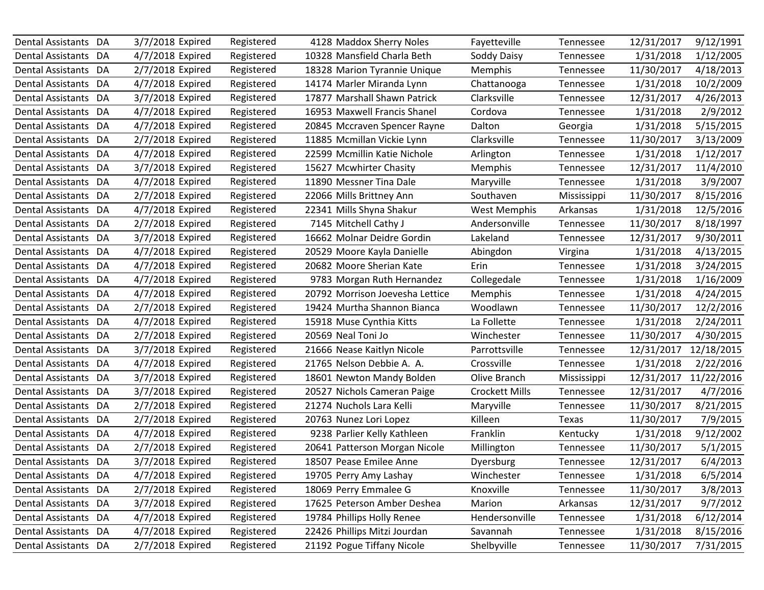| Dental Assistants DA     |    | 3/7/2018 Expired | Registered | 4128 Maddox Sherry Noles        | Fayetteville          | Tennessee   | 12/31/2017 | 9/12/1991  |
|--------------------------|----|------------------|------------|---------------------------------|-----------------------|-------------|------------|------------|
| Dental Assistants DA     |    | 4/7/2018 Expired | Registered | 10328 Mansfield Charla Beth     | Soddy Daisy           | Tennessee   | 1/31/2018  | 1/12/2005  |
| Dental Assistants DA     |    | 2/7/2018 Expired | Registered | 18328 Marion Tyrannie Unique    | Memphis               | Tennessee   | 11/30/2017 | 4/18/2013  |
| Dental Assistants DA     |    | 4/7/2018 Expired | Registered | 14174 Marler Miranda Lynn       | Chattanooga           | Tennessee   | 1/31/2018  | 10/2/2009  |
| Dental Assistants DA     |    | 3/7/2018 Expired | Registered | 17877 Marshall Shawn Patrick    | Clarksville           | Tennessee   | 12/31/2017 | 4/26/2013  |
| Dental Assistants DA     |    | 4/7/2018 Expired | Registered | 16953 Maxwell Francis Shanel    | Cordova               | Tennessee   | 1/31/2018  | 2/9/2012   |
| Dental Assistants DA     |    | 4/7/2018 Expired | Registered | 20845 Mccraven Spencer Rayne    | Dalton                | Georgia     | 1/31/2018  | 5/15/2015  |
| Dental Assistants DA     |    | 2/7/2018 Expired | Registered | 11885 Mcmillan Vickie Lynn      | Clarksville           | Tennessee   | 11/30/2017 | 3/13/2009  |
| Dental Assistants DA     |    | 4/7/2018 Expired | Registered | 22599 Mcmillin Katie Nichole    | Arlington             | Tennessee   | 1/31/2018  | 1/12/2017  |
| Dental Assistants DA     |    | 3/7/2018 Expired | Registered | 15627 Mcwhirter Chasity         | Memphis               | Tennessee   | 12/31/2017 | 11/4/2010  |
| <b>Dental Assistants</b> | DA | 4/7/2018 Expired | Registered | 11890 Messner Tina Dale         | Maryville             | Tennessee   | 1/31/2018  | 3/9/2007   |
| Dental Assistants DA     |    | 2/7/2018 Expired | Registered | 22066 Mills Brittney Ann        | Southaven             | Mississippi | 11/30/2017 | 8/15/2016  |
| Dental Assistants DA     |    | 4/7/2018 Expired | Registered | 22341 Mills Shyna Shakur        | <b>West Memphis</b>   | Arkansas    | 1/31/2018  | 12/5/2016  |
| Dental Assistants DA     |    | 2/7/2018 Expired | Registered | 7145 Mitchell Cathy J           | Andersonville         | Tennessee   | 11/30/2017 | 8/18/1997  |
| Dental Assistants DA     |    | 3/7/2018 Expired | Registered | 16662 Molnar Deidre Gordin      | Lakeland              | Tennessee   | 12/31/2017 | 9/30/2011  |
| Dental Assistants DA     |    | 4/7/2018 Expired | Registered | 20529 Moore Kayla Danielle      | Abingdon              | Virgina     | 1/31/2018  | 4/13/2015  |
| Dental Assistants DA     |    | 4/7/2018 Expired | Registered | 20682 Moore Sherian Kate        | Erin                  | Tennessee   | 1/31/2018  | 3/24/2015  |
| Dental Assistants DA     |    | 4/7/2018 Expired | Registered | 9783 Morgan Ruth Hernandez      | Collegedale           | Tennessee   | 1/31/2018  | 1/16/2009  |
| Dental Assistants DA     |    | 4/7/2018 Expired | Registered | 20792 Morrison Joevesha Lettice | Memphis               | Tennessee   | 1/31/2018  | 4/24/2015  |
| Dental Assistants DA     |    | 2/7/2018 Expired | Registered | 19424 Murtha Shannon Bianca     | Woodlawn              | Tennessee   | 11/30/2017 | 12/2/2016  |
| Dental Assistants DA     |    | 4/7/2018 Expired | Registered | 15918 Muse Cynthia Kitts        | La Follette           | Tennessee   | 1/31/2018  | 2/24/2011  |
| Dental Assistants DA     |    | 2/7/2018 Expired | Registered | 20569 Neal Toni Jo              | Winchester            | Tennessee   | 11/30/2017 | 4/30/2015  |
| <b>Dental Assistants</b> | DA | 3/7/2018 Expired | Registered | 21666 Nease Kaitlyn Nicole      | Parrottsville         | Tennessee   | 12/31/2017 | 12/18/2015 |
| Dental Assistants DA     |    | 4/7/2018 Expired | Registered | 21765 Nelson Debbie A. A.       | Crossville            | Tennessee   | 1/31/2018  | 2/22/2016  |
| Dental Assistants DA     |    | 3/7/2018 Expired | Registered | 18601 Newton Mandy Bolden       | Olive Branch          | Mississippi | 12/31/2017 | 11/22/2016 |
| Dental Assistants DA     |    | 3/7/2018 Expired | Registered | 20527 Nichols Cameran Paige     | <b>Crockett Mills</b> | Tennessee   | 12/31/2017 | 4/7/2016   |
| Dental Assistants DA     |    | 2/7/2018 Expired | Registered | 21274 Nuchols Lara Kelli        | Maryville             | Tennessee   | 11/30/2017 | 8/21/2015  |
| Dental Assistants DA     |    | 2/7/2018 Expired | Registered | 20763 Nunez Lori Lopez          | Killeen               | Texas       | 11/30/2017 | 7/9/2015   |
| Dental Assistants DA     |    | 4/7/2018 Expired | Registered | 9238 Parlier Kelly Kathleen     | Franklin              | Kentucky    | 1/31/2018  | 9/12/2002  |
| Dental Assistants        | DA | 2/7/2018 Expired | Registered | 20641 Patterson Morgan Nicole   | Millington            | Tennessee   | 11/30/2017 | 5/1/2015   |
| Dental Assistants DA     |    | 3/7/2018 Expired | Registered | 18507 Pease Emilee Anne         | Dyersburg             | Tennessee   | 12/31/2017 | 6/4/2013   |
| Dental Assistants DA     |    | 4/7/2018 Expired | Registered | 19705 Perry Amy Lashay          | Winchester            | Tennessee   | 1/31/2018  | 6/5/2014   |
| Dental Assistants DA     |    | 2/7/2018 Expired | Registered | 18069 Perry Emmalee G           | Knoxville             | Tennessee   | 11/30/2017 | 3/8/2013   |
| Dental Assistants DA     |    | 3/7/2018 Expired | Registered | 17625 Peterson Amber Deshea     | Marion                | Arkansas    | 12/31/2017 | 9/7/2012   |
| Dental Assistants DA     |    | 4/7/2018 Expired | Registered | 19784 Phillips Holly Renee      | Hendersonville        | Tennessee   | 1/31/2018  | 6/12/2014  |
| Dental Assistants DA     |    | 4/7/2018 Expired | Registered | 22426 Phillips Mitzi Jourdan    | Savannah              | Tennessee   | 1/31/2018  | 8/15/2016  |
| Dental Assistants DA     |    | 2/7/2018 Expired | Registered | 21192 Pogue Tiffany Nicole      | Shelbyville           | Tennessee   | 11/30/2017 | 7/31/2015  |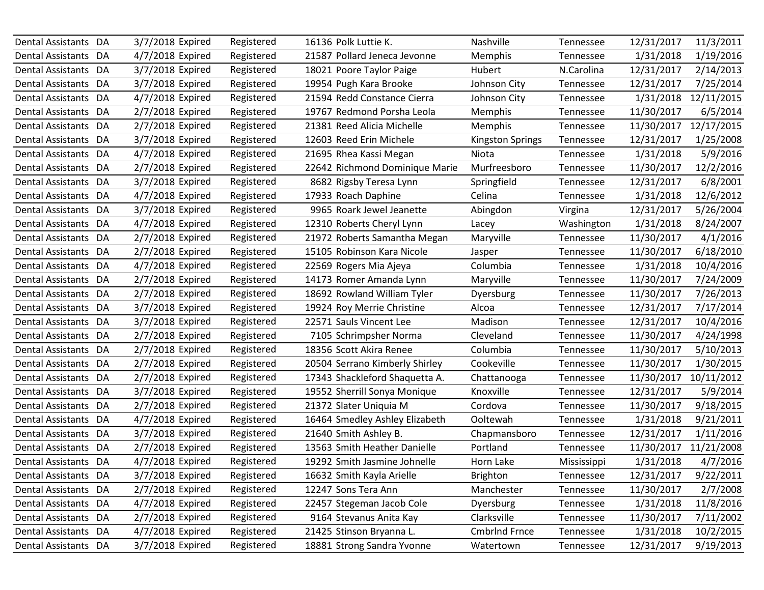| Dental Assistants DA     |    | 3/7/2018 Expired | Registered | 16136 Polk Luttie K.           | Nashville               | Tennessee   | 12/31/2017 | 11/3/2011  |
|--------------------------|----|------------------|------------|--------------------------------|-------------------------|-------------|------------|------------|
| Dental Assistants DA     |    | 4/7/2018 Expired | Registered | 21587 Pollard Jeneca Jevonne   | <b>Memphis</b>          | Tennessee   | 1/31/2018  | 1/19/2016  |
| Dental Assistants DA     |    | 3/7/2018 Expired | Registered | 18021 Poore Taylor Paige       | <b>Hubert</b>           | N.Carolina  | 12/31/2017 | 2/14/2013  |
| Dental Assistants DA     |    | 3/7/2018 Expired | Registered | 19954 Pugh Kara Brooke         | Johnson City            | Tennessee   | 12/31/2017 | 7/25/2014  |
| Dental Assistants DA     |    | 4/7/2018 Expired | Registered | 21594 Redd Constance Cierra    | Johnson City            | Tennessee   | 1/31/2018  | 12/11/2015 |
| Dental Assistants DA     |    | 2/7/2018 Expired | Registered | 19767 Redmond Porsha Leola     | Memphis                 | Tennessee   | 11/30/2017 | 6/5/2014   |
| Dental Assistants DA     |    | 2/7/2018 Expired | Registered | 21381 Reed Alicia Michelle     | Memphis                 | Tennessee   | 11/30/2017 | 12/17/2015 |
| Dental Assistants DA     |    | 3/7/2018 Expired | Registered | 12603 Reed Erin Michele        | <b>Kingston Springs</b> | Tennessee   | 12/31/2017 | 1/25/2008  |
| Dental Assistants DA     |    | 4/7/2018 Expired | Registered | 21695 Rhea Kassi Megan         | Niota                   | Tennessee   | 1/31/2018  | 5/9/2016   |
| Dental Assistants DA     |    | 2/7/2018 Expired | Registered | 22642 Richmond Dominique Marie | Murfreesboro            | Tennessee   | 11/30/2017 | 12/2/2016  |
| <b>Dental Assistants</b> | DA | 3/7/2018 Expired | Registered | 8682 Rigsby Teresa Lynn        | Springfield             | Tennessee   | 12/31/2017 | 6/8/2001   |
| Dental Assistants DA     |    | 4/7/2018 Expired | Registered | 17933 Roach Daphine            | Celina                  | Tennessee   | 1/31/2018  | 12/6/2012  |
| Dental Assistants DA     |    | 3/7/2018 Expired | Registered | 9965 Roark Jewel Jeanette      | Abingdon                | Virgina     | 12/31/2017 | 5/26/2004  |
| Dental Assistants DA     |    | 4/7/2018 Expired | Registered | 12310 Roberts Cheryl Lynn      | Lacey                   | Washington  | 1/31/2018  | 8/24/2007  |
| Dental Assistants DA     |    | 2/7/2018 Expired | Registered | 21972 Roberts Samantha Megan   | Maryville               | Tennessee   | 11/30/2017 | 4/1/2016   |
| Dental Assistants DA     |    | 2/7/2018 Expired | Registered | 15105 Robinson Kara Nicole     | Jasper                  | Tennessee   | 11/30/2017 | 6/18/2010  |
| Dental Assistants DA     |    | 4/7/2018 Expired | Registered | 22569 Rogers Mia Ajeya         | Columbia                | Tennessee   | 1/31/2018  | 10/4/2016  |
| Dental Assistants DA     |    | 2/7/2018 Expired | Registered | 14173 Romer Amanda Lynn        | Maryville               | Tennessee   | 11/30/2017 | 7/24/2009  |
| Dental Assistants DA     |    | 2/7/2018 Expired | Registered | 18692 Rowland William Tyler    | Dyersburg               | Tennessee   | 11/30/2017 | 7/26/2013  |
| Dental Assistants DA     |    | 3/7/2018 Expired | Registered | 19924 Roy Merrie Christine     | Alcoa                   | Tennessee   | 12/31/2017 | 7/17/2014  |
| Dental Assistants DA     |    | 3/7/2018 Expired | Registered | 22571 Sauls Vincent Lee        | Madison                 | Tennessee   | 12/31/2017 | 10/4/2016  |
| Dental Assistants DA     |    | 2/7/2018 Expired | Registered | 7105 Schrimpsher Norma         | Cleveland               | Tennessee   | 11/30/2017 | 4/24/1998  |
| <b>Dental Assistants</b> | DA | 2/7/2018 Expired | Registered | 18356 Scott Akira Renee        | Columbia                | Tennessee   | 11/30/2017 | 5/10/2013  |
| Dental Assistants DA     |    | 2/7/2018 Expired | Registered | 20504 Serrano Kimberly Shirley | Cookeville              | Tennessee   | 11/30/2017 | 1/30/2015  |
| Dental Assistants DA     |    | 2/7/2018 Expired | Registered | 17343 Shackleford Shaquetta A. | Chattanooga             | Tennessee   | 11/30/2017 | 10/11/2012 |
| Dental Assistants DA     |    | 3/7/2018 Expired | Registered | 19552 Sherrill Sonya Monique   | Knoxville               | Tennessee   | 12/31/2017 | 5/9/2014   |
| Dental Assistants DA     |    | 2/7/2018 Expired | Registered | 21372 Slater Uniquia M         | Cordova                 | Tennessee   | 11/30/2017 | 9/18/2015  |
| Dental Assistants DA     |    | 4/7/2018 Expired | Registered | 16464 Smedley Ashley Elizabeth | Ooltewah                | Tennessee   | 1/31/2018  | 9/21/2011  |
| Dental Assistants DA     |    | 3/7/2018 Expired | Registered | 21640 Smith Ashley B.          | Chapmansboro            | Tennessee   | 12/31/2017 | 1/11/2016  |
| Dental Assistants        | DA | 2/7/2018 Expired | Registered | 13563 Smith Heather Danielle   | Portland                | Tennessee   | 11/30/2017 | 11/21/2008 |
| Dental Assistants DA     |    | 4/7/2018 Expired | Registered | 19292 Smith Jasmine Johnelle   | Horn Lake               | Mississippi | 1/31/2018  | 4/7/2016   |
| Dental Assistants DA     |    | 3/7/2018 Expired | Registered | 16632 Smith Kayla Arielle      | <b>Brighton</b>         | Tennessee   | 12/31/2017 | 9/22/2011  |
| Dental Assistants DA     |    | 2/7/2018 Expired | Registered | 12247 Sons Tera Ann            | Manchester              | Tennessee   | 11/30/2017 | 2/7/2008   |
| Dental Assistants DA     |    | 4/7/2018 Expired | Registered | 22457 Stegeman Jacob Cole      | Dyersburg               | Tennessee   | 1/31/2018  | 11/8/2016  |
| Dental Assistants DA     |    | 2/7/2018 Expired | Registered | 9164 Stevanus Anita Kay        | Clarksville             | Tennessee   | 11/30/2017 | 7/11/2002  |
| Dental Assistants DA     |    | 4/7/2018 Expired | Registered | 21425 Stinson Bryanna L.       | <b>Cmbrlnd Frnce</b>    | Tennessee   | 1/31/2018  | 10/2/2015  |
| Dental Assistants DA     |    | 3/7/2018 Expired | Registered | 18881 Strong Sandra Yvonne     | Watertown               | Tennessee   | 12/31/2017 | 9/19/2013  |